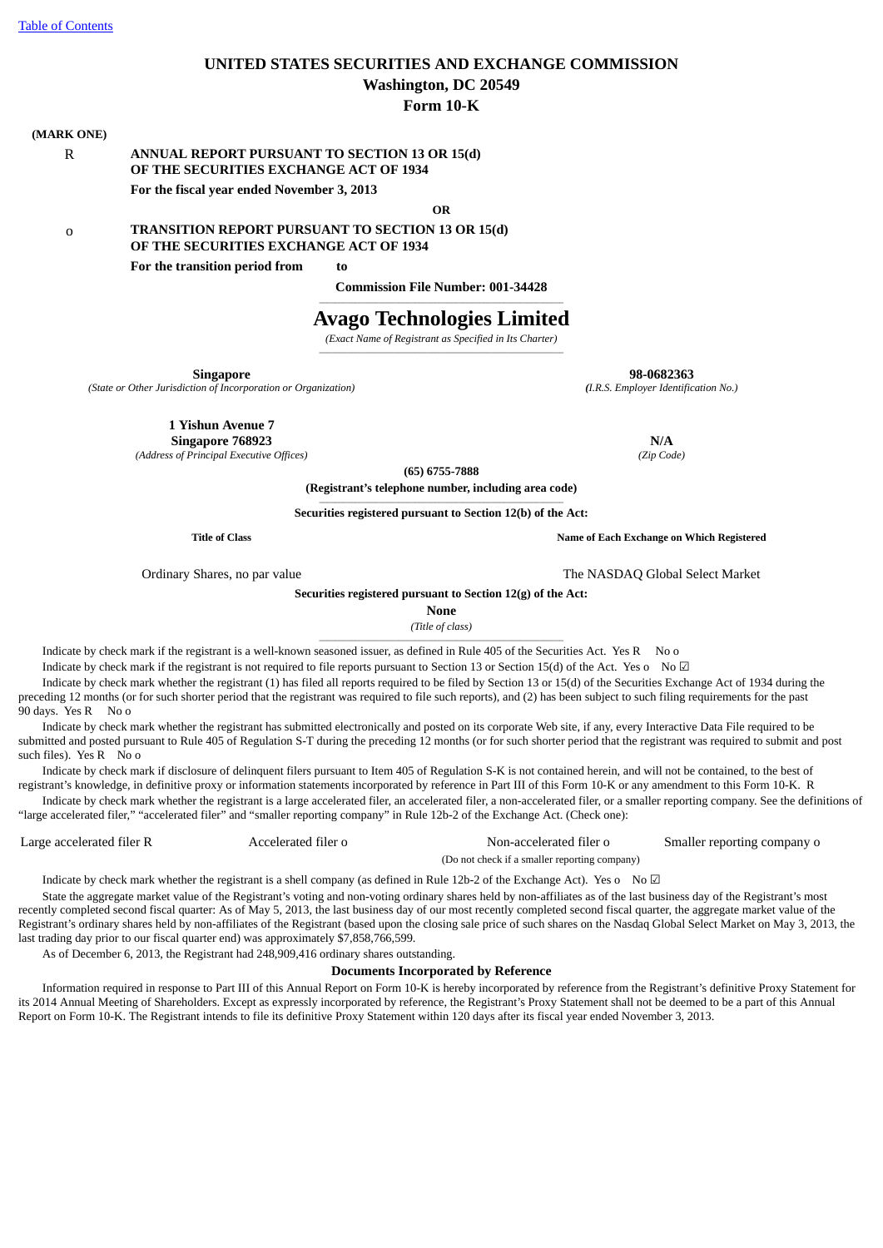# **UNITED STATES SECURITIES AND EXCHANGE COMMISSION Washington, DC 20549 Form 10-K**

#### **(MARK ONE)**

R **ANNUAL REPORT PURSUANT TO SECTION 13 OR 15(d) OF THE SECURITIES EXCHANGE ACT OF 1934 For the fiscal year ended November 3, 2013**

**OR**

o **TRANSITION REPORT PURSUANT TO SECTION 13 OR 15(d) OF THE SECURITIES EXCHANGE ACT OF 1934**

**For the transition period from to**

**Commission File Number: 001-34428**  $\mathcal{L}_\text{max} = \mathcal{L}_\text{max} = \mathcal{L}_\text{max} = \mathcal{L}_\text{max} = \mathcal{L}_\text{max} = \mathcal{L}_\text{max} = \mathcal{L}_\text{max} = \mathcal{L}_\text{max} = \mathcal{L}_\text{max} = \mathcal{L}_\text{max} = \mathcal{L}_\text{max} = \mathcal{L}_\text{max} = \mathcal{L}_\text{max} = \mathcal{L}_\text{max} = \mathcal{L}_\text{max} = \mathcal{L}_\text{max} = \mathcal{L}_\text{max} = \mathcal{L}_\text{max} = \mathcal{$ 

# **Avago Technologies Limited**

*(Exact Name of Registrant as Specified in Its Charter)*  $\mathcal{L}_\text{max} = \mathcal{L}_\text{max} = \mathcal{L}_\text{max} = \mathcal{L}_\text{max} = \mathcal{L}_\text{max} = \mathcal{L}_\text{max} = \mathcal{L}_\text{max} = \mathcal{L}_\text{max} = \mathcal{L}_\text{max} = \mathcal{L}_\text{max} = \mathcal{L}_\text{max} = \mathcal{L}_\text{max} = \mathcal{L}_\text{max} = \mathcal{L}_\text{max} = \mathcal{L}_\text{max} = \mathcal{L}_\text{max} = \mathcal{L}_\text{max} = \mathcal{L}_\text{max} = \mathcal{$ 

**Singapore**

*(State or Other Jurisdiction of Incorporation or Organization)*

**1 Yishun Avenue 7**

**Singapore 768923** *(Address of Principal Executive Offices)*

**(65) 6755-7888**

*(Zip Code)*

**98-0682363** *(I.R.S. Employer Identification No.)*

**(Registrant's telephone number, including area code)**

\_\_\_\_\_\_\_\_\_\_\_\_\_\_\_\_\_\_\_\_\_\_\_\_\_\_\_\_\_\_\_\_\_\_\_\_\_\_\_\_\_\_\_\_\_\_\_\_\_\_\_\_\_\_\_\_\_\_\_\_\_ **Securities registered pursuant to Section 12(b) of the Act:**

**Title of Class Name of Each Exchange on Which Registered**

Ordinary Shares, no par value The NASDAQ Global Select Market

**Securities registered pursuant to Section 12(g) of the Act:**

**None**

*(Title of class)*  $\mathcal{L}_\text{max} = \mathcal{L}_\text{max} = \mathcal{L}_\text{max} = \mathcal{L}_\text{max} = \mathcal{L}_\text{max} = \mathcal{L}_\text{max} = \mathcal{L}_\text{max} = \mathcal{L}_\text{max} = \mathcal{L}_\text{max} = \mathcal{L}_\text{max} = \mathcal{L}_\text{max} = \mathcal{L}_\text{max} = \mathcal{L}_\text{max} = \mathcal{L}_\text{max} = \mathcal{L}_\text{max} = \mathcal{L}_\text{max} = \mathcal{L}_\text{max} = \mathcal{L}_\text{max} = \mathcal{$ 

Indicate by check mark if the registrant is a well-known seasoned issuer, as defined in Rule 405 of the Securities Act. Yes R No o

Indicate by check mark if the registrant is not required to file reports pursuant to Section 13 or Section 15(d) of the Act. Yes o No ☑

Indicate by check mark whether the registrant (1) has filed all reports required to be filed by Section 13 or 15(d) of the Securities Exchange Act of 1934 during the preceding 12 months (or for such shorter period that the registrant was required to file such reports), and (2) has been subject to such filing requirements for the past 90 days. Yes R No o

Indicate by check mark whether the registrant has submitted electronically and posted on its corporate Web site, if any, every Interactive Data File required to be submitted and posted pursuant to Rule 405 of Regulation S-T during the preceding 12 months (or for such shorter period that the registrant was required to submit and post such files). Yes R No o

Indicate by check mark if disclosure of delinquent filers pursuant to Item 405 of Regulation S-K is not contained herein, and will not be contained, to the best of registrant's knowledge, in definitive proxy or information statements incorporated by reference in Part III of this Form 10-K or any amendment to this Form 10-K. R

Indicate by check mark whether the registrant is a large accelerated filer, an accelerated filer, a non-accelerated filer, or a smaller reporting company. See the definitions of "large accelerated filer," "accelerated filer" and "smaller reporting company" in Rule 12b-2 of the Exchange Act. (Check one):

Large accelerated filer R Accelerated filer o Non-accelerated filer o Smaller reporting company o

(Do not check if a smaller reporting company)

Indicate by check mark whether the registrant is a shell company (as defined in Rule 12b-2 of the Exchange Act). Yes o No ☑

State the aggregate market value of the Registrant's voting and non-voting ordinary shares held by non-affiliates as of the last business day of the Registrant's most recently completed second fiscal quarter: As of May 5, 2013, the last business day of our most recently completed second fiscal quarter, the aggregate market value of the Registrant's ordinary shares held by non-affiliates of the Registrant (based upon the closing sale price of such shares on the Nasdaq Global Select Market on May 3, 2013, the last trading day prior to our fiscal quarter end) was approximately \$7,858,766,599.

As of December 6, 2013, the Registrant had 248,909,416 ordinary shares outstanding.

#### **Documents Incorporated by Reference**

<span id="page-0-0"></span>Information required in response to Part III of this Annual Report on Form 10-K is hereby incorporated by reference from the Registrant's definitive Proxy Statement for its 2014 Annual Meeting of Shareholders. Except as expressly incorporated by reference, the Registrant's Proxy Statement shall not be deemed to be a part of this Annual Report on Form 10-K. The Registrant intends to file its definitive Proxy Statement within 120 days after its fiscal year ended November 3, 2013.

**N/A**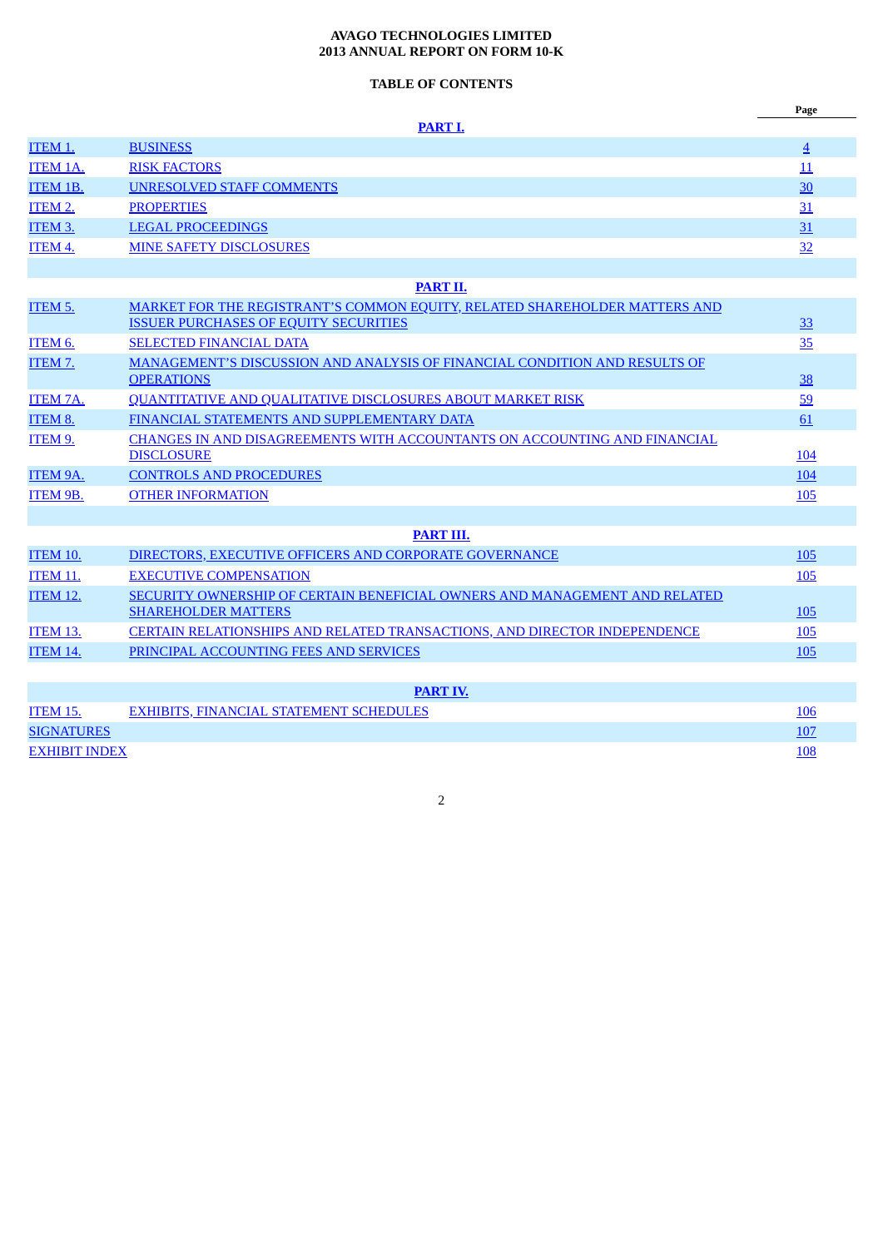### **AVAGO TECHNOLOGIES LIMITED 2013 ANNUAL REPORT ON FORM 10-K**

# **TABLE OF CONTENTS**

|                 |                                | Page     |
|-----------------|--------------------------------|----------|
|                 | <b>PART I.</b>                 |          |
| <u>ITEM 1.</u>  | <b>BUSINESS</b>                | <u>4</u> |
| <b>ITEM 1A.</b> | <b>RISK FACTORS</b>            | 11       |
| ITEM 1B.        | UNRESOLVED STAFF COMMENTS      | 30       |
| <b>ITEM 2.</b>  | <b>PROPERTIES</b>              | 31       |
| ITEM 3.         | <b>LEGAL PROCEEDINGS</b>       | 31       |
| ITEM 4.         | <b>MINE SAFETY DISCLOSURES</b> | 32       |
|                 |                                |          |

# **[PART](#page-31-1) II.** [ITEM](#page-32-0) 5. MARKET FOR THE REGISTRANT'S COMMON EQUITY, RELATED [SHAREHOLDER](#page-32-0) MATTERS AND **ISSUER PURCHASES OF EQUITY SECURITIES [33](#page-32-0)** [ITEM](#page-34-0) 6. SELECTED [FINANCIAL](#page-34-0) DATA [35](#page-34-0) [ITEM](#page-36-0) 7. [MANAGEMENT'S](#page-36-0) DISCUSSION AND ANALYSIS OF FINANCIAL CONDITION AND RESULTS OF **OPERATIONS** [38](#page-36-0) [ITEM](#page-58-0) 7A. [QUANTITATIVE](#page-58-0) AND QUALITATIVE DISCLOSURES ABOUT MARKET RISK [59](#page-58-0) [ITEM](#page-59-0) 8. FINANCIAL STATEMENTS AND [SUPPLEMENTARY](#page-59-0) DATA **[61](#page-59-0) 61** [ITEM](#page-102-0) 9. CHANGES IN AND [DISAGREEMENTS](#page-102-0) WITH ACCOUNTANTS ON ACCOUNTING AND FINANCIAL DISCLOSURE [104](#page-102-0) **[ITEM](#page-103-0) 9A. CONTROLS AND [PROCEDURES](#page-103-0) [104](#page-103-0) [ITEM](#page-104-0) 9B.** OTHER [INFORMATION](#page-104-0) [105](#page-104-0)

#### **[PART](#page-104-1) III.**

| <u>ITEM 10.</u>    | DIRECTORS, EXECUTIVE OFFICERS AND CORPORATE GOVERNANCE                                                   | <u>105</u> |
|--------------------|----------------------------------------------------------------------------------------------------------|------------|
| <u>ITEM 11.</u>    | <b>EXECUTIVE COMPENSATION</b>                                                                            | <b>105</b> |
| <b>ITEM 12.</b>    | SECURITY OWNERSHIP OF CERTAIN BENEFICIAL OWNERS AND MANAGEMENT AND RELATED<br><b>SHAREHOLDER MATTERS</b> | <u>105</u> |
| <b>ITEM 13.</b>    | CERTAIN RELATIONSHIPS AND RELATED TRANSACTIONS, AND DIRECTOR INDEPENDENCE                                | <b>105</b> |
| <b>ITEM 14.</b>    | PRINCIPAL ACCOUNTING FEES AND SERVICES                                                                   | 105        |
|                    |                                                                                                          |            |
|                    | <b>PART IV.</b>                                                                                          |            |
| <b>TELES 6.4 F</b> | <b>EVILUATE FINANCIAL CEATEMENT COUPNIU PC</b>                                                           | 100        |

<span id="page-1-0"></span>

| <b>ITEM 15</b>       | <b>EXHIBITS. FINANCIAL STATEMENT SCHEDULES</b> | 10  |
|----------------------|------------------------------------------------|-----|
| <b>SIGNATURES</b>    |                                                |     |
| <b>EXHIBIT INDEX</b> |                                                | 108 |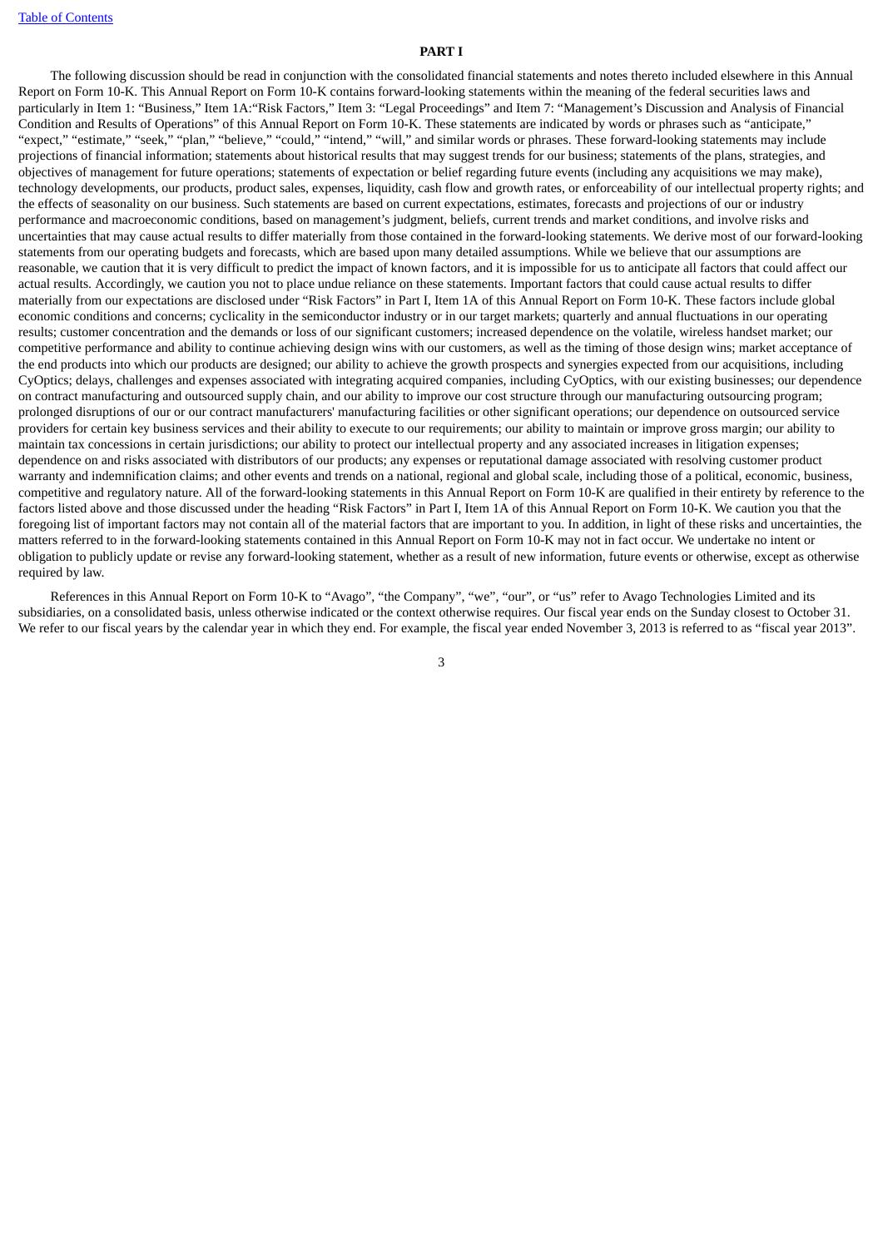### **PART I**

The following discussion should be read in conjunction with the consolidated financial statements and notes thereto included elsewhere in this Annual Report on Form 10-K. This Annual Report on Form 10-K contains forward-looking statements within the meaning of the federal securities laws and particularly in Item 1: "Business," Item 1A:"Risk Factors," Item 3: "Legal Proceedings" and Item 7: "Management's Discussion and Analysis of Financial Condition and Results of Operations" of this Annual Report on Form 10-K. These statements are indicated by words or phrases such as "anticipate," "expect," "estimate," "seek," "plan," "believe," "could," "intend," "will," and similar words or phrases. These forward-looking statements may include projections of financial information; statements about historical results that may suggest trends for our business; statements of the plans, strategies, and objectives of management for future operations; statements of expectation or belief regarding future events (including any acquisitions we may make), technology developments, our products, product sales, expenses, liquidity, cash flow and growth rates, or enforceability of our intellectual property rights; and the effects of seasonality on our business. Such statements are based on current expectations, estimates, forecasts and projections of our or industry performance and macroeconomic conditions, based on management's judgment, beliefs, current trends and market conditions, and involve risks and uncertainties that may cause actual results to differ materially from those contained in the forward-looking statements. We derive most of our forward-looking statements from our operating budgets and forecasts, which are based upon many detailed assumptions. While we believe that our assumptions are reasonable, we caution that it is very difficult to predict the impact of known factors, and it is impossible for us to anticipate all factors that could affect our actual results. Accordingly, we caution you not to place undue reliance on these statements. Important factors that could cause actual results to differ materially from our expectations are disclosed under "Risk Factors" in Part I, Item 1A of this Annual Report on Form 10-K. These factors include global economic conditions and concerns; cyclicality in the semiconductor industry or in our target markets; quarterly and annual fluctuations in our operating results; customer concentration and the demands or loss of our significant customers; increased dependence on the volatile, wireless handset market; our competitive performance and ability to continue achieving design wins with our customers, as well as the timing of those design wins; market acceptance of the end products into which our products are designed; our ability to achieve the growth prospects and synergies expected from our acquisitions, including CyOptics; delays, challenges and expenses associated with integrating acquired companies, including CyOptics, with our existing businesses; our dependence on contract manufacturing and outsourced supply chain, and our ability to improve our cost structure through our manufacturing outsourcing program; prolonged disruptions of our or our contract manufacturers' manufacturing facilities or other significant operations; our dependence on outsourced service providers for certain key business services and their ability to execute to our requirements; our ability to maintain or improve gross margin; our ability to maintain tax concessions in certain jurisdictions; our ability to protect our intellectual property and any associated increases in litigation expenses; dependence on and risks associated with distributors of our products; any expenses or reputational damage associated with resolving customer product warranty and indemnification claims; and other events and trends on a national, regional and global scale, including those of a political, economic, business, competitive and regulatory nature. All of the forward-looking statements in this Annual Report on Form 10-K are qualified in their entirety by reference to the factors listed above and those discussed under the heading "Risk Factors" in Part I, Item 1A of this Annual Report on Form 10-K. We caution you that the foregoing list of important factors may not contain all of the material factors that are important to you. In addition, in light of these risks and uncertainties, the matters referred to in the forward-looking statements contained in this Annual Report on Form 10-K may not in fact occur. We undertake no intent or obligation to publicly update or revise any forward-looking statement, whether as a result of new information, future events or otherwise, except as otherwise required by law.

<span id="page-2-0"></span>References in this Annual Report on Form 10-K to "Avago", "the Company", "we", "our", or "us" refer to Avago Technologies Limited and its subsidiaries, on a consolidated basis, unless otherwise indicated or the context otherwise requires. Our fiscal year ends on the Sunday closest to October 31. We refer to our fiscal years by the calendar year in which they end. For example, the fiscal year ended November 3, 2013 is referred to as "fiscal year 2013".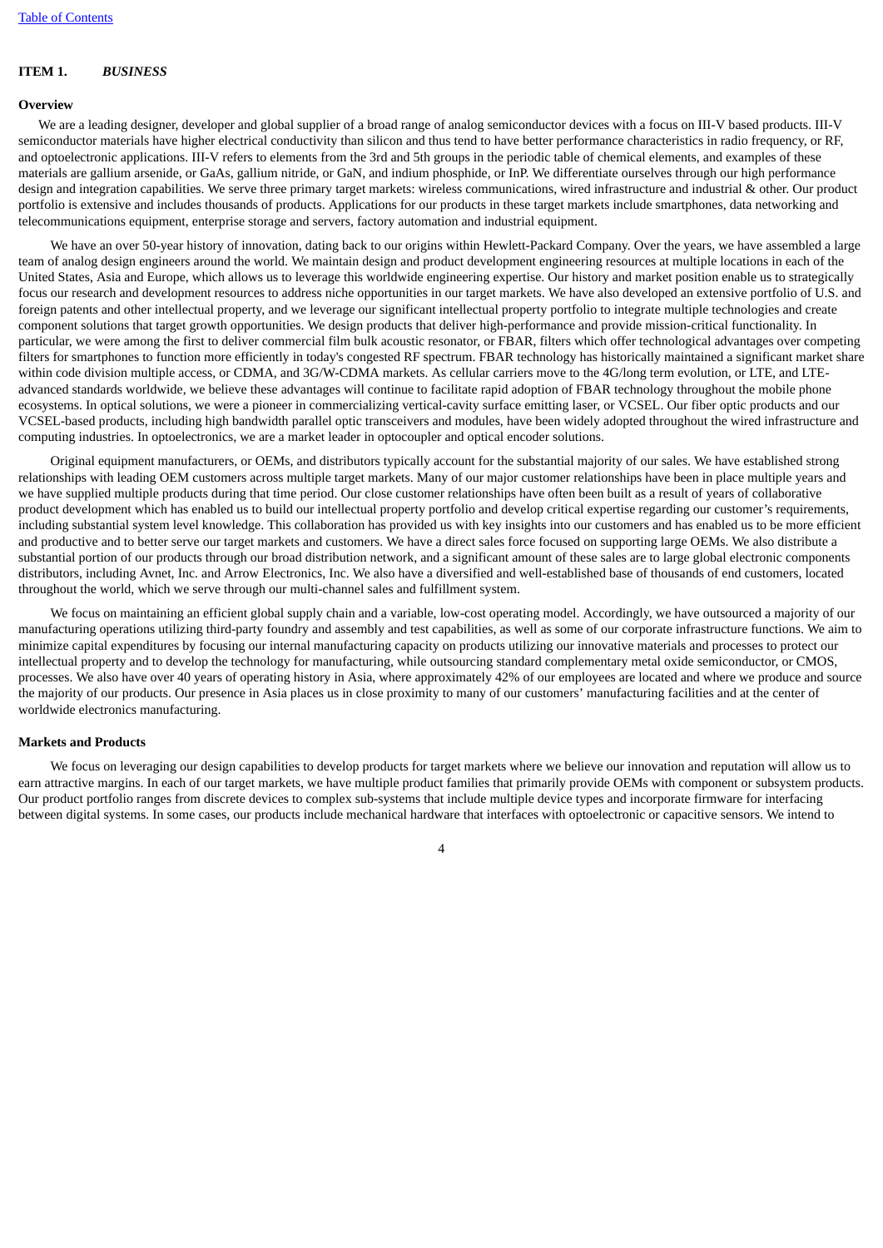### **ITEM 1.** *BUSINESS*

#### **Overview**

We are a leading designer, developer and global supplier of a broad range of analog semiconductor devices with a focus on III-V based products. III-V semiconductor materials have higher electrical conductivity than silicon and thus tend to have better performance characteristics in radio frequency, or RF, and optoelectronic applications. III-V refers to elements from the 3rd and 5th groups in the periodic table of chemical elements, and examples of these materials are gallium arsenide, or GaAs, gallium nitride, or GaN, and indium phosphide, or InP. We differentiate ourselves through our high performance design and integration capabilities. We serve three primary target markets: wireless communications, wired infrastructure and industrial & other. Our product portfolio is extensive and includes thousands of products. Applications for our products in these target markets include smartphones, data networking and telecommunications equipment, enterprise storage and servers, factory automation and industrial equipment.

We have an over 50-year history of innovation, dating back to our origins within Hewlett-Packard Company. Over the years, we have assembled a large team of analog design engineers around the world. We maintain design and product development engineering resources at multiple locations in each of the United States, Asia and Europe, which allows us to leverage this worldwide engineering expertise. Our history and market position enable us to strategically focus our research and development resources to address niche opportunities in our target markets. We have also developed an extensive portfolio of U.S. and foreign patents and other intellectual property, and we leverage our significant intellectual property portfolio to integrate multiple technologies and create component solutions that target growth opportunities. We design products that deliver high-performance and provide mission-critical functionality. In particular, we were among the first to deliver commercial film bulk acoustic resonator, or FBAR, filters which offer technological advantages over competing filters for smartphones to function more efficiently in today's congested RF spectrum. FBAR technology has historically maintained a significant market share within code division multiple access, or CDMA, and 3G/W-CDMA markets. As cellular carriers move to the 4G/long term evolution, or LTE, and LTEadvanced standards worldwide, we believe these advantages will continue to facilitate rapid adoption of FBAR technology throughout the mobile phone ecosystems. In optical solutions, we were a pioneer in commercializing vertical-cavity surface emitting laser, or VCSEL. Our fiber optic products and our VCSEL-based products, including high bandwidth parallel optic transceivers and modules, have been widely adopted throughout the wired infrastructure and computing industries. In optoelectronics, we are a market leader in optocoupler and optical encoder solutions.

Original equipment manufacturers, or OEMs, and distributors typically account for the substantial majority of our sales. We have established strong relationships with leading OEM customers across multiple target markets. Many of our major customer relationships have been in place multiple years and we have supplied multiple products during that time period. Our close customer relationships have often been built as a result of years of collaborative product development which has enabled us to build our intellectual property portfolio and develop critical expertise regarding our customer's requirements, including substantial system level knowledge. This collaboration has provided us with key insights into our customers and has enabled us to be more efficient and productive and to better serve our target markets and customers. We have a direct sales force focused on supporting large OEMs. We also distribute a substantial portion of our products through our broad distribution network, and a significant amount of these sales are to large global electronic components distributors, including Avnet, Inc. and Arrow Electronics, Inc. We also have a diversified and well-established base of thousands of end customers, located throughout the world, which we serve through our multi-channel sales and fulfillment system.

We focus on maintaining an efficient global supply chain and a variable, low-cost operating model. Accordingly, we have outsourced a majority of our manufacturing operations utilizing third-party foundry and assembly and test capabilities, as well as some of our corporate infrastructure functions. We aim to minimize capital expenditures by focusing our internal manufacturing capacity on products utilizing our innovative materials and processes to protect our intellectual property and to develop the technology for manufacturing, while outsourcing standard complementary metal oxide semiconductor, or CMOS, processes. We also have over 40 years of operating history in Asia, where approximately 42% of our employees are located and where we produce and source the majority of our products. Our presence in Asia places us in close proximity to many of our customers' manufacturing facilities and at the center of worldwide electronics manufacturing.

### **Markets and Products**

We focus on leveraging our design capabilities to develop products for target markets where we believe our innovation and reputation will allow us to earn attractive margins. In each of our target markets, we have multiple product families that primarily provide OEMs with component or subsystem products. Our product portfolio ranges from discrete devices to complex sub-systems that include multiple device types and incorporate firmware for interfacing between digital systems. In some cases, our products include mechanical hardware that interfaces with optoelectronic or capacitive sensors. We intend to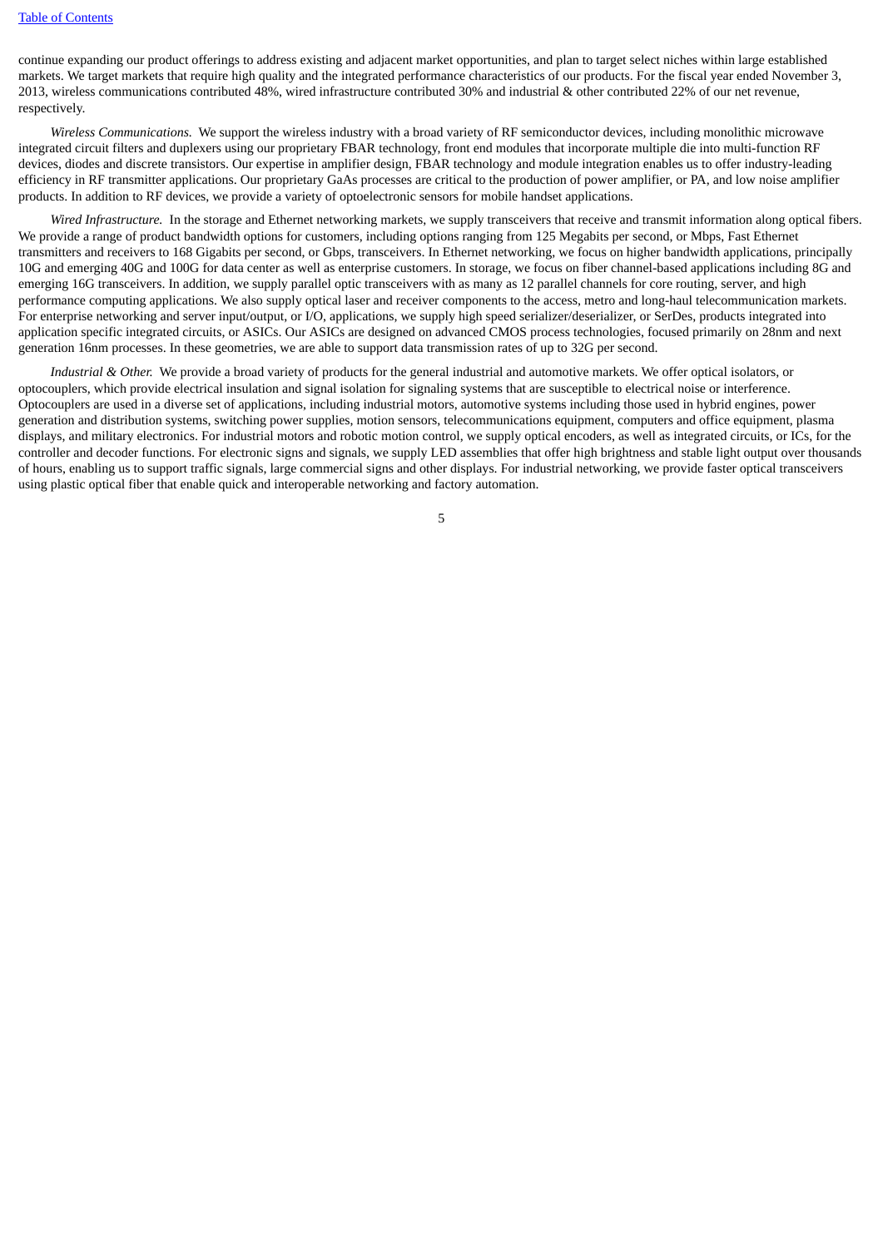continue expanding our product offerings to address existing and adjacent market opportunities, and plan to target select niches within large established markets. We target markets that require high quality and the integrated performance characteristics of our products. For the fiscal year ended November 3, 2013, wireless communications contributed 48%, wired infrastructure contributed 30% and industrial & other contributed 22% of our net revenue, respectively.

*Wireless Communications.* We support the wireless industry with a broad variety of RF semiconductor devices, including monolithic microwave integrated circuit filters and duplexers using our proprietary FBAR technology, front end modules that incorporate multiple die into multi-function RF devices, diodes and discrete transistors. Our expertise in amplifier design, FBAR technology and module integration enables us to offer industry-leading efficiency in RF transmitter applications. Our proprietary GaAs processes are critical to the production of power amplifier, or PA, and low noise amplifier products. In addition to RF devices, we provide a variety of optoelectronic sensors for mobile handset applications.

*Wired Infrastructure.* In the storage and Ethernet networking markets, we supply transceivers that receive and transmit information along optical fibers. We provide a range of product bandwidth options for customers, including options ranging from 125 Megabits per second, or Mbps, Fast Ethernet transmitters and receivers to 168 Gigabits per second, or Gbps, transceivers. In Ethernet networking, we focus on higher bandwidth applications, principally 10G and emerging 40G and 100G for data center as well as enterprise customers. In storage, we focus on fiber channel-based applications including 8G and emerging 16G transceivers. In addition, we supply parallel optic transceivers with as many as 12 parallel channels for core routing, server, and high performance computing applications. We also supply optical laser and receiver components to the access, metro and long-haul telecommunication markets. For enterprise networking and server input/output, or I/O, applications, we supply high speed serializer/deserializer, or SerDes, products integrated into application specific integrated circuits, or ASICs. Our ASICs are designed on advanced CMOS process technologies, focused primarily on 28nm and next generation 16nm processes. In these geometries, we are able to support data transmission rates of up to 32G per second.

*Industrial & Other.* We provide a broad variety of products for the general industrial and automotive markets. We offer optical isolators, or optocouplers, which provide electrical insulation and signal isolation for signaling systems that are susceptible to electrical noise or interference. Optocouplers are used in a diverse set of applications, including industrial motors, automotive systems including those used in hybrid engines, power generation and distribution systems, switching power supplies, motion sensors, telecommunications equipment, computers and office equipment, plasma displays, and military electronics. For industrial motors and robotic motion control, we supply optical encoders, as well as integrated circuits, or ICs, for the controller and decoder functions. For electronic signs and signals, we supply LED assemblies that offer high brightness and stable light output over thousands of hours, enabling us to support traffic signals, large commercial signs and other displays. For industrial networking, we provide faster optical transceivers using plastic optical fiber that enable quick and interoperable networking and factory automation.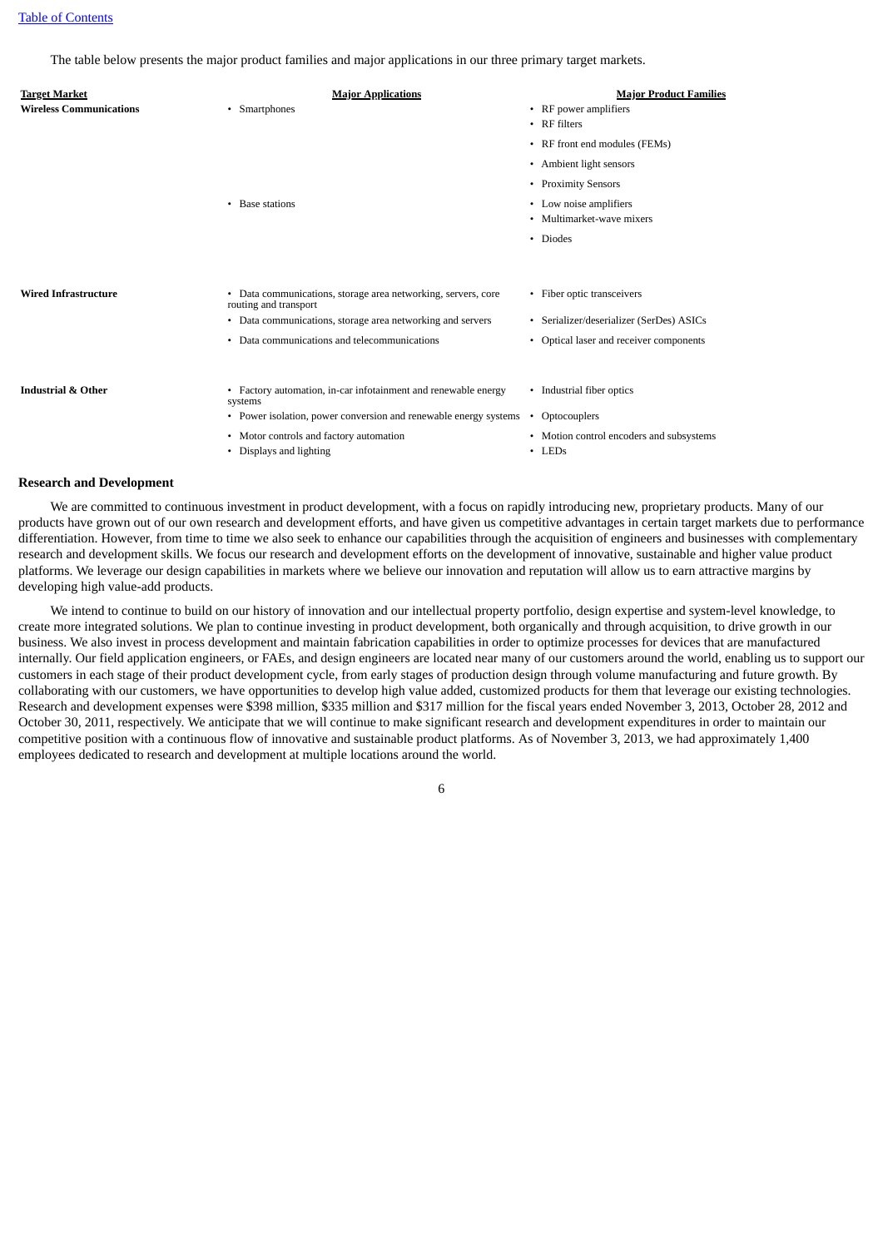The table below presents the major product families and major applications in our three primary target markets.

| <b>Target Market</b><br><b>Wireless Communications</b> | <b>Major Applications</b><br>• Smartphones                                                                                                                                                                          | <b>Major Product Families</b><br>• RF power amplifiers<br>• RF filters                                                                 |
|--------------------------------------------------------|---------------------------------------------------------------------------------------------------------------------------------------------------------------------------------------------------------------------|----------------------------------------------------------------------------------------------------------------------------------------|
|                                                        | • Base stations                                                                                                                                                                                                     | • RF front end modules (FEMs)<br>• Ambient light sensors<br>• Proximity Sensors<br>• Low noise amplifiers<br>• Multimarket-wave mixers |
| <b>Wired Infrastructure</b>                            | • Data communications, storage area networking, servers, core<br>routing and transport<br>• Data communications, storage area networking and servers<br>• Data communications and telecommunications                | • Diodes<br>• Fiber optic transceivers<br>• Serializer/deserializer (SerDes) ASICs<br>• Optical laser and receiver components          |
| <b>Industrial &amp; Other</b>                          | • Factory automation, in-car infotainment and renewable energy<br>systems<br>• Power isolation, power conversion and renewable energy systems<br>• Motor controls and factory automation<br>• Displays and lighting | • Industrial fiber optics<br>Optocouplers<br>$\bullet$<br>• Motion control encoders and subsystems<br>$\cdot$ LEDs                     |

#### **Research and Development**

We are committed to continuous investment in product development, with a focus on rapidly introducing new, proprietary products. Many of our products have grown out of our own research and development efforts, and have given us competitive advantages in certain target markets due to performance differentiation. However, from time to time we also seek to enhance our capabilities through the acquisition of engineers and businesses with complementary research and development skills. We focus our research and development efforts on the development of innovative, sustainable and higher value product platforms. We leverage our design capabilities in markets where we believe our innovation and reputation will allow us to earn attractive margins by developing high value-add products.

We intend to continue to build on our history of innovation and our intellectual property portfolio, design expertise and system-level knowledge, to create more integrated solutions. We plan to continue investing in product development, both organically and through acquisition, to drive growth in our business. We also invest in process development and maintain fabrication capabilities in order to optimize processes for devices that are manufactured internally. Our field application engineers, or FAEs, and design engineers are located near many of our customers around the world, enabling us to support our customers in each stage of their product development cycle, from early stages of production design through volume manufacturing and future growth. By collaborating with our customers, we have opportunities to develop high value added, customized products for them that leverage our existing technologies. Research and development expenses were \$398 million, \$335 million and \$317 million for the fiscal years ended November 3, 2013, October 28, 2012 and October 30, 2011, respectively. We anticipate that we will continue to make significant research and development expenditures in order to maintain our competitive position with a continuous flow of innovative and sustainable product platforms. As of November 3, 2013, we had approximately 1,400 employees dedicated to research and development at multiple locations around the world.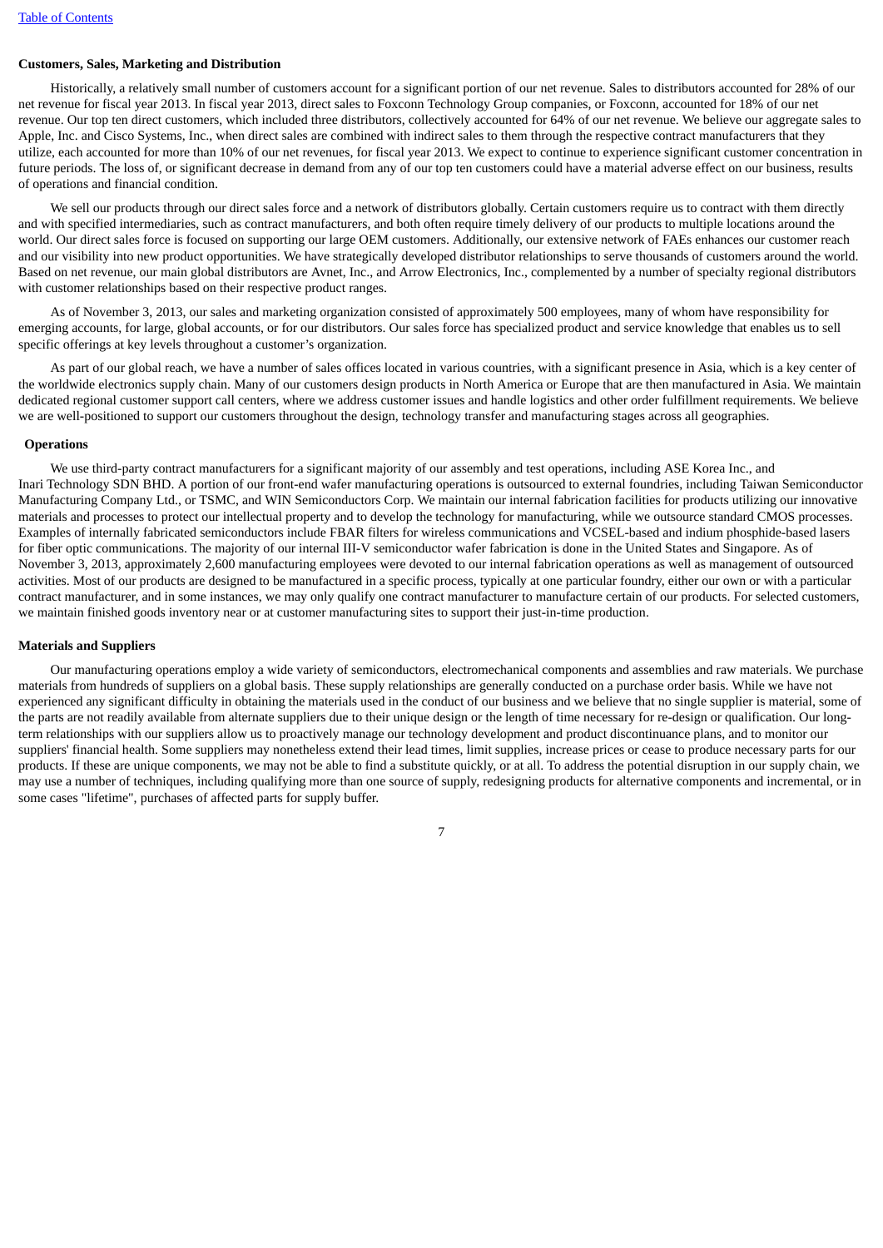## **Customers, Sales, Marketing and Distribution**

Historically, a relatively small number of customers account for a significant portion of our net revenue. Sales to distributors accounted for 28% of our net revenue for fiscal year 2013. In fiscal year 2013, direct sales to Foxconn Technology Group companies, or Foxconn, accounted for 18% of our net revenue. Our top ten direct customers, which included three distributors, collectively accounted for 64% of our net revenue. We believe our aggregate sales to Apple, Inc. and Cisco Systems, Inc., when direct sales are combined with indirect sales to them through the respective contract manufacturers that they utilize, each accounted for more than 10% of our net revenues, for fiscal year 2013. We expect to continue to experience significant customer concentration in future periods. The loss of, or significant decrease in demand from any of our top ten customers could have a material adverse effect on our business, results of operations and financial condition.

We sell our products through our direct sales force and a network of distributors globally. Certain customers require us to contract with them directly and with specified intermediaries, such as contract manufacturers, and both often require timely delivery of our products to multiple locations around the world. Our direct sales force is focused on supporting our large OEM customers. Additionally, our extensive network of FAEs enhances our customer reach and our visibility into new product opportunities. We have strategically developed distributor relationships to serve thousands of customers around the world. Based on net revenue, our main global distributors are Avnet, Inc., and Arrow Electronics, Inc., complemented by a number of specialty regional distributors with customer relationships based on their respective product ranges.

As of November 3, 2013, our sales and marketing organization consisted of approximately 500 employees, many of whom have responsibility for emerging accounts, for large, global accounts, or for our distributors. Our sales force has specialized product and service knowledge that enables us to sell specific offerings at key levels throughout a customer's organization.

As part of our global reach, we have a number of sales offices located in various countries, with a significant presence in Asia, which is a key center of the worldwide electronics supply chain. Many of our customers design products in North America or Europe that are then manufactured in Asia. We maintain dedicated regional customer support call centers, where we address customer issues and handle logistics and other order fulfillment requirements. We believe we are well-positioned to support our customers throughout the design, technology transfer and manufacturing stages across all geographies.

### **Operations**

We use third-party contract manufacturers for a significant majority of our assembly and test operations, including ASE Korea Inc., and Inari Technology SDN BHD. A portion of our front-end wafer manufacturing operations is outsourced to external foundries, including Taiwan Semiconductor Manufacturing Company Ltd., or TSMC, and WIN Semiconductors Corp. We maintain our internal fabrication facilities for products utilizing our innovative materials and processes to protect our intellectual property and to develop the technology for manufacturing, while we outsource standard CMOS processes. Examples of internally fabricated semiconductors include FBAR filters for wireless communications and VCSEL-based and indium phosphide-based lasers for fiber optic communications. The majority of our internal III-V semiconductor wafer fabrication is done in the United States and Singapore. As of November 3, 2013, approximately 2,600 manufacturing employees were devoted to our internal fabrication operations as well as management of outsourced activities. Most of our products are designed to be manufactured in a specific process, typically at one particular foundry, either our own or with a particular contract manufacturer, and in some instances, we may only qualify one contract manufacturer to manufacture certain of our products. For selected customers, we maintain finished goods inventory near or at customer manufacturing sites to support their just-in-time production.

#### **Materials and Suppliers**

Our manufacturing operations employ a wide variety of semiconductors, electromechanical components and assemblies and raw materials. We purchase materials from hundreds of suppliers on a global basis. These supply relationships are generally conducted on a purchase order basis. While we have not experienced any significant difficulty in obtaining the materials used in the conduct of our business and we believe that no single supplier is material, some of the parts are not readily available from alternate suppliers due to their unique design or the length of time necessary for re-design or qualification. Our longterm relationships with our suppliers allow us to proactively manage our technology development and product discontinuance plans, and to monitor our suppliers' financial health. Some suppliers may nonetheless extend their lead times, limit supplies, increase prices or cease to produce necessary parts for our products. If these are unique components, we may not be able to find a substitute quickly, or at all. To address the potential disruption in our supply chain, we may use a number of techniques, including qualifying more than one source of supply, redesigning products for alternative components and incremental, or in some cases "lifetime", purchases of affected parts for supply buffer.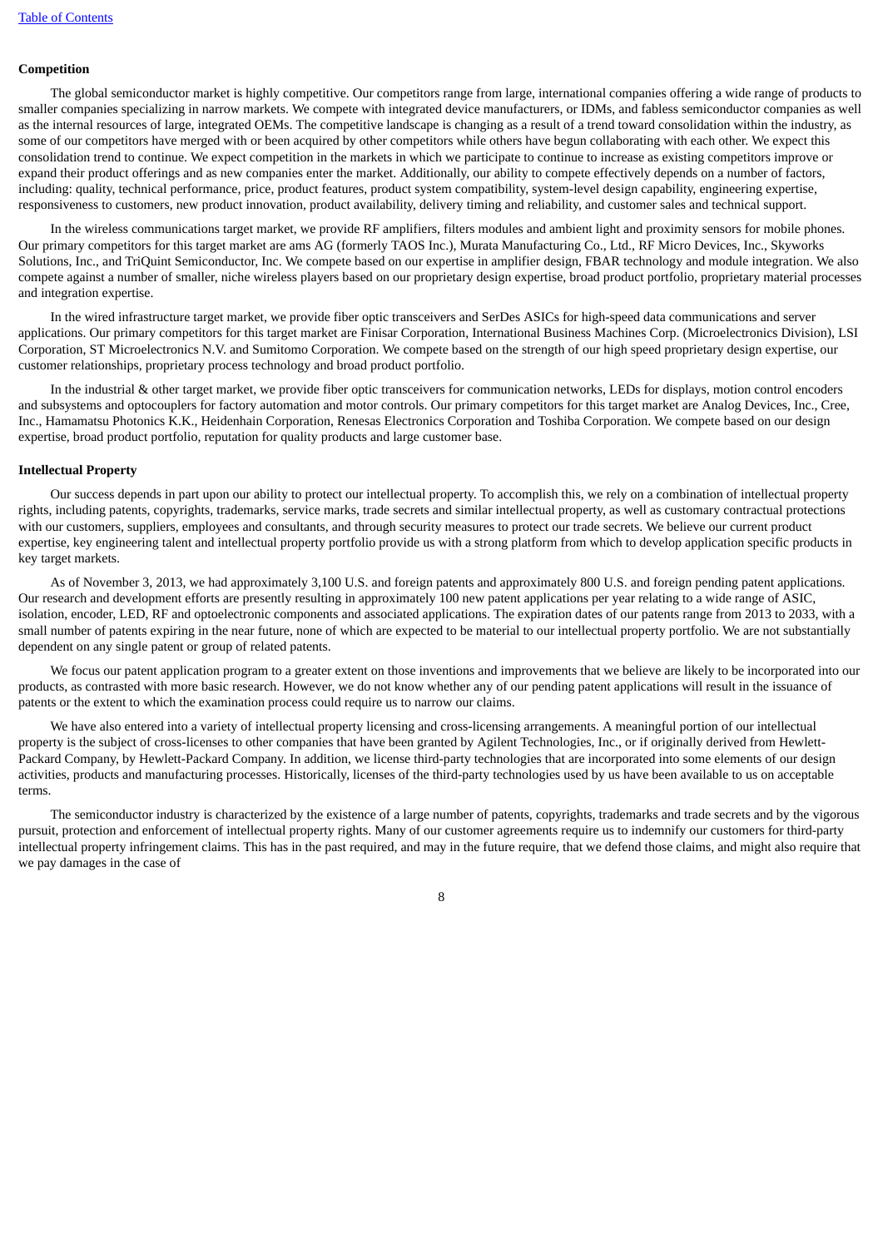# **Competition**

The global semiconductor market is highly competitive. Our competitors range from large, international companies offering a wide range of products to smaller companies specializing in narrow markets. We compete with integrated device manufacturers, or IDMs, and fabless semiconductor companies as well as the internal resources of large, integrated OEMs. The competitive landscape is changing as a result of a trend toward consolidation within the industry, as some of our competitors have merged with or been acquired by other competitors while others have begun collaborating with each other. We expect this consolidation trend to continue. We expect competition in the markets in which we participate to continue to increase as existing competitors improve or expand their product offerings and as new companies enter the market. Additionally, our ability to compete effectively depends on a number of factors, including: quality, technical performance, price, product features, product system compatibility, system-level design capability, engineering expertise, responsiveness to customers, new product innovation, product availability, delivery timing and reliability, and customer sales and technical support.

In the wireless communications target market, we provide RF amplifiers, filters modules and ambient light and proximity sensors for mobile phones. Our primary competitors for this target market are ams AG (formerly TAOS Inc.), Murata Manufacturing Co., Ltd., RF Micro Devices, Inc., Skyworks Solutions, Inc., and TriQuint Semiconductor, Inc. We compete based on our expertise in amplifier design, FBAR technology and module integration. We also compete against a number of smaller, niche wireless players based on our proprietary design expertise, broad product portfolio, proprietary material processes and integration expertise.

In the wired infrastructure target market, we provide fiber optic transceivers and SerDes ASICs for high-speed data communications and server applications. Our primary competitors for this target market are Finisar Corporation, International Business Machines Corp. (Microelectronics Division), LSI Corporation, ST Microelectronics N.V. and Sumitomo Corporation. We compete based on the strength of our high speed proprietary design expertise, our customer relationships, proprietary process technology and broad product portfolio.

In the industrial & other target market, we provide fiber optic transceivers for communication networks, LEDs for displays, motion control encoders and subsystems and optocouplers for factory automation and motor controls. Our primary competitors for this target market are Analog Devices, Inc., Cree, Inc., Hamamatsu Photonics K.K., Heidenhain Corporation, Renesas Electronics Corporation and Toshiba Corporation. We compete based on our design expertise, broad product portfolio, reputation for quality products and large customer base.

### **Intellectual Property**

Our success depends in part upon our ability to protect our intellectual property. To accomplish this, we rely on a combination of intellectual property rights, including patents, copyrights, trademarks, service marks, trade secrets and similar intellectual property, as well as customary contractual protections with our customers, suppliers, employees and consultants, and through security measures to protect our trade secrets. We believe our current product expertise, key engineering talent and intellectual property portfolio provide us with a strong platform from which to develop application specific products in key target markets.

As of November 3, 2013, we had approximately 3,100 U.S. and foreign patents and approximately 800 U.S. and foreign pending patent applications. Our research and development efforts are presently resulting in approximately 100 new patent applications per year relating to a wide range of ASIC, isolation, encoder, LED, RF and optoelectronic components and associated applications. The expiration dates of our patents range from 2013 to 2033, with a small number of patents expiring in the near future, none of which are expected to be material to our intellectual property portfolio. We are not substantially dependent on any single patent or group of related patents.

We focus our patent application program to a greater extent on those inventions and improvements that we believe are likely to be incorporated into our products, as contrasted with more basic research. However, we do not know whether any of our pending patent applications will result in the issuance of patents or the extent to which the examination process could require us to narrow our claims.

We have also entered into a variety of intellectual property licensing and cross-licensing arrangements. A meaningful portion of our intellectual property is the subject of cross-licenses to other companies that have been granted by Agilent Technologies, Inc., or if originally derived from Hewlett-Packard Company, by Hewlett-Packard Company. In addition, we license third-party technologies that are incorporated into some elements of our design activities, products and manufacturing processes. Historically, licenses of the third-party technologies used by us have been available to us on acceptable terms.

The semiconductor industry is characterized by the existence of a large number of patents, copyrights, trademarks and trade secrets and by the vigorous pursuit, protection and enforcement of intellectual property rights. Many of our customer agreements require us to indemnify our customers for third-party intellectual property infringement claims. This has in the past required, and may in the future require, that we defend those claims, and might also require that we pay damages in the case of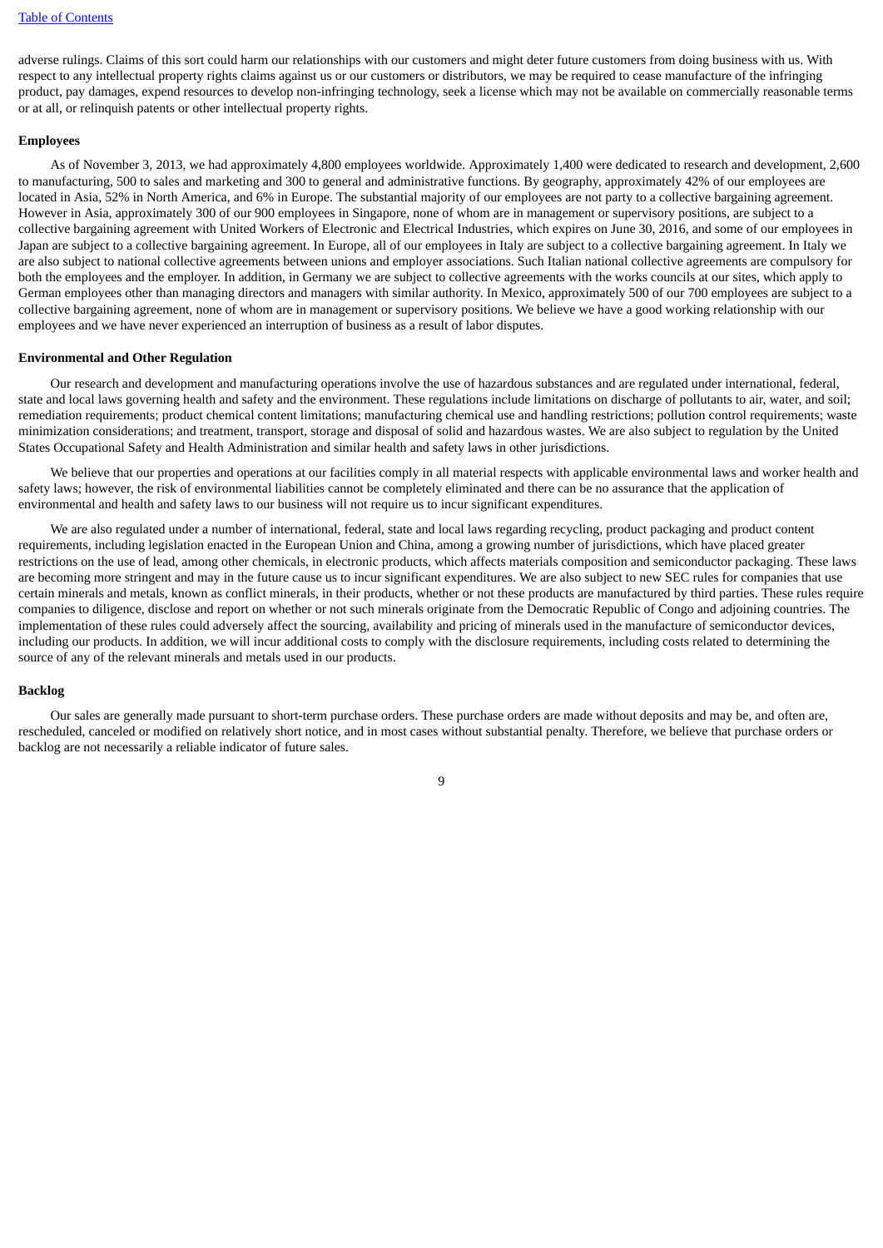adverse rulings. Claims of this sort could harm our relationships with our customers and might deter future customers from doing business with us. With respect to any intellectual property rights claims against us or our customers or distributors, we may be required to cease manufacture of the infringing product, pay damages, expend resources to develop non-infringing technology, seek a license which may not be available on commercially reasonable terms or at all, or relinquish patents or other intellectual property rights.

#### **Employees**

As of November 3, 2013, we had approximately 4,800 employees worldwide. Approximately 1,400 were dedicated to research and development, 2,600 to manufacturing, 500 to sales and marketing and 300 to general and administrative functions. By geography, approximately 42% of our employees are located in Asia, 52% in North America, and 6% in Europe. The substantial majority of our employees are not party to a collective bargaining agreement. However in Asia, approximately 300 of our 900 employees in Singapore, none of whom are in management or supervisory positions, are subject to a collective bargaining agreement with United Workers of Electronic and Electrical Industries, which expires on June 30, 2016, and some of our employees in Japan are subject to a collective bargaining agreement. In Europe, all of our employees in Italy are subject to a collective bargaining agreement. In Italy we are also subject to national collective agreements between unions and employer associations. Such Italian national collective agreements are compulsory for both the employees and the employer. In addition, in Germany we are subject to collective agreements with the works councils at our sites, which apply to German employees other than managing directors and managers with similar authority. In Mexico, approximately 500 of our 700 employees are subject to a collective bargaining agreement, none of whom are in management or supervisory positions. We believe we have a good working relationship with our employees and we have never experienced an interruption of business as a result of labor disputes.

#### **Environmental and Other Regulation**

Our research and development and manufacturing operations involve the use of hazardous substances and are regulated under international, federal, state and local laws governing health and safety and the environment. These regulations include limitations on discharge of pollutants to air, water, and soil; remediation requirements; product chemical content limitations; manufacturing chemical use and handling restrictions; pollution control requirements; waste minimization considerations; and treatment, transport, storage and disposal of solid and hazardous wastes. We are also subject to regulation by the United States Occupational Safety and Health Administration and similar health and safety laws in other jurisdictions.

We believe that our properties and operations at our facilities comply in all material respects with applicable environmental laws and worker health and safety laws; however, the risk of environmental liabilities cannot be completely eliminated and there can be no assurance that the application of environmental and health and safety laws to our business will not require us to incur significant expenditures.

We are also regulated under a number of international, federal, state and local laws regarding recycling, product packaging and product content requirements, including legislation enacted in the European Union and China, among a growing number of jurisdictions, which have placed greater restrictions on the use of lead, among other chemicals, in electronic products, which affects materials composition and semiconductor packaging. These laws are becoming more stringent and may in the future cause us to incur significant expenditures. We are also subject to new SEC rules for companies that use certain minerals and metals, known as conflict minerals, in their products, whether or not these products are manufactured by third parties. These rules require companies to diligence, disclose and report on whether or not such minerals originate from the Democratic Republic of Congo and adjoining countries. The implementation of these rules could adversely affect the sourcing, availability and pricing of minerals used in the manufacture of semiconductor devices, including our products. In addition, we will incur additional costs to comply with the disclosure requirements, including costs related to determining the source of any of the relevant minerals and metals used in our products.

#### **Backlog**

Our sales are generally made pursuant to short-term purchase orders. These purchase orders are made without deposits and may be, and often are, rescheduled, canceled or modified on relatively short notice, and in most cases without substantial penalty. Therefore, we believe that purchase orders or backlog are not necessarily a reliable indicator of future sales.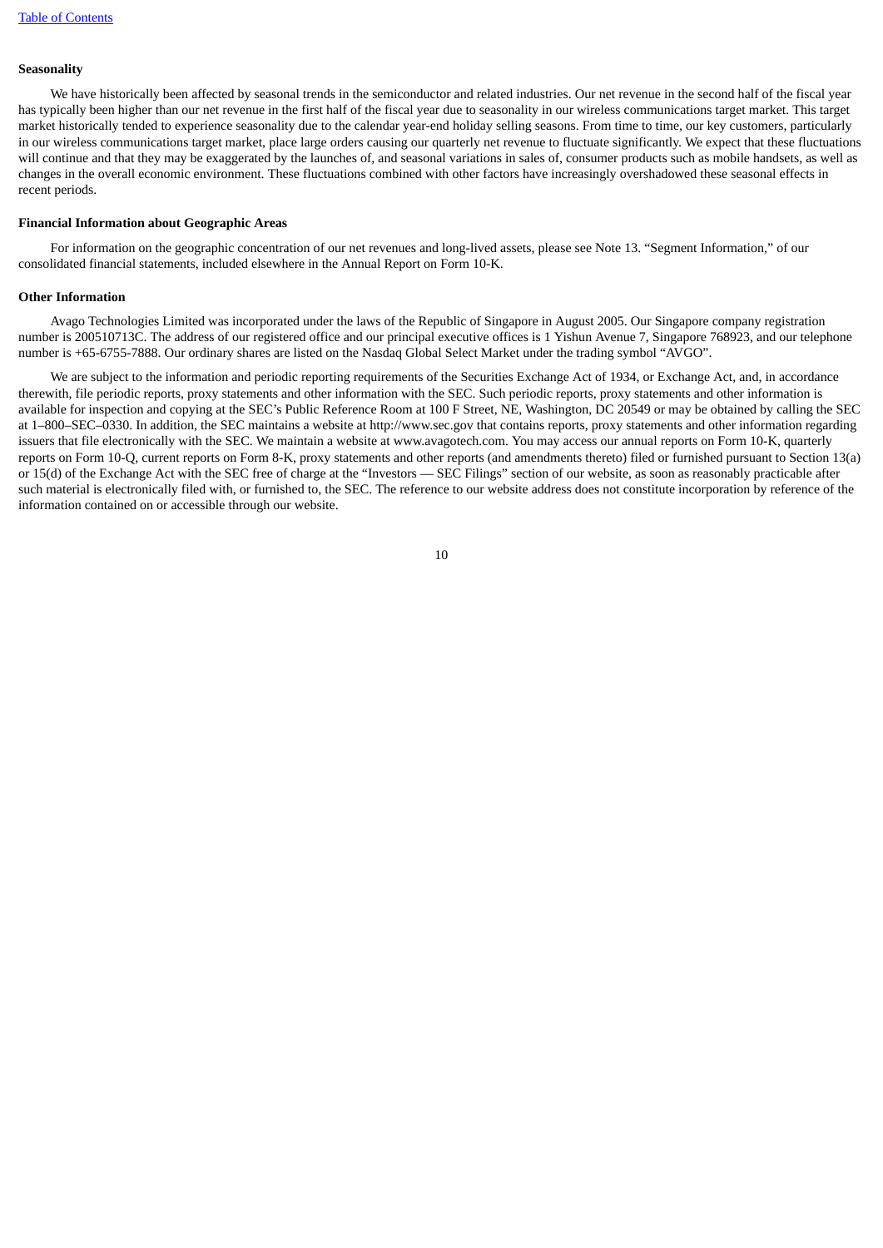#### **Seasonality**

We have historically been affected by seasonal trends in the semiconductor and related industries. Our net revenue in the second half of the fiscal year has typically been higher than our net revenue in the first half of the fiscal year due to seasonality in our wireless communications target market. This target market historically tended to experience seasonality due to the calendar year-end holiday selling seasons. From time to time, our key customers, particularly in our wireless communications target market, place large orders causing our quarterly net revenue to fluctuate significantly. We expect that these fluctuations will continue and that they may be exaggerated by the launches of, and seasonal variations in sales of, consumer products such as mobile handsets, as well as changes in the overall economic environment. These fluctuations combined with other factors have increasingly overshadowed these seasonal effects in recent periods.

#### **Financial Information about Geographic Areas**

For information on the geographic concentration of our net revenues and long-lived assets, please see Note 13. "Segment Information," of our consolidated financial statements, included elsewhere in the Annual Report on Form 10-K.

#### **Other Information**

Avago Technologies Limited was incorporated under the laws of the Republic of Singapore in August 2005. Our Singapore company registration number is 200510713C. The address of our registered office and our principal executive offices is 1 Yishun Avenue 7, Singapore 768923, and our telephone number is +65-6755-7888. Our ordinary shares are listed on the Nasdaq Global Select Market under the trading symbol "AVGO".

<span id="page-9-0"></span>We are subject to the information and periodic reporting requirements of the Securities Exchange Act of 1934, or Exchange Act, and, in accordance therewith, file periodic reports, proxy statements and other information with the SEC. Such periodic reports, proxy statements and other information is available for inspection and copying at the SEC's Public Reference Room at 100 F Street, NE, Washington, DC 20549 or may be obtained by calling the SEC at 1–800–SEC–0330. In addition, the SEC maintains a website at http://www.sec.gov that contains reports, proxy statements and other information regarding issuers that file electronically with the SEC. We maintain a website at www.avagotech.com. You may access our annual reports on Form 10-K, quarterly reports on Form 10-Q, current reports on Form 8-K, proxy statements and other reports (and amendments thereto) filed or furnished pursuant to Section 13(a) or 15(d) of the Exchange Act with the SEC free of charge at the "Investors — SEC Filings" section of our website, as soon as reasonably practicable after such material is electronically filed with, or furnished to, the SEC. The reference to our website address does not constitute incorporation by reference of the information contained on or accessible through our website.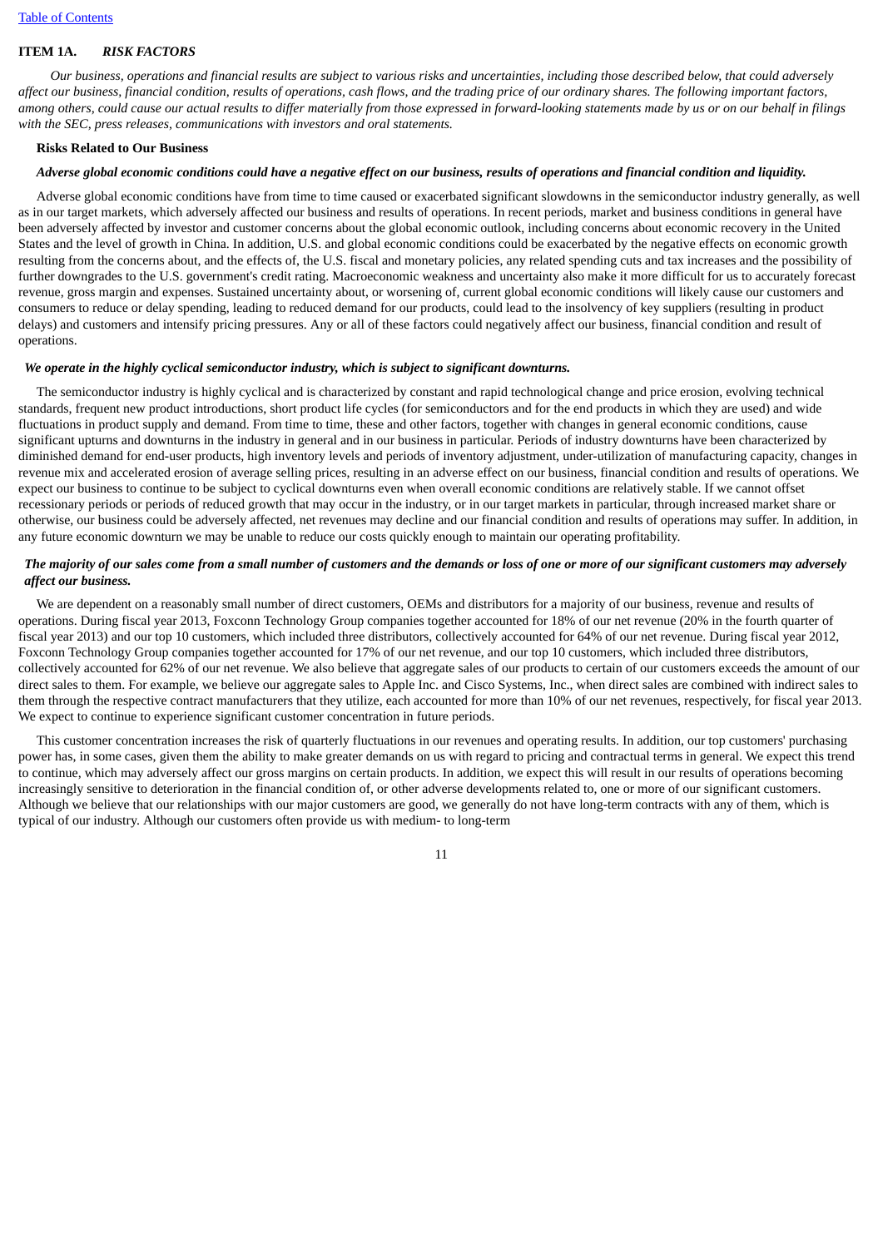# **ITEM 1A.** *RISK FACTORS*

Our business, operations and financial results are subject to various risks and uncertainties, includina those described below, that could adversely affect our business, financial condition, results of operations, cash flows, and the tradina price of our ordinary shares. The followina important factors, among others, could cause our actual results to differ materially from those expressed in forward-looking statements made by us or on our behalf in filings *with the SEC, press releases, communications with investors and oral statements.*

#### **Risks Related to Our Business**

### Adverse global economic conditions could have a negative effect on our business, results of operations and financial condition and liquidity.

Adverse global economic conditions have from time to time caused or exacerbated significant slowdowns in the semiconductor industry generally, as well as in our target markets, which adversely affected our business and results of operations. In recent periods, market and business conditions in general have been adversely affected by investor and customer concerns about the global economic outlook, including concerns about economic recovery in the United States and the level of growth in China. In addition, U.S. and global economic conditions could be exacerbated by the negative effects on economic growth resulting from the concerns about, and the effects of, the U.S. fiscal and monetary policies, any related spending cuts and tax increases and the possibility of further downgrades to the U.S. government's credit rating. Macroeconomic weakness and uncertainty also make it more difficult for us to accurately forecast revenue, gross margin and expenses. Sustained uncertainty about, or worsening of, current global economic conditions will likely cause our customers and consumers to reduce or delay spending, leading to reduced demand for our products, could lead to the insolvency of key suppliers (resulting in product delays) and customers and intensify pricing pressures. Any or all of these factors could negatively affect our business, financial condition and result of operations.

#### *We operate in the highly cyclical semiconductor industry, which is subject to significant downturns.*

The semiconductor industry is highly cyclical and is characterized by constant and rapid technological change and price erosion, evolving technical standards, frequent new product introductions, short product life cycles (for semiconductors and for the end products in which they are used) and wide fluctuations in product supply and demand. From time to time, these and other factors, together with changes in general economic conditions, cause significant upturns and downturns in the industry in general and in our business in particular. Periods of industry downturns have been characterized by diminished demand for end-user products, high inventory levels and periods of inventory adjustment, under-utilization of manufacturing capacity, changes in revenue mix and accelerated erosion of average selling prices, resulting in an adverse effect on our business, financial condition and results of operations. We expect our business to continue to be subject to cyclical downturns even when overall economic conditions are relatively stable. If we cannot offset recessionary periods or periods of reduced growth that may occur in the industry, or in our target markets in particular, through increased market share or otherwise, our business could be adversely affected, net revenues may decline and our financial condition and results of operations may suffer. In addition, in any future economic downturn we may be unable to reduce our costs quickly enough to maintain our operating profitability.

#### The majority of our sales come from a small number of customers and the demands or loss of one or more of our significant customers may adversely *affect our business.*

We are dependent on a reasonably small number of direct customers, OEMs and distributors for a majority of our business, revenue and results of operations. During fiscal year 2013, Foxconn Technology Group companies together accounted for 18% of our net revenue (20% in the fourth quarter of fiscal year 2013) and our top 10 customers, which included three distributors, collectively accounted for 64% of our net revenue. During fiscal year 2012, Foxconn Technology Group companies together accounted for 17% of our net revenue, and our top 10 customers, which included three distributors, collectively accounted for 62% of our net revenue. We also believe that aggregate sales of our products to certain of our customers exceeds the amount of our direct sales to them. For example, we believe our aggregate sales to Apple Inc. and Cisco Systems, Inc., when direct sales are combined with indirect sales to them through the respective contract manufacturers that they utilize, each accounted for more than 10% of our net revenues, respectively, for fiscal year 2013. We expect to continue to experience significant customer concentration in future periods.

This customer concentration increases the risk of quarterly fluctuations in our revenues and operating results. In addition, our top customers' purchasing power has, in some cases, given them the ability to make greater demands on us with regard to pricing and contractual terms in general. We expect this trend to continue, which may adversely affect our gross margins on certain products. In addition, we expect this will result in our results of operations becoming increasingly sensitive to deterioration in the financial condition of, or other adverse developments related to, one or more of our significant customers. Although we believe that our relationships with our major customers are good, we generally do not have long-term contracts with any of them, which is typical of our industry. Although our customers often provide us with medium- to long-term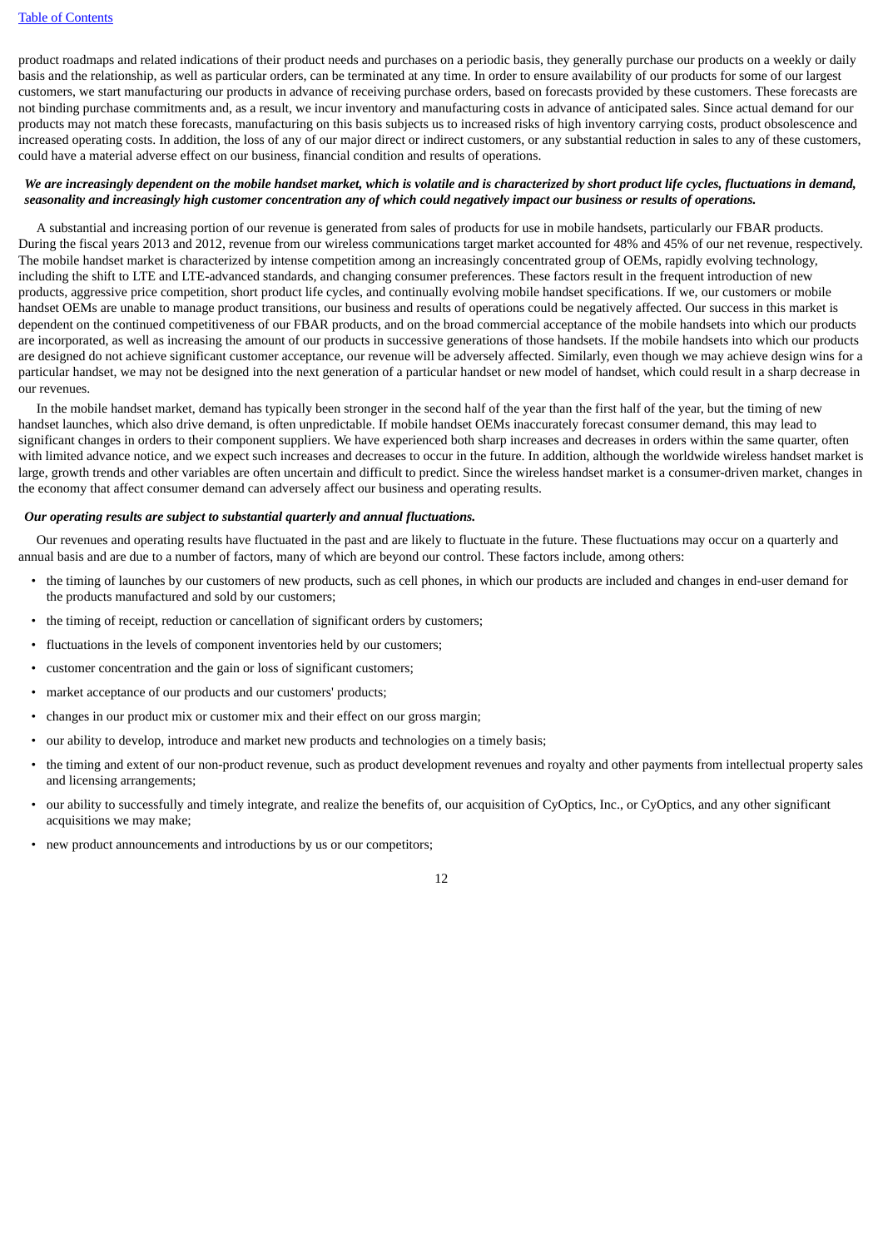product roadmaps and related indications of their product needs and purchases on a periodic basis, they generally purchase our products on a weekly or daily basis and the relationship, as well as particular orders, can be terminated at any time. In order to ensure availability of our products for some of our largest customers, we start manufacturing our products in advance of receiving purchase orders, based on forecasts provided by these customers. These forecasts are not binding purchase commitments and, as a result, we incur inventory and manufacturing costs in advance of anticipated sales. Since actual demand for our products may not match these forecasts, manufacturing on this basis subjects us to increased risks of high inventory carrying costs, product obsolescence and increased operating costs. In addition, the loss of any of our major direct or indirect customers, or any substantial reduction in sales to any of these customers, could have a material adverse effect on our business, financial condition and results of operations.

#### We are increasingly dependent on the mobile handset market, which is volatile and is characterized by short product life cycles, fluctuations in demand, seasonality and increasingly high customer concentration any of which could negatively impact our business or results of operations.

A substantial and increasing portion of our revenue is generated from sales of products for use in mobile handsets, particularly our FBAR products. During the fiscal years 2013 and 2012, revenue from our wireless communications target market accounted for 48% and 45% of our net revenue, respectively. The mobile handset market is characterized by intense competition among an increasingly concentrated group of OEMs, rapidly evolving technology, including the shift to LTE and LTE-advanced standards, and changing consumer preferences. These factors result in the frequent introduction of new products, aggressive price competition, short product life cycles, and continually evolving mobile handset specifications. If we, our customers or mobile handset OEMs are unable to manage product transitions, our business and results of operations could be negatively affected. Our success in this market is dependent on the continued competitiveness of our FBAR products, and on the broad commercial acceptance of the mobile handsets into which our products are incorporated, as well as increasing the amount of our products in successive generations of those handsets. If the mobile handsets into which our products are designed do not achieve significant customer acceptance, our revenue will be adversely affected. Similarly, even though we may achieve design wins for a particular handset, we may not be designed into the next generation of a particular handset or new model of handset, which could result in a sharp decrease in our revenues.

In the mobile handset market, demand has typically been stronger in the second half of the year than the first half of the year, but the timing of new handset launches, which also drive demand, is often unpredictable. If mobile handset OEMs inaccurately forecast consumer demand, this may lead to significant changes in orders to their component suppliers. We have experienced both sharp increases and decreases in orders within the same quarter, often with limited advance notice, and we expect such increases and decreases to occur in the future. In addition, although the worldwide wireless handset market is large, growth trends and other variables are often uncertain and difficult to predict. Since the wireless handset market is a consumer-driven market, changes in the economy that affect consumer demand can adversely affect our business and operating results.

### *Our operating results are subject to substantial quarterly and annual fluctuations.*

Our revenues and operating results have fluctuated in the past and are likely to fluctuate in the future. These fluctuations may occur on a quarterly and annual basis and are due to a number of factors, many of which are beyond our control. These factors include, among others:

- the timing of launches by our customers of new products, such as cell phones, in which our products are included and changes in end-user demand for the products manufactured and sold by our customers;
- the timing of receipt, reduction or cancellation of significant orders by customers;
- fluctuations in the levels of component inventories held by our customers;
- customer concentration and the gain or loss of significant customers;
- market acceptance of our products and our customers' products;
- changes in our product mix or customer mix and their effect on our gross margin;
- our ability to develop, introduce and market new products and technologies on a timely basis;
- the timing and extent of our non-product revenue, such as product development revenues and royalty and other payments from intellectual property sales and licensing arrangements;
- our ability to successfully and timely integrate, and realize the benefits of, our acquisition of CyOptics, Inc., or CyOptics, and any other significant acquisitions we may make;
- new product announcements and introductions by us or our competitors;

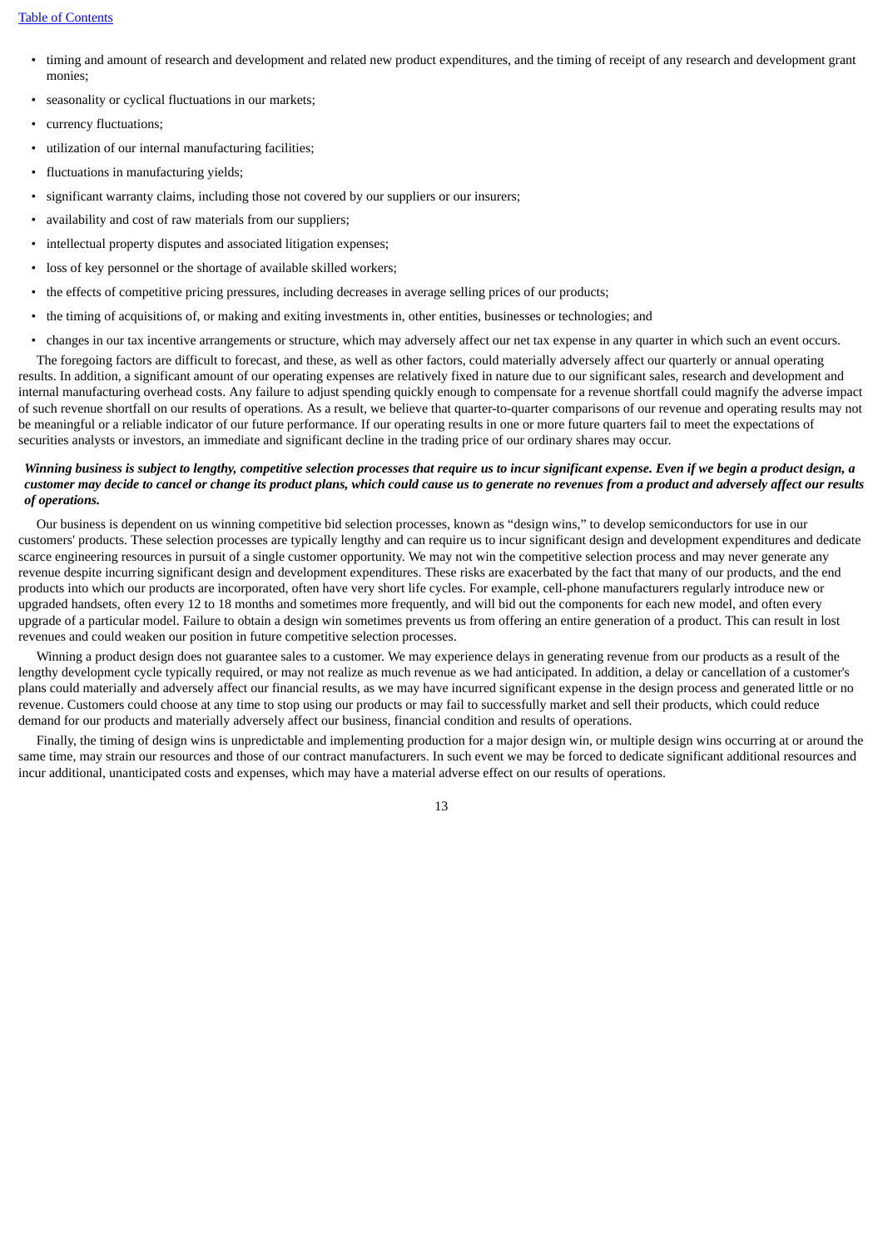- timing and amount of research and development and related new product expenditures, and the timing of receipt of any research and development grant monies;
- seasonality or cyclical fluctuations in our markets;
- currency fluctuations;
- utilization of our internal manufacturing facilities;
- fluctuations in manufacturing yields;
- significant warranty claims, including those not covered by our suppliers or our insurers;
- availability and cost of raw materials from our suppliers;
- intellectual property disputes and associated litigation expenses;
- loss of key personnel or the shortage of available skilled workers;
- the effects of competitive pricing pressures, including decreases in average selling prices of our products;
- the timing of acquisitions of, or making and exiting investments in, other entities, businesses or technologies; and
- changes in our tax incentive arrangements or structure, which may adversely affect our net tax expense in any quarter in which such an event occurs.

The foregoing factors are difficult to forecast, and these, as well as other factors, could materially adversely affect our quarterly or annual operating results. In addition, a significant amount of our operating expenses are relatively fixed in nature due to our significant sales, research and development and internal manufacturing overhead costs. Any failure to adjust spending quickly enough to compensate for a revenue shortfall could magnify the adverse impact of such revenue shortfall on our results of operations. As a result, we believe that quarter-to-quarter comparisons of our revenue and operating results may not be meaningful or a reliable indicator of our future performance. If our operating results in one or more future quarters fail to meet the expectations of securities analysts or investors, an immediate and significant decline in the trading price of our ordinary shares may occur.

### Winning business is subject to lengthy, competitive selection processes that require us to incur significant expense. Even if we begin a product design, a customer may decide to cancel or change its product plans, which could cause us to generate no revenues from a product and adversely affect our results *of operations.*

Our business is dependent on us winning competitive bid selection processes, known as "design wins," to develop semiconductors for use in our customers' products. These selection processes are typically lengthy and can require us to incur significant design and development expenditures and dedicate scarce engineering resources in pursuit of a single customer opportunity. We may not win the competitive selection process and may never generate any revenue despite incurring significant design and development expenditures. These risks are exacerbated by the fact that many of our products, and the end products into which our products are incorporated, often have very short life cycles. For example, cell-phone manufacturers regularly introduce new or upgraded handsets, often every 12 to 18 months and sometimes more frequently, and will bid out the components for each new model, and often every upgrade of a particular model. Failure to obtain a design win sometimes prevents us from offering an entire generation of a product. This can result in lost revenues and could weaken our position in future competitive selection processes.

Winning a product design does not guarantee sales to a customer. We may experience delays in generating revenue from our products as a result of the lengthy development cycle typically required, or may not realize as much revenue as we had anticipated. In addition, a delay or cancellation of a customer's plans could materially and adversely affect our financial results, as we may have incurred significant expense in the design process and generated little or no revenue. Customers could choose at any time to stop using our products or may fail to successfully market and sell their products, which could reduce demand for our products and materially adversely affect our business, financial condition and results of operations.

Finally, the timing of design wins is unpredictable and implementing production for a major design win, or multiple design wins occurring at or around the same time, may strain our resources and those of our contract manufacturers. In such event we may be forced to dedicate significant additional resources and incur additional, unanticipated costs and expenses, which may have a material adverse effect on our results of operations.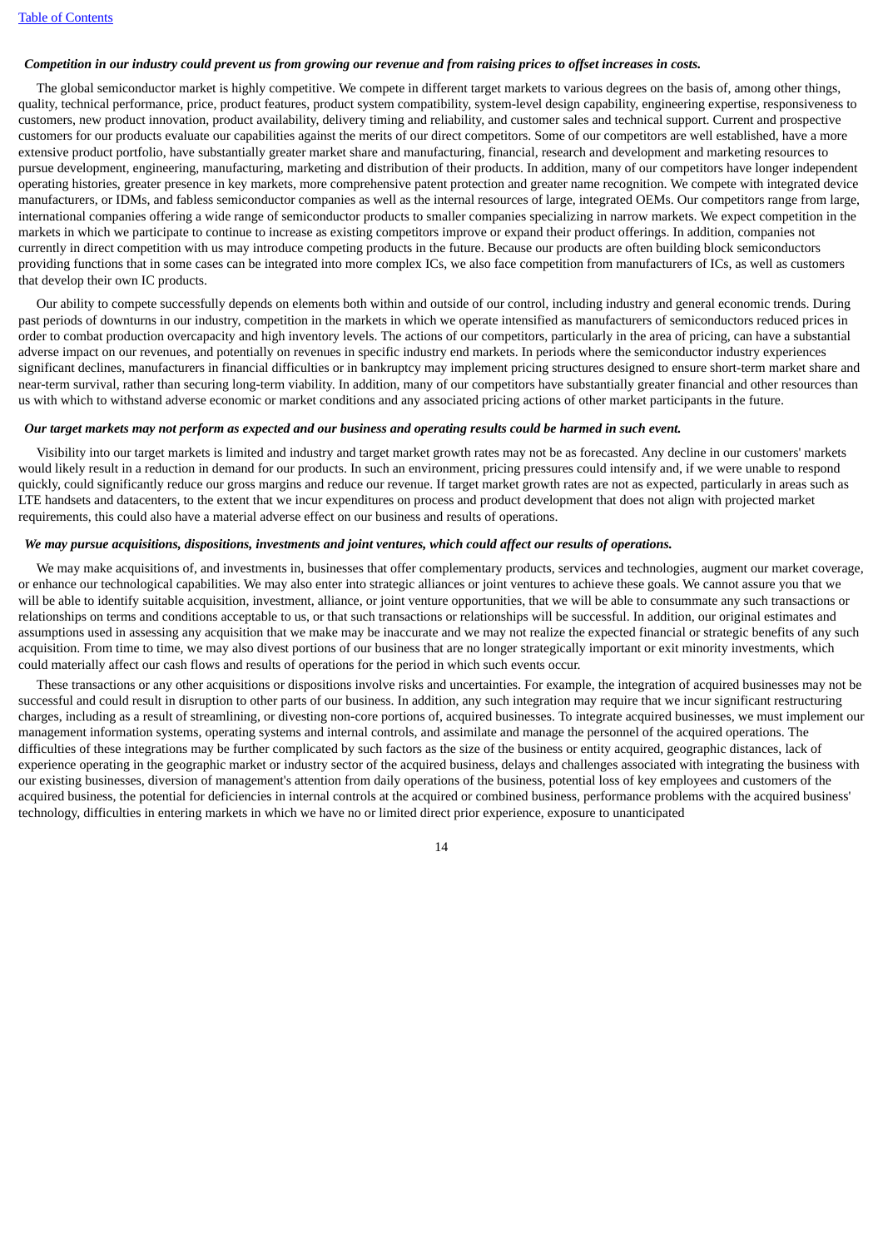#### Competition in our industry could prevent us from growing our revenue and from raising prices to offset increases in costs.

The global semiconductor market is highly competitive. We compete in different target markets to various degrees on the basis of, among other things, quality, technical performance, price, product features, product system compatibility, system-level design capability, engineering expertise, responsiveness to customers, new product innovation, product availability, delivery timing and reliability, and customer sales and technical support. Current and prospective customers for our products evaluate our capabilities against the merits of our direct competitors. Some of our competitors are well established, have a more extensive product portfolio, have substantially greater market share and manufacturing, financial, research and development and marketing resources to pursue development, engineering, manufacturing, marketing and distribution of their products. In addition, many of our competitors have longer independent operating histories, greater presence in key markets, more comprehensive patent protection and greater name recognition. We compete with integrated device manufacturers, or IDMs, and fabless semiconductor companies as well as the internal resources of large, integrated OEMs. Our competitors range from large, international companies offering a wide range of semiconductor products to smaller companies specializing in narrow markets. We expect competition in the markets in which we participate to continue to increase as existing competitors improve or expand their product offerings. In addition, companies not currently in direct competition with us may introduce competing products in the future. Because our products are often building block semiconductors providing functions that in some cases can be integrated into more complex ICs, we also face competition from manufacturers of ICs, as well as customers that develop their own IC products.

Our ability to compete successfully depends on elements both within and outside of our control, including industry and general economic trends. During past periods of downturns in our industry, competition in the markets in which we operate intensified as manufacturers of semiconductors reduced prices in order to combat production overcapacity and high inventory levels. The actions of our competitors, particularly in the area of pricing, can have a substantial adverse impact on our revenues, and potentially on revenues in specific industry end markets. In periods where the semiconductor industry experiences significant declines, manufacturers in financial difficulties or in bankruptcy may implement pricing structures designed to ensure short-term market share and near-term survival, rather than securing long-term viability. In addition, many of our competitors have substantially greater financial and other resources than us with which to withstand adverse economic or market conditions and any associated pricing actions of other market participants in the future.

#### Our target markets may not perform as expected and our business and operating results could be harmed in such event.

Visibility into our target markets is limited and industry and target market growth rates may not be as forecasted. Any decline in our customers' markets would likely result in a reduction in demand for our products. In such an environment, pricing pressures could intensify and, if we were unable to respond quickly, could significantly reduce our gross margins and reduce our revenue. If target market growth rates are not as expected, particularly in areas such as LTE handsets and datacenters, to the extent that we incur expenditures on process and product development that does not align with projected market requirements, this could also have a material adverse effect on our business and results of operations.

### We may pursue acquisitions, dispositions, investments and joint ventures, which could affect our results of operations.

We may make acquisitions of, and investments in, businesses that offer complementary products, services and technologies, augment our market coverage, or enhance our technological capabilities. We may also enter into strategic alliances or joint ventures to achieve these goals. We cannot assure you that we will be able to identify suitable acquisition, investment, alliance, or joint venture opportunities, that we will be able to consummate any such transactions or relationships on terms and conditions acceptable to us, or that such transactions or relationships will be successful. In addition, our original estimates and assumptions used in assessing any acquisition that we make may be inaccurate and we may not realize the expected financial or strategic benefits of any such acquisition. From time to time, we may also divest portions of our business that are no longer strategically important or exit minority investments, which could materially affect our cash flows and results of operations for the period in which such events occur.

These transactions or any other acquisitions or dispositions involve risks and uncertainties. For example, the integration of acquired businesses may not be successful and could result in disruption to other parts of our business. In addition, any such integration may require that we incur significant restructuring charges, including as a result of streamlining, or divesting non-core portions of, acquired businesses. To integrate acquired businesses, we must implement our management information systems, operating systems and internal controls, and assimilate and manage the personnel of the acquired operations. The difficulties of these integrations may be further complicated by such factors as the size of the business or entity acquired, geographic distances, lack of experience operating in the geographic market or industry sector of the acquired business, delays and challenges associated with integrating the business with our existing businesses, diversion of management's attention from daily operations of the business, potential loss of key employees and customers of the acquired business, the potential for deficiencies in internal controls at the acquired or combined business, performance problems with the acquired business' technology, difficulties in entering markets in which we have no or limited direct prior experience, exposure to unanticipated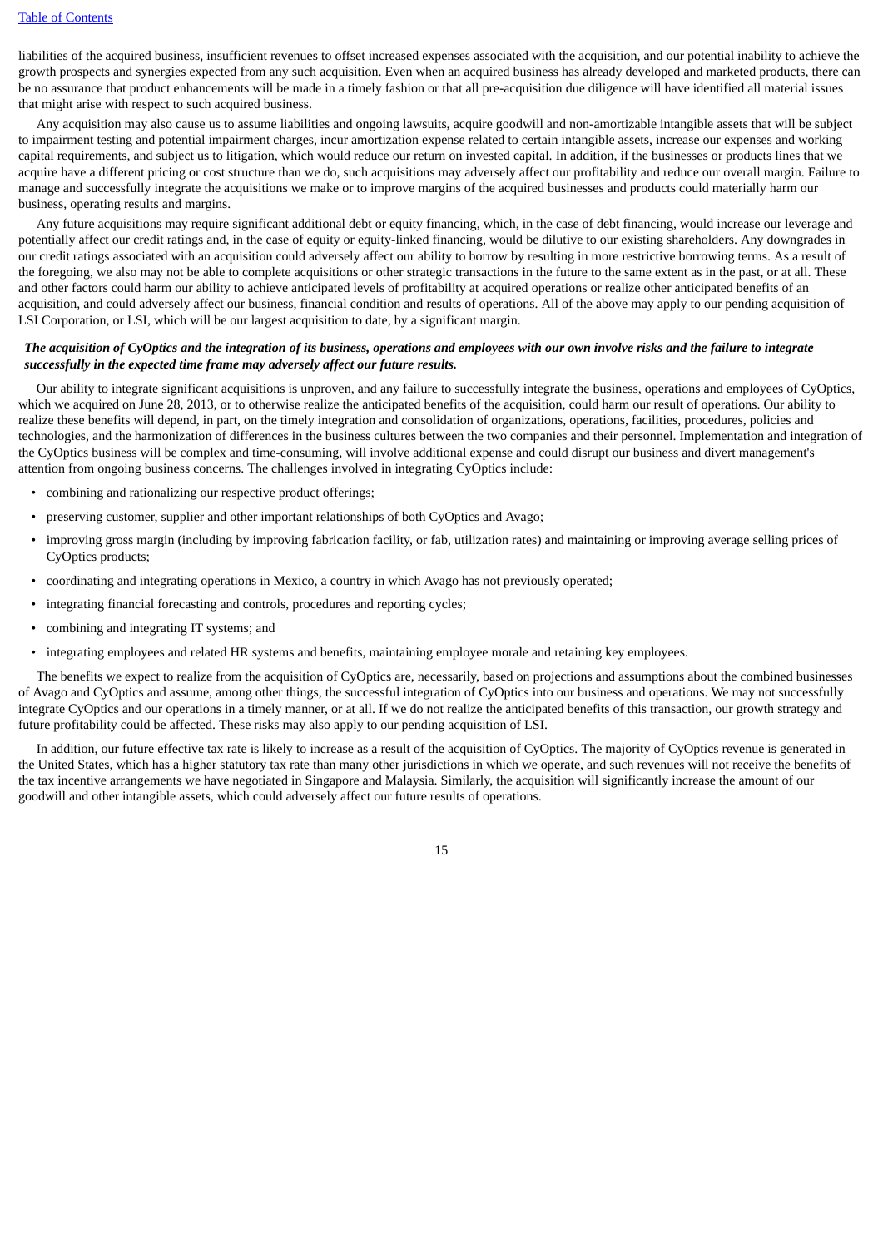liabilities of the acquired business, insufficient revenues to offset increased expenses associated with the acquisition, and our potential inability to achieve the growth prospects and synergies expected from any such acquisition. Even when an acquired business has already developed and marketed products, there can be no assurance that product enhancements will be made in a timely fashion or that all pre-acquisition due diligence will have identified all material issues that might arise with respect to such acquired business.

Any acquisition may also cause us to assume liabilities and ongoing lawsuits, acquire goodwill and non-amortizable intangible assets that will be subject to impairment testing and potential impairment charges, incur amortization expense related to certain intangible assets, increase our expenses and working capital requirements, and subject us to litigation, which would reduce our return on invested capital. In addition, if the businesses or products lines that we acquire have a different pricing or cost structure than we do, such acquisitions may adversely affect our profitability and reduce our overall margin. Failure to manage and successfully integrate the acquisitions we make or to improve margins of the acquired businesses and products could materially harm our business, operating results and margins.

Any future acquisitions may require significant additional debt or equity financing, which, in the case of debt financing, would increase our leverage and potentially affect our credit ratings and, in the case of equity or equity-linked financing, would be dilutive to our existing shareholders. Any downgrades in our credit ratings associated with an acquisition could adversely affect our ability to borrow by resulting in more restrictive borrowing terms. As a result of the foregoing, we also may not be able to complete acquisitions or other strategic transactions in the future to the same extent as in the past, or at all. These and other factors could harm our ability to achieve anticipated levels of profitability at acquired operations or realize other anticipated benefits of an acquisition, and could adversely affect our business, financial condition and results of operations. All of the above may apply to our pending acquisition of LSI Corporation, or LSI, which will be our largest acquisition to date, by a significant margin.

### The acquisition of CyOptics and the integration of its business, operations and employees with our own involve risks and the failure to integrate *successfully in the expected time frame may adversely affect our future results.*

Our ability to integrate significant acquisitions is unproven, and any failure to successfully integrate the business, operations and employees of CyOptics, which we acquired on June 28, 2013, or to otherwise realize the anticipated benefits of the acquisition, could harm our result of operations. Our ability to realize these benefits will depend, in part, on the timely integration and consolidation of organizations, operations, facilities, procedures, policies and technologies, and the harmonization of differences in the business cultures between the two companies and their personnel. Implementation and integration of the CyOptics business will be complex and time-consuming, will involve additional expense and could disrupt our business and divert management's attention from ongoing business concerns. The challenges involved in integrating CyOptics include:

- combining and rationalizing our respective product offerings;
- preserving customer, supplier and other important relationships of both CyOptics and Avago;
- improving gross margin (including by improving fabrication facility, or fab, utilization rates) and maintaining or improving average selling prices of CyOptics products;
- coordinating and integrating operations in Mexico, a country in which Avago has not previously operated;
- integrating financial forecasting and controls, procedures and reporting cycles;
- combining and integrating IT systems; and
- integrating employees and related HR systems and benefits, maintaining employee morale and retaining key employees.

The benefits we expect to realize from the acquisition of CyOptics are, necessarily, based on projections and assumptions about the combined businesses of Avago and CyOptics and assume, among other things, the successful integration of CyOptics into our business and operations. We may not successfully integrate CyOptics and our operations in a timely manner, or at all. If we do not realize the anticipated benefits of this transaction, our growth strategy and future profitability could be affected. These risks may also apply to our pending acquisition of LSI.

In addition, our future effective tax rate is likely to increase as a result of the acquisition of CyOptics. The majority of CyOptics revenue is generated in the United States, which has a higher statutory tax rate than many other jurisdictions in which we operate, and such revenues will not receive the benefits of the tax incentive arrangements we have negotiated in Singapore and Malaysia. Similarly, the acquisition will significantly increase the amount of our goodwill and other intangible assets, which could adversely affect our future results of operations.

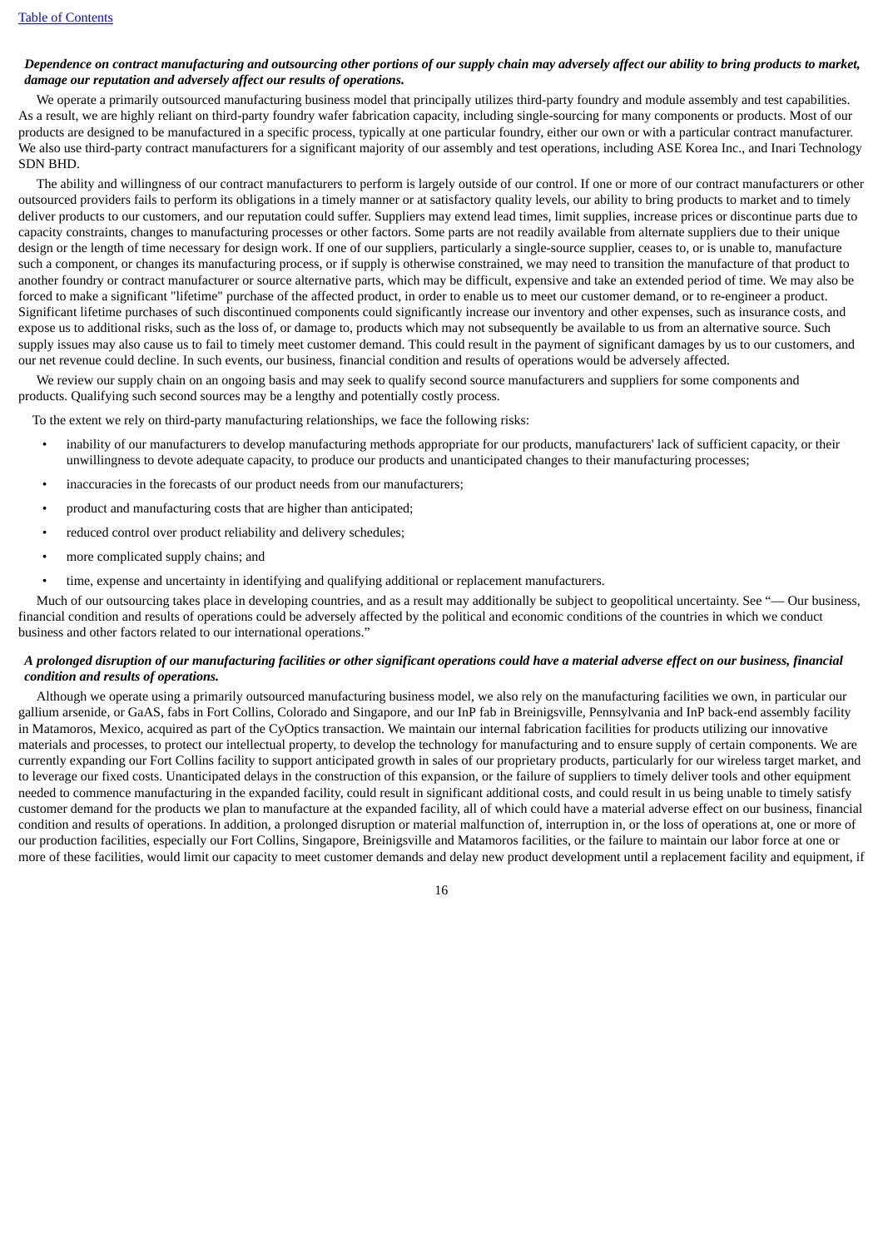### Dependence on contract manufacturing and outsourcing other portions of our supply chain may adversely affect our ability to bring products to market, *damage our reputation and adversely affect our results of operations.*

We operate a primarily outsourced manufacturing business model that principally utilizes third-party foundry and module assembly and test capabilities. As a result, we are highly reliant on third-party foundry wafer fabrication capacity, including single-sourcing for many components or products. Most of our products are designed to be manufactured in a specific process, typically at one particular foundry, either our own or with a particular contract manufacturer. We also use third-party contract manufacturers for a significant majority of our assembly and test operations, including ASE Korea Inc., and Inari Technology SDN BHD.

The ability and willingness of our contract manufacturers to perform is largely outside of our control. If one or more of our contract manufacturers or other outsourced providers fails to perform its obligations in a timely manner or at satisfactory quality levels, our ability to bring products to market and to timely deliver products to our customers, and our reputation could suffer. Suppliers may extend lead times, limit supplies, increase prices or discontinue parts due to capacity constraints, changes to manufacturing processes or other factors. Some parts are not readily available from alternate suppliers due to their unique design or the length of time necessary for design work. If one of our suppliers, particularly a single-source supplier, ceases to, or is unable to, manufacture such a component, or changes its manufacturing process, or if supply is otherwise constrained, we may need to transition the manufacture of that product to another foundry or contract manufacturer or source alternative parts, which may be difficult, expensive and take an extended period of time. We may also be forced to make a significant "lifetime" purchase of the affected product, in order to enable us to meet our customer demand, or to re-engineer a product. Significant lifetime purchases of such discontinued components could significantly increase our inventory and other expenses, such as insurance costs, and expose us to additional risks, such as the loss of, or damage to, products which may not subsequently be available to us from an alternative source. Such supply issues may also cause us to fail to timely meet customer demand. This could result in the payment of significant damages by us to our customers, and our net revenue could decline. In such events, our business, financial condition and results of operations would be adversely affected.

We review our supply chain on an ongoing basis and may seek to qualify second source manufacturers and suppliers for some components and products. Qualifying such second sources may be a lengthy and potentially costly process.

To the extent we rely on third-party manufacturing relationships, we face the following risks:

- inability of our manufacturers to develop manufacturing methods appropriate for our products, manufacturers' lack of sufficient capacity, or their unwillingness to devote adequate capacity, to produce our products and unanticipated changes to their manufacturing processes;
- inaccuracies in the forecasts of our product needs from our manufacturers;
- product and manufacturing costs that are higher than anticipated;
- reduced control over product reliability and delivery schedules;
- more complicated supply chains; and
- time, expense and uncertainty in identifying and qualifying additional or replacement manufacturers.

Much of our outsourcing takes place in developing countries, and as a result may additionally be subject to geopolitical uncertainty. See "— Our business, financial condition and results of operations could be adversely affected by the political and economic conditions of the countries in which we conduct business and other factors related to our international operations."

### A prolonged disruption of our manufacturing facilities or other significant operations could have a material adverse effect on our business, financial *condition and results of operations.*

Although we operate using a primarily outsourced manufacturing business model, we also rely on the manufacturing facilities we own, in particular our gallium arsenide, or GaAS, fabs in Fort Collins, Colorado and Singapore, and our InP fab in Breinigsville, Pennsylvania and InP back-end assembly facility in Matamoros, Mexico, acquired as part of the CyOptics transaction. We maintain our internal fabrication facilities for products utilizing our innovative materials and processes, to protect our intellectual property, to develop the technology for manufacturing and to ensure supply of certain components. We are currently expanding our Fort Collins facility to support anticipated growth in sales of our proprietary products, particularly for our wireless target market, and to leverage our fixed costs. Unanticipated delays in the construction of this expansion, or the failure of suppliers to timely deliver tools and other equipment needed to commence manufacturing in the expanded facility, could result in significant additional costs, and could result in us being unable to timely satisfy customer demand for the products we plan to manufacture at the expanded facility, all of which could have a material adverse effect on our business, financial condition and results of operations. In addition, a prolonged disruption or material malfunction of, interruption in, or the loss of operations at, one or more of our production facilities, especially our Fort Collins, Singapore, Breinigsville and Matamoros facilities, or the failure to maintain our labor force at one or more of these facilities, would limit our capacity to meet customer demands and delay new product development until a replacement facility and equipment, if

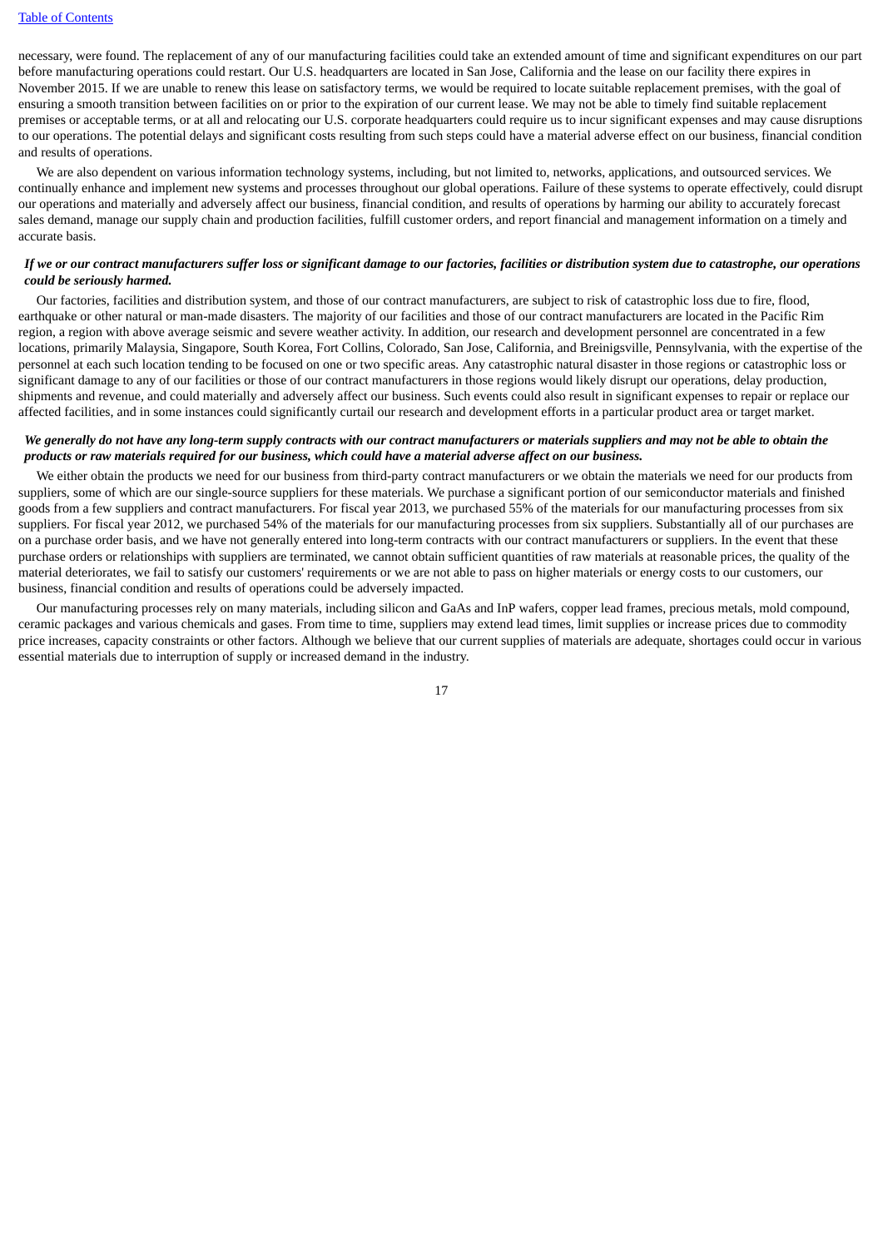necessary, were found. The replacement of any of our manufacturing facilities could take an extended amount of time and significant expenditures on our part before manufacturing operations could restart. Our U.S. headquarters are located in San Jose, California and the lease on our facility there expires in November 2015. If we are unable to renew this lease on satisfactory terms, we would be required to locate suitable replacement premises, with the goal of ensuring a smooth transition between facilities on or prior to the expiration of our current lease. We may not be able to timely find suitable replacement premises or acceptable terms, or at all and relocating our U.S. corporate headquarters could require us to incur significant expenses and may cause disruptions to our operations. The potential delays and significant costs resulting from such steps could have a material adverse effect on our business, financial condition and results of operations.

We are also dependent on various information technology systems, including, but not limited to, networks, applications, and outsourced services. We continually enhance and implement new systems and processes throughout our global operations. Failure of these systems to operate effectively, could disrupt our operations and materially and adversely affect our business, financial condition, and results of operations by harming our ability to accurately forecast sales demand, manage our supply chain and production facilities, fulfill customer orders, and report financial and management information on a timely and accurate basis.

### If we or our contract manufacturers suffer loss or significant damage to our factories, facilities or distribution system due to catastrophe, our operations *could be seriously harmed.*

Our factories, facilities and distribution system, and those of our contract manufacturers, are subject to risk of catastrophic loss due to fire, flood, earthquake or other natural or man-made disasters. The majority of our facilities and those of our contract manufacturers are located in the Pacific Rim region, a region with above average seismic and severe weather activity. In addition, our research and development personnel are concentrated in a few locations, primarily Malaysia, Singapore, South Korea, Fort Collins, Colorado, San Jose, California, and Breinigsville, Pennsylvania, with the expertise of the personnel at each such location tending to be focused on one or two specific areas. Any catastrophic natural disaster in those regions or catastrophic loss or significant damage to any of our facilities or those of our contract manufacturers in those regions would likely disrupt our operations, delay production, shipments and revenue, and could materially and adversely affect our business. Such events could also result in significant expenses to repair or replace our affected facilities, and in some instances could significantly curtail our research and development efforts in a particular product area or target market.

### We generally do not have any long-term supply contracts with our contract manufacturers or materials suppliers and may not be able to obtain the products or raw materials required for our business, which could have a material adverse affect on our business.

We either obtain the products we need for our business from third-party contract manufacturers or we obtain the materials we need for our products from suppliers, some of which are our single-source suppliers for these materials. We purchase a significant portion of our semiconductor materials and finished goods from a few suppliers and contract manufacturers. For fiscal year 2013, we purchased 55% of the materials for our manufacturing processes from six suppliers. For fiscal year 2012, we purchased 54% of the materials for our manufacturing processes from six suppliers. Substantially all of our purchases are on a purchase order basis, and we have not generally entered into long-term contracts with our contract manufacturers or suppliers. In the event that these purchase orders or relationships with suppliers are terminated, we cannot obtain sufficient quantities of raw materials at reasonable prices, the quality of the material deteriorates, we fail to satisfy our customers' requirements or we are not able to pass on higher materials or energy costs to our customers, our business, financial condition and results of operations could be adversely impacted.

Our manufacturing processes rely on many materials, including silicon and GaAs and InP wafers, copper lead frames, precious metals, mold compound, ceramic packages and various chemicals and gases. From time to time, suppliers may extend lead times, limit supplies or increase prices due to commodity price increases, capacity constraints or other factors. Although we believe that our current supplies of materials are adequate, shortages could occur in various essential materials due to interruption of supply or increased demand in the industry.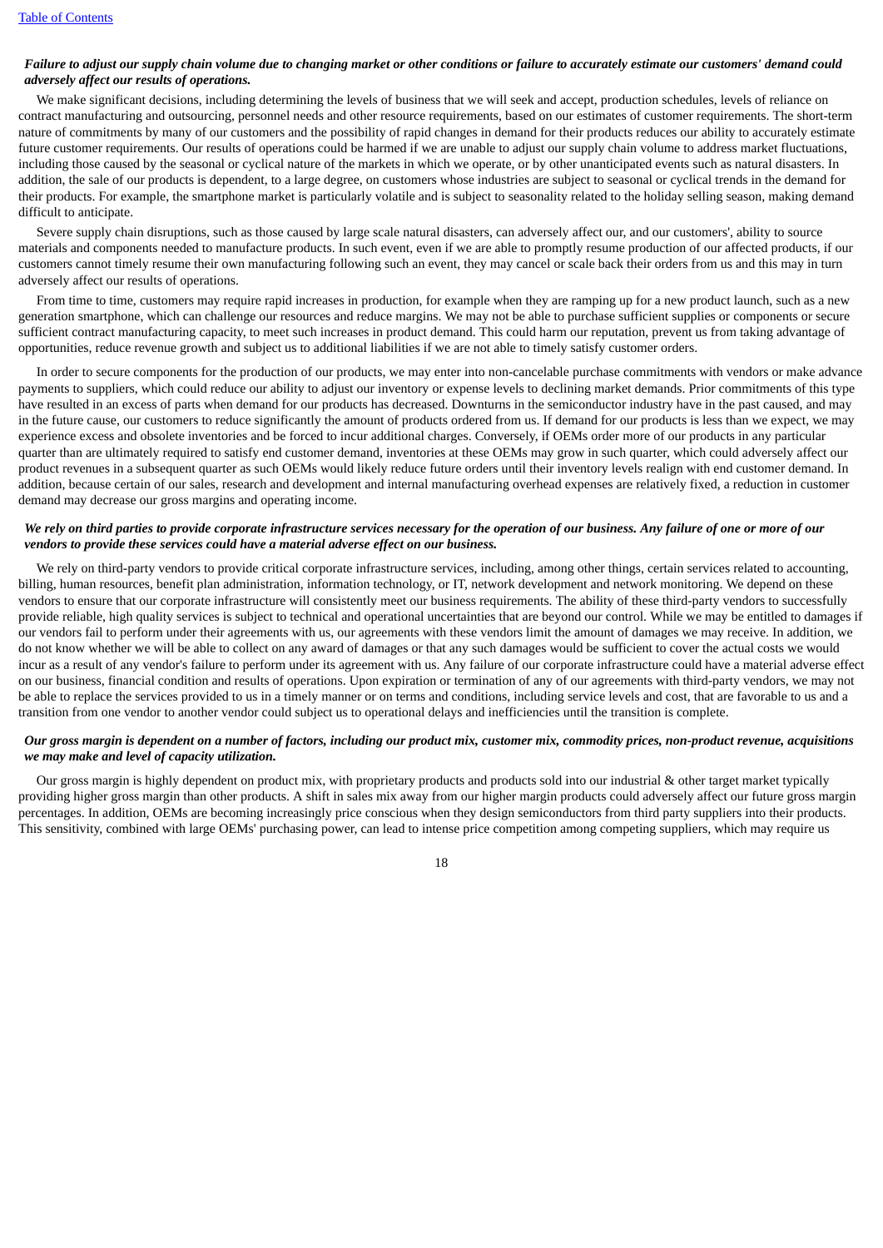### Failure to adjust our supply chain volume due to changing market or other conditions or failure to accurately estimate our customers' demand could *adversely affect our results of operations.*

We make significant decisions, including determining the levels of business that we will seek and accept, production schedules, levels of reliance on contract manufacturing and outsourcing, personnel needs and other resource requirements, based on our estimates of customer requirements. The short-term nature of commitments by many of our customers and the possibility of rapid changes in demand for their products reduces our ability to accurately estimate future customer requirements. Our results of operations could be harmed if we are unable to adjust our supply chain volume to address market fluctuations, including those caused by the seasonal or cyclical nature of the markets in which we operate, or by other unanticipated events such as natural disasters. In addition, the sale of our products is dependent, to a large degree, on customers whose industries are subject to seasonal or cyclical trends in the demand for their products. For example, the smartphone market is particularly volatile and is subject to seasonality related to the holiday selling season, making demand difficult to anticipate.

Severe supply chain disruptions, such as those caused by large scale natural disasters, can adversely affect our, and our customers', ability to source materials and components needed to manufacture products. In such event, even if we are able to promptly resume production of our affected products, if our customers cannot timely resume their own manufacturing following such an event, they may cancel or scale back their orders from us and this may in turn adversely affect our results of operations.

From time to time, customers may require rapid increases in production, for example when they are ramping up for a new product launch, such as a new generation smartphone, which can challenge our resources and reduce margins. We may not be able to purchase sufficient supplies or components or secure sufficient contract manufacturing capacity, to meet such increases in product demand. This could harm our reputation, prevent us from taking advantage of opportunities, reduce revenue growth and subject us to additional liabilities if we are not able to timely satisfy customer orders.

In order to secure components for the production of our products, we may enter into non-cancelable purchase commitments with vendors or make advance payments to suppliers, which could reduce our ability to adjust our inventory or expense levels to declining market demands. Prior commitments of this type have resulted in an excess of parts when demand for our products has decreased. Downturns in the semiconductor industry have in the past caused, and may in the future cause, our customers to reduce significantly the amount of products ordered from us. If demand for our products is less than we expect, we may experience excess and obsolete inventories and be forced to incur additional charges. Conversely, if OEMs order more of our products in any particular quarter than are ultimately required to satisfy end customer demand, inventories at these OEMs may grow in such quarter, which could adversely affect our product revenues in a subsequent quarter as such OEMs would likely reduce future orders until their inventory levels realign with end customer demand. In addition, because certain of our sales, research and development and internal manufacturing overhead expenses are relatively fixed, a reduction in customer demand may decrease our gross margins and operating income.

### We rely on third parties to provide corporate infrastructure services necessary for the operation of our business. Any failure of one or more of our *vendors to provide these services could have a material adverse effect on our business.*

We rely on third-party vendors to provide critical corporate infrastructure services, including, among other things, certain services related to accounting, billing, human resources, benefit plan administration, information technology, or IT, network development and network monitoring. We depend on these vendors to ensure that our corporate infrastructure will consistently meet our business requirements. The ability of these third-party vendors to successfully provide reliable, high quality services is subject to technical and operational uncertainties that are beyond our control. While we may be entitled to damages if our vendors fail to perform under their agreements with us, our agreements with these vendors limit the amount of damages we may receive. In addition, we do not know whether we will be able to collect on any award of damages or that any such damages would be sufficient to cover the actual costs we would incur as a result of any vendor's failure to perform under its agreement with us. Any failure of our corporate infrastructure could have a material adverse effect on our business, financial condition and results of operations. Upon expiration or termination of any of our agreements with third-party vendors, we may not be able to replace the services provided to us in a timely manner or on terms and conditions, including service levels and cost, that are favorable to us and a transition from one vendor to another vendor could subject us to operational delays and inefficiencies until the transition is complete.

### Our gross margin is dependent on a number of factors, including our product mix, customer mix, commodity prices, non-product revenue, acquisitions *we may make and level of capacity utilization.*

Our gross margin is highly dependent on product mix, with proprietary products and products sold into our industrial & other target market typically providing higher gross margin than other products. A shift in sales mix away from our higher margin products could adversely affect our future gross margin percentages. In addition, OEMs are becoming increasingly price conscious when they design semiconductors from third party suppliers into their products. This sensitivity, combined with large OEMs' purchasing power, can lead to intense price competition among competing suppliers, which may require us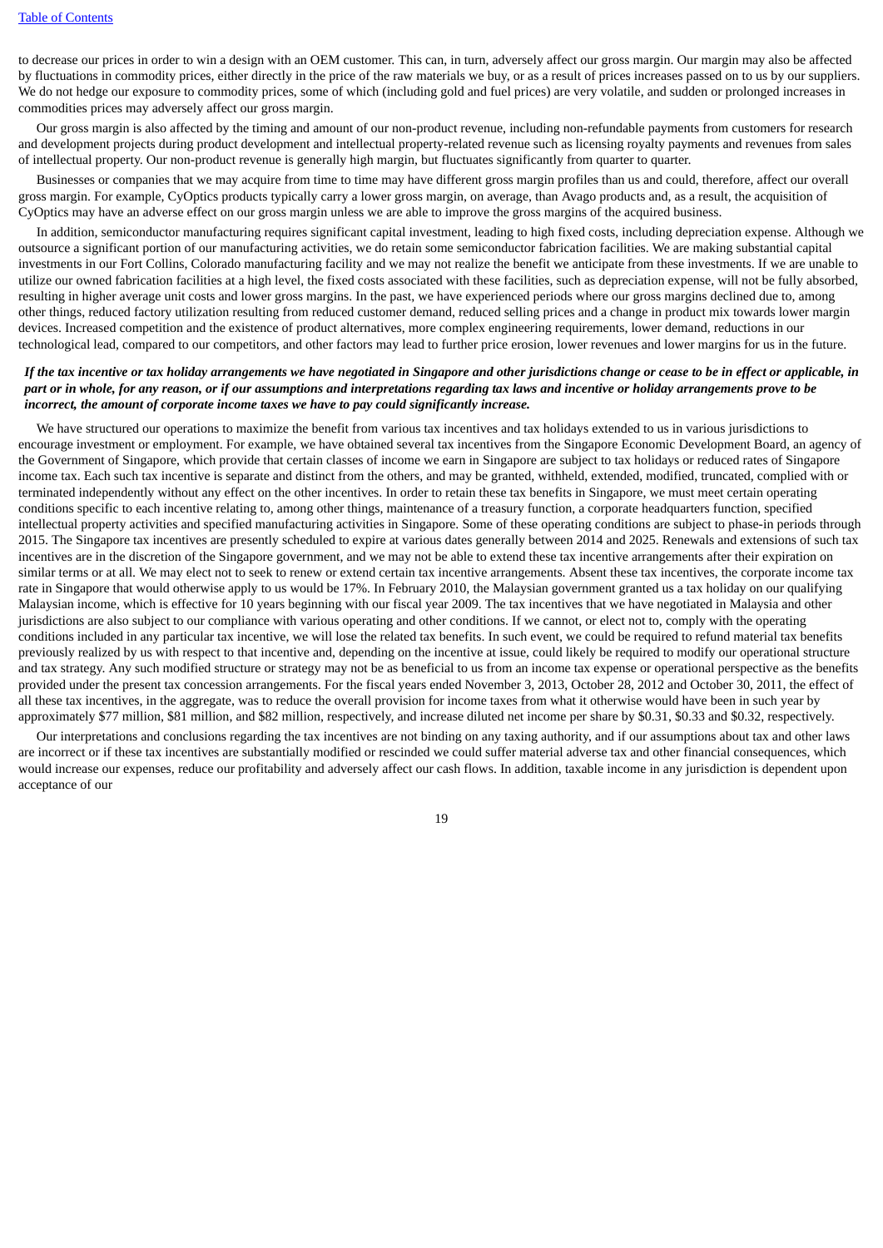to decrease our prices in order to win a design with an OEM customer. This can, in turn, adversely affect our gross margin. Our margin may also be affected by fluctuations in commodity prices, either directly in the price of the raw materials we buy, or as a result of prices increases passed on to us by our suppliers. We do not hedge our exposure to commodity prices, some of which (including gold and fuel prices) are very volatile, and sudden or prolonged increases in commodities prices may adversely affect our gross margin.

Our gross margin is also affected by the timing and amount of our non-product revenue, including non-refundable payments from customers for research and development projects during product development and intellectual property-related revenue such as licensing royalty payments and revenues from sales of intellectual property. Our non-product revenue is generally high margin, but fluctuates significantly from quarter to quarter.

Businesses or companies that we may acquire from time to time may have different gross margin profiles than us and could, therefore, affect our overall gross margin. For example, CyOptics products typically carry a lower gross margin, on average, than Avago products and, as a result, the acquisition of CyOptics may have an adverse effect on our gross margin unless we are able to improve the gross margins of the acquired business.

In addition, semiconductor manufacturing requires significant capital investment, leading to high fixed costs, including depreciation expense. Although we outsource a significant portion of our manufacturing activities, we do retain some semiconductor fabrication facilities. We are making substantial capital investments in our Fort Collins, Colorado manufacturing facility and we may not realize the benefit we anticipate from these investments. If we are unable to utilize our owned fabrication facilities at a high level, the fixed costs associated with these facilities, such as depreciation expense, will not be fully absorbed, resulting in higher average unit costs and lower gross margins. In the past, we have experienced periods where our gross margins declined due to, among other things, reduced factory utilization resulting from reduced customer demand, reduced selling prices and a change in product mix towards lower margin devices. Increased competition and the existence of product alternatives, more complex engineering requirements, lower demand, reductions in our technological lead, compared to our competitors, and other factors may lead to further price erosion, lower revenues and lower margins for us in the future.

### If the tax incentive or tax holiday arrangements we have negotiated in Singapore and other jurisdictions change or cease to be in effect or applicable, in part or in whole, for any reason, or if our assumptions and interpretations reaardina tax laws and incentive or holiday arranaements prove to be *incorrect, the amount of corporate income taxes we have to pay could significantly increase.*

We have structured our operations to maximize the benefit from various tax incentives and tax holidays extended to us in various jurisdictions to encourage investment or employment. For example, we have obtained several tax incentives from the Singapore Economic Development Board, an agency of the Government of Singapore, which provide that certain classes of income we earn in Singapore are subject to tax holidays or reduced rates of Singapore income tax. Each such tax incentive is separate and distinct from the others, and may be granted, withheld, extended, modified, truncated, complied with or terminated independently without any effect on the other incentives. In order to retain these tax benefits in Singapore, we must meet certain operating conditions specific to each incentive relating to, among other things, maintenance of a treasury function, a corporate headquarters function, specified intellectual property activities and specified manufacturing activities in Singapore. Some of these operating conditions are subject to phase-in periods through 2015. The Singapore tax incentives are presently scheduled to expire at various dates generally between 2014 and 2025. Renewals and extensions of such tax incentives are in the discretion of the Singapore government, and we may not be able to extend these tax incentive arrangements after their expiration on similar terms or at all. We may elect not to seek to renew or extend certain tax incentive arrangements. Absent these tax incentives, the corporate income tax rate in Singapore that would otherwise apply to us would be 17%. In February 2010, the Malaysian government granted us a tax holiday on our qualifying Malaysian income, which is effective for 10 years beginning with our fiscal year 2009. The tax incentives that we have negotiated in Malaysia and other jurisdictions are also subject to our compliance with various operating and other conditions. If we cannot, or elect not to, comply with the operating conditions included in any particular tax incentive, we will lose the related tax benefits. In such event, we could be required to refund material tax benefits previously realized by us with respect to that incentive and, depending on the incentive at issue, could likely be required to modify our operational structure and tax strategy. Any such modified structure or strategy may not be as beneficial to us from an income tax expense or operational perspective as the benefits provided under the present tax concession arrangements. For the fiscal years ended November 3, 2013, October 28, 2012 and October 30, 2011, the effect of all these tax incentives, in the aggregate, was to reduce the overall provision for income taxes from what it otherwise would have been in such year by approximately \$77 million, \$81 million, and \$82 million, respectively, and increase diluted net income per share by \$0.31, \$0.33 and \$0.32, respectively.

Our interpretations and conclusions regarding the tax incentives are not binding on any taxing authority, and if our assumptions about tax and other laws are incorrect or if these tax incentives are substantially modified or rescinded we could suffer material adverse tax and other financial consequences, which would increase our expenses, reduce our profitability and adversely affect our cash flows. In addition, taxable income in any jurisdiction is dependent upon acceptance of our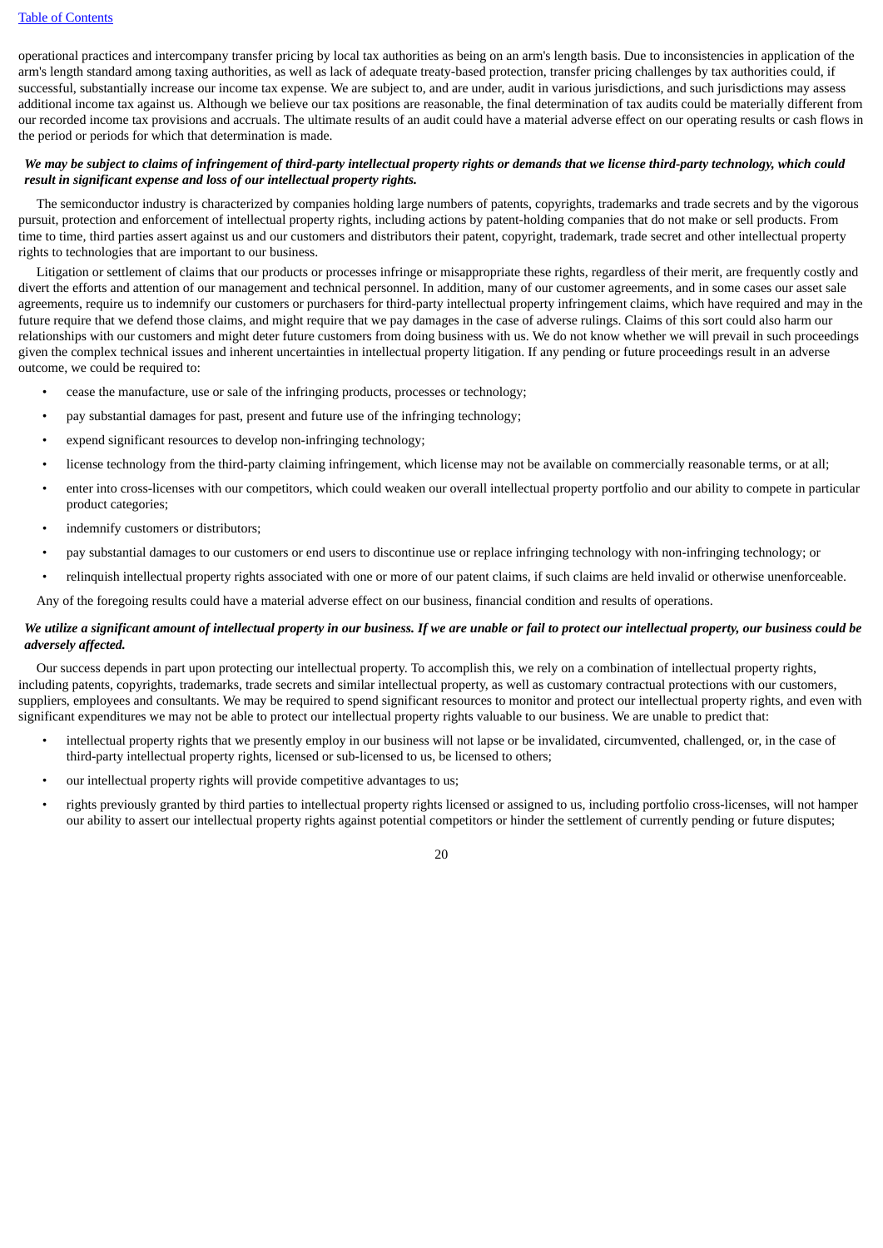#### Table of [Contents](#page-0-0)

operational practices and intercompany transfer pricing by local tax authorities as being on an arm's length basis. Due to inconsistencies in application of the arm's length standard among taxing authorities, as well as lack of adequate treaty-based protection, transfer pricing challenges by tax authorities could, if successful, substantially increase our income tax expense. We are subject to, and are under, audit in various jurisdictions, and such jurisdictions may assess additional income tax against us. Although we believe our tax positions are reasonable, the final determination of tax audits could be materially different from our recorded income tax provisions and accruals. The ultimate results of an audit could have a material adverse effect on our operating results or cash flows in the period or periods for which that determination is made.

### We may be subject to claims of infringement of third-party intellectual property rights or demands that we license third-party technology, which could *result in significant expense and loss of our intellectual property rights.*

The semiconductor industry is characterized by companies holding large numbers of patents, copyrights, trademarks and trade secrets and by the vigorous pursuit, protection and enforcement of intellectual property rights, including actions by patent-holding companies that do not make or sell products. From time to time, third parties assert against us and our customers and distributors their patent, copyright, trademark, trade secret and other intellectual property rights to technologies that are important to our business.

Litigation or settlement of claims that our products or processes infringe or misappropriate these rights, regardless of their merit, are frequently costly and divert the efforts and attention of our management and technical personnel. In addition, many of our customer agreements, and in some cases our asset sale agreements, require us to indemnify our customers or purchasers for third-party intellectual property infringement claims, which have required and may in the future require that we defend those claims, and might require that we pay damages in the case of adverse rulings. Claims of this sort could also harm our relationships with our customers and might deter future customers from doing business with us. We do not know whether we will prevail in such proceedings given the complex technical issues and inherent uncertainties in intellectual property litigation. If any pending or future proceedings result in an adverse outcome, we could be required to:

- cease the manufacture, use or sale of the infringing products, processes or technology;
- pay substantial damages for past, present and future use of the infringing technology;
- expend significant resources to develop non-infringing technology;
- license technology from the third-party claiming infringement, which license may not be available on commercially reasonable terms, or at all;
- enter into cross-licenses with our competitors, which could weaken our overall intellectual property portfolio and our ability to compete in particular product categories;
- indemnify customers or distributors;
- pay substantial damages to our customers or end users to discontinue use or replace infringing technology with non-infringing technology; or
- relinquish intellectual property rights associated with one or more of our patent claims, if such claims are held invalid or otherwise unenforceable.

Any of the foregoing results could have a material adverse effect on our business, financial condition and results of operations.

### We utilize a significant amount of intellectual property in our business. If we are unable or fail to protect our intellectual property, our business could be *adversely affected.*

Our success depends in part upon protecting our intellectual property. To accomplish this, we rely on a combination of intellectual property rights, including patents, copyrights, trademarks, trade secrets and similar intellectual property, as well as customary contractual protections with our customers, suppliers, employees and consultants. We may be required to spend significant resources to monitor and protect our intellectual property rights, and even with significant expenditures we may not be able to protect our intellectual property rights valuable to our business. We are unable to predict that:

- intellectual property rights that we presently employ in our business will not lapse or be invalidated, circumvented, challenged, or, in the case of third-party intellectual property rights, licensed or sub-licensed to us, be licensed to others;
- our intellectual property rights will provide competitive advantages to us;
- rights previously granted by third parties to intellectual property rights licensed or assigned to us, including portfolio cross-licenses, will not hamper our ability to assert our intellectual property rights against potential competitors or hinder the settlement of currently pending or future disputes;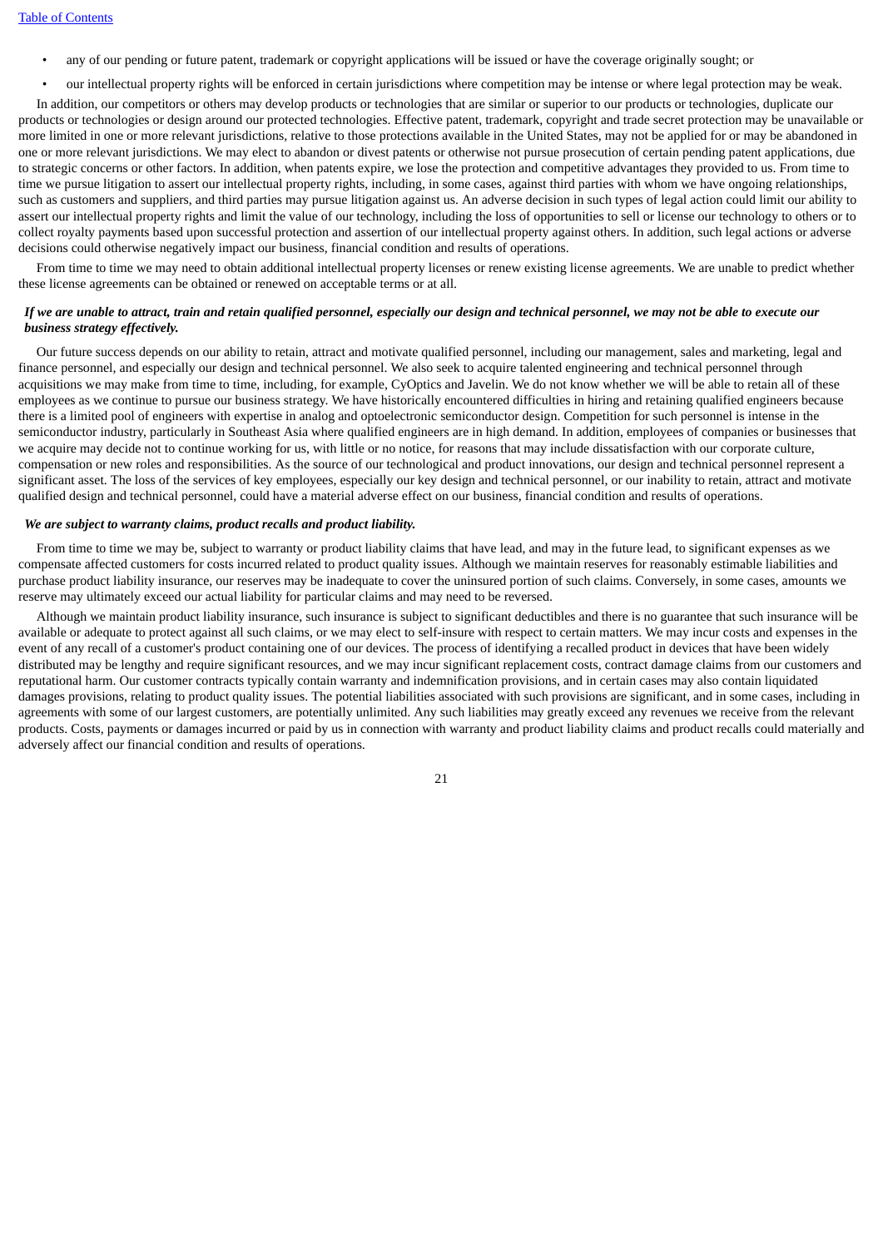- any of our pending or future patent, trademark or copyright applications will be issued or have the coverage originally sought; or
- our intellectual property rights will be enforced in certain jurisdictions where competition may be intense or where legal protection may be weak.

In addition, our competitors or others may develop products or technologies that are similar or superior to our products or technologies, duplicate our products or technologies or design around our protected technologies. Effective patent, trademark, copyright and trade secret protection may be unavailable or more limited in one or more relevant jurisdictions, relative to those protections available in the United States, may not be applied for or may be abandoned in one or more relevant jurisdictions. We may elect to abandon or divest patents or otherwise not pursue prosecution of certain pending patent applications, due to strategic concerns or other factors. In addition, when patents expire, we lose the protection and competitive advantages they provided to us. From time to time we pursue litigation to assert our intellectual property rights, including, in some cases, against third parties with whom we have ongoing relationships, such as customers and suppliers, and third parties may pursue litigation against us. An adverse decision in such types of legal action could limit our ability to assert our intellectual property rights and limit the value of our technology, including the loss of opportunities to sell or license our technology to others or to collect royalty payments based upon successful protection and assertion of our intellectual property against others. In addition, such legal actions or adverse decisions could otherwise negatively impact our business, financial condition and results of operations.

From time to time we may need to obtain additional intellectual property licenses or renew existing license agreements. We are unable to predict whether these license agreements can be obtained or renewed on acceptable terms or at all.

#### If we are unable to attract, train and retain qualified personnel, especially our design and technical personnel, we may not be able to execute our *business strategy effectively.*

Our future success depends on our ability to retain, attract and motivate qualified personnel, including our management, sales and marketing, legal and finance personnel, and especially our design and technical personnel. We also seek to acquire talented engineering and technical personnel through acquisitions we may make from time to time, including, for example, CyOptics and Javelin. We do not know whether we will be able to retain all of these employees as we continue to pursue our business strategy. We have historically encountered difficulties in hiring and retaining qualified engineers because there is a limited pool of engineers with expertise in analog and optoelectronic semiconductor design. Competition for such personnel is intense in the semiconductor industry, particularly in Southeast Asia where qualified engineers are in high demand. In addition, employees of companies or businesses that we acquire may decide not to continue working for us, with little or no notice, for reasons that may include dissatisfaction with our corporate culture, compensation or new roles and responsibilities. As the source of our technological and product innovations, our design and technical personnel represent a significant asset. The loss of the services of key employees, especially our key design and technical personnel, or our inability to retain, attract and motivate qualified design and technical personnel, could have a material adverse effect on our business, financial condition and results of operations.

### *We are subject to warranty claims, product recalls and product liability.*

From time to time we may be, subject to warranty or product liability claims that have lead, and may in the future lead, to significant expenses as we compensate affected customers for costs incurred related to product quality issues. Although we maintain reserves for reasonably estimable liabilities and purchase product liability insurance, our reserves may be inadequate to cover the uninsured portion of such claims. Conversely, in some cases, amounts we reserve may ultimately exceed our actual liability for particular claims and may need to be reversed.

Although we maintain product liability insurance, such insurance is subject to significant deductibles and there is no guarantee that such insurance will be available or adequate to protect against all such claims, or we may elect to self-insure with respect to certain matters. We may incur costs and expenses in the event of any recall of a customer's product containing one of our devices. The process of identifying a recalled product in devices that have been widely distributed may be lengthy and require significant resources, and we may incur significant replacement costs, contract damage claims from our customers and reputational harm. Our customer contracts typically contain warranty and indemnification provisions, and in certain cases may also contain liquidated damages provisions, relating to product quality issues. The potential liabilities associated with such provisions are significant, and in some cases, including in agreements with some of our largest customers, are potentially unlimited. Any such liabilities may greatly exceed any revenues we receive from the relevant products. Costs, payments or damages incurred or paid by us in connection with warranty and product liability claims and product recalls could materially and adversely affect our financial condition and results of operations.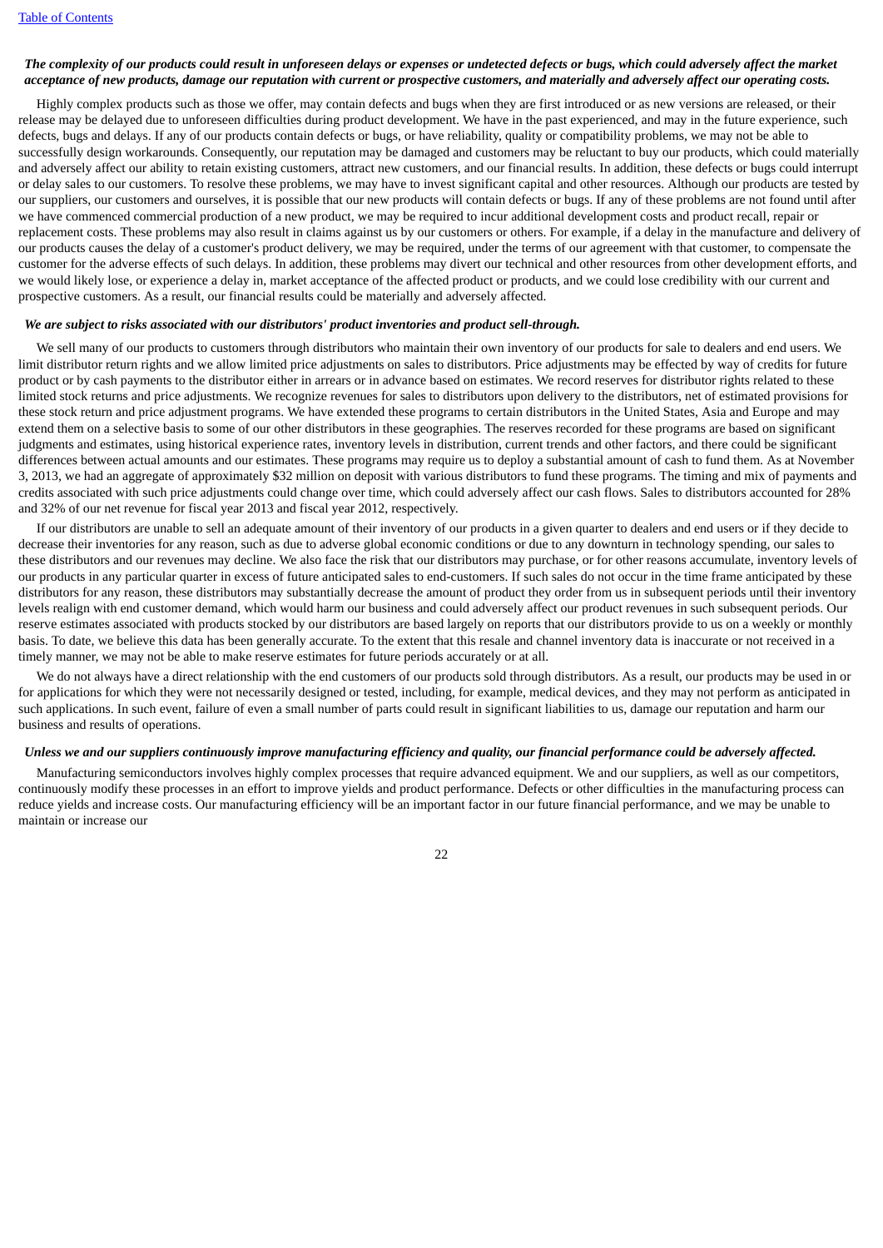### The complexity of our products could result in unforeseen delays or expenses or undetected defects or bugs, which could adversely affect the market acceptance of new products, damage our reputation with current or prospective customers, and materially and adversely affect our operating costs.

Highly complex products such as those we offer, may contain defects and bugs when they are first introduced or as new versions are released, or their release may be delayed due to unforeseen difficulties during product development. We have in the past experienced, and may in the future experience, such defects, bugs and delays. If any of our products contain defects or bugs, or have reliability, quality or compatibility problems, we may not be able to successfully design workarounds. Consequently, our reputation may be damaged and customers may be reluctant to buy our products, which could materially and adversely affect our ability to retain existing customers, attract new customers, and our financial results. In addition, these defects or bugs could interrupt or delay sales to our customers. To resolve these problems, we may have to invest significant capital and other resources. Although our products are tested by our suppliers, our customers and ourselves, it is possible that our new products will contain defects or bugs. If any of these problems are not found until after we have commenced commercial production of a new product, we may be required to incur additional development costs and product recall, repair or replacement costs. These problems may also result in claims against us by our customers or others. For example, if a delay in the manufacture and delivery of our products causes the delay of a customer's product delivery, we may be required, under the terms of our agreement with that customer, to compensate the customer for the adverse effects of such delays. In addition, these problems may divert our technical and other resources from other development efforts, and we would likely lose, or experience a delay in, market acceptance of the affected product or products, and we could lose credibility with our current and prospective customers. As a result, our financial results could be materially and adversely affected.

#### *We are subject to risks associated with our distributors' product inventories and product sell-through.*

We sell many of our products to customers through distributors who maintain their own inventory of our products for sale to dealers and end users. We limit distributor return rights and we allow limited price adjustments on sales to distributors. Price adjustments may be effected by way of credits for future product or by cash payments to the distributor either in arrears or in advance based on estimates. We record reserves for distributor rights related to these limited stock returns and price adjustments. We recognize revenues for sales to distributors upon delivery to the distributors, net of estimated provisions for these stock return and price adjustment programs. We have extended these programs to certain distributors in the United States, Asia and Europe and may extend them on a selective basis to some of our other distributors in these geographies. The reserves recorded for these programs are based on significant judgments and estimates, using historical experience rates, inventory levels in distribution, current trends and other factors, and there could be significant differences between actual amounts and our estimates. These programs may require us to deploy a substantial amount of cash to fund them. As at November 3, 2013, we had an aggregate of approximately \$32 million on deposit with various distributors to fund these programs. The timing and mix of payments and credits associated with such price adjustments could change over time, which could adversely affect our cash flows. Sales to distributors accounted for 28% and 32% of our net revenue for fiscal year 2013 and fiscal year 2012, respectively.

If our distributors are unable to sell an adequate amount of their inventory of our products in a given quarter to dealers and end users or if they decide to decrease their inventories for any reason, such as due to adverse global economic conditions or due to any downturn in technology spending, our sales to these distributors and our revenues may decline. We also face the risk that our distributors may purchase, or for other reasons accumulate, inventory levels of our products in any particular quarter in excess of future anticipated sales to end-customers. If such sales do not occur in the time frame anticipated by these distributors for any reason, these distributors may substantially decrease the amount of product they order from us in subsequent periods until their inventory levels realign with end customer demand, which would harm our business and could adversely affect our product revenues in such subsequent periods. Our reserve estimates associated with products stocked by our distributors are based largely on reports that our distributors provide to us on a weekly or monthly basis. To date, we believe this data has been generally accurate. To the extent that this resale and channel inventory data is inaccurate or not received in a timely manner, we may not be able to make reserve estimates for future periods accurately or at all.

We do not always have a direct relationship with the end customers of our products sold through distributors. As a result, our products may be used in or for applications for which they were not necessarily designed or tested, including, for example, medical devices, and they may not perform as anticipated in such applications. In such event, failure of even a small number of parts could result in significant liabilities to us, damage our reputation and harm our business and results of operations.

### Unless we and our suppliers continuously improve manufacturing efficiency and quality, our financial performance could be adversely affected.

Manufacturing semiconductors involves highly complex processes that require advanced equipment. We and our suppliers, as well as our competitors, continuously modify these processes in an effort to improve yields and product performance. Defects or other difficulties in the manufacturing process can reduce yields and increase costs. Our manufacturing efficiency will be an important factor in our future financial performance, and we may be unable to maintain or increase our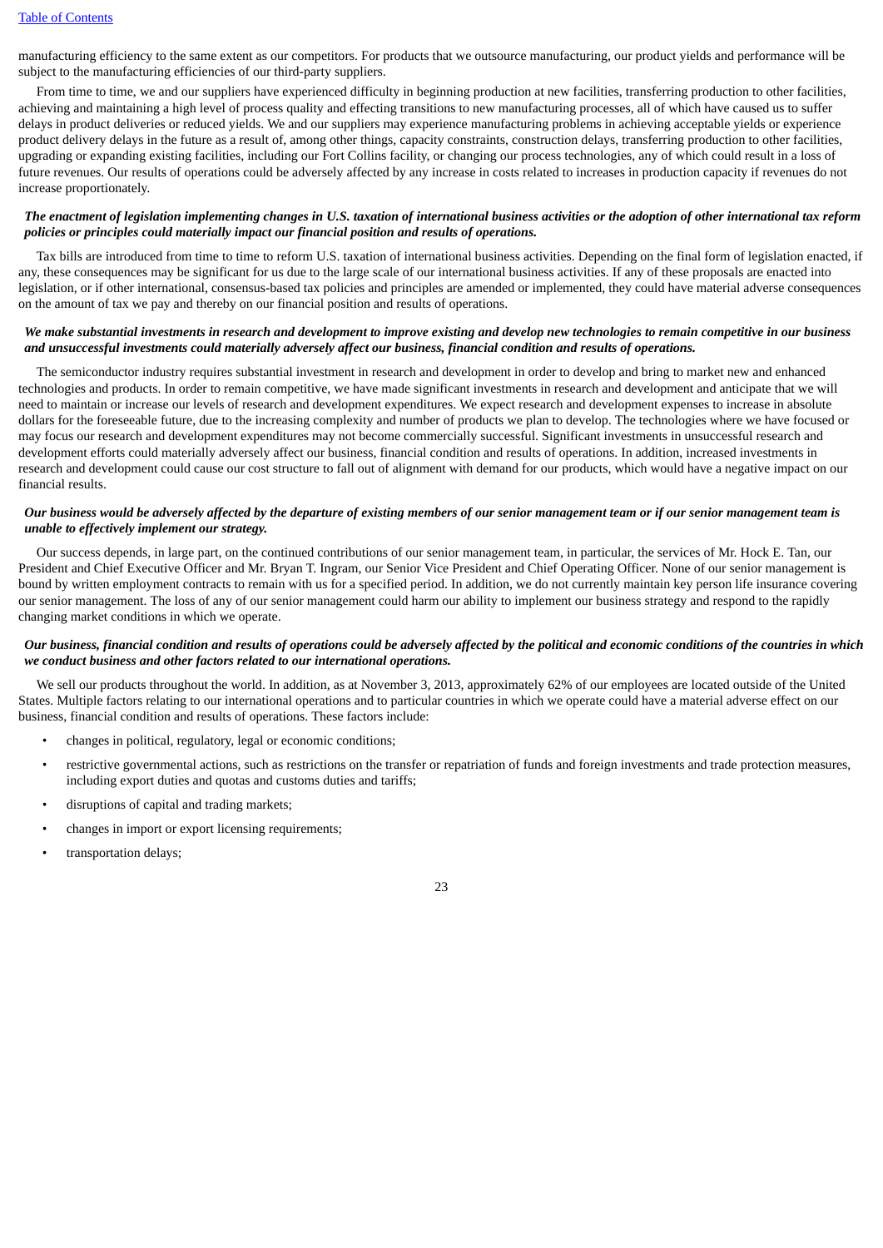manufacturing efficiency to the same extent as our competitors. For products that we outsource manufacturing, our product yields and performance will be subject to the manufacturing efficiencies of our third-party suppliers.

From time to time, we and our suppliers have experienced difficulty in beginning production at new facilities, transferring production to other facilities, achieving and maintaining a high level of process quality and effecting transitions to new manufacturing processes, all of which have caused us to suffer delays in product deliveries or reduced yields. We and our suppliers may experience manufacturing problems in achieving acceptable yields or experience product delivery delays in the future as a result of, among other things, capacity constraints, construction delays, transferring production to other facilities, upgrading or expanding existing facilities, including our Fort Collins facility, or changing our process technologies, any of which could result in a loss of future revenues. Our results of operations could be adversely affected by any increase in costs related to increases in production capacity if revenues do not increase proportionately.

### The enactment of legislation implementing changes in U.S. taxation of international business activities or the adoption of other international tax reform *policies or principles could materially impact our financial position and results of operations.*

Tax bills are introduced from time to time to reform U.S. taxation of international business activities. Depending on the final form of legislation enacted, if any, these consequences may be significant for us due to the large scale of our international business activities. If any of these proposals are enacted into legislation, or if other international, consensus-based tax policies and principles are amended or implemented, they could have material adverse consequences on the amount of tax we pay and thereby on our financial position and results of operations.

#### We make substantial investments in research and development to improve existing and develop new technologies to remain competitive in our business and unsuccessful investments could materially adversely affect our business, financial condition and results of operations.

The semiconductor industry requires substantial investment in research and development in order to develop and bring to market new and enhanced technologies and products. In order to remain competitive, we have made significant investments in research and development and anticipate that we will need to maintain or increase our levels of research and development expenditures. We expect research and development expenses to increase in absolute dollars for the foreseeable future, due to the increasing complexity and number of products we plan to develop. The technologies where we have focused or may focus our research and development expenditures may not become commercially successful. Significant investments in unsuccessful research and development efforts could materially adversely affect our business, financial condition and results of operations. In addition, increased investments in research and development could cause our cost structure to fall out of alignment with demand for our products, which would have a negative impact on our financial results.

### Our business would be adversely affected by the departure of existing members of our senior management team or if our senior management team is *unable to effectively implement our strategy.*

Our success depends, in large part, on the continued contributions of our senior management team, in particular, the services of Mr. Hock E. Tan, our President and Chief Executive Officer and Mr. Bryan T. Ingram, our Senior Vice President and Chief Operating Officer. None of our senior management is bound by written employment contracts to remain with us for a specified period. In addition, we do not currently maintain key person life insurance covering our senior management. The loss of any of our senior management could harm our ability to implement our business strategy and respond to the rapidly changing market conditions in which we operate.

### Our business, financial condition and results of operations could be adversely affected by the political and economic conditions of the countries in which *we conduct business and other factors related to our international operations.*

We sell our products throughout the world. In addition, as at November 3, 2013, approximately 62% of our employees are located outside of the United States. Multiple factors relating to our international operations and to particular countries in which we operate could have a material adverse effect on our business, financial condition and results of operations. These factors include:

- changes in political, regulatory, legal or economic conditions;
- restrictive governmental actions, such as restrictions on the transfer or repatriation of funds and foreign investments and trade protection measures, including export duties and quotas and customs duties and tariffs;
- disruptions of capital and trading markets;
- changes in import or export licensing requirements;
- transportation delays;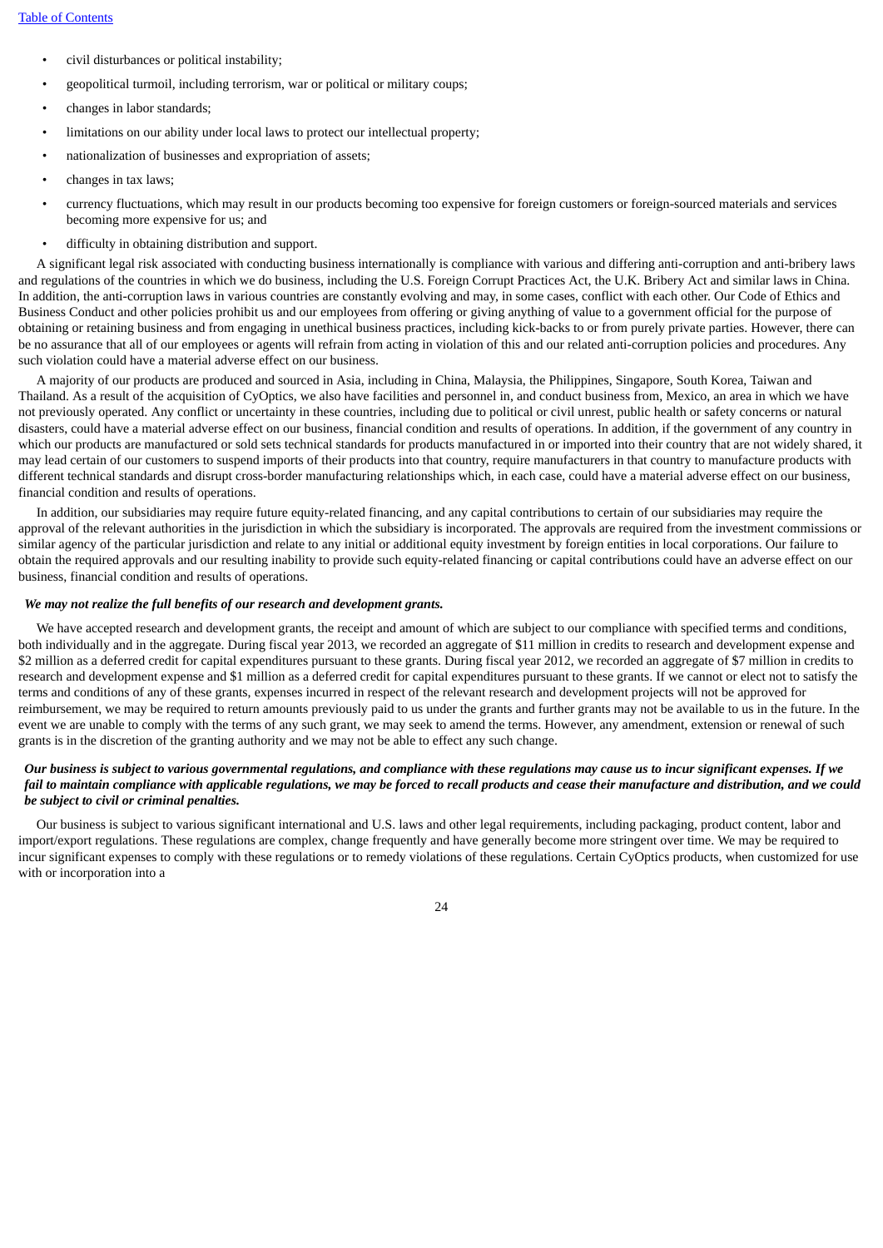- civil disturbances or political instability;
- geopolitical turmoil, including terrorism, war or political or military coups;
- changes in labor standards;
- limitations on our ability under local laws to protect our intellectual property;
- nationalization of businesses and expropriation of assets;
- changes in tax laws;
- currency fluctuations, which may result in our products becoming too expensive for foreign customers or foreign-sourced materials and services becoming more expensive for us; and
- difficulty in obtaining distribution and support.

A significant legal risk associated with conducting business internationally is compliance with various and differing anti-corruption and anti-bribery laws and regulations of the countries in which we do business, including the U.S. Foreign Corrupt Practices Act, the U.K. Bribery Act and similar laws in China. In addition, the anti-corruption laws in various countries are constantly evolving and may, in some cases, conflict with each other. Our Code of Ethics and Business Conduct and other policies prohibit us and our employees from offering or giving anything of value to a government official for the purpose of obtaining or retaining business and from engaging in unethical business practices, including kick-backs to or from purely private parties. However, there can be no assurance that all of our employees or agents will refrain from acting in violation of this and our related anti-corruption policies and procedures. Any such violation could have a material adverse effect on our business.

A majority of our products are produced and sourced in Asia, including in China, Malaysia, the Philippines, Singapore, South Korea, Taiwan and Thailand. As a result of the acquisition of CyOptics, we also have facilities and personnel in, and conduct business from, Mexico, an area in which we have not previously operated. Any conflict or uncertainty in these countries, including due to political or civil unrest, public health or safety concerns or natural disasters, could have a material adverse effect on our business, financial condition and results of operations. In addition, if the government of any country in which our products are manufactured or sold sets technical standards for products manufactured in or imported into their country that are not widely shared, it may lead certain of our customers to suspend imports of their products into that country, require manufacturers in that country to manufacture products with different technical standards and disrupt cross-border manufacturing relationships which, in each case, could have a material adverse effect on our business, financial condition and results of operations.

In addition, our subsidiaries may require future equity-related financing, and any capital contributions to certain of our subsidiaries may require the approval of the relevant authorities in the jurisdiction in which the subsidiary is incorporated. The approvals are required from the investment commissions or similar agency of the particular jurisdiction and relate to any initial or additional equity investment by foreign entities in local corporations. Our failure to obtain the required approvals and our resulting inability to provide such equity-related financing or capital contributions could have an adverse effect on our business, financial condition and results of operations.

#### *We may not realize the full benefits of our research and development grants.*

We have accepted research and development grants, the receipt and amount of which are subject to our compliance with specified terms and conditions, both individually and in the aggregate. During fiscal year 2013, we recorded an aggregate of \$11 million in credits to research and development expense and \$2 million as a deferred credit for capital expenditures pursuant to these grants. During fiscal year 2012, we recorded an aggregate of \$7 million in credits to research and development expense and \$1 million as a deferred credit for capital expenditures pursuant to these grants. If we cannot or elect not to satisfy the terms and conditions of any of these grants, expenses incurred in respect of the relevant research and development projects will not be approved for reimbursement, we may be required to return amounts previously paid to us under the grants and further grants may not be available to us in the future. In the event we are unable to comply with the terms of any such grant, we may seek to amend the terms. However, any amendment, extension or renewal of such grants is in the discretion of the granting authority and we may not be able to effect any such change.

### Our business is subject to various governmental regulations, and compliance with these regulations may cause us to incur significant expenses. If we fail to maintain compliance with applicable regulations, we may be forced to recall products and cease their manufacture and distribution, and we could *be subject to civil or criminal penalties.*

Our business is subject to various significant international and U.S. laws and other legal requirements, including packaging, product content, labor and import/export regulations. These regulations are complex, change frequently and have generally become more stringent over time. We may be required to incur significant expenses to comply with these regulations or to remedy violations of these regulations. Certain CyOptics products, when customized for use with or incorporation into a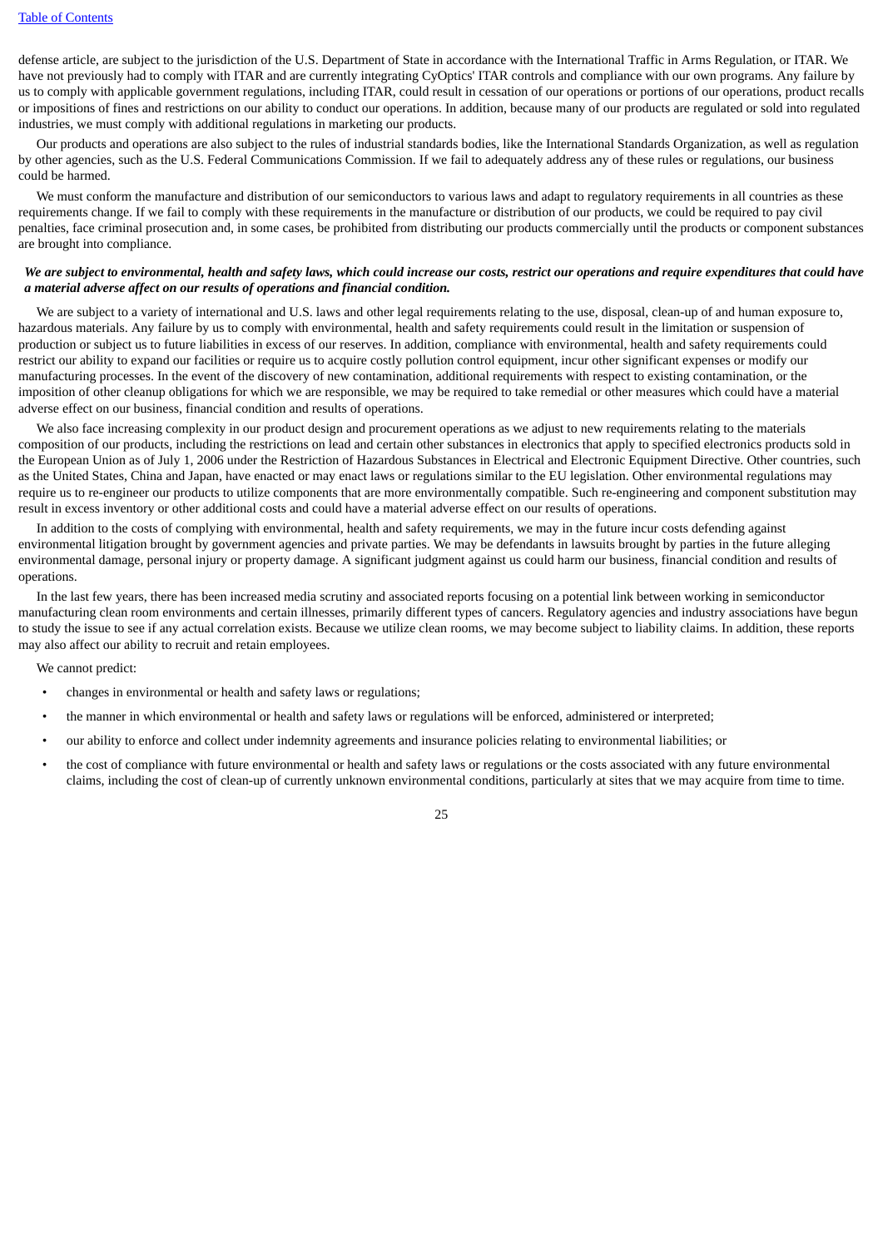defense article, are subject to the jurisdiction of the U.S. Department of State in accordance with the International Traffic in Arms Regulation, or ITAR. We have not previously had to comply with ITAR and are currently integrating CyOptics' ITAR controls and compliance with our own programs. Any failure by us to comply with applicable government regulations, including ITAR, could result in cessation of our operations or portions of our operations, product recalls or impositions of fines and restrictions on our ability to conduct our operations. In addition, because many of our products are regulated or sold into regulated industries, we must comply with additional regulations in marketing our products.

Our products and operations are also subject to the rules of industrial standards bodies, like the International Standards Organization, as well as regulation by other agencies, such as the U.S. Federal Communications Commission. If we fail to adequately address any of these rules or regulations, our business could be harmed.

We must conform the manufacture and distribution of our semiconductors to various laws and adapt to regulatory requirements in all countries as these requirements change. If we fail to comply with these requirements in the manufacture or distribution of our products, we could be required to pay civil penalties, face criminal prosecution and, in some cases, be prohibited from distributing our products commercially until the products or component substances are brought into compliance.

### We are subject to environmental, health and safety laws, which could increase our costs, restrict our operations and require expenditures that could have *a material adverse affect on our results of operations and financial condition.*

We are subject to a variety of international and U.S. laws and other legal requirements relating to the use, disposal, clean-up of and human exposure to, hazardous materials. Any failure by us to comply with environmental, health and safety requirements could result in the limitation or suspension of production or subject us to future liabilities in excess of our reserves. In addition, compliance with environmental, health and safety requirements could restrict our ability to expand our facilities or require us to acquire costly pollution control equipment, incur other significant expenses or modify our manufacturing processes. In the event of the discovery of new contamination, additional requirements with respect to existing contamination, or the imposition of other cleanup obligations for which we are responsible, we may be required to take remedial or other measures which could have a material adverse effect on our business, financial condition and results of operations.

We also face increasing complexity in our product design and procurement operations as we adjust to new requirements relating to the materials composition of our products, including the restrictions on lead and certain other substances in electronics that apply to specified electronics products sold in the European Union as of July 1, 2006 under the Restriction of Hazardous Substances in Electrical and Electronic Equipment Directive. Other countries, such as the United States, China and Japan, have enacted or may enact laws or regulations similar to the EU legislation. Other environmental regulations may require us to re-engineer our products to utilize components that are more environmentally compatible. Such re-engineering and component substitution may result in excess inventory or other additional costs and could have a material adverse effect on our results of operations.

In addition to the costs of complying with environmental, health and safety requirements, we may in the future incur costs defending against environmental litigation brought by government agencies and private parties. We may be defendants in lawsuits brought by parties in the future alleging environmental damage, personal injury or property damage. A significant judgment against us could harm our business, financial condition and results of operations.

In the last few years, there has been increased media scrutiny and associated reports focusing on a potential link between working in semiconductor manufacturing clean room environments and certain illnesses, primarily different types of cancers. Regulatory agencies and industry associations have begun to study the issue to see if any actual correlation exists. Because we utilize clean rooms, we may become subject to liability claims. In addition, these reports may also affect our ability to recruit and retain employees.

We cannot predict:

- changes in environmental or health and safety laws or regulations;
- the manner in which environmental or health and safety laws or regulations will be enforced, administered or interpreted;
- our ability to enforce and collect under indemnity agreements and insurance policies relating to environmental liabilities; or
- the cost of compliance with future environmental or health and safety laws or regulations or the costs associated with any future environmental claims, including the cost of clean-up of currently unknown environmental conditions, particularly at sites that we may acquire from time to time.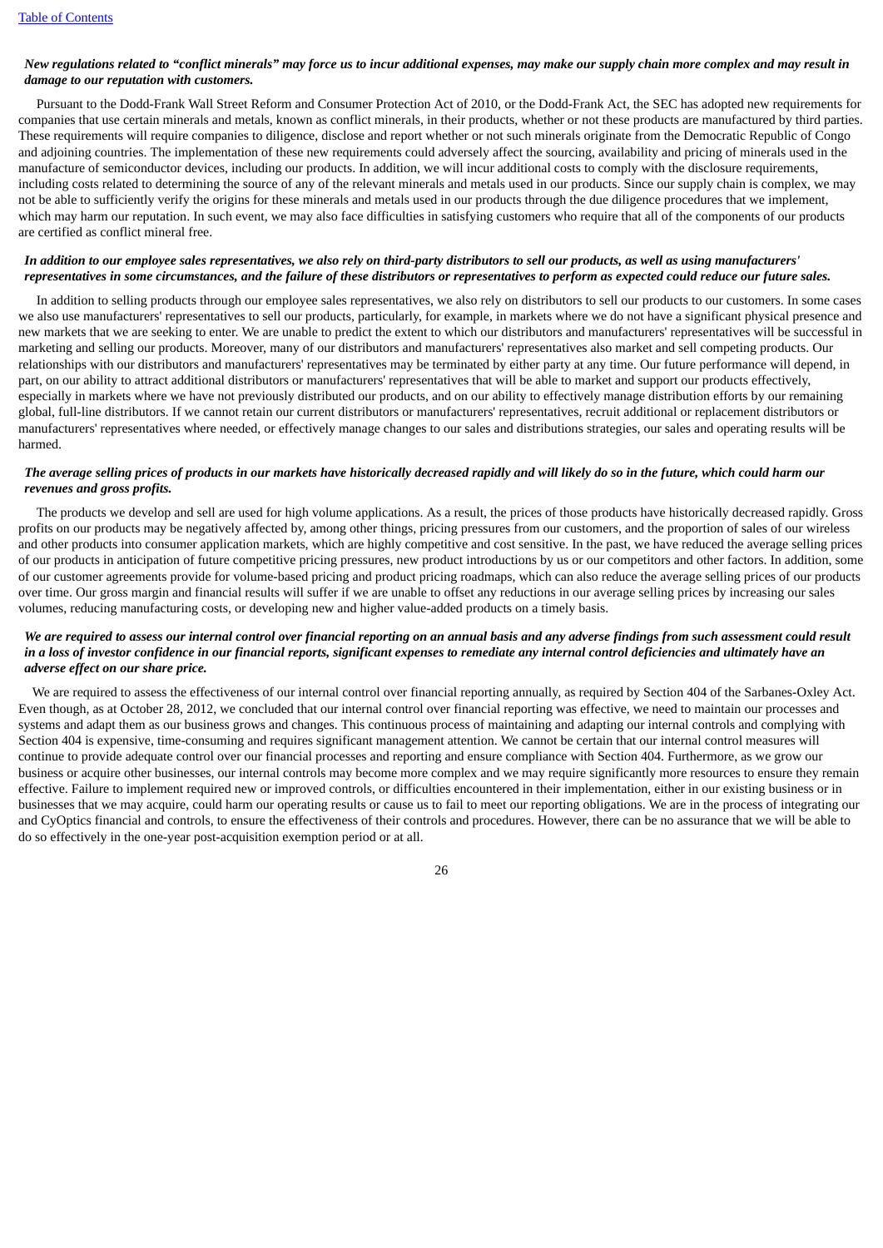### New regulations related to "conflict minerals" may force us to incur additional expenses, may make our supply chain more complex and may result in *damage to our reputation with customers.*

Pursuant to the Dodd-Frank Wall Street Reform and Consumer Protection Act of 2010, or the Dodd-Frank Act, the SEC has adopted new requirements for companies that use certain minerals and metals, known as conflict minerals, in their products, whether or not these products are manufactured by third parties. These requirements will require companies to diligence, disclose and report whether or not such minerals originate from the Democratic Republic of Congo and adjoining countries. The implementation of these new requirements could adversely affect the sourcing, availability and pricing of minerals used in the manufacture of semiconductor devices, including our products. In addition, we will incur additional costs to comply with the disclosure requirements, including costs related to determining the source of any of the relevant minerals and metals used in our products. Since our supply chain is complex, we may not be able to sufficiently verify the origins for these minerals and metals used in our products through the due diligence procedures that we implement, which may harm our reputation. In such event, we may also face difficulties in satisfying customers who require that all of the components of our products are certified as conflict mineral free.

### In addition to our employee sales representatives, we also rely on third-party distributors to sell our products, as well as using manufacturers' representatives in some circumstances, and the failure of these distributors or representatives to perform as expected could reduce our future sales.

In addition to selling products through our employee sales representatives, we also rely on distributors to sell our products to our customers. In some cases we also use manufacturers' representatives to sell our products, particularly, for example, in markets where we do not have a significant physical presence and new markets that we are seeking to enter. We are unable to predict the extent to which our distributors and manufacturers' representatives will be successful in marketing and selling our products. Moreover, many of our distributors and manufacturers' representatives also market and sell competing products. Our relationships with our distributors and manufacturers' representatives may be terminated by either party at any time. Our future performance will depend, in part, on our ability to attract additional distributors or manufacturers' representatives that will be able to market and support our products effectively, especially in markets where we have not previously distributed our products, and on our ability to effectively manage distribution efforts by our remaining global, full-line distributors. If we cannot retain our current distributors or manufacturers' representatives, recruit additional or replacement distributors or manufacturers' representatives where needed, or effectively manage changes to our sales and distributions strategies, our sales and operating results will be harmed.

### The average selling prices of products in our markets have historically decreased rapidly and will likely do so in the future, which could harm our *revenues and gross profits.*

The products we develop and sell are used for high volume applications. As a result, the prices of those products have historically decreased rapidly. Gross profits on our products may be negatively affected by, among other things, pricing pressures from our customers, and the proportion of sales of our wireless and other products into consumer application markets, which are highly competitive and cost sensitive. In the past, we have reduced the average selling prices of our products in anticipation of future competitive pricing pressures, new product introductions by us or our competitors and other factors. In addition, some of our customer agreements provide for volume-based pricing and product pricing roadmaps, which can also reduce the average selling prices of our products over time. Our gross margin and financial results will suffer if we are unable to offset any reductions in our average selling prices by increasing our sales volumes, reducing manufacturing costs, or developing new and higher value-added products on a timely basis.

### We are required to assess our internal control over financial reporting on an annual basis and any adverse findings from such assessment could result in a loss of investor confidence in our financial reports, significant expenses to remediate any internal control deficiencies and ultimately have an *adverse effect on our share price.*

We are required to assess the effectiveness of our internal control over financial reporting annually, as required by Section 404 of the Sarbanes-Oxley Act. Even though, as at October 28, 2012, we concluded that our internal control over financial reporting was effective, we need to maintain our processes and systems and adapt them as our business grows and changes. This continuous process of maintaining and adapting our internal controls and complying with Section 404 is expensive, time-consuming and requires significant management attention. We cannot be certain that our internal control measures will continue to provide adequate control over our financial processes and reporting and ensure compliance with Section 404. Furthermore, as we grow our business or acquire other businesses, our internal controls may become more complex and we may require significantly more resources to ensure they remain effective. Failure to implement required new or improved controls, or difficulties encountered in their implementation, either in our existing business or in businesses that we may acquire, could harm our operating results or cause us to fail to meet our reporting obligations. We are in the process of integrating our and CyOptics financial and controls, to ensure the effectiveness of their controls and procedures. However, there can be no assurance that we will be able to do so effectively in the one-year post-acquisition exemption period or at all.

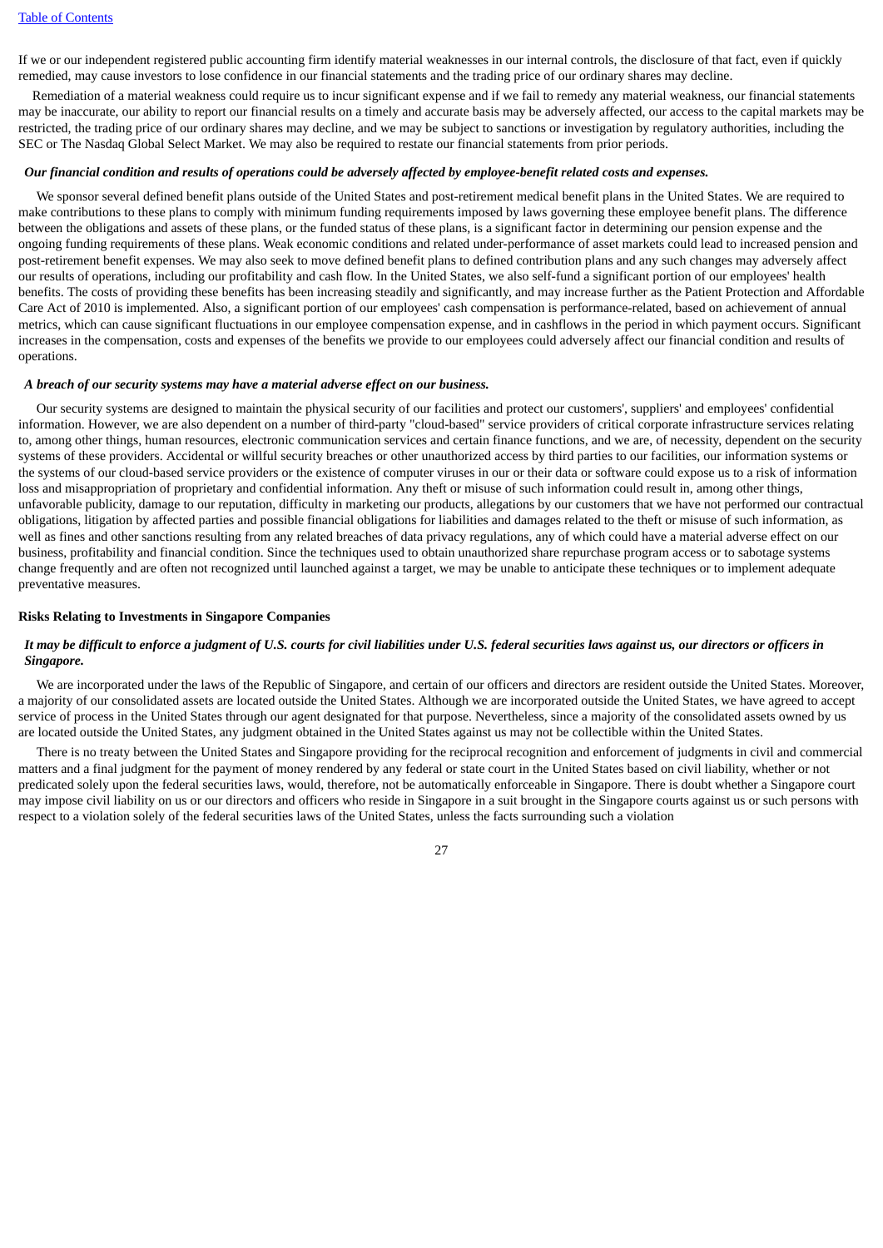If we or our independent registered public accounting firm identify material weaknesses in our internal controls, the disclosure of that fact, even if quickly remedied, may cause investors to lose confidence in our financial statements and the trading price of our ordinary shares may decline.

Remediation of a material weakness could require us to incur significant expense and if we fail to remedy any material weakness, our financial statements may be inaccurate, our ability to report our financial results on a timely and accurate basis may be adversely affected, our access to the capital markets may be restricted, the trading price of our ordinary shares may decline, and we may be subject to sanctions or investigation by regulatory authorities, including the SEC or The Nasdaq Global Select Market. We may also be required to restate our financial statements from prior periods.

#### Our financial condition and results of operations could be adversely affected by employee-benefit related costs and expenses.

We sponsor several defined benefit plans outside of the United States and post-retirement medical benefit plans in the United States. We are required to make contributions to these plans to comply with minimum funding requirements imposed by laws governing these employee benefit plans. The difference between the obligations and assets of these plans, or the funded status of these plans, is a significant factor in determining our pension expense and the ongoing funding requirements of these plans. Weak economic conditions and related under-performance of asset markets could lead to increased pension and post-retirement benefit expenses. We may also seek to move defined benefit plans to defined contribution plans and any such changes may adversely affect our results of operations, including our profitability and cash flow. In the United States, we also self-fund a significant portion of our employees' health benefits. The costs of providing these benefits has been increasing steadily and significantly, and may increase further as the Patient Protection and Affordable Care Act of 2010 is implemented. Also, a significant portion of our employees' cash compensation is performance-related, based on achievement of annual metrics, which can cause significant fluctuations in our employee compensation expense, and in cashflows in the period in which payment occurs. Significant increases in the compensation, costs and expenses of the benefits we provide to our employees could adversely affect our financial condition and results of operations.

#### *A breach of our security systems may have a material adverse effect on our business.*

Our security systems are designed to maintain the physical security of our facilities and protect our customers', suppliers' and employees' confidential information. However, we are also dependent on a number of third-party "cloud-based" service providers of critical corporate infrastructure services relating to, among other things, human resources, electronic communication services and certain finance functions, and we are, of necessity, dependent on the security systems of these providers. Accidental or willful security breaches or other unauthorized access by third parties to our facilities, our information systems or the systems of our cloud-based service providers or the existence of computer viruses in our or their data or software could expose us to a risk of information loss and misappropriation of proprietary and confidential information. Any theft or misuse of such information could result in, among other things, unfavorable publicity, damage to our reputation, difficulty in marketing our products, allegations by our customers that we have not performed our contractual obligations, litigation by affected parties and possible financial obligations for liabilities and damages related to the theft or misuse of such information, as well as fines and other sanctions resulting from any related breaches of data privacy regulations, any of which could have a material adverse effect on our business, profitability and financial condition. Since the techniques used to obtain unauthorized share repurchase program access or to sabotage systems change frequently and are often not recognized until launched against a target, we may be unable to anticipate these techniques or to implement adequate preventative measures.

#### **Risks Relating to Investments in Singapore Companies**

### It may be difficult to enforce a judament of U.S. courts for civil liabilities under U.S. federal securities laws against us, our directors or officers in *Singapore.*

We are incorporated under the laws of the Republic of Singapore, and certain of our officers and directors are resident outside the United States. Moreover, a majority of our consolidated assets are located outside the United States. Although we are incorporated outside the United States, we have agreed to accept service of process in the United States through our agent designated for that purpose. Nevertheless, since a majority of the consolidated assets owned by us are located outside the United States, any judgment obtained in the United States against us may not be collectible within the United States.

There is no treaty between the United States and Singapore providing for the reciprocal recognition and enforcement of judgments in civil and commercial matters and a final judgment for the payment of money rendered by any federal or state court in the United States based on civil liability, whether or not predicated solely upon the federal securities laws, would, therefore, not be automatically enforceable in Singapore. There is doubt whether a Singapore court may impose civil liability on us or our directors and officers who reside in Singapore in a suit brought in the Singapore courts against us or such persons with respect to a violation solely of the federal securities laws of the United States, unless the facts surrounding such a violation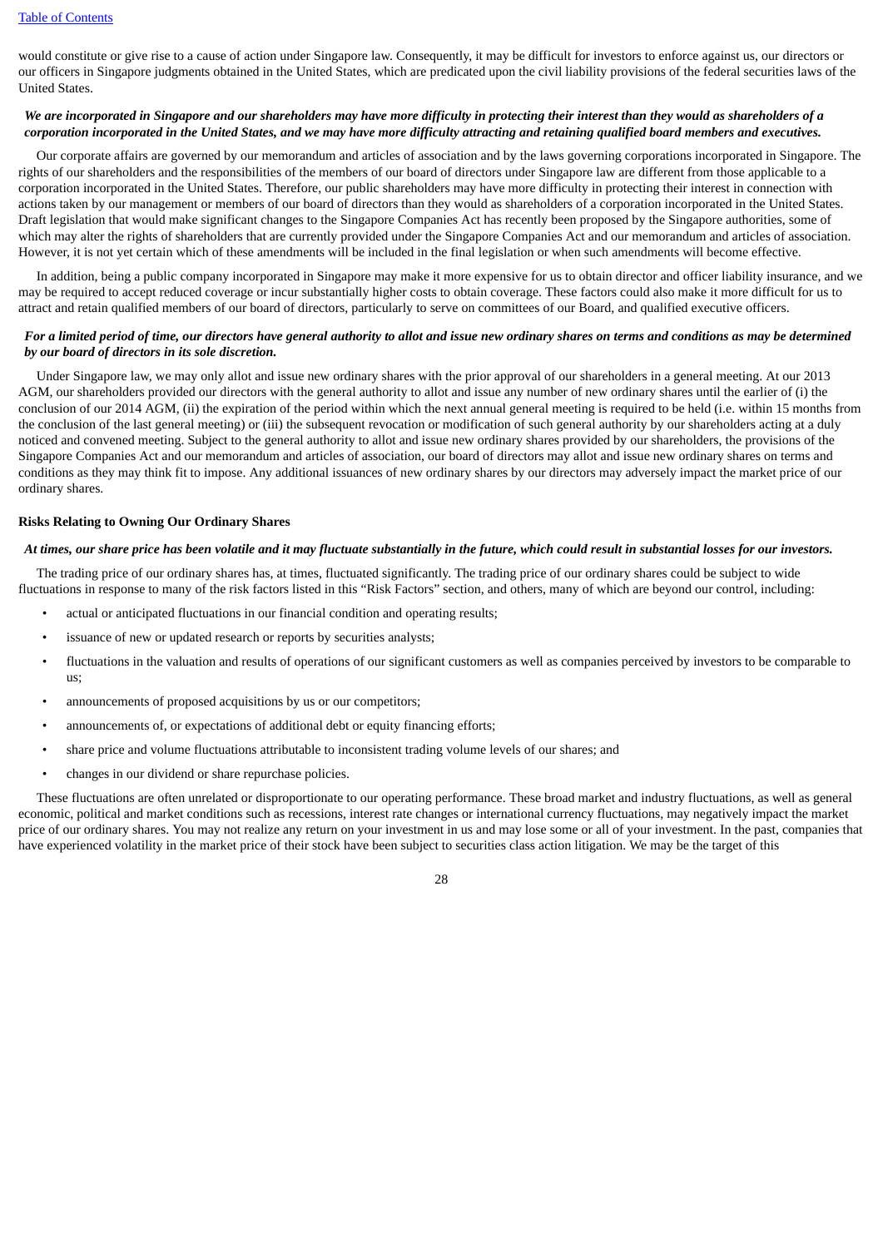#### Table of [Contents](#page-0-0)

would constitute or give rise to a cause of action under Singapore law. Consequently, it may be difficult for investors to enforce against us, our directors or our officers in Singapore judgments obtained in the United States, which are predicated upon the civil liability provisions of the federal securities laws of the United States.

### We are incorporated in Singapore and our shareholders may have more difficulty in protecting their interest than they would as shareholders of a corporation incorporated in the United States, and we may have more difficulty attracting and retaining qualified board members and executives.

Our corporate affairs are governed by our memorandum and articles of association and by the laws governing corporations incorporated in Singapore. The rights of our shareholders and the responsibilities of the members of our board of directors under Singapore law are different from those applicable to a corporation incorporated in the United States. Therefore, our public shareholders may have more difficulty in protecting their interest in connection with actions taken by our management or members of our board of directors than they would as shareholders of a corporation incorporated in the United States. Draft legislation that would make significant changes to the Singapore Companies Act has recently been proposed by the Singapore authorities, some of which may alter the rights of shareholders that are currently provided under the Singapore Companies Act and our memorandum and articles of association. However, it is not yet certain which of these amendments will be included in the final legislation or when such amendments will become effective.

In addition, being a public company incorporated in Singapore may make it more expensive for us to obtain director and officer liability insurance, and we may be required to accept reduced coverage or incur substantially higher costs to obtain coverage. These factors could also make it more difficult for us to attract and retain qualified members of our board of directors, particularly to serve on committees of our Board, and qualified executive officers.

### For a limited period of time, our directors have general authority to allot and issue new ordinary shares on terms and conditions as may be determined *by our board of directors in its sole discretion.*

Under Singapore law, we may only allot and issue new ordinary shares with the prior approval of our shareholders in a general meeting. At our 2013 AGM, our shareholders provided our directors with the general authority to allot and issue any number of new ordinary shares until the earlier of (i) the conclusion of our 2014 AGM, (ii) the expiration of the period within which the next annual general meeting is required to be held (i.e. within 15 months from the conclusion of the last general meeting) or (iii) the subsequent revocation or modification of such general authority by our shareholders acting at a duly noticed and convened meeting. Subject to the general authority to allot and issue new ordinary shares provided by our shareholders, the provisions of the Singapore Companies Act and our memorandum and articles of association, our board of directors may allot and issue new ordinary shares on terms and conditions as they may think fit to impose. Any additional issuances of new ordinary shares by our directors may adversely impact the market price of our ordinary shares.

#### **Risks Relating to Owning Our Ordinary Shares**

#### At times, our share price has been volatile and it may fluctuate substantially in the future, which could result in substantial losses for our investors.

The trading price of our ordinary shares has, at times, fluctuated significantly. The trading price of our ordinary shares could be subject to wide fluctuations in response to many of the risk factors listed in this "Risk Factors" section, and others, many of which are beyond our control, including:

- actual or anticipated fluctuations in our financial condition and operating results;
- issuance of new or updated research or reports by securities analysts;
- fluctuations in the valuation and results of operations of our significant customers as well as companies perceived by investors to be comparable to us;
- announcements of proposed acquisitions by us or our competitors;
- announcements of, or expectations of additional debt or equity financing efforts;
- share price and volume fluctuations attributable to inconsistent trading volume levels of our shares; and
- changes in our dividend or share repurchase policies.

These fluctuations are often unrelated or disproportionate to our operating performance. These broad market and industry fluctuations, as well as general economic, political and market conditions such as recessions, interest rate changes or international currency fluctuations, may negatively impact the market price of our ordinary shares. You may not realize any return on your investment in us and may lose some or all of your investment. In the past, companies that have experienced volatility in the market price of their stock have been subject to securities class action litigation. We may be the target of this

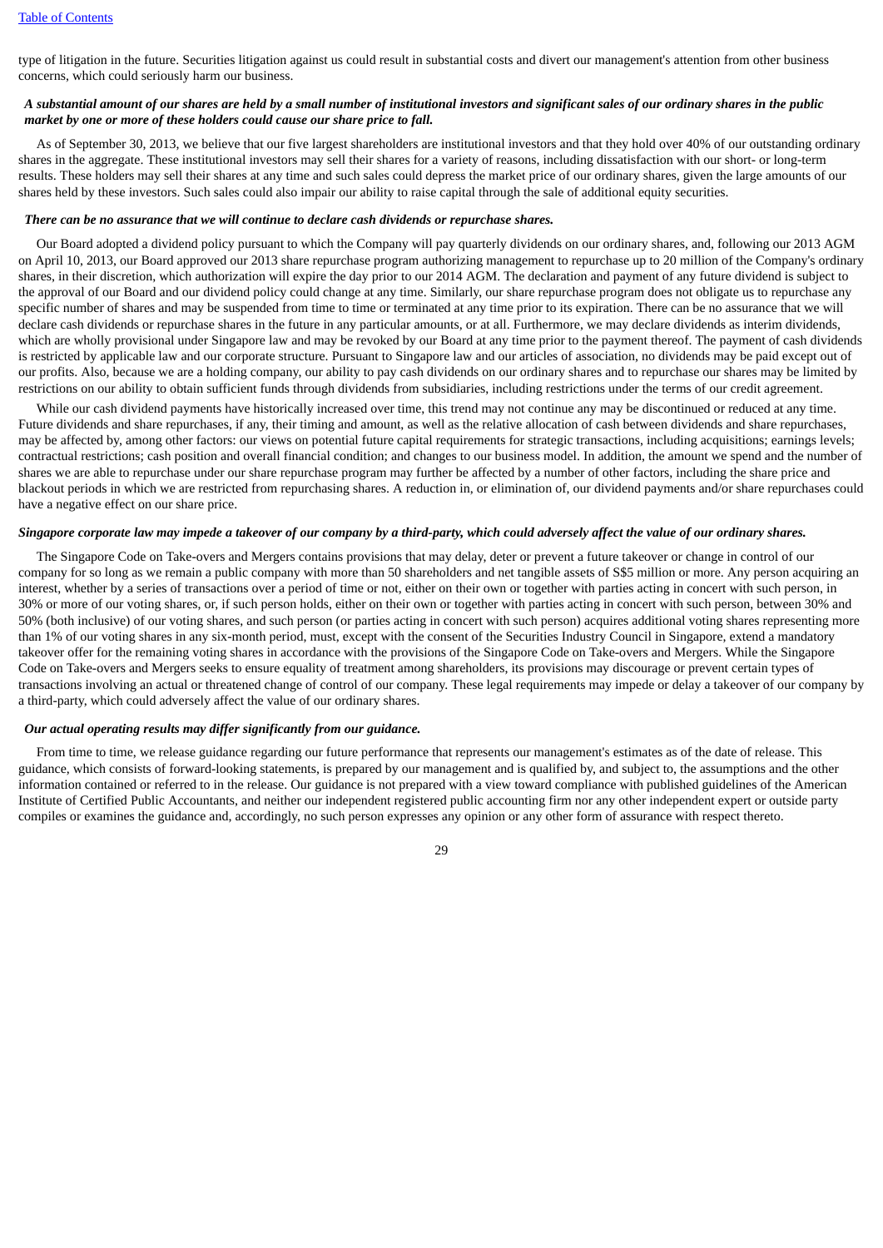type of litigation in the future. Securities litigation against us could result in substantial costs and divert our management's attention from other business concerns, which could seriously harm our business.

### A substantial amount of our shares are held by a small number of institutional investors and significant sales of our ordinary shares in the public *market by one or more of these holders could cause our share price to fall.*

As of September 30, 2013, we believe that our five largest shareholders are institutional investors and that they hold over 40% of our outstanding ordinary shares in the aggregate. These institutional investors may sell their shares for a variety of reasons, including dissatisfaction with our short- or long-term results. These holders may sell their shares at any time and such sales could depress the market price of our ordinary shares, given the large amounts of our shares held by these investors. Such sales could also impair our ability to raise capital through the sale of additional equity securities.

#### *There can be no assurance that we will continue to declare cash dividends or repurchase shares.*

Our Board adopted a dividend policy pursuant to which the Company will pay quarterly dividends on our ordinary shares, and, following our 2013 AGM on April 10, 2013, our Board approved our 2013 share repurchase program authorizing management to repurchase up to 20 million of the Company's ordinary shares, in their discretion, which authorization will expire the day prior to our 2014 AGM. The declaration and payment of any future dividend is subject to the approval of our Board and our dividend policy could change at any time. Similarly, our share repurchase program does not obligate us to repurchase any specific number of shares and may be suspended from time to time or terminated at any time prior to its expiration. There can be no assurance that we will declare cash dividends or repurchase shares in the future in any particular amounts, or at all. Furthermore, we may declare dividends as interim dividends, which are wholly provisional under Singapore law and may be revoked by our Board at any time prior to the payment thereof. The payment of cash dividends is restricted by applicable law and our corporate structure. Pursuant to Singapore law and our articles of association, no dividends may be paid except out of our profits. Also, because we are a holding company, our ability to pay cash dividends on our ordinary shares and to repurchase our shares may be limited by restrictions on our ability to obtain sufficient funds through dividends from subsidiaries, including restrictions under the terms of our credit agreement.

While our cash dividend payments have historically increased over time, this trend may not continue any may be discontinued or reduced at any time. Future dividends and share repurchases, if any, their timing and amount, as well as the relative allocation of cash between dividends and share repurchases, may be affected by, among other factors: our views on potential future capital requirements for strategic transactions, including acquisitions; earnings levels; contractual restrictions; cash position and overall financial condition; and changes to our business model. In addition, the amount we spend and the number of shares we are able to repurchase under our share repurchase program may further be affected by a number of other factors, including the share price and blackout periods in which we are restricted from repurchasing shares. A reduction in, or elimination of, our dividend payments and/or share repurchases could have a negative effect on our share price.

#### Singapore corporate law may impede a takeover of our company by a third-party, which could adversely affect the value of our ordinary shares.

The Singapore Code on Take-overs and Mergers contains provisions that may delay, deter or prevent a future takeover or change in control of our company for so long as we remain a public company with more than 50 shareholders and net tangible assets of S\$5 million or more. Any person acquiring an interest, whether by a series of transactions over a period of time or not, either on their own or together with parties acting in concert with such person, in 30% or more of our voting shares, or, if such person holds, either on their own or together with parties acting in concert with such person, between 30% and 50% (both inclusive) of our voting shares, and such person (or parties acting in concert with such person) acquires additional voting shares representing more than 1% of our voting shares in any six-month period, must, except with the consent of the Securities Industry Council in Singapore, extend a mandatory takeover offer for the remaining voting shares in accordance with the provisions of the Singapore Code on Take-overs and Mergers. While the Singapore Code on Take-overs and Mergers seeks to ensure equality of treatment among shareholders, its provisions may discourage or prevent certain types of transactions involving an actual or threatened change of control of our company. These legal requirements may impede or delay a takeover of our company by a third-party, which could adversely affect the value of our ordinary shares.

#### *Our actual operating results may differ significantly from our guidance.*

From time to time, we release guidance regarding our future performance that represents our management's estimates as of the date of release. This guidance, which consists of forward-looking statements, is prepared by our management and is qualified by, and subject to, the assumptions and the other information contained or referred to in the release. Our guidance is not prepared with a view toward compliance with published guidelines of the American Institute of Certified Public Accountants, and neither our independent registered public accounting firm nor any other independent expert or outside party compiles or examines the guidance and, accordingly, no such person expresses any opinion or any other form of assurance with respect thereto.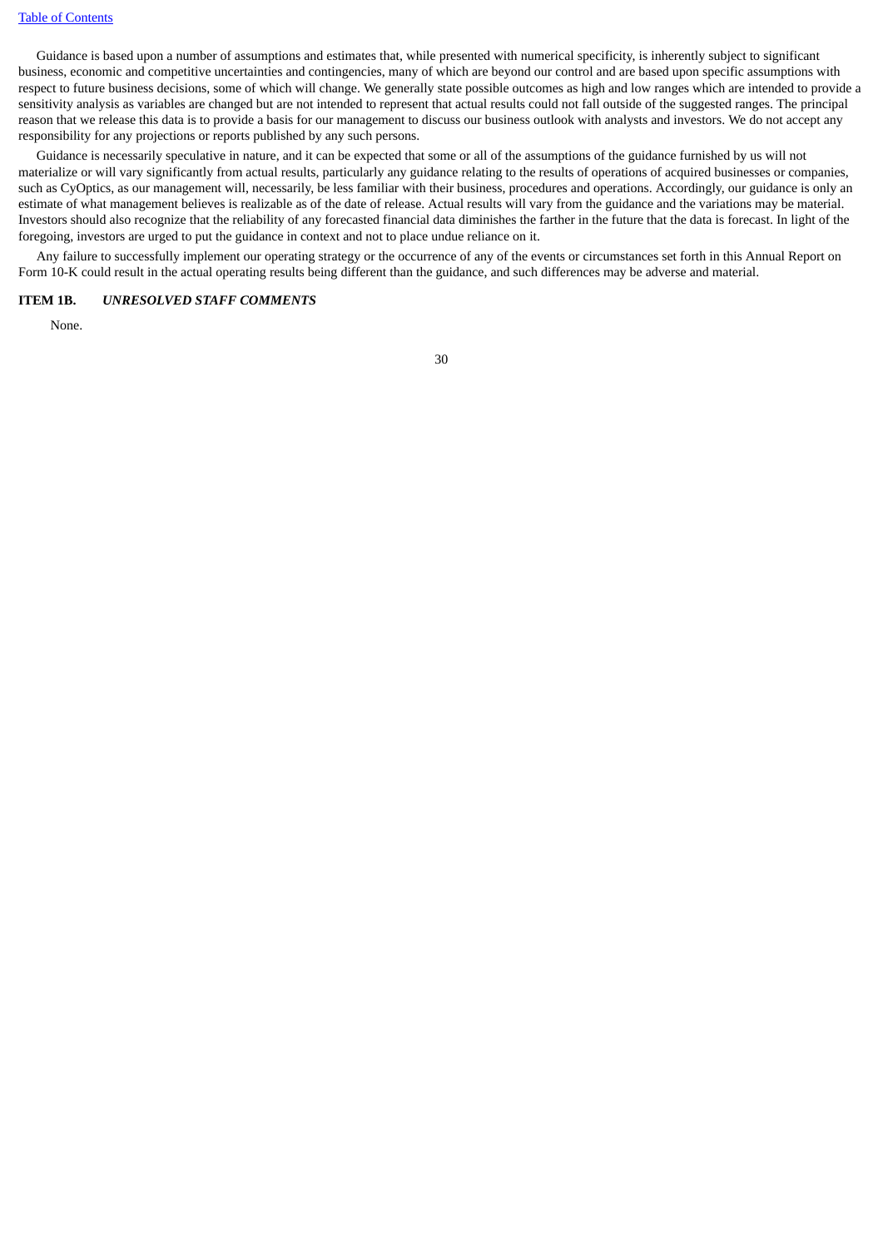Guidance is based upon a number of assumptions and estimates that, while presented with numerical specificity, is inherently subject to significant business, economic and competitive uncertainties and contingencies, many of which are beyond our control and are based upon specific assumptions with respect to future business decisions, some of which will change. We generally state possible outcomes as high and low ranges which are intended to provide a sensitivity analysis as variables are changed but are not intended to represent that actual results could not fall outside of the suggested ranges. The principal reason that we release this data is to provide a basis for our management to discuss our business outlook with analysts and investors. We do not accept any responsibility for any projections or reports published by any such persons.

Guidance is necessarily speculative in nature, and it can be expected that some or all of the assumptions of the guidance furnished by us will not materialize or will vary significantly from actual results, particularly any guidance relating to the results of operations of acquired businesses or companies, such as CyOptics, as our management will, necessarily, be less familiar with their business, procedures and operations. Accordingly, our guidance is only an estimate of what management believes is realizable as of the date of release. Actual results will vary from the guidance and the variations may be material. Investors should also recognize that the reliability of any forecasted financial data diminishes the farther in the future that the data is forecast. In light of the foregoing, investors are urged to put the guidance in context and not to place undue reliance on it.

Any failure to successfully implement our operating strategy or the occurrence of any of the events or circumstances set forth in this Annual Report on Form 10-K could result in the actual operating results being different than the guidance, and such differences may be adverse and material.

#### <span id="page-29-0"></span>**ITEM 1B.** *UNRESOLVED STAFF COMMENTS*

<span id="page-29-1"></span>None.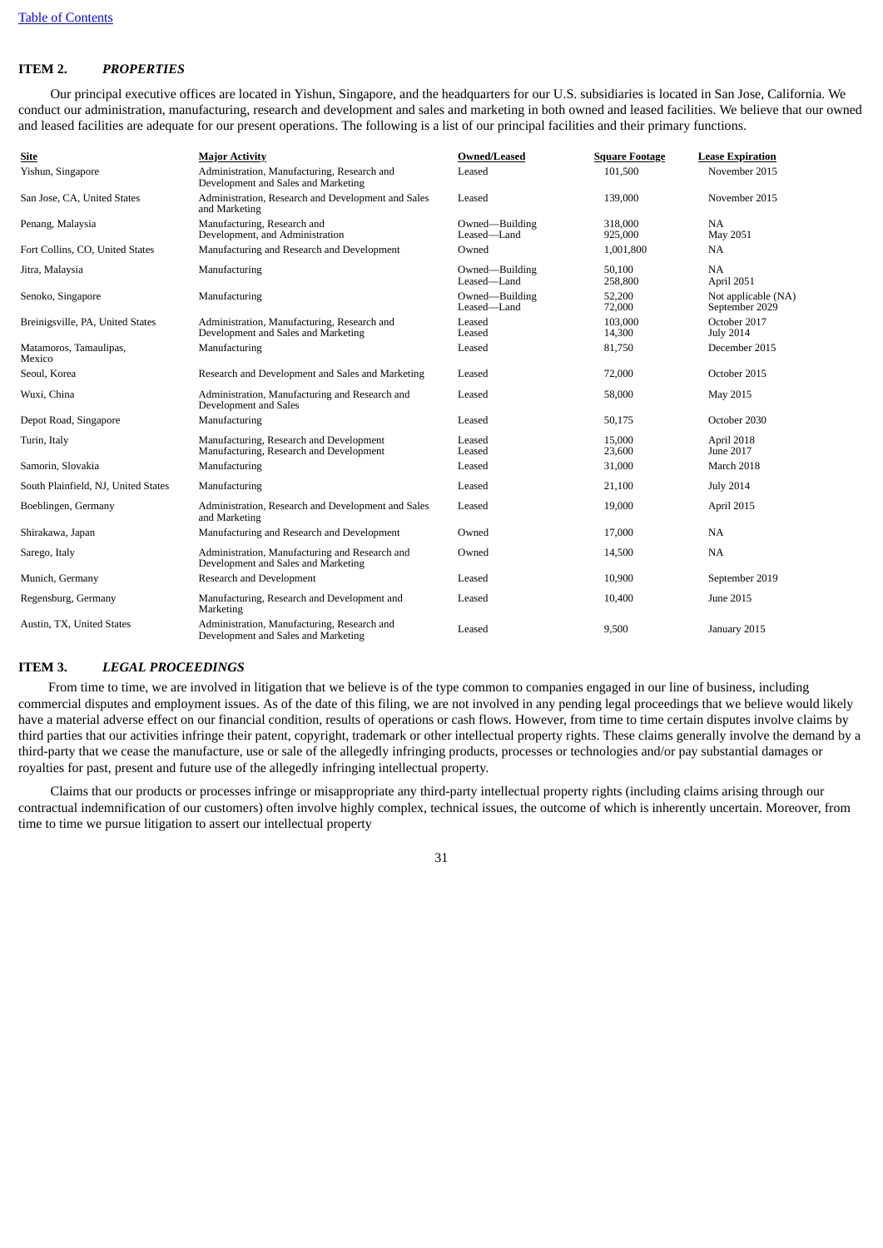#### **ITEM 2.** *PROPERTIES*

Our principal executive offices are located in Yishun, Singapore, and the headquarters for our U.S. subsidiaries is located in San Jose, California. We conduct our administration, manufacturing, research and development and sales and marketing in both owned and leased facilities. We believe that our owned and leased facilities are adequate for our present operations. The following is a list of our principal facilities and their primary functions.

| <b>Site</b>                         | <b>Major Activity</b>                                                                 | Owned/Leased                  | <b>Square Footage</b> | <b>Lease Expiration</b>               |
|-------------------------------------|---------------------------------------------------------------------------------------|-------------------------------|-----------------------|---------------------------------------|
| Yishun, Singapore                   | Administration, Manufacturing, Research and<br>Development and Sales and Marketing    | Leased                        | 101,500               | November 2015                         |
| San Jose, CA, United States         | Administration, Research and Development and Sales<br>and Marketing                   | Leased                        | 139,000               | November 2015                         |
| Penang, Malaysia                    | Manufacturing, Research and<br>Development, and Administration                        | Owned-Building<br>Leased-Land | 318,000<br>925,000    | NA<br>May 2051                        |
| Fort Collins, CO, United States     | Manufacturing and Research and Development                                            | Owned                         | 1,001,800             | NA                                    |
| Jitra, Malaysia                     | Manufacturing                                                                         | Owned-Building<br>Leased-Land | 50,100<br>258,800     | <b>NA</b><br>April 2051               |
| Senoko, Singapore                   | Manufacturing                                                                         | Owned-Building<br>Leased-Land | 52,200<br>72,000      | Not applicable (NA)<br>September 2029 |
| Breinigsville, PA, United States    | Administration, Manufacturing, Research and<br>Development and Sales and Marketing    | Leased<br>Leased              | 103,000<br>14,300     | October 2017<br><b>July 2014</b>      |
| Matamoros, Tamaulipas,<br>Mexico    | Manufacturing                                                                         | Leased                        | 81,750                | December 2015                         |
| Seoul, Korea                        | Research and Development and Sales and Marketing                                      | Leased                        | 72,000                | October 2015                          |
| Wuxi, China                         | Administration, Manufacturing and Research and<br>Development and Sales               | Leased                        | 58,000                | May 2015                              |
| Depot Road, Singapore               | Manufacturing                                                                         | Leased                        | 50,175                | October 2030                          |
| Turin, Italy                        | Manufacturing, Research and Development<br>Manufacturing, Research and Development    | Leased<br>Leased              | 15,000<br>23,600      | April 2018<br>June 2017               |
| Samorin, Slovakia                   | Manufacturing                                                                         | Leased                        | 31,000                | March 2018                            |
| South Plainfield, NJ, United States | Manufacturing                                                                         | Leased                        | 21,100                | <b>July 2014</b>                      |
| Boeblingen, Germany                 | Administration, Research and Development and Sales<br>and Marketing                   | Leased                        | 19,000                | April 2015                            |
| Shirakawa, Japan                    | Manufacturing and Research and Development                                            | Owned                         | 17,000                | NA                                    |
| Sarego, Italy                       | Administration, Manufacturing and Research and<br>Development and Sales and Marketing | Owned                         | 14,500                | <b>NA</b>                             |
| Munich, Germany                     | Research and Development                                                              | Leased                        | 10,900                | September 2019                        |
| Regensburg, Germany                 | Manufacturing, Research and Development and<br>Marketing                              | Leased                        | 10,400                | June 2015                             |
| Austin, TX, United States           | Administration, Manufacturing, Research and<br>Development and Sales and Marketing    | Leased                        | 9,500                 | January 2015                          |

## <span id="page-30-0"></span>**ITEM 3.** *LEGAL PROCEEDINGS*

From time to time, we are involved in litigation that we believe is of the type common to companies engaged in our line of business, including commercial disputes and employment issues. As of the date of this filing, we are not involved in any pending legal proceedings that we believe would likely have a material adverse effect on our financial condition, results of operations or cash flows. However, from time to time certain disputes involve claims by third parties that our activities infringe their patent, copyright, trademark or other intellectual property rights. These claims generally involve the demand by a third-party that we cease the manufacture, use or sale of the allegedly infringing products, processes or technologies and/or pay substantial damages or royalties for past, present and future use of the allegedly infringing intellectual property.

Claims that our products or processes infringe or misappropriate any third-party intellectual property rights (including claims arising through our contractual indemnification of our customers) often involve highly complex, technical issues, the outcome of which is inherently uncertain. Moreover, from time to time we pursue litigation to assert our intellectual property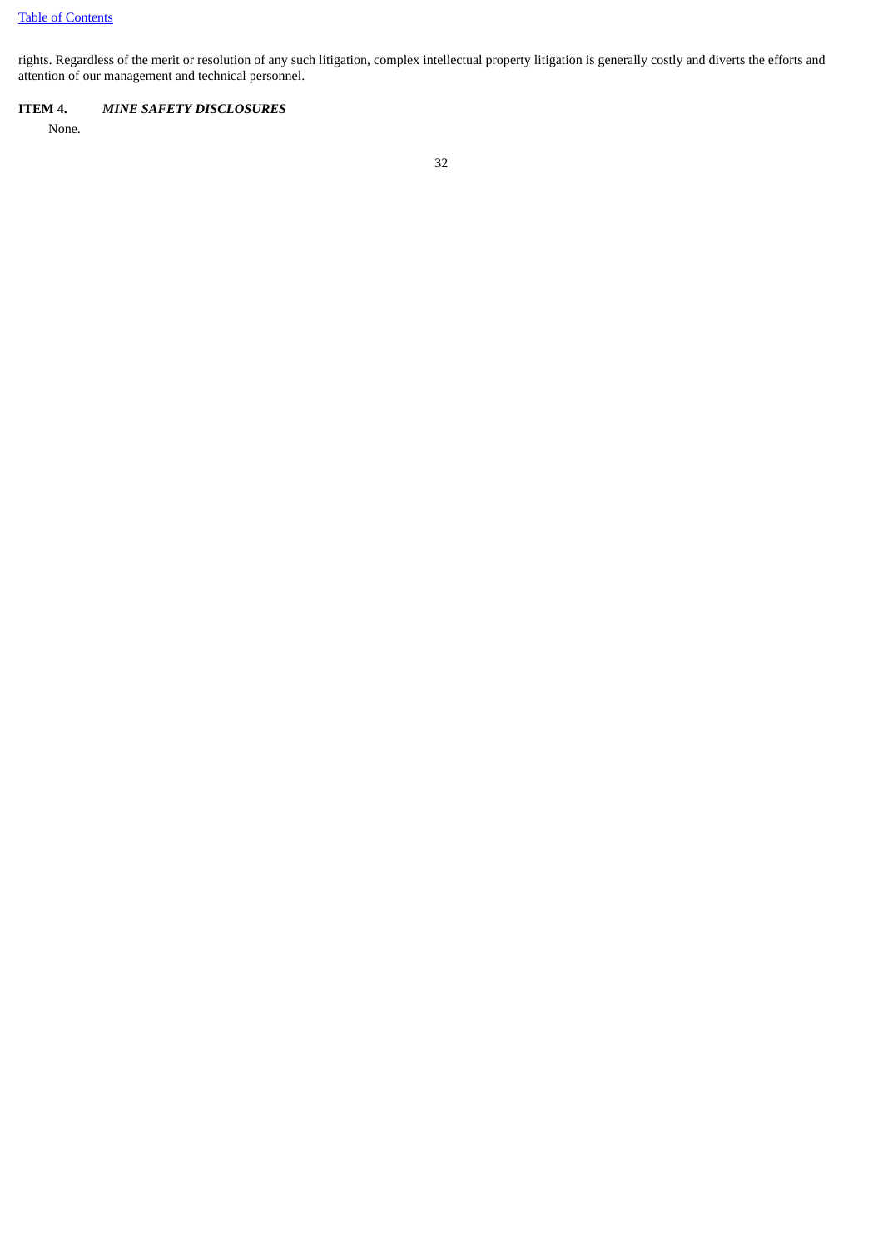rights. Regardless of the merit or resolution of any such litigation, complex intellectual property litigation is generally costly and diverts the efforts and attention of our management and technical personnel.

# <span id="page-31-0"></span>**ITEM 4.** *MINE SAFETY DISCLOSURES*

<span id="page-31-1"></span>None.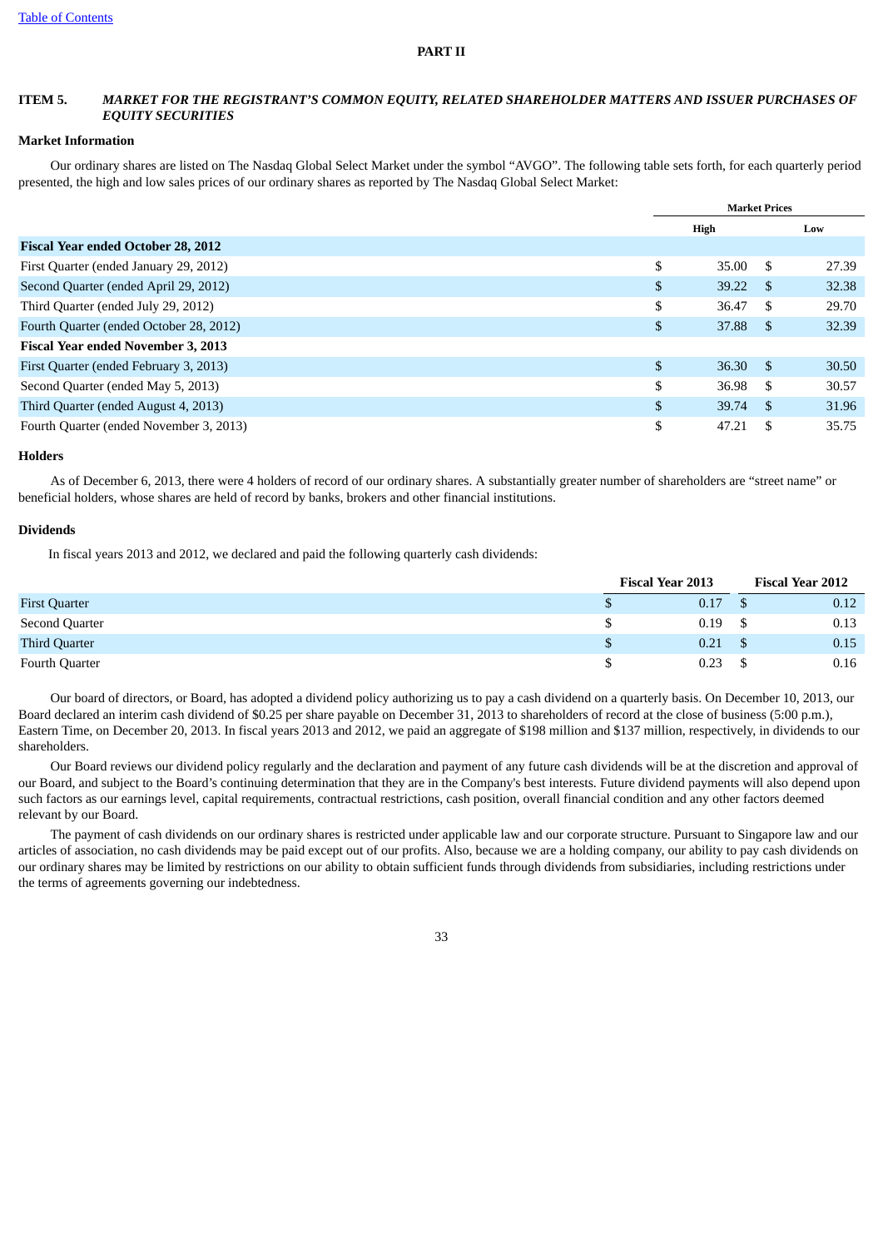#### **PART II**

### <span id="page-32-0"></span>**ITEM 5.** *MARKET FOR THE REGISTRANT'S COMMON EQUITY, RELATED SHAREHOLDER MATTERS AND ISSUER PURCHASES OF EQUITY SECURITIES*

### **Market Information**

Our ordinary shares are listed on The Nasdaq Global Select Market under the symbol "AVGO". The following table sets forth, for each quarterly period presented, the high and low sales prices of our ordinary shares as reported by The Nasdaq Global Select Market:

|                                           | <b>Market Prices</b> |              |       |  |
|-------------------------------------------|----------------------|--------------|-------|--|
|                                           | High                 |              | Low   |  |
| <b>Fiscal Year ended October 28, 2012</b> |                      |              |       |  |
| First Quarter (ended January 29, 2012)    | \$<br>35.00          | \$.          | 27.39 |  |
| Second Quarter (ended April 29, 2012)     | \$<br>39.22          | -S           | 32.38 |  |
| Third Quarter (ended July 29, 2012)       | \$<br>36.47          | -S           | 29.70 |  |
| Fourth Quarter (ended October 28, 2012)   | \$<br>37.88          | -S           | 32.39 |  |
| <b>Fiscal Year ended November 3, 2013</b> |                      |              |       |  |
| First Quarter (ended February 3, 2013)    | \$<br>36.30          | -\$          | 30.50 |  |
| Second Quarter (ended May 5, 2013)        | \$<br>36.98          | £.           | 30.57 |  |
| Third Quarter (ended August 4, 2013)      | \$<br>39.74          | $\mathbf{s}$ | 31.96 |  |
| Fourth Quarter (ended November 3, 2013)   | \$<br>47.21          | \$.          | 35.75 |  |

#### **Holders**

As of December 6, 2013, there were 4 holders of record of our ordinary shares. A substantially greater number of shareholders are "street name" or beneficial holders, whose shares are held of record by banks, brokers and other financial institutions.

### **Dividends**

In fiscal years 2013 and 2012, we declared and paid the following quarterly cash dividends:

|                      | <b>Fiscal Year 2013</b> |      | <b>Fiscal Year 2012</b> |      |  |
|----------------------|-------------------------|------|-------------------------|------|--|
| <b>First Quarter</b> |                         | 0.17 |                         | 0.12 |  |
| Second Quarter       |                         | 0.19 |                         | 0.13 |  |
| <b>Third Quarter</b> |                         | 0.21 |                         | 0.15 |  |
| Fourth Quarter       |                         | 0.23 |                         | 0.16 |  |

Our board of directors, or Board, has adopted a dividend policy authorizing us to pay a cash dividend on a quarterly basis. On December 10, 2013, our Board declared an interim cash dividend of \$0.25 per share payable on December 31, 2013 to shareholders of record at the close of business (5:00 p.m.), Eastern Time, on December 20, 2013. In fiscal years 2013 and 2012, we paid an aggregate of \$198 million and \$137 million, respectively, in dividends to our shareholders.

Our Board reviews our dividend policy regularly and the declaration and payment of any future cash dividends will be at the discretion and approval of our Board, and subject to the Board's continuing determination that they are in the Company's best interests. Future dividend payments will also depend upon such factors as our earnings level, capital requirements, contractual restrictions, cash position, overall financial condition and any other factors deemed relevant by our Board.

The payment of cash dividends on our ordinary shares is restricted under applicable law and our corporate structure. Pursuant to Singapore law and our articles of association, no cash dividends may be paid except out of our profits. Also, because we are a holding company, our ability to pay cash dividends on our ordinary shares may be limited by restrictions on our ability to obtain sufficient funds through dividends from subsidiaries, including restrictions under the terms of agreements governing our indebtedness.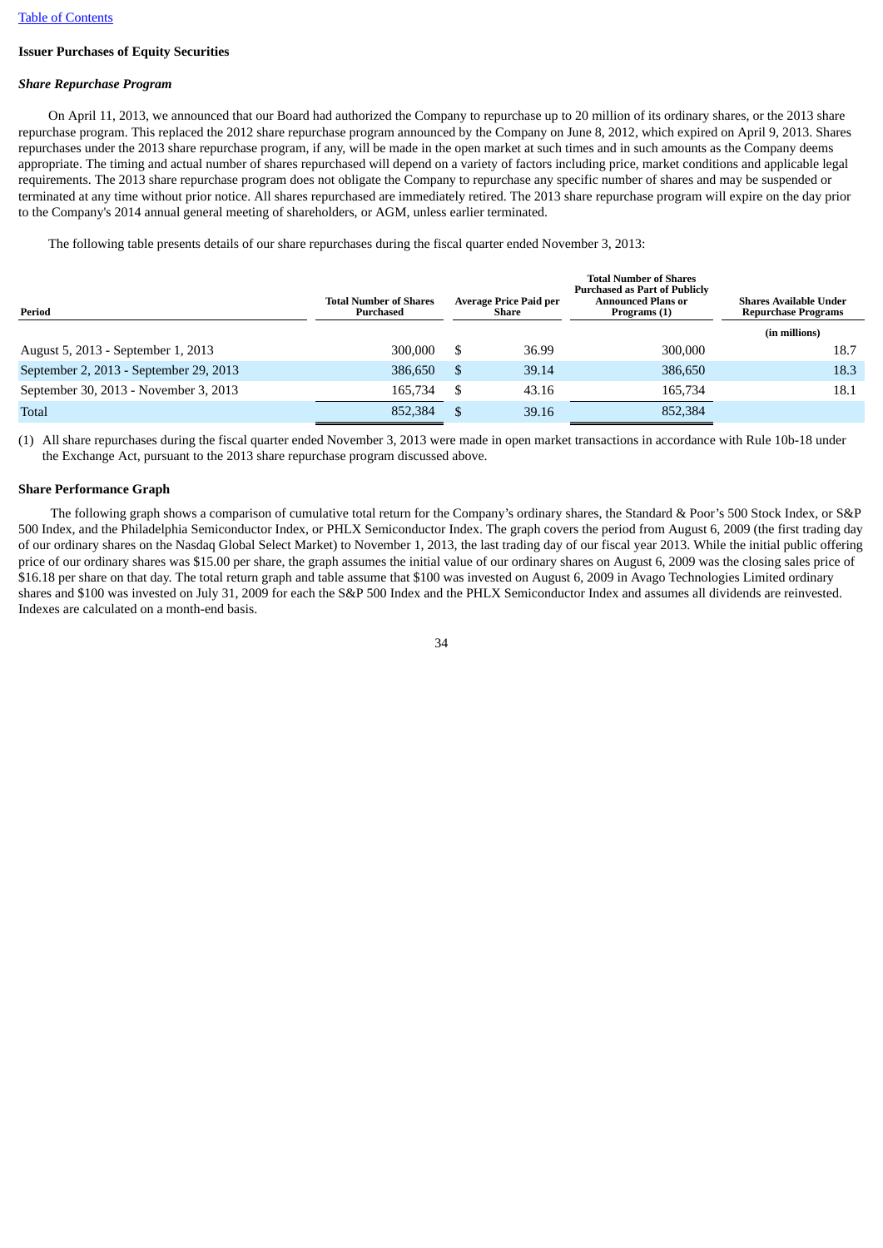# **Issuer Purchases of Equity Securities**

# *Share Repurchase Program*

On April 11, 2013, we announced that our Board had authorized the Company to repurchase up to 20 million of its ordinary shares, or the 2013 share repurchase program. This replaced the 2012 share repurchase program announced by the Company on June 8, 2012, which expired on April 9, 2013. Shares repurchases under the 2013 share repurchase program, if any, will be made in the open market at such times and in such amounts as the Company deems appropriate. The timing and actual number of shares repurchased will depend on a variety of factors including price, market conditions and applicable legal requirements. The 2013 share repurchase program does not obligate the Company to repurchase any specific number of shares and may be suspended or terminated at any time without prior notice. All shares repurchased are immediately retired. The 2013 share repurchase program will expire on the day prior to the Company's 2014 annual general meeting of shareholders, or AGM, unless earlier terminated.

The following table presents details of our share repurchases during the fiscal quarter ended November 3, 2013:

| Period                                 | <b>Total Number of Shares</b><br>Purchased | Average Price Paid per<br>Share |       | <b>Total Number of Shares</b><br><b>Purchased as Part of Publicly</b><br><b>Announced Plans or</b><br>Programs (1) | <b>Shares Available Under</b><br><b>Repurchase Programs</b> |  |  |
|----------------------------------------|--------------------------------------------|---------------------------------|-------|--------------------------------------------------------------------------------------------------------------------|-------------------------------------------------------------|--|--|
|                                        |                                            |                                 |       |                                                                                                                    | (in millions)                                               |  |  |
| August 5, 2013 - September 1, 2013     | 300,000                                    |                                 | 36.99 | 300,000                                                                                                            | 18.7                                                        |  |  |
| September 2, 2013 - September 29, 2013 | 386,650                                    | \$                              | 39.14 | 386,650                                                                                                            | 18.3                                                        |  |  |
| September 30, 2013 - November 3, 2013  | 165,734                                    | \$.                             | 43.16 | 165.734                                                                                                            | 18.1                                                        |  |  |
| <b>Total</b>                           | 852,384                                    |                                 | 39.16 | 852,384                                                                                                            |                                                             |  |  |

(1) All share repurchases during the fiscal quarter ended November 3, 2013 were made in open market transactions in accordance with Rule 10b-18 under the Exchange Act, pursuant to the 2013 share repurchase program discussed above.

### **Share Performance Graph**

The following graph shows a comparison of cumulative total return for the Company's ordinary shares, the Standard & Poor's 500 Stock Index, or S&P 500 Index, and the Philadelphia Semiconductor Index, or PHLX Semiconductor Index. The graph covers the period from August 6, 2009 (the first trading day of our ordinary shares on the Nasdaq Global Select Market) to November 1, 2013, the last trading day of our fiscal year 2013. While the initial public offering price of our ordinary shares was \$15.00 per share, the graph assumes the initial value of our ordinary shares on August 6, 2009 was the closing sales price of \$16.18 per share on that day. The total return graph and table assume that \$100 was invested on August 6, 2009 in Avago Technologies Limited ordinary shares and \$100 was invested on July 31, 2009 for each the S&P 500 Index and the PHLX Semiconductor Index and assumes all dividends are reinvested. Indexes are calculated on a month-end basis.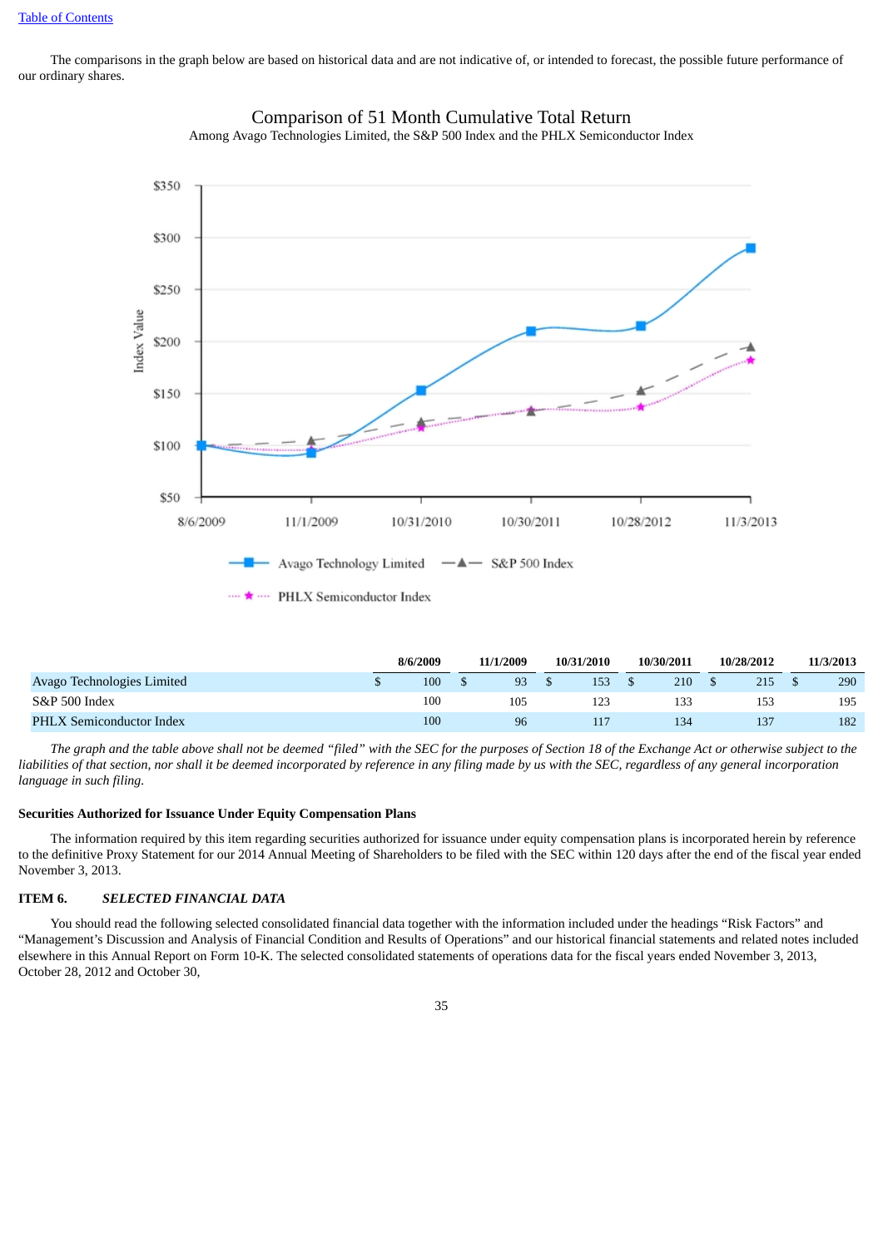The comparisons in the graph below are based on historical data and are not indicative of, or intended to forecast, the possible future performance of our ordinary shares.



| Comparison of 51 Month Cumulative Total Return |  |  |  |
|------------------------------------------------|--|--|--|
|                                                |  |  |  |

Among Avago Technologies Limited, the S&P 500 Index and the PHLX Semiconductor Index

|                            | 8/6/2009 | 11/1/2009 | 10/31/2010 | 10/30/2011 | 10/28/2012 | 11/3/2013 |
|----------------------------|----------|-----------|------------|------------|------------|-----------|
| Avago Technologies Limited | 100      | 93        | 153        | 210        | 215        | 290       |
| S&P 500 Index              | 100      | 105       | 123        | 133        | 153        | 195       |
| PHLX Semiconductor Index   | 100      | 96        | -117       | 134        | 137        | 182       |

The graph and the table above shall not be deemed "filed" with the SEC for the purposes of Section 18 of the Exchange Act or otherwise subject to the liabilities of that section, nor shall it be deemed incorporated by reference in any filing made by us with the SEC, regardless of any general incorporation *language in such filing.*

#### **Securities Authorized for Issuance Under Equity Compensation Plans**

The information required by this item regarding securities authorized for issuance under equity compensation plans is incorporated herein by reference to the definitive Proxy Statement for our 2014 Annual Meeting of Shareholders to be filed with the SEC within 120 days after the end of the fiscal year ended November 3, 2013.

### <span id="page-34-0"></span>**ITEM 6.** *SELECTED FINANCIAL DATA*

You should read the following selected consolidated financial data together with the information included under the headings "Risk Factors" and "Management's Discussion and Analysis of Financial Condition and Results of Operations" and our historical financial statements and related notes included elsewhere in this Annual Report on Form 10-K. The selected consolidated statements of operations data for the fiscal years ended November 3, 2013, October 28, 2012 and October 30,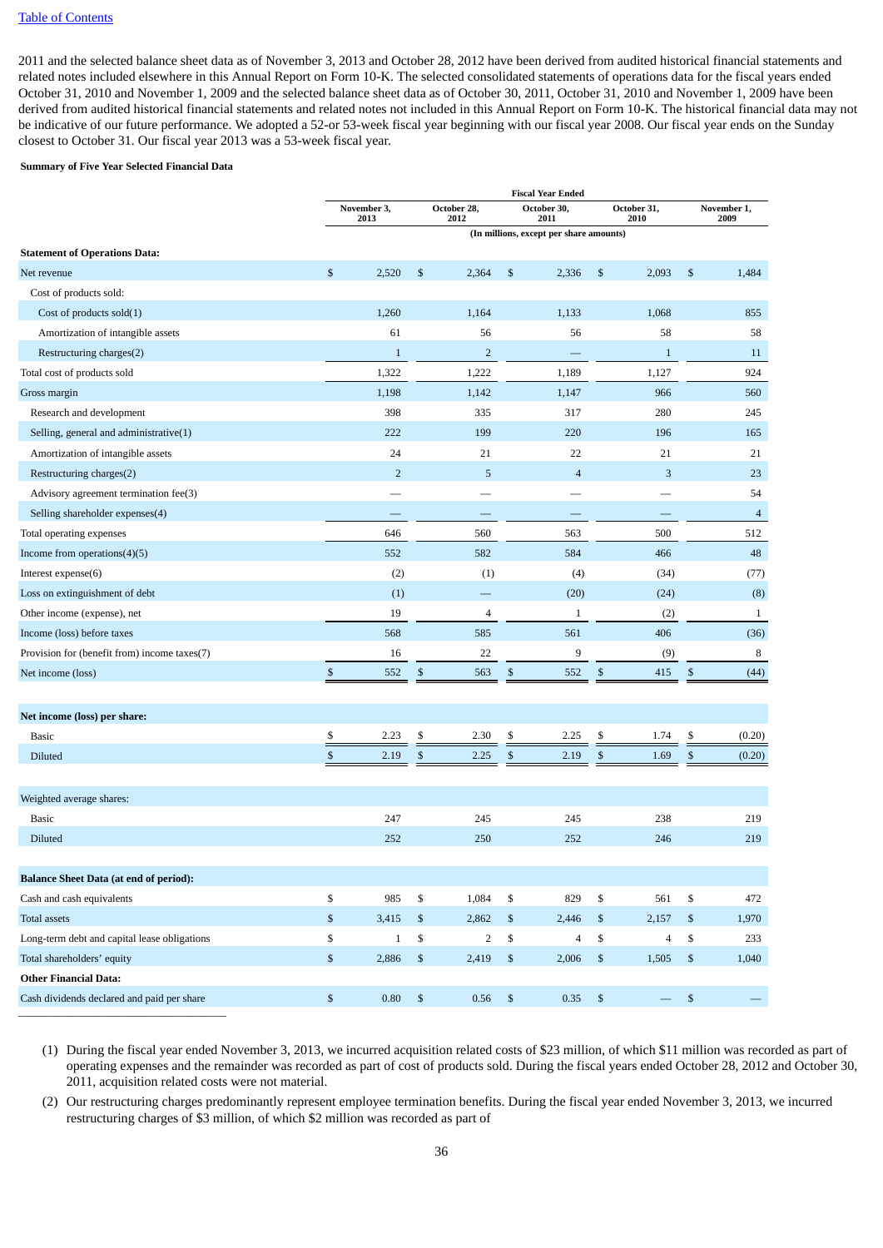2011 and the selected balance sheet data as of November 3, 2013 and October 28, 2012 have been derived from audited historical financial statements and related notes included elsewhere in this Annual Report on Form 10-K. The selected consolidated statements of operations data for the fiscal years ended October 31, 2010 and November 1, 2009 and the selected balance sheet data as of October 30, 2011, October 31, 2010 and November 1, 2009 have been derived from audited historical financial statements and related notes not included in this Annual Report on Form 10-K. The historical financial data may not be indicative of our future performance. We adopted a 52-or 53-week fiscal year beginning with our fiscal year 2008. Our fiscal year ends on the Sunday closest to October 31. Our fiscal year 2013 was a 53-week fiscal year.

#### **Summary of Five Year Selected Financial Data**

\_\_\_\_\_\_\_\_\_\_\_\_\_\_\_\_\_\_\_\_\_\_\_\_\_\_\_\_\_\_\_\_\_\_\_\_\_\_\_

|                                               |                                         |                     |                |                |                                    | <b>Fiscal Year Ended</b> |                |                     |                |                     |  |  |
|-----------------------------------------------|-----------------------------------------|---------------------|----------------|----------------|------------------------------------|--------------------------|----------------|---------------------|----------------|---------------------|--|--|
|                                               |                                         | November 3,<br>2013 |                |                | October 28,<br>October 30,<br>2012 |                          |                | October 31,<br>2010 |                | November 1,<br>2009 |  |  |
|                                               | (In millions, except per share amounts) |                     |                |                |                                    |                          |                |                     |                |                     |  |  |
| <b>Statement of Operations Data:</b>          |                                         |                     |                |                |                                    |                          |                |                     |                |                     |  |  |
| Net revenue                                   | $\mathbb{S}$                            | 2,520               | $\mathcal{S}$  | 2,364          | $\mathbb{S}$                       | 2,336                    | \$             | 2,093               | $\mathfrak{s}$ | 1,484               |  |  |
| Cost of products sold:                        |                                         |                     |                |                |                                    |                          |                |                     |                |                     |  |  |
| Cost of products sold(1)                      |                                         | 1,260               |                | 1,164          |                                    | 1,133                    |                | 1,068               |                | 855                 |  |  |
| Amortization of intangible assets             |                                         | 61                  |                | 56             |                                    | 56                       |                | 58                  |                | 58                  |  |  |
| Restructuring charges(2)                      |                                         | $\mathbf{1}$        |                | $\sqrt{2}$     |                                    |                          |                | $\mathbf{1}$        |                | 11                  |  |  |
| Total cost of products sold                   |                                         | 1,322               |                | 1,222          |                                    | 1,189                    |                | 1,127               |                | 924                 |  |  |
| Gross margin                                  |                                         | 1,198               |                | 1,142          |                                    | 1,147                    |                | 966                 |                | 560                 |  |  |
| Research and development                      |                                         | 398                 |                | 335            |                                    | 317                      |                | 280                 |                | 245                 |  |  |
| Selling, general and administrative(1)        |                                         | 222                 |                | 199            |                                    | 220                      |                | 196                 |                | 165                 |  |  |
| Amortization of intangible assets             |                                         | 24                  |                | 21             |                                    | 22                       |                | 21                  |                | 21                  |  |  |
| Restructuring charges(2)                      |                                         | $\overline{2}$      |                | 5              |                                    | $\overline{4}$           |                | 3                   |                | 23                  |  |  |
| Advisory agreement termination fee(3)         |                                         |                     |                |                |                                    |                          |                |                     |                | 54                  |  |  |
| Selling shareholder expenses(4)               |                                         |                     |                |                |                                    |                          |                |                     |                | $\overline{4}$      |  |  |
| Total operating expenses                      |                                         | 646                 |                | 560            |                                    | 563                      |                | 500                 |                | 512                 |  |  |
| Income from operations $(4)(5)$               |                                         | 552                 |                | 582            |                                    | 584                      |                | 466                 |                | 48                  |  |  |
| Interest expense(6)                           |                                         | (2)                 |                | (1)            |                                    | (4)                      |                | (34)                |                | (77)                |  |  |
| Loss on extinguishment of debt                |                                         | (1)                 |                |                |                                    | (20)                     |                | (24)                |                | (8)                 |  |  |
| Other income (expense), net                   |                                         | 19                  |                | 4              |                                    | 1                        |                | (2)                 |                | $\mathbf{1}$        |  |  |
| Income (loss) before taxes                    |                                         | 568                 |                | 585            |                                    | 561                      |                | 406                 |                | (36)                |  |  |
| Provision for (benefit from) income taxes(7)  |                                         | 16                  |                | 22             |                                    | 9                        |                | (9)                 |                | 8                   |  |  |
| Net income (loss)                             | $\$$                                    | 552                 | $\mathfrak s$  | 563            | $\mathbb{S}$                       | 552                      | \$             | 415                 | \$             | (44)                |  |  |
| Net income (loss) per share:                  |                                         |                     |                |                |                                    |                          |                |                     |                |                     |  |  |
| <b>Basic</b>                                  | \$                                      | 2.23                | \$             | 2.30           | \$                                 | 2.25                     | \$             | 1.74                | \$             | (0.20)              |  |  |
| Diluted                                       | $\mathbb{S}$                            | 2.19                | $\mathbb{S}$   | 2.25           | $\mathbb{S}$                       | 2.19                     | $\mathbb{S}$   | 1.69                | $\mathbb{S}$   | (0.20)              |  |  |
| Weighted average shares:                      |                                         |                     |                |                |                                    |                          |                |                     |                |                     |  |  |
| <b>Basic</b>                                  |                                         | 247                 |                | 245            |                                    | 245                      |                | 238                 |                | 219                 |  |  |
| Diluted                                       |                                         | 252                 |                | 250            |                                    | 252                      |                | 246                 |                | 219                 |  |  |
| <b>Balance Sheet Data (at end of period):</b> |                                         |                     |                |                |                                    |                          |                |                     |                |                     |  |  |
| Cash and cash equivalents                     | \$                                      | 985                 | ${\mathbb S}$  | 1,084          | \$                                 | 829                      | \$             | 561                 | \$             | 472                 |  |  |
| Total assets                                  | \$                                      | 3,415               | $\mathbb{S}$   | 2,862          | $\mathbb{S}$                       | 2,446                    | \$             | 2,157               | \$             | 1,970               |  |  |
| Long-term debt and capital lease obligations  | \$                                      | $\,1\,$             | ${\mathbb S}$  | $\overline{2}$ | \$                                 | $\overline{4}$           | \$             | 4                   | \$             | 233                 |  |  |
| Total shareholders' equity                    | \$                                      | 2,886               | $\mathbb{S}$   | 2,419          | $\mathbb{S}$                       | 2,006                    | $\mathbb{S}$   | 1,505               | $\mathbb{S}$   | 1,040               |  |  |
| <b>Other Financial Data:</b>                  |                                         |                     |                |                |                                    |                          |                |                     |                |                     |  |  |
| Cash dividends declared and paid per share    | \$                                      | 0.80                | $\mathfrak{s}$ | 0.56           | $\mathfrak{s}$                     | 0.35                     | $\mathfrak{s}$ |                     | $\mathcal{S}$  |                     |  |  |

(1) During the fiscal year ended November 3, 2013, we incurred acquisition related costs of \$23 million, of which \$11 million was recorded as part of operating expenses and the remainder was recorded as part of cost of products sold. During the fiscal years ended October 28, 2012 and October 30, 2011, acquisition related costs were not material.

(2) Our restructuring charges predominantly represent employee termination benefits. During the fiscal year ended November 3, 2013, we incurred restructuring charges of \$3 million, of which \$2 million was recorded as part of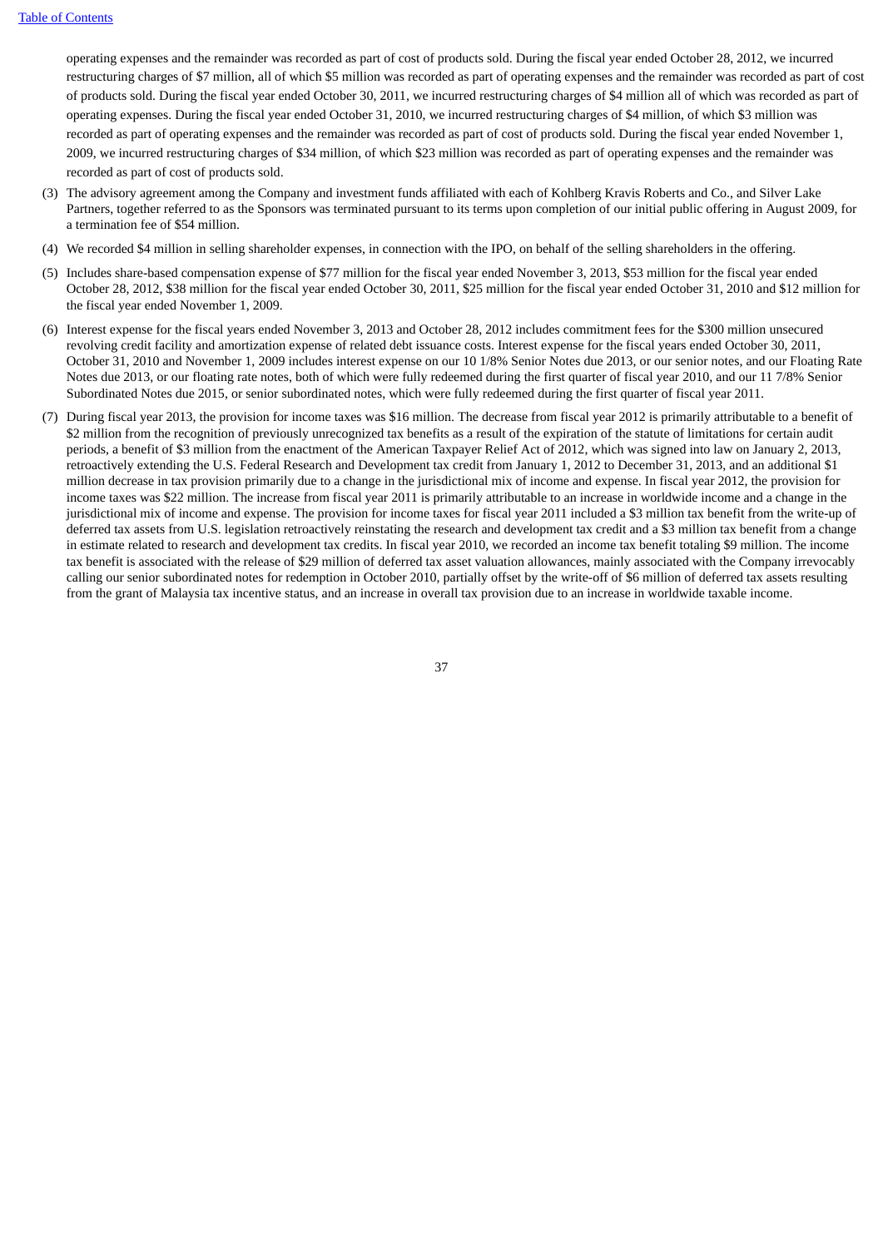operating expenses and the remainder was recorded as part of cost of products sold. During the fiscal year ended October 28, 2012, we incurred restructuring charges of \$7 million, all of which \$5 million was recorded as part of operating expenses and the remainder was recorded as part of cost of products sold. During the fiscal year ended October 30, 2011, we incurred restructuring charges of \$4 million all of which was recorded as part of operating expenses. During the fiscal year ended October 31, 2010, we incurred restructuring charges of \$4 million, of which \$3 million was recorded as part of operating expenses and the remainder was recorded as part of cost of products sold. During the fiscal year ended November 1, 2009, we incurred restructuring charges of \$34 million, of which \$23 million was recorded as part of operating expenses and the remainder was recorded as part of cost of products sold.

- (3) The advisory agreement among the Company and investment funds affiliated with each of Kohlberg Kravis Roberts and Co., and Silver Lake Partners, together referred to as the Sponsors was terminated pursuant to its terms upon completion of our initial public offering in August 2009, for a termination fee of \$54 million.
- (4) We recorded \$4 million in selling shareholder expenses, in connection with the IPO, on behalf of the selling shareholders in the offering.
- (5) Includes share-based compensation expense of \$77 million for the fiscal year ended November 3, 2013, \$53 million for the fiscal year ended October 28, 2012, \$38 million for the fiscal year ended October 30, 2011, \$25 million for the fiscal year ended October 31, 2010 and \$12 million for the fiscal year ended November 1, 2009.
- (6) Interest expense for the fiscal years ended November 3, 2013 and October 28, 2012 includes commitment fees for the \$300 million unsecured revolving credit facility and amortization expense of related debt issuance costs. Interest expense for the fiscal years ended October 30, 2011, October 31, 2010 and November 1, 2009 includes interest expense on our 10 1/8% Senior Notes due 2013, or our senior notes, and our Floating Rate Notes due 2013, or our floating rate notes, both of which were fully redeemed during the first quarter of fiscal year 2010, and our 11 7/8% Senior Subordinated Notes due 2015, or senior subordinated notes, which were fully redeemed during the first quarter of fiscal year 2011.
- (7) During fiscal year 2013, the provision for income taxes was \$16 million. The decrease from fiscal year 2012 is primarily attributable to a benefit of \$2 million from the recognition of previously unrecognized tax benefits as a result of the expiration of the statute of limitations for certain audit periods, a benefit of \$3 million from the enactment of the American Taxpayer Relief Act of 2012, which was signed into law on January 2, 2013, retroactively extending the U.S. Federal Research and Development tax credit from January 1, 2012 to December 31, 2013, and an additional \$1 million decrease in tax provision primarily due to a change in the jurisdictional mix of income and expense. In fiscal year 2012, the provision for income taxes was \$22 million. The increase from fiscal year 2011 is primarily attributable to an increase in worldwide income and a change in the jurisdictional mix of income and expense. The provision for income taxes for fiscal year 2011 included a \$3 million tax benefit from the write-up of deferred tax assets from U.S. legislation retroactively reinstating the research and development tax credit and a \$3 million tax benefit from a change in estimate related to research and development tax credits. In fiscal year 2010, we recorded an income tax benefit totaling \$9 million. The income tax benefit is associated with the release of \$29 million of deferred tax asset valuation allowances, mainly associated with the Company irrevocably calling our senior subordinated notes for redemption in October 2010, partially offset by the write-off of \$6 million of deferred tax assets resulting from the grant of Malaysia tax incentive status, and an increase in overall tax provision due to an increase in worldwide taxable income.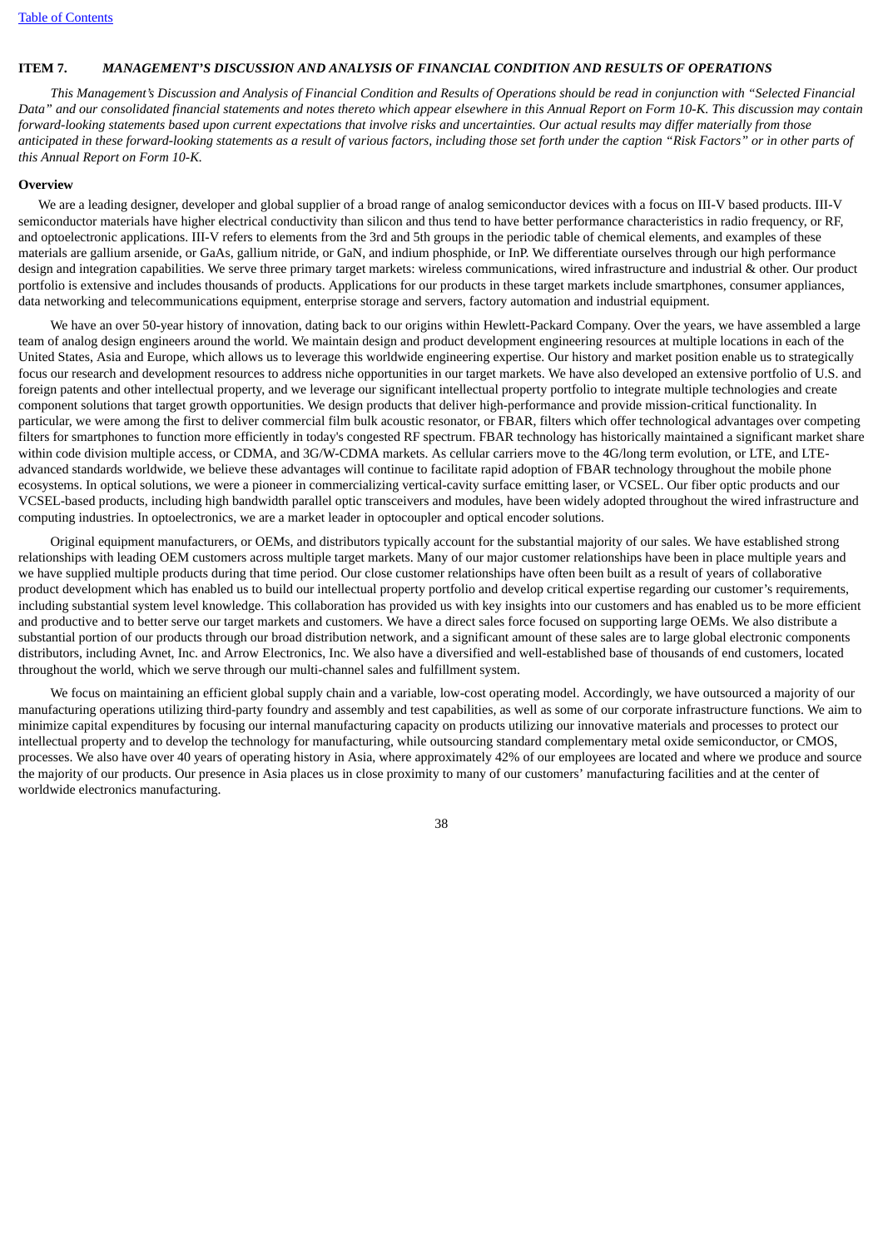### **ITEM 7.** *MANAGEMENT'S DISCUSSION AND ANALYSIS OF FINANCIAL CONDITION AND RESULTS OF OPERATIONS*

This Management's Discussion and Analysis of Financial Condition and Results of Operations should be read in conjunction with "Selected Financial Data" and our consolidated financial statements and notes thereto which appear elsewhere in this Annual Report on Form 10-K. This discussion may contain forward-looking statements based upon current expectations that involve risks and uncertainties. Our actual results may differ materially from those anticipated in these forward-looking statements as a result of various factors, including those set forth under the caption "Risk Factors" or in other parts of *this Annual Report on Form 10-K.*

#### **Overview**

We are a leading designer, developer and global supplier of a broad range of analog semiconductor devices with a focus on III-V based products. III-V semiconductor materials have higher electrical conductivity than silicon and thus tend to have better performance characteristics in radio frequency, or RF, and optoelectronic applications. III-V refers to elements from the 3rd and 5th groups in the periodic table of chemical elements, and examples of these materials are gallium arsenide, or GaAs, gallium nitride, or GaN, and indium phosphide, or InP. We differentiate ourselves through our high performance design and integration capabilities. We serve three primary target markets: wireless communications, wired infrastructure and industrial & other. Our product portfolio is extensive and includes thousands of products. Applications for our products in these target markets include smartphones, consumer appliances, data networking and telecommunications equipment, enterprise storage and servers, factory automation and industrial equipment.

We have an over 50-year history of innovation, dating back to our origins within Hewlett-Packard Company. Over the years, we have assembled a large team of analog design engineers around the world. We maintain design and product development engineering resources at multiple locations in each of the United States, Asia and Europe, which allows us to leverage this worldwide engineering expertise. Our history and market position enable us to strategically focus our research and development resources to address niche opportunities in our target markets. We have also developed an extensive portfolio of U.S. and foreign patents and other intellectual property, and we leverage our significant intellectual property portfolio to integrate multiple technologies and create component solutions that target growth opportunities. We design products that deliver high-performance and provide mission-critical functionality. In particular, we were among the first to deliver commercial film bulk acoustic resonator, or FBAR, filters which offer technological advantages over competing filters for smartphones to function more efficiently in today's congested RF spectrum. FBAR technology has historically maintained a significant market share within code division multiple access, or CDMA, and 3G/W-CDMA markets. As cellular carriers move to the 4G/long term evolution, or LTE, and LTEadvanced standards worldwide, we believe these advantages will continue to facilitate rapid adoption of FBAR technology throughout the mobile phone ecosystems. In optical solutions, we were a pioneer in commercializing vertical-cavity surface emitting laser, or VCSEL. Our fiber optic products and our VCSEL-based products, including high bandwidth parallel optic transceivers and modules, have been widely adopted throughout the wired infrastructure and computing industries. In optoelectronics, we are a market leader in optocoupler and optical encoder solutions.

Original equipment manufacturers, or OEMs, and distributors typically account for the substantial majority of our sales. We have established strong relationships with leading OEM customers across multiple target markets. Many of our major customer relationships have been in place multiple years and we have supplied multiple products during that time period. Our close customer relationships have often been built as a result of years of collaborative product development which has enabled us to build our intellectual property portfolio and develop critical expertise regarding our customer's requirements, including substantial system level knowledge. This collaboration has provided us with key insights into our customers and has enabled us to be more efficient and productive and to better serve our target markets and customers. We have a direct sales force focused on supporting large OEMs. We also distribute a substantial portion of our products through our broad distribution network, and a significant amount of these sales are to large global electronic components distributors, including Avnet, Inc. and Arrow Electronics, Inc. We also have a diversified and well-established base of thousands of end customers, located throughout the world, which we serve through our multi-channel sales and fulfillment system.

We focus on maintaining an efficient global supply chain and a variable, low-cost operating model. Accordingly, we have outsourced a majority of our manufacturing operations utilizing third-party foundry and assembly and test capabilities, as well as some of our corporate infrastructure functions. We aim to minimize capital expenditures by focusing our internal manufacturing capacity on products utilizing our innovative materials and processes to protect our intellectual property and to develop the technology for manufacturing, while outsourcing standard complementary metal oxide semiconductor, or CMOS, processes. We also have over 40 years of operating history in Asia, where approximately 42% of our employees are located and where we produce and source the majority of our products. Our presence in Asia places us in close proximity to many of our customers' manufacturing facilities and at the center of worldwide electronics manufacturing.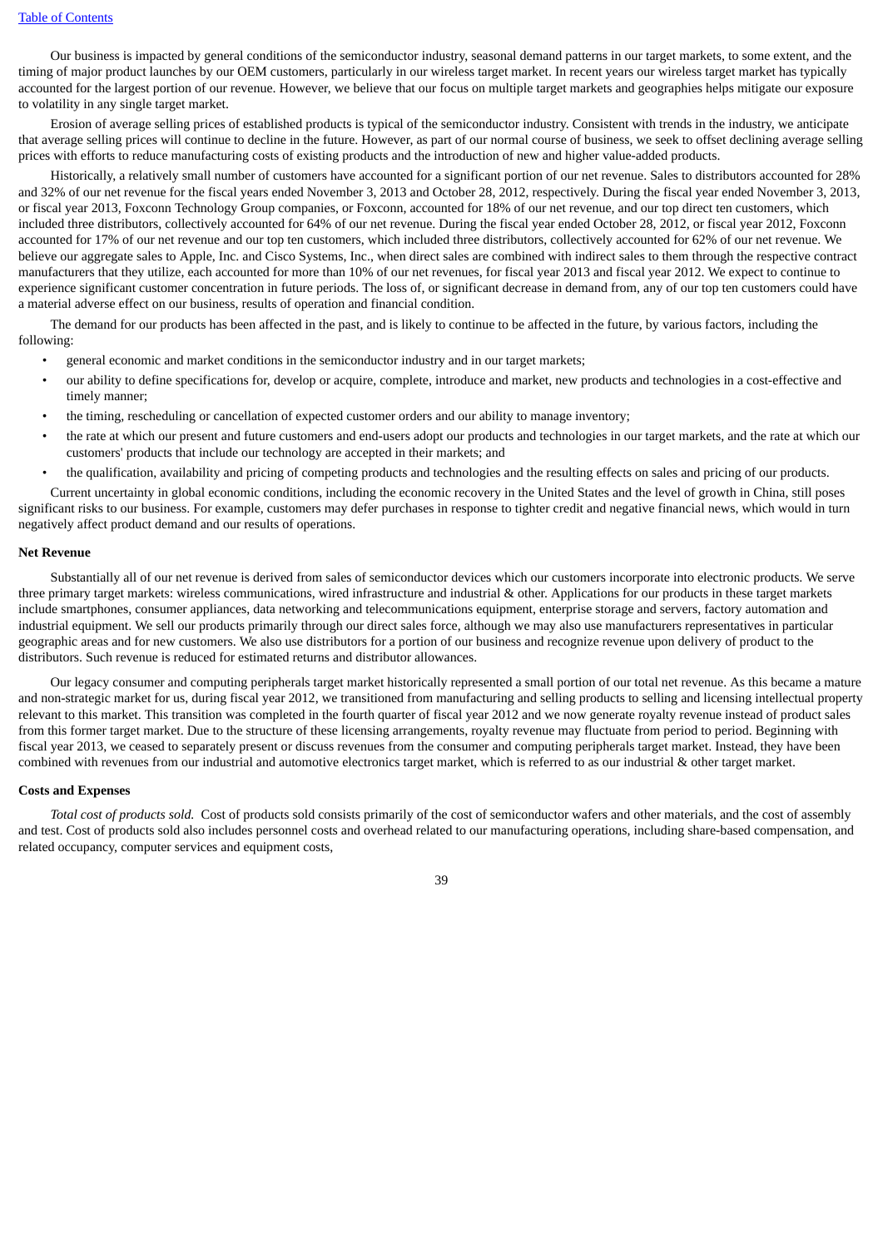Our business is impacted by general conditions of the semiconductor industry, seasonal demand patterns in our target markets, to some extent, and the timing of major product launches by our OEM customers, particularly in our wireless target market. In recent years our wireless target market has typically accounted for the largest portion of our revenue. However, we believe that our focus on multiple target markets and geographies helps mitigate our exposure to volatility in any single target market.

Erosion of average selling prices of established products is typical of the semiconductor industry. Consistent with trends in the industry, we anticipate that average selling prices will continue to decline in the future. However, as part of our normal course of business, we seek to offset declining average selling prices with efforts to reduce manufacturing costs of existing products and the introduction of new and higher value-added products.

Historically, a relatively small number of customers have accounted for a significant portion of our net revenue. Sales to distributors accounted for 28% and 32% of our net revenue for the fiscal years ended November 3, 2013 and October 28, 2012, respectively. During the fiscal year ended November 3, 2013, or fiscal year 2013, Foxconn Technology Group companies, or Foxconn, accounted for 18% of our net revenue, and our top direct ten customers, which included three distributors, collectively accounted for 64% of our net revenue. During the fiscal year ended October 28, 2012, or fiscal year 2012, Foxconn accounted for 17% of our net revenue and our top ten customers, which included three distributors, collectively accounted for 62% of our net revenue. We believe our aggregate sales to Apple, Inc. and Cisco Systems, Inc., when direct sales are combined with indirect sales to them through the respective contract manufacturers that they utilize, each accounted for more than 10% of our net revenues, for fiscal year 2013 and fiscal year 2012. We expect to continue to experience significant customer concentration in future periods. The loss of, or significant decrease in demand from, any of our top ten customers could have a material adverse effect on our business, results of operation and financial condition.

The demand for our products has been affected in the past, and is likely to continue to be affected in the future, by various factors, including the following:

- general economic and market conditions in the semiconductor industry and in our target markets;
- our ability to define specifications for, develop or acquire, complete, introduce and market, new products and technologies in a cost-effective and timely manner;
- the timing, rescheduling or cancellation of expected customer orders and our ability to manage inventory;
- the rate at which our present and future customers and end-users adopt our products and technologies in our target markets, and the rate at which our customers' products that include our technology are accepted in their markets; and
- the qualification, availability and pricing of competing products and technologies and the resulting effects on sales and pricing of our products.

Current uncertainty in global economic conditions, including the economic recovery in the United States and the level of growth in China, still poses significant risks to our business. For example, customers may defer purchases in response to tighter credit and negative financial news, which would in turn negatively affect product demand and our results of operations.

#### **Net Revenue**

Substantially all of our net revenue is derived from sales of semiconductor devices which our customers incorporate into electronic products. We serve three primary target markets: wireless communications, wired infrastructure and industrial & other. Applications for our products in these target markets include smartphones, consumer appliances, data networking and telecommunications equipment, enterprise storage and servers, factory automation and industrial equipment. We sell our products primarily through our direct sales force, although we may also use manufacturers representatives in particular geographic areas and for new customers. We also use distributors for a portion of our business and recognize revenue upon delivery of product to the distributors. Such revenue is reduced for estimated returns and distributor allowances.

Our legacy consumer and computing peripherals target market historically represented a small portion of our total net revenue. As this became a mature and non-strategic market for us, during fiscal year 2012, we transitioned from manufacturing and selling products to selling and licensing intellectual property relevant to this market. This transition was completed in the fourth quarter of fiscal year 2012 and we now generate royalty revenue instead of product sales from this former target market. Due to the structure of these licensing arrangements, royalty revenue may fluctuate from period to period. Beginning with fiscal year 2013, we ceased to separately present or discuss revenues from the consumer and computing peripherals target market. Instead, they have been combined with revenues from our industrial and automotive electronics target market, which is referred to as our industrial & other target market.

### **Costs and Expenses**

*Total cost of products sold.* Cost of products sold consists primarily of the cost of semiconductor wafers and other materials, and the cost of assembly and test. Cost of products sold also includes personnel costs and overhead related to our manufacturing operations, including share-based compensation, and related occupancy, computer services and equipment costs,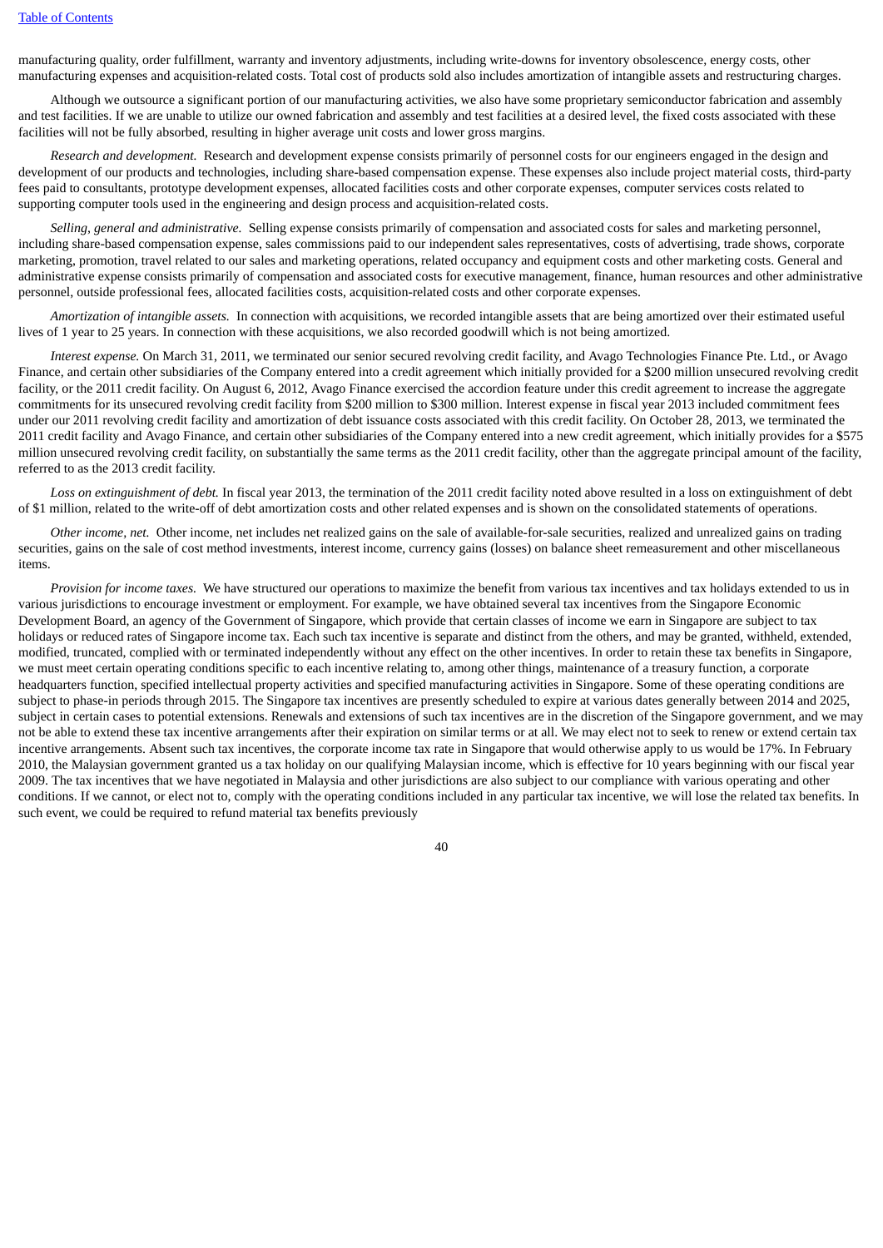manufacturing quality, order fulfillment, warranty and inventory adjustments, including write-downs for inventory obsolescence, energy costs, other manufacturing expenses and acquisition-related costs. Total cost of products sold also includes amortization of intangible assets and restructuring charges.

Although we outsource a significant portion of our manufacturing activities, we also have some proprietary semiconductor fabrication and assembly and test facilities. If we are unable to utilize our owned fabrication and assembly and test facilities at a desired level, the fixed costs associated with these facilities will not be fully absorbed, resulting in higher average unit costs and lower gross margins.

*Research and development.* Research and development expense consists primarily of personnel costs for our engineers engaged in the design and development of our products and technologies, including share-based compensation expense. These expenses also include project material costs, third-party fees paid to consultants, prototype development expenses, allocated facilities costs and other corporate expenses, computer services costs related to supporting computer tools used in the engineering and design process and acquisition-related costs.

*Selling*, *general and administrative.* Selling expense consists primarily of compensation and associated costs for sales and marketing personnel, including share-based compensation expense, sales commissions paid to our independent sales representatives, costs of advertising, trade shows, corporate marketing, promotion, travel related to our sales and marketing operations, related occupancy and equipment costs and other marketing costs. General and administrative expense consists primarily of compensation and associated costs for executive management, finance, human resources and other administrative personnel, outside professional fees, allocated facilities costs, acquisition-related costs and other corporate expenses.

*Amortization of intangible assets.* In connection with acquisitions, we recorded intangible assets that are being amortized over their estimated useful lives of 1 year to 25 years. In connection with these acquisitions, we also recorded goodwill which is not being amortized.

*Interest expense.* On March 31, 2011, we terminated our senior secured revolving credit facility, and Avago Technologies Finance Pte. Ltd., or Avago Finance, and certain other subsidiaries of the Company entered into a credit agreement which initially provided for a \$200 million unsecured revolving credit facility, or the 2011 credit facility. On August 6, 2012, Avago Finance exercised the accordion feature under this credit agreement to increase the aggregate commitments for its unsecured revolving credit facility from \$200 million to \$300 million. Interest expense in fiscal year 2013 included commitment fees under our 2011 revolving credit facility and amortization of debt issuance costs associated with this credit facility. On October 28, 2013, we terminated the 2011 credit facility and Avago Finance, and certain other subsidiaries of the Company entered into a new credit agreement, which initially provides for a \$575 million unsecured revolving credit facility, on substantially the same terms as the 2011 credit facility, other than the aggregate principal amount of the facility, referred to as the 2013 credit facility.

*Loss on extinguishment of debt.* In fiscal year 2013, the termination of the 2011 credit facility noted above resulted in a loss on extinguishment of debt of \$1 million, related to the write-off of debt amortization costs and other related expenses and is shown on the consolidated statements of operations.

*Other income, net.* Other income, net includes net realized gains on the sale of available-for-sale securities, realized and unrealized gains on trading securities, gains on the sale of cost method investments, interest income, currency gains (losses) on balance sheet remeasurement and other miscellaneous items.

*Provision for income taxes.* We have structured our operations to maximize the benefit from various tax incentives and tax holidays extended to us in various jurisdictions to encourage investment or employment. For example, we have obtained several tax incentives from the Singapore Economic Development Board, an agency of the Government of Singapore, which provide that certain classes of income we earn in Singapore are subject to tax holidays or reduced rates of Singapore income tax. Each such tax incentive is separate and distinct from the others, and may be granted, withheld, extended, modified, truncated, complied with or terminated independently without any effect on the other incentives. In order to retain these tax benefits in Singapore, we must meet certain operating conditions specific to each incentive relating to, among other things, maintenance of a treasury function, a corporate headquarters function, specified intellectual property activities and specified manufacturing activities in Singapore. Some of these operating conditions are subject to phase-in periods through 2015. The Singapore tax incentives are presently scheduled to expire at various dates generally between 2014 and 2025, subject in certain cases to potential extensions. Renewals and extensions of such tax incentives are in the discretion of the Singapore government, and we may not be able to extend these tax incentive arrangements after their expiration on similar terms or at all. We may elect not to seek to renew or extend certain tax incentive arrangements. Absent such tax incentives, the corporate income tax rate in Singapore that would otherwise apply to us would be 17%. In February 2010, the Malaysian government granted us a tax holiday on our qualifying Malaysian income, which is effective for 10 years beginning with our fiscal year 2009. The tax incentives that we have negotiated in Malaysia and other jurisdictions are also subject to our compliance with various operating and other conditions. If we cannot, or elect not to, comply with the operating conditions included in any particular tax incentive, we will lose the related tax benefits. In such event, we could be required to refund material tax benefits previously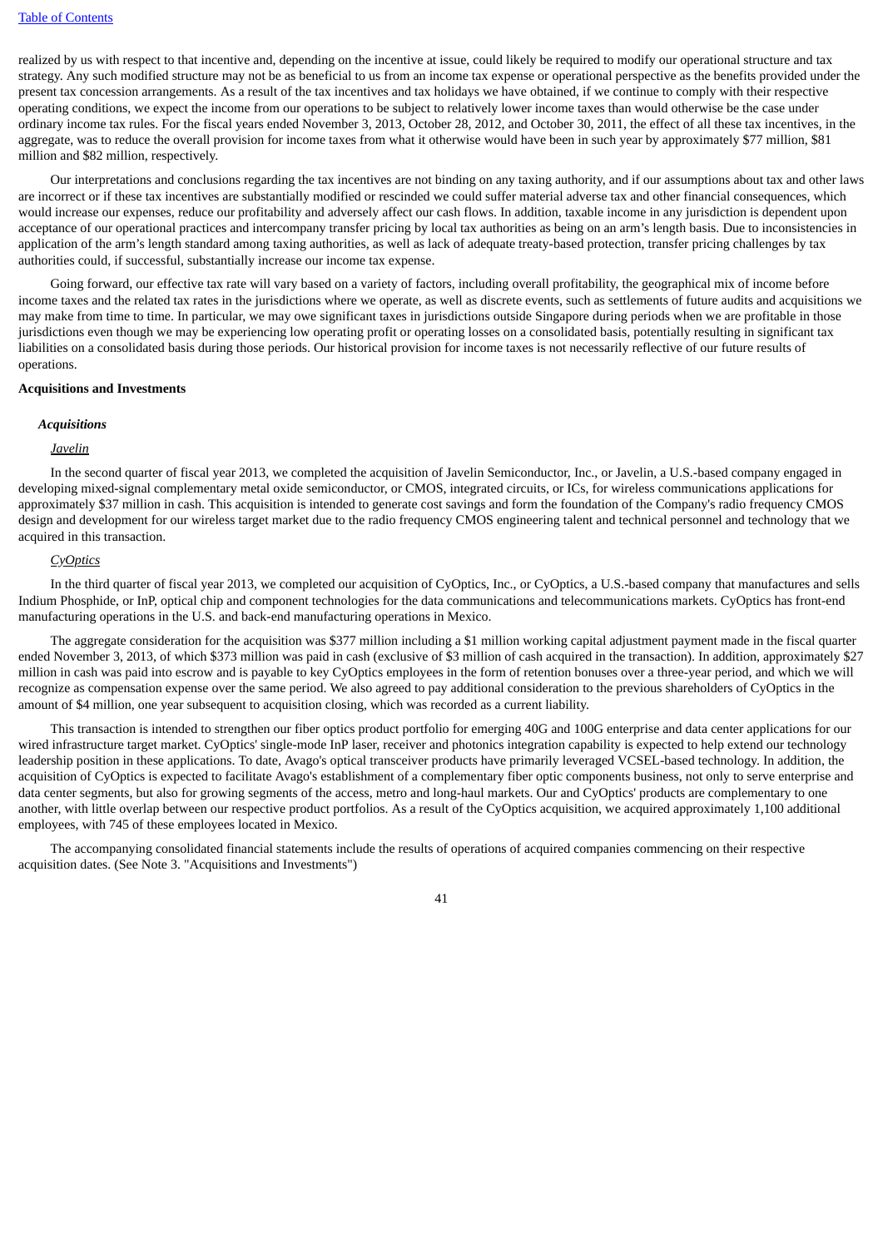realized by us with respect to that incentive and, depending on the incentive at issue, could likely be required to modify our operational structure and tax strategy. Any such modified structure may not be as beneficial to us from an income tax expense or operational perspective as the benefits provided under the present tax concession arrangements. As a result of the tax incentives and tax holidays we have obtained, if we continue to comply with their respective operating conditions, we expect the income from our operations to be subject to relatively lower income taxes than would otherwise be the case under ordinary income tax rules. For the fiscal years ended November 3, 2013, October 28, 2012, and October 30, 2011, the effect of all these tax incentives, in the aggregate, was to reduce the overall provision for income taxes from what it otherwise would have been in such year by approximately \$77 million, \$81 million and \$82 million, respectively.

Our interpretations and conclusions regarding the tax incentives are not binding on any taxing authority, and if our assumptions about tax and other laws are incorrect or if these tax incentives are substantially modified or rescinded we could suffer material adverse tax and other financial consequences, which would increase our expenses, reduce our profitability and adversely affect our cash flows. In addition, taxable income in any jurisdiction is dependent upon acceptance of our operational practices and intercompany transfer pricing by local tax authorities as being on an arm's length basis. Due to inconsistencies in application of the arm's length standard among taxing authorities, as well as lack of adequate treaty-based protection, transfer pricing challenges by tax authorities could, if successful, substantially increase our income tax expense.

Going forward, our effective tax rate will vary based on a variety of factors, including overall profitability, the geographical mix of income before income taxes and the related tax rates in the jurisdictions where we operate, as well as discrete events, such as settlements of future audits and acquisitions we may make from time to time. In particular, we may owe significant taxes in jurisdictions outside Singapore during periods when we are profitable in those jurisdictions even though we may be experiencing low operating profit or operating losses on a consolidated basis, potentially resulting in significant tax liabilities on a consolidated basis during those periods. Our historical provision for income taxes is not necessarily reflective of our future results of operations.

### **Acquisitions and Investments**

### *Acquisitions*

#### *Javelin*

In the second quarter of fiscal year 2013, we completed the acquisition of Javelin Semiconductor, Inc., or Javelin, a U.S.-based company engaged in developing mixed-signal complementary metal oxide semiconductor, or CMOS, integrated circuits, or ICs, for wireless communications applications for approximately \$37 million in cash. This acquisition is intended to generate cost savings and form the foundation of the Company's radio frequency CMOS design and development for our wireless target market due to the radio frequency CMOS engineering talent and technical personnel and technology that we acquired in this transaction.

### *CyOptics*

In the third quarter of fiscal year 2013, we completed our acquisition of CyOptics, Inc., or CyOptics, a U.S.-based company that manufactures and sells Indium Phosphide, or InP, optical chip and component technologies for the data communications and telecommunications markets. CyOptics has front-end manufacturing operations in the U.S. and back-end manufacturing operations in Mexico.

The aggregate consideration for the acquisition was \$377 million including a \$1 million working capital adjustment payment made in the fiscal quarter ended November 3, 2013, of which \$373 million was paid in cash (exclusive of \$3 million of cash acquired in the transaction). In addition, approximately \$27 million in cash was paid into escrow and is payable to key CyOptics employees in the form of retention bonuses over a three-year period, and which we will recognize as compensation expense over the same period. We also agreed to pay additional consideration to the previous shareholders of CyOptics in the amount of \$4 million, one year subsequent to acquisition closing, which was recorded as a current liability.

This transaction is intended to strengthen our fiber optics product portfolio for emerging 40G and 100G enterprise and data center applications for our wired infrastructure target market. CyOptics' single-mode InP laser, receiver and photonics integration capability is expected to help extend our technology leadership position in these applications. To date, Avago's optical transceiver products have primarily leveraged VCSEL-based technology. In addition, the acquisition of CyOptics is expected to facilitate Avago's establishment of a complementary fiber optic components business, not only to serve enterprise and data center segments, but also for growing segments of the access, metro and long-haul markets. Our and CyOptics' products are complementary to one another, with little overlap between our respective product portfolios. As a result of the CyOptics acquisition, we acquired approximately 1,100 additional employees, with 745 of these employees located in Mexico.

The accompanying consolidated financial statements include the results of operations of acquired companies commencing on their respective acquisition dates. (See Note 3. "Acquisitions and Investments")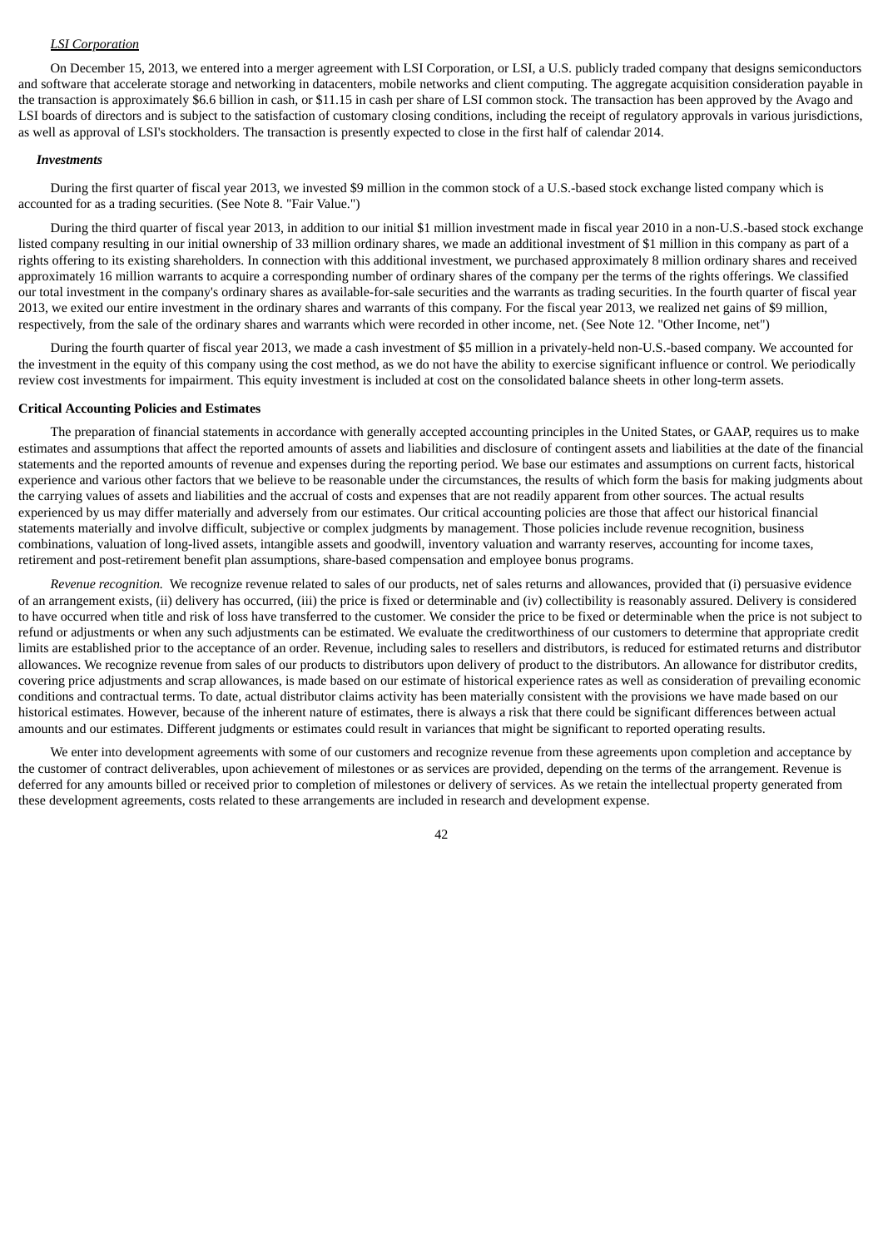### *LSI Corporation*

On December 15, 2013, we entered into a merger agreement with LSI Corporation, or LSI, a U.S. publicly traded company that designs semiconductors and software that accelerate storage and networking in datacenters, mobile networks and client computing. The aggregate acquisition consideration payable in the transaction is approximately \$6.6 billion in cash, or \$11.15 in cash per share of LSI common stock. The transaction has been approved by the Avago and LSI boards of directors and is subject to the satisfaction of customary closing conditions, including the receipt of regulatory approvals in various jurisdictions, as well as approval of LSI's stockholders. The transaction is presently expected to close in the first half of calendar 2014.

#### *Investments*

During the first quarter of fiscal year 2013, we invested \$9 million in the common stock of a U.S.-based stock exchange listed company which is accounted for as a trading securities. (See Note 8. "Fair Value.")

During the third quarter of fiscal year 2013, in addition to our initial \$1 million investment made in fiscal year 2010 in a non-U.S.-based stock exchange listed company resulting in our initial ownership of 33 million ordinary shares, we made an additional investment of \$1 million in this company as part of a rights offering to its existing shareholders. In connection with this additional investment, we purchased approximately 8 million ordinary shares and received approximately 16 million warrants to acquire a corresponding number of ordinary shares of the company per the terms of the rights offerings. We classified our total investment in the company's ordinary shares as available-for-sale securities and the warrants as trading securities. In the fourth quarter of fiscal year 2013, we exited our entire investment in the ordinary shares and warrants of this company. For the fiscal year 2013, we realized net gains of \$9 million, respectively, from the sale of the ordinary shares and warrants which were recorded in other income, net. (See Note 12. "Other Income, net")

During the fourth quarter of fiscal year 2013, we made a cash investment of \$5 million in a privately-held non-U.S.-based company. We accounted for the investment in the equity of this company using the cost method, as we do not have the ability to exercise significant influence or control. We periodically review cost investments for impairment. This equity investment is included at cost on the consolidated balance sheets in other long-term assets.

### **Critical Accounting Policies and Estimates**

The preparation of financial statements in accordance with generally accepted accounting principles in the United States, or GAAP, requires us to make estimates and assumptions that affect the reported amounts of assets and liabilities and disclosure of contingent assets and liabilities at the date of the financial statements and the reported amounts of revenue and expenses during the reporting period. We base our estimates and assumptions on current facts, historical experience and various other factors that we believe to be reasonable under the circumstances, the results of which form the basis for making judgments about the carrying values of assets and liabilities and the accrual of costs and expenses that are not readily apparent from other sources. The actual results experienced by us may differ materially and adversely from our estimates. Our critical accounting policies are those that affect our historical financial statements materially and involve difficult, subjective or complex judgments by management. Those policies include revenue recognition, business combinations, valuation of long-lived assets, intangible assets and goodwill, inventory valuation and warranty reserves, accounting for income taxes, retirement and post-retirement benefit plan assumptions, share-based compensation and employee bonus programs.

*Revenue recognition.* We recognize revenue related to sales of our products, net of sales returns and allowances, provided that (i) persuasive evidence of an arrangement exists, (ii) delivery has occurred, (iii) the price is fixed or determinable and (iv) collectibility is reasonably assured. Delivery is considered to have occurred when title and risk of loss have transferred to the customer. We consider the price to be fixed or determinable when the price is not subject to refund or adjustments or when any such adjustments can be estimated. We evaluate the creditworthiness of our customers to determine that appropriate credit limits are established prior to the acceptance of an order. Revenue, including sales to resellers and distributors, is reduced for estimated returns and distributor allowances. We recognize revenue from sales of our products to distributors upon delivery of product to the distributors. An allowance for distributor credits, covering price adjustments and scrap allowances, is made based on our estimate of historical experience rates as well as consideration of prevailing economic conditions and contractual terms. To date, actual distributor claims activity has been materially consistent with the provisions we have made based on our historical estimates. However, because of the inherent nature of estimates, there is always a risk that there could be significant differences between actual amounts and our estimates. Different judgments or estimates could result in variances that might be significant to reported operating results.

We enter into development agreements with some of our customers and recognize revenue from these agreements upon completion and acceptance by the customer of contract deliverables, upon achievement of milestones or as services are provided, depending on the terms of the arrangement. Revenue is deferred for any amounts billed or received prior to completion of milestones or delivery of services. As we retain the intellectual property generated from these development agreements, costs related to these arrangements are included in research and development expense.

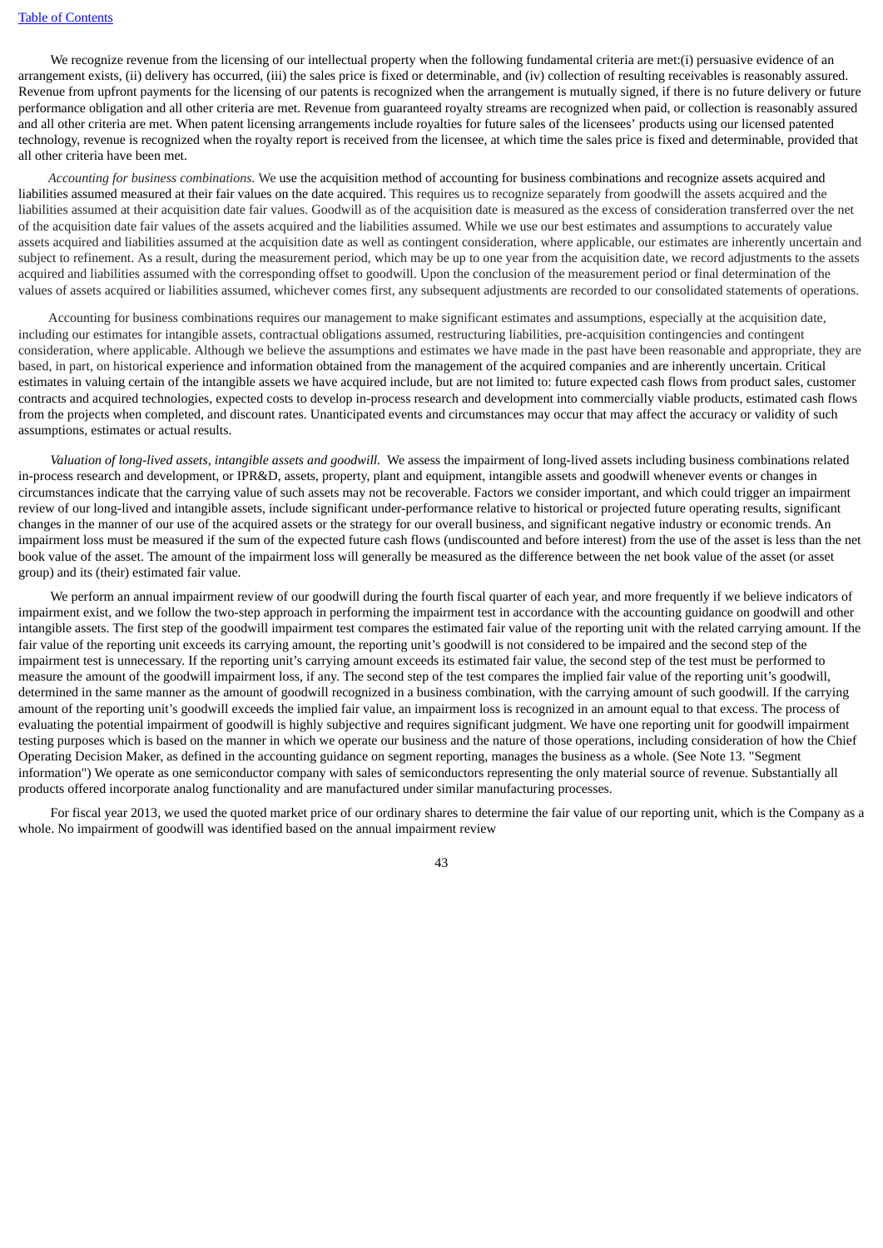We recognize revenue from the licensing of our intellectual property when the following fundamental criteria are met:(i) persuasive evidence of an arrangement exists, (ii) delivery has occurred, (iii) the sales price is fixed or determinable, and (iv) collection of resulting receivables is reasonably assured. Revenue from upfront payments for the licensing of our patents is recognized when the arrangement is mutually signed, if there is no future delivery or future performance obligation and all other criteria are met. Revenue from guaranteed royalty streams are recognized when paid, or collection is reasonably assured and all other criteria are met. When patent licensing arrangements include royalties for future sales of the licensees' products using our licensed patented technology, revenue is recognized when the royalty report is received from the licensee, at which time the sales price is fixed and determinable, provided that all other criteria have been met.

*Accounting for business combinations.* We use the acquisition method of accounting for business combinations and recognize assets acquired and liabilities assumed measured at their fair values on the date acquired. This requires us to recognize separately from goodwill the assets acquired and the liabilities assumed at their acquisition date fair values. Goodwill as of the acquisition date is measured as the excess of consideration transferred over the net of the acquisition date fair values of the assets acquired and the liabilities assumed. While we use our best estimates and assumptions to accurately value assets acquired and liabilities assumed at the acquisition date as well as contingent consideration, where applicable, our estimates are inherently uncertain and subject to refinement. As a result, during the measurement period, which may be up to one year from the acquisition date, we record adjustments to the assets acquired and liabilities assumed with the corresponding offset to goodwill. Upon the conclusion of the measurement period or final determination of the values of assets acquired or liabilities assumed, whichever comes first, any subsequent adjustments are recorded to our consolidated statements of operations.

Accounting for business combinations requires our management to make significant estimates and assumptions, especially at the acquisition date, including our estimates for intangible assets, contractual obligations assumed, restructuring liabilities, pre-acquisition contingencies and contingent consideration, where applicable. Although we believe the assumptions and estimates we have made in the past have been reasonable and appropriate, they are based, in part, on historical experience and information obtained from the management of the acquired companies and are inherently uncertain. Critical estimates in valuing certain of the intangible assets we have acquired include, but are not limited to: future expected cash flows from product sales, customer contracts and acquired technologies, expected costs to develop in-process research and development into commercially viable products, estimated cash flows from the projects when completed, and discount rates. Unanticipated events and circumstances may occur that may affect the accuracy or validity of such assumptions, estimates or actual results.

*Valuation of long-lived assets, intangible assets and goodwill.* We assess the impairment of long-lived assets including business combinations related in-process research and development, or IPR&D, assets, property, plant and equipment, intangible assets and goodwill whenever events or changes in circumstances indicate that the carrying value of such assets may not be recoverable. Factors we consider important, and which could trigger an impairment review of our long-lived and intangible assets, include significant under-performance relative to historical or projected future operating results, significant changes in the manner of our use of the acquired assets or the strategy for our overall business, and significant negative industry or economic trends. An impairment loss must be measured if the sum of the expected future cash flows (undiscounted and before interest) from the use of the asset is less than the net book value of the asset. The amount of the impairment loss will generally be measured as the difference between the net book value of the asset (or asset group) and its (their) estimated fair value.

We perform an annual impairment review of our goodwill during the fourth fiscal quarter of each year, and more frequently if we believe indicators of impairment exist, and we follow the two-step approach in performing the impairment test in accordance with the accounting guidance on goodwill and other intangible assets. The first step of the goodwill impairment test compares the estimated fair value of the reporting unit with the related carrying amount. If the fair value of the reporting unit exceeds its carrying amount, the reporting unit's goodwill is not considered to be impaired and the second step of the impairment test is unnecessary. If the reporting unit's carrying amount exceeds its estimated fair value, the second step of the test must be performed to measure the amount of the goodwill impairment loss, if any. The second step of the test compares the implied fair value of the reporting unit's goodwill, determined in the same manner as the amount of goodwill recognized in a business combination, with the carrying amount of such goodwill. If the carrying amount of the reporting unit's goodwill exceeds the implied fair value, an impairment loss is recognized in an amount equal to that excess. The process of evaluating the potential impairment of goodwill is highly subjective and requires significant judgment. We have one reporting unit for goodwill impairment testing purposes which is based on the manner in which we operate our business and the nature of those operations, including consideration of how the Chief Operating Decision Maker, as defined in the accounting guidance on segment reporting, manages the business as a whole. (See Note 13. "Segment information") We operate as one semiconductor company with sales of semiconductors representing the only material source of revenue. Substantially all products offered incorporate analog functionality and are manufactured under similar manufacturing processes.

For fiscal year 2013, we used the quoted market price of our ordinary shares to determine the fair value of our reporting unit, which is the Company as a whole. No impairment of goodwill was identified based on the annual impairment review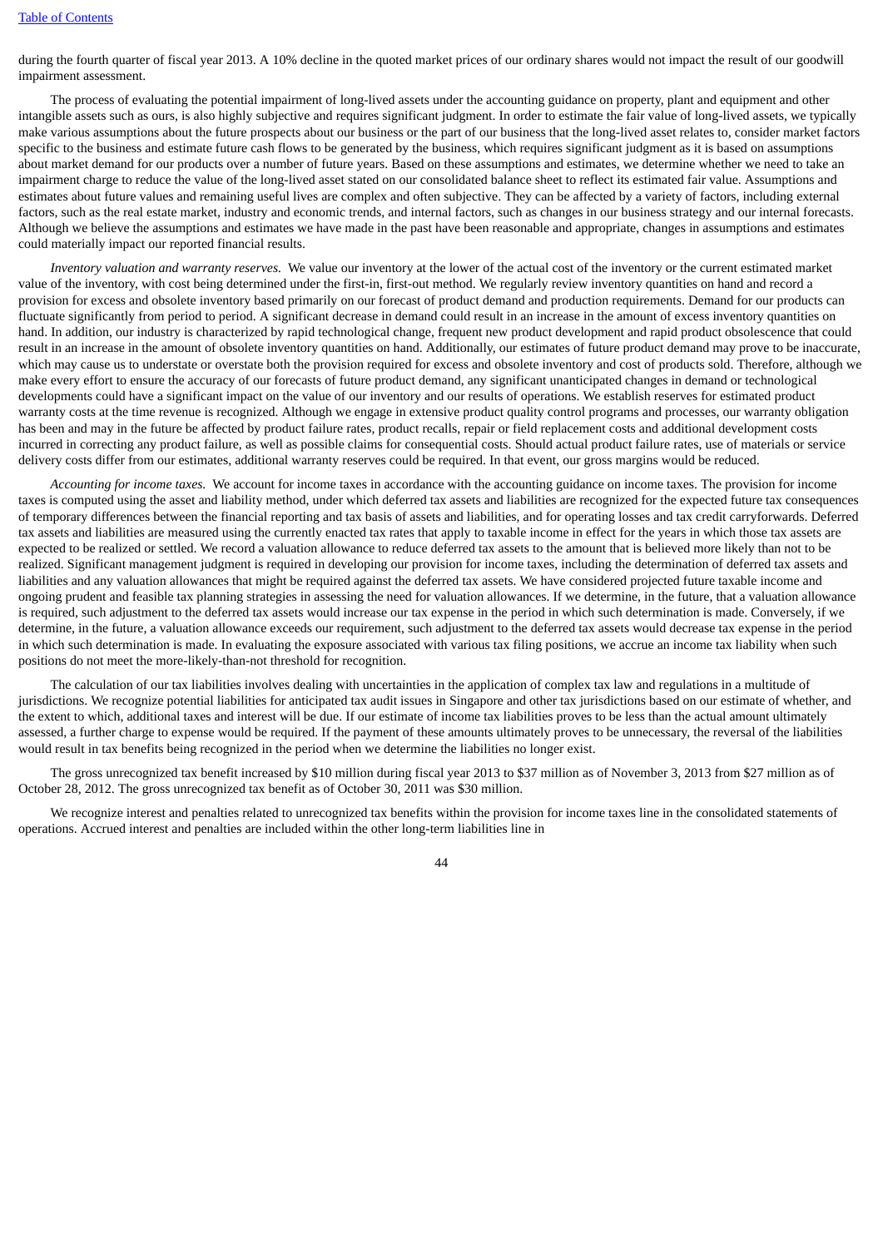during the fourth quarter of fiscal year 2013. A 10% decline in the quoted market prices of our ordinary shares would not impact the result of our goodwill impairment assessment.

The process of evaluating the potential impairment of long-lived assets under the accounting guidance on property, plant and equipment and other intangible assets such as ours, is also highly subjective and requires significant judgment. In order to estimate the fair value of long-lived assets, we typically make various assumptions about the future prospects about our business or the part of our business that the long-lived asset relates to, consider market factors specific to the business and estimate future cash flows to be generated by the business, which requires significant judgment as it is based on assumptions about market demand for our products over a number of future years. Based on these assumptions and estimates, we determine whether we need to take an impairment charge to reduce the value of the long-lived asset stated on our consolidated balance sheet to reflect its estimated fair value. Assumptions and estimates about future values and remaining useful lives are complex and often subjective. They can be affected by a variety of factors, including external factors, such as the real estate market, industry and economic trends, and internal factors, such as changes in our business strategy and our internal forecasts. Although we believe the assumptions and estimates we have made in the past have been reasonable and appropriate, changes in assumptions and estimates could materially impact our reported financial results.

*Inventory valuation and warranty reserves.* We value our inventory at the lower of the actual cost of the inventory or the current estimated market value of the inventory, with cost being determined under the first-in, first-out method. We regularly review inventory quantities on hand and record a provision for excess and obsolete inventory based primarily on our forecast of product demand and production requirements. Demand for our products can fluctuate significantly from period to period. A significant decrease in demand could result in an increase in the amount of excess inventory quantities on hand. In addition, our industry is characterized by rapid technological change, frequent new product development and rapid product obsolescence that could result in an increase in the amount of obsolete inventory quantities on hand. Additionally, our estimates of future product demand may prove to be inaccurate, which may cause us to understate or overstate both the provision required for excess and obsolete inventory and cost of products sold. Therefore, although we make every effort to ensure the accuracy of our forecasts of future product demand, any significant unanticipated changes in demand or technological developments could have a significant impact on the value of our inventory and our results of operations. We establish reserves for estimated product warranty costs at the time revenue is recognized. Although we engage in extensive product quality control programs and processes, our warranty obligation has been and may in the future be affected by product failure rates, product recalls, repair or field replacement costs and additional development costs incurred in correcting any product failure, as well as possible claims for consequential costs. Should actual product failure rates, use of materials or service delivery costs differ from our estimates, additional warranty reserves could be required. In that event, our gross margins would be reduced.

*Accounting for income taxes.* We account for income taxes in accordance with the accounting guidance on income taxes. The provision for income taxes is computed using the asset and liability method, under which deferred tax assets and liabilities are recognized for the expected future tax consequences of temporary differences between the financial reporting and tax basis of assets and liabilities, and for operating losses and tax credit carryforwards. Deferred tax assets and liabilities are measured using the currently enacted tax rates that apply to taxable income in effect for the years in which those tax assets are expected to be realized or settled. We record a valuation allowance to reduce deferred tax assets to the amount that is believed more likely than not to be realized. Significant management judgment is required in developing our provision for income taxes, including the determination of deferred tax assets and liabilities and any valuation allowances that might be required against the deferred tax assets. We have considered projected future taxable income and ongoing prudent and feasible tax planning strategies in assessing the need for valuation allowances. If we determine, in the future, that a valuation allowance is required, such adjustment to the deferred tax assets would increase our tax expense in the period in which such determination is made. Conversely, if we determine, in the future, a valuation allowance exceeds our requirement, such adjustment to the deferred tax assets would decrease tax expense in the period in which such determination is made. In evaluating the exposure associated with various tax filing positions, we accrue an income tax liability when such positions do not meet the more-likely-than-not threshold for recognition.

The calculation of our tax liabilities involves dealing with uncertainties in the application of complex tax law and regulations in a multitude of jurisdictions. We recognize potential liabilities for anticipated tax audit issues in Singapore and other tax jurisdictions based on our estimate of whether, and the extent to which, additional taxes and interest will be due. If our estimate of income tax liabilities proves to be less than the actual amount ultimately assessed, a further charge to expense would be required. If the payment of these amounts ultimately proves to be unnecessary, the reversal of the liabilities would result in tax benefits being recognized in the period when we determine the liabilities no longer exist.

The gross unrecognized tax benefit increased by \$10 million during fiscal year 2013 to \$37 million as of November 3, 2013 from \$27 million as of October 28, 2012. The gross unrecognized tax benefit as of October 30, 2011 was \$30 million.

We recognize interest and penalties related to unrecognized tax benefits within the provision for income taxes line in the consolidated statements of operations. Accrued interest and penalties are included within the other long-term liabilities line in

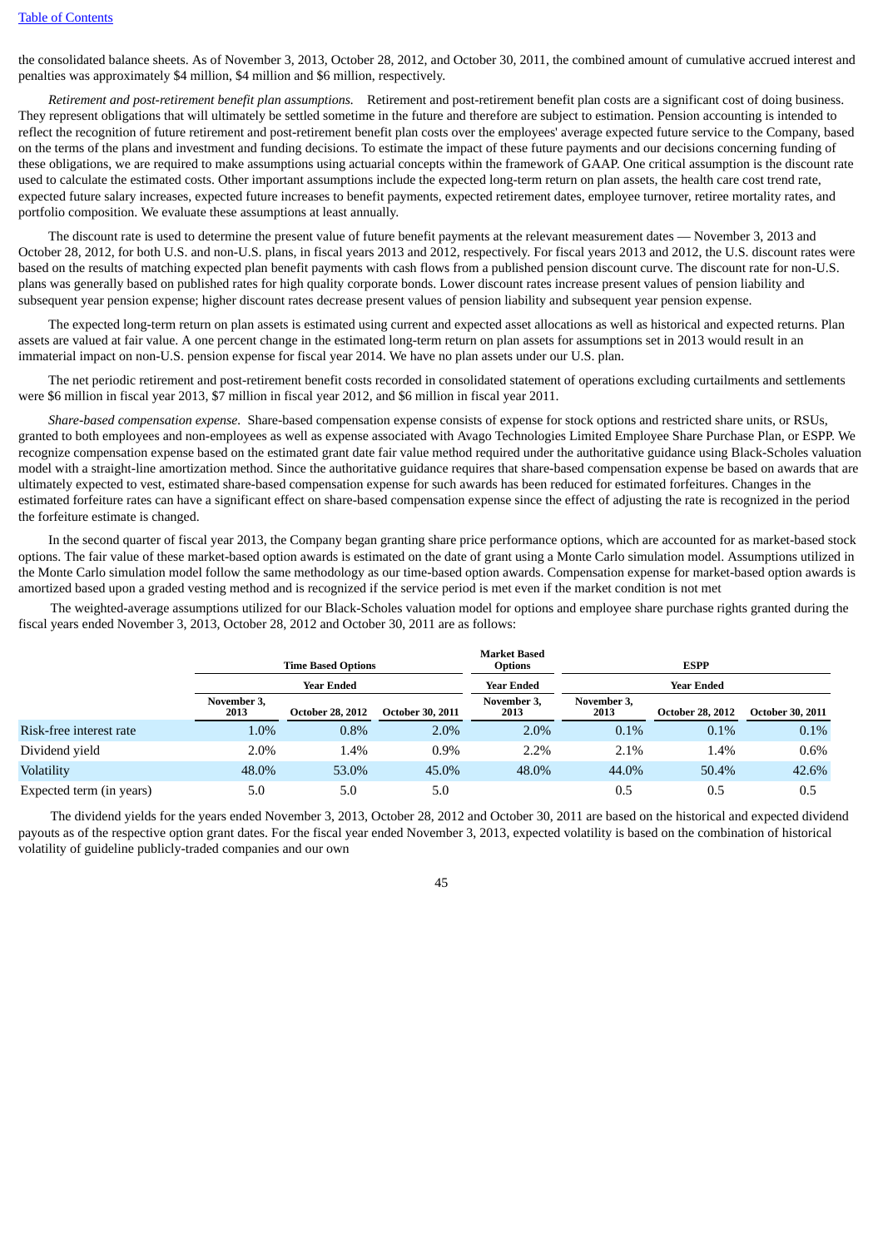the consolidated balance sheets. As of November 3, 2013, October 28, 2012, and October 30, 2011, the combined amount of cumulative accrued interest and penalties was approximately \$4 million, \$4 million and \$6 million, respectively.

*Retirement and post-retirement benefit plan assumptions.* Retirement and post-retirement benefit plan costs are a significant cost of doing business. They represent obligations that will ultimately be settled sometime in the future and therefore are subject to estimation. Pension accounting is intended to reflect the recognition of future retirement and post-retirement benefit plan costs over the employees' average expected future service to the Company, based on the terms of the plans and investment and funding decisions. To estimate the impact of these future payments and our decisions concerning funding of these obligations, we are required to make assumptions using actuarial concepts within the framework of GAAP. One critical assumption is the discount rate used to calculate the estimated costs. Other important assumptions include the expected long-term return on plan assets, the health care cost trend rate, expected future salary increases, expected future increases to benefit payments, expected retirement dates, employee turnover, retiree mortality rates, and portfolio composition. We evaluate these assumptions at least annually.

The discount rate is used to determine the present value of future benefit payments at the relevant measurement dates — November 3, 2013 and October 28, 2012, for both U.S. and non-U.S. plans, in fiscal years 2013 and 2012, respectively. For fiscal years 2013 and 2012, the U.S. discount rates were based on the results of matching expected plan benefit payments with cash flows from a published pension discount curve. The discount rate for non-U.S. plans was generally based on published rates for high quality corporate bonds. Lower discount rates increase present values of pension liability and subsequent year pension expense; higher discount rates decrease present values of pension liability and subsequent year pension expense.

The expected long-term return on plan assets is estimated using current and expected asset allocations as well as historical and expected returns. Plan assets are valued at fair value. A one percent change in the estimated long-term return on plan assets for assumptions set in 2013 would result in an immaterial impact on non-U.S. pension expense for fiscal year 2014. We have no plan assets under our U.S. plan.

The net periodic retirement and post-retirement benefit costs recorded in consolidated statement of operations excluding curtailments and settlements were \$6 million in fiscal year 2013, \$7 million in fiscal year 2012, and \$6 million in fiscal year 2011.

*Share-based compensation expense.* Share-based compensation expense consists of expense for stock options and restricted share units, or RSUs, granted to both employees and non-employees as well as expense associated with Avago Technologies Limited Employee Share Purchase Plan, or ESPP. We recognize compensation expense based on the estimated grant date fair value method required under the authoritative guidance using Black-Scholes valuation model with a straight-line amortization method. Since the authoritative guidance requires that share-based compensation expense be based on awards that are ultimately expected to vest, estimated share-based compensation expense for such awards has been reduced for estimated forfeitures. Changes in the estimated forfeiture rates can have a significant effect on share-based compensation expense since the effect of adjusting the rate is recognized in the period the forfeiture estimate is changed.

In the second quarter of fiscal year 2013, the Company began granting share price performance options, which are accounted for as market-based stock options. The fair value of these market-based option awards is estimated on the date of grant using a Monte Carlo simulation model. Assumptions utilized in the Monte Carlo simulation model follow the same methodology as our time-based option awards. Compensation expense for market-based option awards is amortized based upon a graded vesting method and is recognized if the service period is met even if the market condition is not met

The weighted-average assumptions utilized for our Black-Scholes valuation model for options and employee share purchase rights granted during the fiscal years ended November 3, 2013, October 28, 2012 and October 30, 2011 are as follows:

|                          |                     | <b>Time Based Options</b> |                         | <b>Market Based</b><br><b>Options</b> |                     | <b>ESPP</b>             |                         |
|--------------------------|---------------------|---------------------------|-------------------------|---------------------------------------|---------------------|-------------------------|-------------------------|
|                          |                     | Year Ended                |                         | Year Ended                            |                     | <b>Year Ended</b>       |                         |
|                          | November 3.<br>2013 | <b>October 28, 2012</b>   | <b>October 30, 2011</b> | November 3.<br>2013                   | November 3.<br>2013 | <b>October 28, 2012</b> | <b>October 30, 2011</b> |
| Risk-free interest rate  | 1.0%                | 0.8%                      | 2.0%                    | 2.0%                                  | 0.1%                | 0.1%                    | 0.1%                    |
| Dividend vield           | 2.0%                | 1.4%                      | $0.9\%$                 | 2.2%                                  | 2.1%                | 1.4%                    | 0.6%                    |
| Volatility               | 48.0%               | 53.0%                     | 45.0%                   | 48.0%                                 | 44.0%               | 50.4%                   | 42.6%                   |
| Expected term (in years) | 5.0                 | 5.0                       | 5.0                     |                                       | 0.5                 | 0.5                     | 0.5                     |

The dividend yields for the years ended November 3, 2013, October 28, 2012 and October 30, 2011 are based on the historical and expected dividend payouts as of the respective option grant dates. For the fiscal year ended November 3, 2013, expected volatility is based on the combination of historical volatility of guideline publicly-traded companies and our own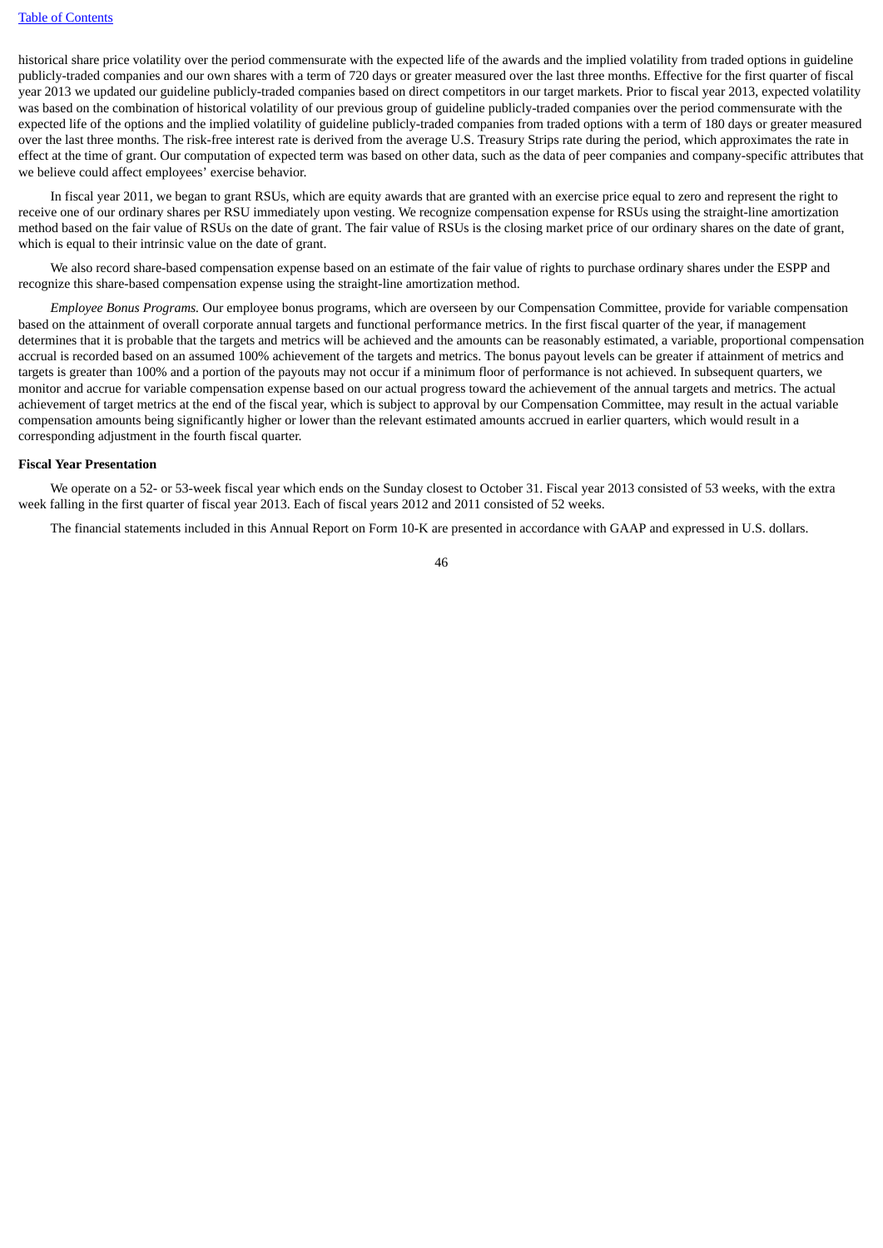historical share price volatility over the period commensurate with the expected life of the awards and the implied volatility from traded options in guideline publicly-traded companies and our own shares with a term of 720 days or greater measured over the last three months. Effective for the first quarter of fiscal year 2013 we updated our guideline publicly-traded companies based on direct competitors in our target markets. Prior to fiscal year 2013, expected volatility was based on the combination of historical volatility of our previous group of guideline publicly-traded companies over the period commensurate with the expected life of the options and the implied volatility of guideline publicly-traded companies from traded options with a term of 180 days or greater measured over the last three months. The risk-free interest rate is derived from the average U.S. Treasury Strips rate during the period, which approximates the rate in effect at the time of grant. Our computation of expected term was based on other data, such as the data of peer companies and company-specific attributes that we believe could affect employees' exercise behavior.

In fiscal year 2011, we began to grant RSUs, which are equity awards that are granted with an exercise price equal to zero and represent the right to receive one of our ordinary shares per RSU immediately upon vesting. We recognize compensation expense for RSUs using the straight-line amortization method based on the fair value of RSUs on the date of grant. The fair value of RSUs is the closing market price of our ordinary shares on the date of grant, which is equal to their intrinsic value on the date of grant.

We also record share-based compensation expense based on an estimate of the fair value of rights to purchase ordinary shares under the ESPP and recognize this share-based compensation expense using the straight-line amortization method.

*Employee Bonus Programs.* Our employee bonus programs, which are overseen by our Compensation Committee, provide for variable compensation based on the attainment of overall corporate annual targets and functional performance metrics. In the first fiscal quarter of the year, if management determines that it is probable that the targets and metrics will be achieved and the amounts can be reasonably estimated, a variable, proportional compensation accrual is recorded based on an assumed 100% achievement of the targets and metrics. The bonus payout levels can be greater if attainment of metrics and targets is greater than 100% and a portion of the payouts may not occur if a minimum floor of performance is not achieved. In subsequent quarters, we monitor and accrue for variable compensation expense based on our actual progress toward the achievement of the annual targets and metrics. The actual achievement of target metrics at the end of the fiscal year, which is subject to approval by our Compensation Committee, may result in the actual variable compensation amounts being significantly higher or lower than the relevant estimated amounts accrued in earlier quarters, which would result in a corresponding adjustment in the fourth fiscal quarter.

### **Fiscal Year Presentation**

We operate on a 52- or 53-week fiscal year which ends on the Sunday closest to October 31. Fiscal year 2013 consisted of 53 weeks, with the extra week falling in the first quarter of fiscal year 2013. Each of fiscal years 2012 and 2011 consisted of 52 weeks.

The financial statements included in this Annual Report on Form 10-K are presented in accordance with GAAP and expressed in U.S. dollars.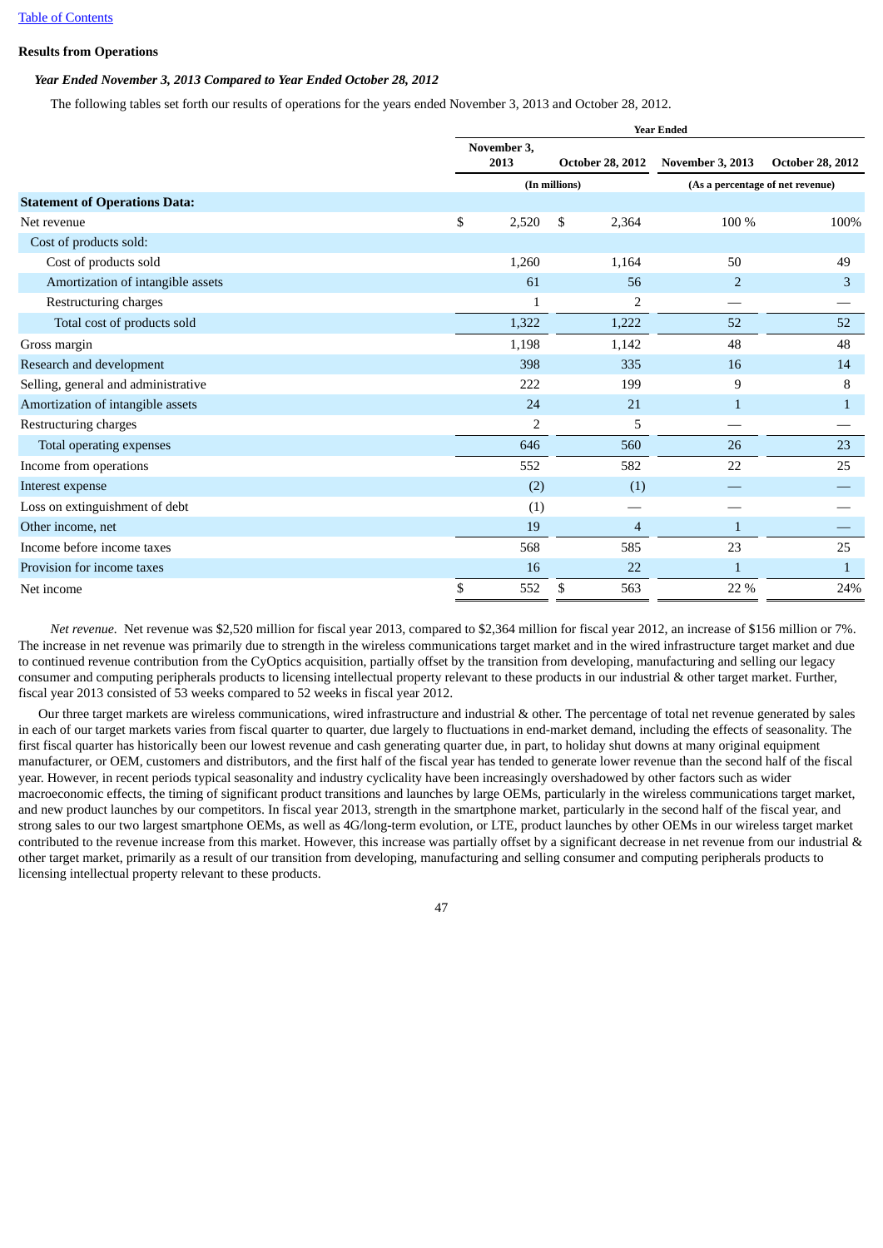### **Results from Operations**

### *Year Ended November 3, 2013 Compared to Year Ended October 28, 2012*

The following tables set forth our results of operations for the years ended November 3, 2013 and October 28, 2012.

|                                      | <b>Year Ended</b>   |                         |                                  |                         |  |  |  |  |
|--------------------------------------|---------------------|-------------------------|----------------------------------|-------------------------|--|--|--|--|
|                                      | November 3,<br>2013 | <b>October 28, 2012</b> | <b>November 3, 2013</b>          | <b>October 28, 2012</b> |  |  |  |  |
|                                      |                     | (In millions)           | (As a percentage of net revenue) |                         |  |  |  |  |
| <b>Statement of Operations Data:</b> |                     |                         |                                  |                         |  |  |  |  |
| Net revenue                          | \$<br>2,520         | \$<br>2,364             | 100 %                            | 100%                    |  |  |  |  |
| Cost of products sold:               |                     |                         |                                  |                         |  |  |  |  |
| Cost of products sold                | 1,260               | 1,164                   | 50                               | 49                      |  |  |  |  |
| Amortization of intangible assets    | 61                  | 56                      | $\overline{2}$                   | 3                       |  |  |  |  |
| Restructuring charges                | $\mathbf{1}$        | 2                       |                                  |                         |  |  |  |  |
| Total cost of products sold          | 1,322               | 1,222                   | 52                               | 52                      |  |  |  |  |
| Gross margin                         | 1,198               | 1,142                   | 48                               | 48                      |  |  |  |  |
| Research and development             | 398                 | 335                     | 16                               | 14                      |  |  |  |  |
| Selling, general and administrative  | 222                 | 199                     | 9                                | 8                       |  |  |  |  |
| Amortization of intangible assets    | 24                  | 21                      | $\mathbf{1}$                     | 1                       |  |  |  |  |
| Restructuring charges                | $\overline{2}$      | 5                       |                                  |                         |  |  |  |  |
| Total operating expenses             | 646                 | 560                     | 26                               | 23                      |  |  |  |  |
| Income from operations               | 552                 | 582                     | 22                               | 25                      |  |  |  |  |
| Interest expense                     | (2)                 | (1)                     |                                  |                         |  |  |  |  |
| Loss on extinguishment of debt       | (1)                 |                         |                                  |                         |  |  |  |  |
| Other income, net                    | 19                  | $\overline{4}$          | $\mathbf{1}$                     |                         |  |  |  |  |
| Income before income taxes           | 568                 | 585                     | 23                               | 25                      |  |  |  |  |
| Provision for income taxes           | 16                  | 22                      | $\mathbf{1}$                     | 1                       |  |  |  |  |
| Net income                           | \$<br>552           | 563<br>\$               | 22 %                             | 24%                     |  |  |  |  |

*Net revenue.* Net revenue was \$2,520 million for fiscal year 2013, compared to \$2,364 million for fiscal year 2012, an increase of \$156 million or 7%. The increase in net revenue was primarily due to strength in the wireless communications target market and in the wired infrastructure target market and due to continued revenue contribution from the CyOptics acquisition, partially offset by the transition from developing, manufacturing and selling our legacy consumer and computing peripherals products to licensing intellectual property relevant to these products in our industrial & other target market. Further, fiscal year 2013 consisted of 53 weeks compared to 52 weeks in fiscal year 2012.

Our three target markets are wireless communications, wired infrastructure and industrial & other. The percentage of total net revenue generated by sales in each of our target markets varies from fiscal quarter to quarter, due largely to fluctuations in end-market demand, including the effects of seasonality. The first fiscal quarter has historically been our lowest revenue and cash generating quarter due, in part, to holiday shut downs at many original equipment manufacturer, or OEM, customers and distributors, and the first half of the fiscal year has tended to generate lower revenue than the second half of the fiscal year. However, in recent periods typical seasonality and industry cyclicality have been increasingly overshadowed by other factors such as wider macroeconomic effects, the timing of significant product transitions and launches by large OEMs, particularly in the wireless communications target market, and new product launches by our competitors. In fiscal year 2013, strength in the smartphone market, particularly in the second half of the fiscal year, and strong sales to our two largest smartphone OEMs, as well as 4G/long-term evolution, or LTE, product launches by other OEMs in our wireless target market contributed to the revenue increase from this market. However, this increase was partially offset by a significant decrease in net revenue from our industrial & other target market, primarily as a result of our transition from developing, manufacturing and selling consumer and computing peripherals products to licensing intellectual property relevant to these products.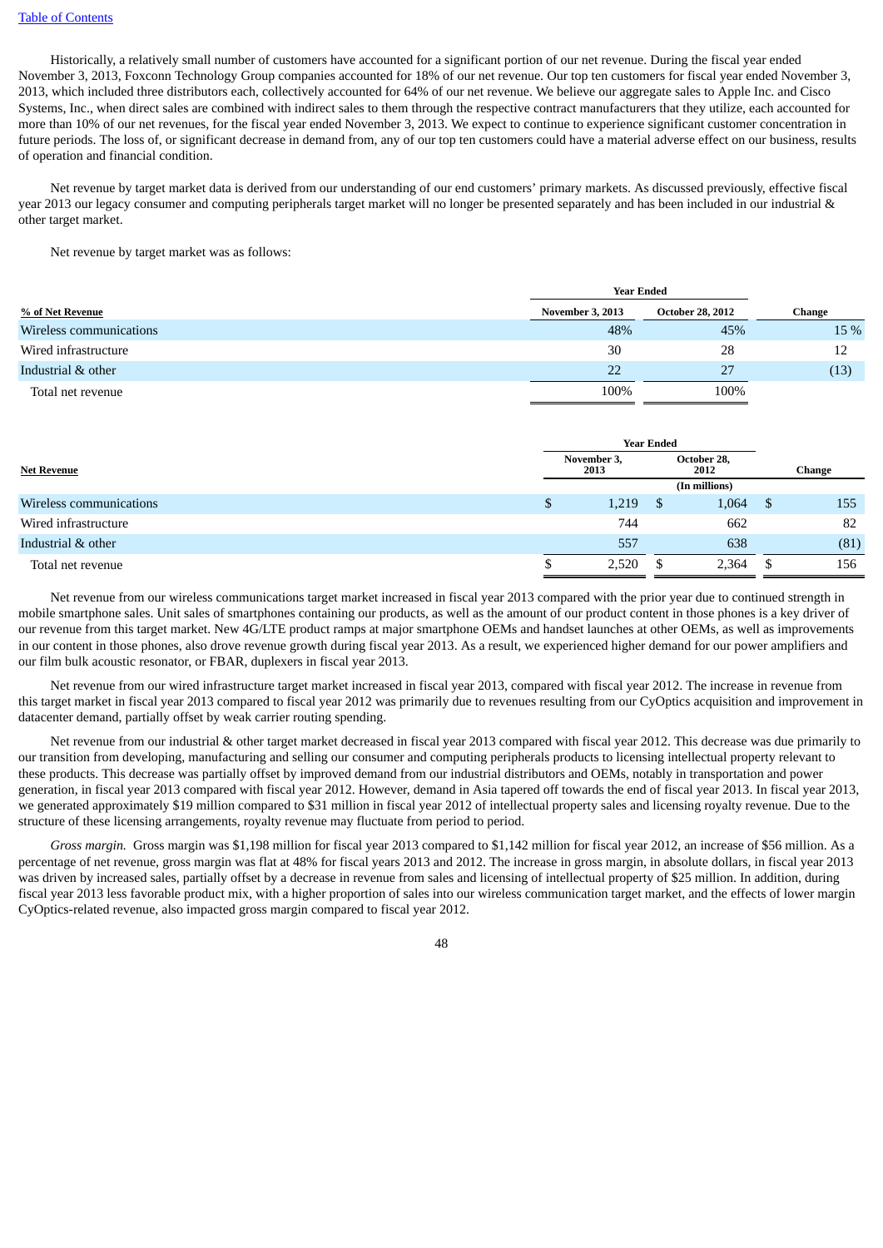Historically, a relatively small number of customers have accounted for a significant portion of our net revenue. During the fiscal year ended November 3, 2013, Foxconn Technology Group companies accounted for 18% of our net revenue. Our top ten customers for fiscal year ended November 3, 2013, which included three distributors each, collectively accounted for 64% of our net revenue. We believe our aggregate sales to Apple Inc. and Cisco Systems, Inc., when direct sales are combined with indirect sales to them through the respective contract manufacturers that they utilize, each accounted for more than 10% of our net revenues, for the fiscal year ended November 3, 2013. We expect to continue to experience significant customer concentration in future periods. The loss of, or significant decrease in demand from, any of our top ten customers could have a material adverse effect on our business, results of operation and financial condition.

Net revenue by target market data is derived from our understanding of our end customers' primary markets. As discussed previously, effective fiscal year 2013 our legacy consumer and computing peripherals target market will no longer be presented separately and has been included in our industrial & other target market.

Net revenue by target market was as follows:

|                         |                         | <b>Year Ended</b>       |        |  |  |  |  |
|-------------------------|-------------------------|-------------------------|--------|--|--|--|--|
| % of Net Revenue        | <b>November 3, 2013</b> | <b>October 28, 2012</b> | Change |  |  |  |  |
| Wireless communications | 48%                     | 45%                     | 15 %   |  |  |  |  |
| Wired infrastructure    | 30                      | 28                      | 12     |  |  |  |  |
| Industrial & other      | 22                      | 27                      | (13)   |  |  |  |  |
| Total net revenue       | 100%                    | 100%                    |        |  |  |  |  |

|                         |    | <b>Year Ended</b>                          |               |    |      |  |  |
|-------------------------|----|--------------------------------------------|---------------|----|------|--|--|
| <b>Net Revenue</b>      |    | October 28,<br>November 3,<br>2013<br>2012 |               |    |      |  |  |
|                         |    |                                            | (In millions) |    |      |  |  |
| Wireless communications | \$ | 1,219                                      | 1,064<br>-S   | \$ | 155  |  |  |
| Wired infrastructure    |    | 744                                        | 662           |    | 82   |  |  |
| Industrial & other      |    | 557                                        | 638           |    | (81) |  |  |
| Total net revenue       |    | 2,520                                      | 2,364         |    | 156  |  |  |

Net revenue from our wireless communications target market increased in fiscal year 2013 compared with the prior year due to continued strength in mobile smartphone sales. Unit sales of smartphones containing our products, as well as the amount of our product content in those phones is a key driver of our revenue from this target market. New 4G/LTE product ramps at major smartphone OEMs and handset launches at other OEMs, as well as improvements in our content in those phones, also drove revenue growth during fiscal year 2013. As a result, we experienced higher demand for our power amplifiers and our film bulk acoustic resonator, or FBAR, duplexers in fiscal year 2013.

Net revenue from our wired infrastructure target market increased in fiscal year 2013, compared with fiscal year 2012. The increase in revenue from this target market in fiscal year 2013 compared to fiscal year 2012 was primarily due to revenues resulting from our CyOptics acquisition and improvement in datacenter demand, partially offset by weak carrier routing spending.

Net revenue from our industrial & other target market decreased in fiscal year 2013 compared with fiscal year 2012. This decrease was due primarily to our transition from developing, manufacturing and selling our consumer and computing peripherals products to licensing intellectual property relevant to these products. This decrease was partially offset by improved demand from our industrial distributors and OEMs, notably in transportation and power generation, in fiscal year 2013 compared with fiscal year 2012. However, demand in Asia tapered off towards the end of fiscal year 2013. In fiscal year 2013, we generated approximately \$19 million compared to \$31 million in fiscal year 2012 of intellectual property sales and licensing royalty revenue. Due to the structure of these licensing arrangements, royalty revenue may fluctuate from period to period.

*Gross margin.* Gross margin was \$1,198 million for fiscal year 2013 compared to \$1,142 million for fiscal year 2012, an increase of \$56 million. As a percentage of net revenue, gross margin was flat at 48% for fiscal years 2013 and 2012. The increase in gross margin, in absolute dollars, in fiscal year 2013 was driven by increased sales, partially offset by a decrease in revenue from sales and licensing of intellectual property of \$25 million. In addition, during fiscal year 2013 less favorable product mix, with a higher proportion of sales into our wireless communication target market, and the effects of lower margin CyOptics-related revenue, also impacted gross margin compared to fiscal year 2012.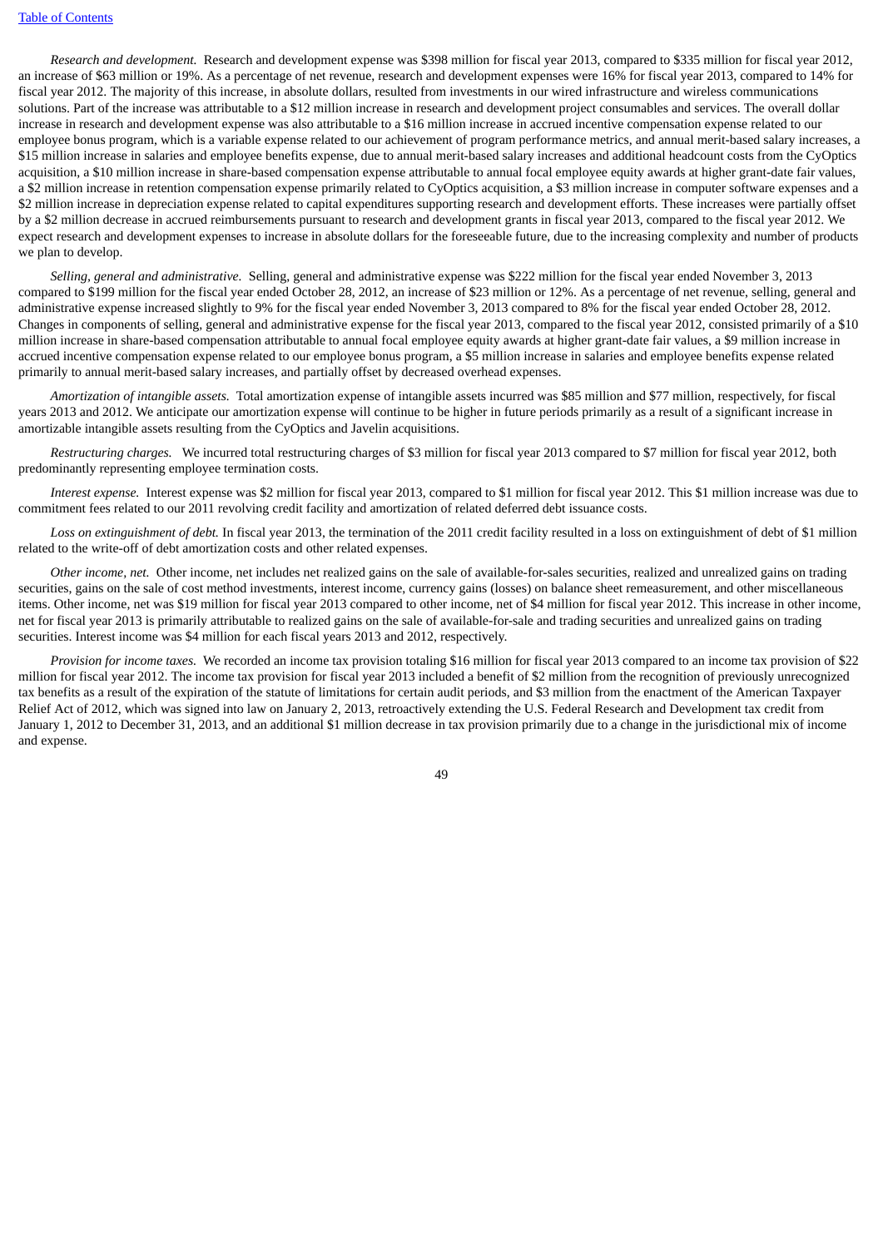*Research and development.* Research and development expense was \$398 million for fiscal year 2013, compared to \$335 million for fiscal year 2012, an increase of \$63 million or 19%. As a percentage of net revenue, research and development expenses were 16% for fiscal year 2013, compared to 14% for fiscal year 2012. The majority of this increase, in absolute dollars, resulted from investments in our wired infrastructure and wireless communications solutions. Part of the increase was attributable to a \$12 million increase in research and development project consumables and services. The overall dollar increase in research and development expense was also attributable to a \$16 million increase in accrued incentive compensation expense related to our employee bonus program, which is a variable expense related to our achievement of program performance metrics, and annual merit-based salary increases, a \$15 million increase in salaries and employee benefits expense, due to annual merit-based salary increases and additional headcount costs from the CyOptics acquisition, a \$10 million increase in share-based compensation expense attributable to annual focal employee equity awards at higher grant-date fair values, a \$2 million increase in retention compensation expense primarily related to CyOptics acquisition, a \$3 million increase in computer software expenses and a \$2 million increase in depreciation expense related to capital expenditures supporting research and development efforts. These increases were partially offset by a \$2 million decrease in accrued reimbursements pursuant to research and development grants in fiscal year 2013, compared to the fiscal year 2012. We expect research and development expenses to increase in absolute dollars for the foreseeable future, due to the increasing complexity and number of products we plan to develop.

*Selling, general and administrative.* Selling, general and administrative expense was \$222 million for the fiscal year ended November 3, 2013 compared to \$199 million for the fiscal year ended October 28, 2012, an increase of \$23 million or 12%. As a percentage of net revenue, selling, general and administrative expense increased slightly to 9% for the fiscal year ended November 3, 2013 compared to 8% for the fiscal year ended October 28, 2012. Changes in components of selling, general and administrative expense for the fiscal year 2013, compared to the fiscal year 2012, consisted primarily of a \$10 million increase in share-based compensation attributable to annual focal employee equity awards at higher grant-date fair values, a \$9 million increase in accrued incentive compensation expense related to our employee bonus program, a \$5 million increase in salaries and employee benefits expense related primarily to annual merit-based salary increases, and partially offset by decreased overhead expenses.

*Amortization of intangible assets.* Total amortization expense of intangible assets incurred was \$85 million and \$77 million, respectively, for fiscal years 2013 and 2012. We anticipate our amortization expense will continue to be higher in future periods primarily as a result of a significant increase in amortizable intangible assets resulting from the CyOptics and Javelin acquisitions.

*Restructuring charges.* We incurred total restructuring charges of \$3 million for fiscal year 2013 compared to \$7 million for fiscal year 2012, both predominantly representing employee termination costs.

*Interest expense.* Interest expense was \$2 million for fiscal year 2013, compared to \$1 million for fiscal year 2012. This \$1 million increase was due to commitment fees related to our 2011 revolving credit facility and amortization of related deferred debt issuance costs.

*Loss on extinguishment of debt.* In fiscal year 2013, the termination of the 2011 credit facility resulted in a loss on extinguishment of debt of \$1 million related to the write-off of debt amortization costs and other related expenses.

*Other income, net.* Other income, net includes net realized gains on the sale of available-for-sales securities, realized and unrealized gains on trading securities, gains on the sale of cost method investments, interest income, currency gains (losses) on balance sheet remeasurement, and other miscellaneous items. Other income, net was \$19 million for fiscal year 2013 compared to other income, net of \$4 million for fiscal year 2012. This increase in other income, net for fiscal year 2013 is primarily attributable to realized gains on the sale of available-for-sale and trading securities and unrealized gains on trading securities. Interest income was \$4 million for each fiscal years 2013 and 2012, respectively.

*Provision for income taxes.* We recorded an income tax provision totaling \$16 million for fiscal year 2013 compared to an income tax provision of \$22 million for fiscal year 2012. The income tax provision for fiscal year 2013 included a benefit of \$2 million from the recognition of previously unrecognized tax benefits as a result of the expiration of the statute of limitations for certain audit periods, and \$3 million from the enactment of the American Taxpayer Relief Act of 2012, which was signed into law on January 2, 2013, retroactively extending the U.S. Federal Research and Development tax credit from January 1, 2012 to December 31, 2013, and an additional \$1 million decrease in tax provision primarily due to a change in the jurisdictional mix of income and expense.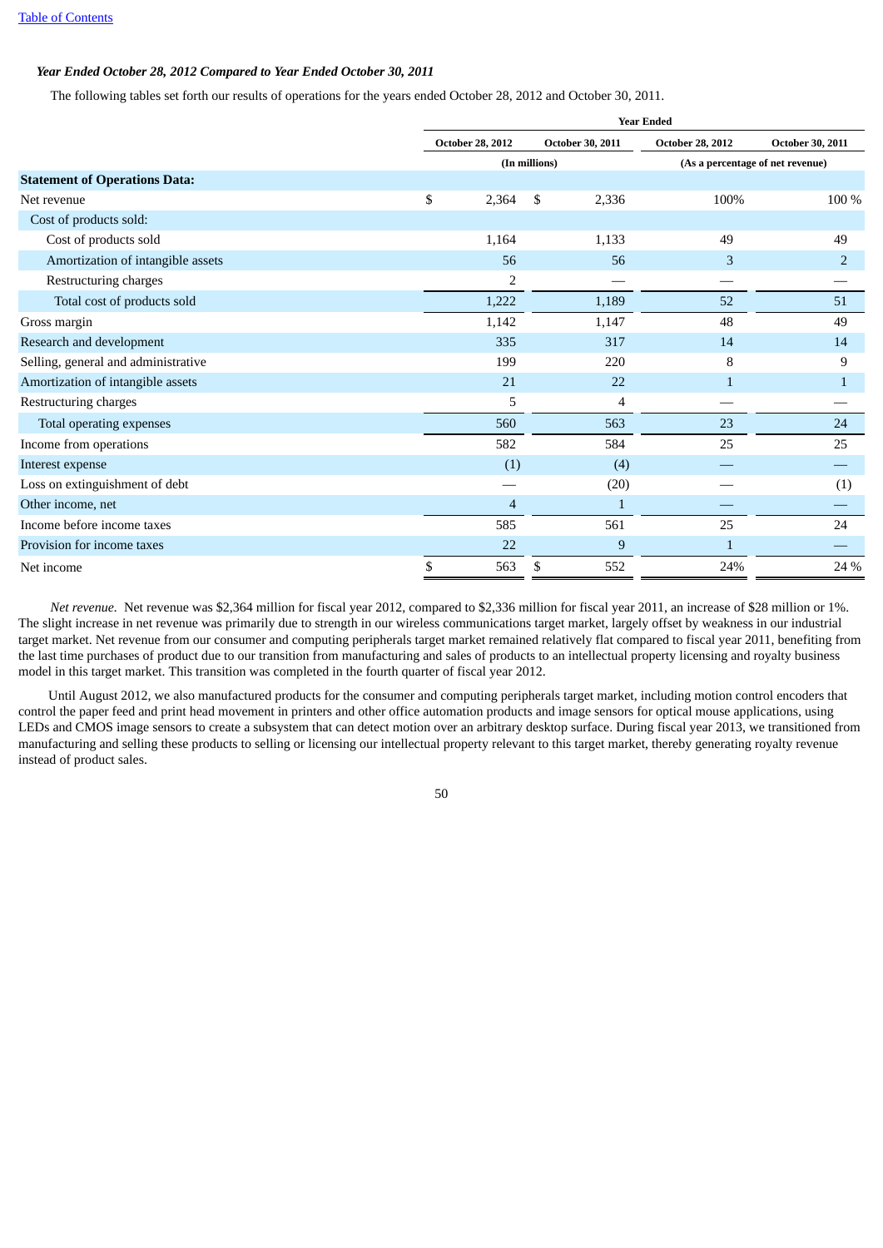### *Year Ended October 28, 2012 Compared to Year Ended October 30, 2011*

The following tables set forth our results of operations for the years ended October 28, 2012 and October 30, 2011.

|                                      | <b>Year Ended</b> |                                                    |               |              |                                  |                  |  |  |  |
|--------------------------------------|-------------------|----------------------------------------------------|---------------|--------------|----------------------------------|------------------|--|--|--|
|                                      |                   | <b>October 28, 2012</b><br><b>October 30, 2011</b> |               |              | October 28, 2012                 | October 30, 2011 |  |  |  |
|                                      |                   |                                                    | (In millions) |              | (As a percentage of net revenue) |                  |  |  |  |
| <b>Statement of Operations Data:</b> |                   |                                                    |               |              |                                  |                  |  |  |  |
| Net revenue                          | \$                | 2,364                                              | \$            | 2,336        | 100%                             | 100 %            |  |  |  |
| Cost of products sold:               |                   |                                                    |               |              |                                  |                  |  |  |  |
| Cost of products sold                |                   | 1,164                                              |               | 1,133        | 49                               | 49               |  |  |  |
| Amortization of intangible assets    |                   | 56                                                 |               | 56           | 3                                | $\overline{2}$   |  |  |  |
| Restructuring charges                |                   | 2                                                  |               |              |                                  |                  |  |  |  |
| Total cost of products sold          |                   | 1,222                                              |               | 1,189        | 52                               | 51               |  |  |  |
| Gross margin                         |                   | 1,142                                              |               | 1,147        | 48                               | 49               |  |  |  |
| Research and development             |                   | 335                                                |               | 317          | 14                               | 14               |  |  |  |
| Selling, general and administrative  |                   | 199                                                |               | 220          | 8                                | 9                |  |  |  |
| Amortization of intangible assets    |                   | 21                                                 |               | 22           | $\mathbf{1}$                     | $\mathbf{1}$     |  |  |  |
| Restructuring charges                |                   | 5                                                  |               | 4            |                                  |                  |  |  |  |
| Total operating expenses             |                   | 560                                                |               | 563          | 23                               | 24               |  |  |  |
| Income from operations               |                   | 582                                                |               | 584          | 25                               | 25               |  |  |  |
| Interest expense                     |                   | (1)                                                |               | (4)          |                                  |                  |  |  |  |
| Loss on extinguishment of debt       |                   |                                                    |               | (20)         |                                  | (1)              |  |  |  |
| Other income, net                    |                   | $\overline{4}$                                     |               | $\mathbf{1}$ |                                  |                  |  |  |  |
| Income before income taxes           |                   | 585                                                |               | 561          | 25                               | 24               |  |  |  |
| Provision for income taxes           |                   | 22                                                 |               | 9            | $\mathbf{1}$                     |                  |  |  |  |
| Net income                           | \$                | 563                                                | \$            | 552          | 24%                              | 24 %             |  |  |  |

*Net revenue.* Net revenue was \$2,364 million for fiscal year 2012, compared to \$2,336 million for fiscal year 2011, an increase of \$28 million or 1%. The slight increase in net revenue was primarily due to strength in our wireless communications target market, largely offset by weakness in our industrial target market. Net revenue from our consumer and computing peripherals target market remained relatively flat compared to fiscal year 2011, benefiting from the last time purchases of product due to our transition from manufacturing and sales of products to an intellectual property licensing and royalty business model in this target market. This transition was completed in the fourth quarter of fiscal year 2012.

Until August 2012, we also manufactured products for the consumer and computing peripherals target market, including motion control encoders that control the paper feed and print head movement in printers and other office automation products and image sensors for optical mouse applications, using LEDs and CMOS image sensors to create a subsystem that can detect motion over an arbitrary desktop surface. During fiscal year 2013, we transitioned from manufacturing and selling these products to selling or licensing our intellectual property relevant to this target market, thereby generating royalty revenue instead of product sales.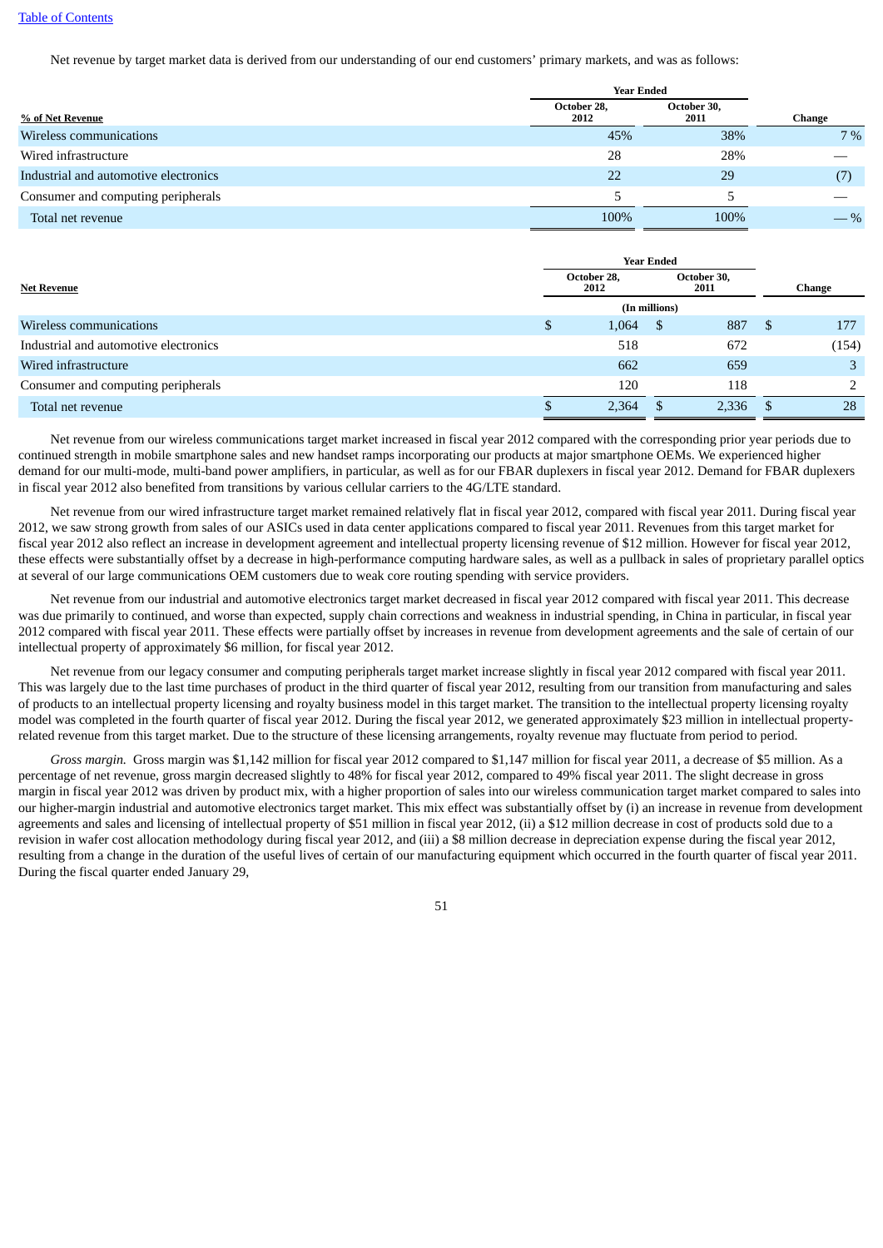Net revenue by target market data is derived from our understanding of our end customers' primary markets, and was as follows:

|                                       | <b>Year Ended</b>   |                     |        |
|---------------------------------------|---------------------|---------------------|--------|
| % of Net Revenue                      | October 28,<br>2012 | October 30,<br>2011 | Change |
| Wireless communications               | 45%                 | 38%                 | 7%     |
| Wired infrastructure                  | 28                  | 28%                 |        |
| Industrial and automotive electronics | 22                  | 29                  |        |
| Consumer and computing peripherals    |                     |                     |        |
| Total net revenue                     | 100%                | 100%                | $-$ %  |

|                                       | <b>Year Ended</b>   |       |               |                     |               |               |
|---------------------------------------|---------------------|-------|---------------|---------------------|---------------|---------------|
| <b>Net Revenue</b>                    | October 28,<br>2012 |       |               | October 30,<br>2011 | <b>Change</b> |               |
|                                       |                     |       | (In millions) |                     |               |               |
| Wireless communications               | <sup>\$</sup>       | 1,064 | - S           | 887                 | -S            | 177           |
| Industrial and automotive electronics |                     | 518   |               | 672                 |               | (154)         |
| Wired infrastructure                  |                     | 662   |               | 659                 |               | 3             |
| Consumer and computing peripherals    |                     | 120   |               | 118                 |               | $\mathcal{D}$ |
| Total net revenue                     |                     | 2,364 |               | 2.336               |               | 28            |

Net revenue from our wireless communications target market increased in fiscal year 2012 compared with the corresponding prior year periods due to continued strength in mobile smartphone sales and new handset ramps incorporating our products at major smartphone OEMs. We experienced higher demand for our multi-mode, multi-band power amplifiers, in particular, as well as for our FBAR duplexers in fiscal year 2012. Demand for FBAR duplexers in fiscal year 2012 also benefited from transitions by various cellular carriers to the 4G/LTE standard.

Net revenue from our wired infrastructure target market remained relatively flat in fiscal year 2012, compared with fiscal year 2011. During fiscal year 2012, we saw strong growth from sales of our ASICs used in data center applications compared to fiscal year 2011. Revenues from this target market for fiscal year 2012 also reflect an increase in development agreement and intellectual property licensing revenue of \$12 million. However for fiscal year 2012, these effects were substantially offset by a decrease in high-performance computing hardware sales, as well as a pullback in sales of proprietary parallel optics at several of our large communications OEM customers due to weak core routing spending with service providers.

Net revenue from our industrial and automotive electronics target market decreased in fiscal year 2012 compared with fiscal year 2011. This decrease was due primarily to continued, and worse than expected, supply chain corrections and weakness in industrial spending, in China in particular, in fiscal year 2012 compared with fiscal year 2011. These effects were partially offset by increases in revenue from development agreements and the sale of certain of our intellectual property of approximately \$6 million, for fiscal year 2012.

Net revenue from our legacy consumer and computing peripherals target market increase slightly in fiscal year 2012 compared with fiscal year 2011. This was largely due to the last time purchases of product in the third quarter of fiscal year 2012, resulting from our transition from manufacturing and sales of products to an intellectual property licensing and royalty business model in this target market. The transition to the intellectual property licensing royalty model was completed in the fourth quarter of fiscal year 2012. During the fiscal year 2012, we generated approximately \$23 million in intellectual propertyrelated revenue from this target market. Due to the structure of these licensing arrangements, royalty revenue may fluctuate from period to period.

*Gross margin.* Gross margin was \$1,142 million for fiscal year 2012 compared to \$1,147 million for fiscal year 2011, a decrease of \$5 million. As a percentage of net revenue, gross margin decreased slightly to 48% for fiscal year 2012, compared to 49% fiscal year 2011. The slight decrease in gross margin in fiscal year 2012 was driven by product mix, with a higher proportion of sales into our wireless communication target market compared to sales into our higher-margin industrial and automotive electronics target market. This mix effect was substantially offset by (i) an increase in revenue from development agreements and sales and licensing of intellectual property of \$51 million in fiscal year 2012, (ii) a \$12 million decrease in cost of products sold due to a revision in wafer cost allocation methodology during fiscal year 2012, and (iii) a \$8 million decrease in depreciation expense during the fiscal year 2012, resulting from a change in the duration of the useful lives of certain of our manufacturing equipment which occurred in the fourth quarter of fiscal year 2011. During the fiscal quarter ended January 29,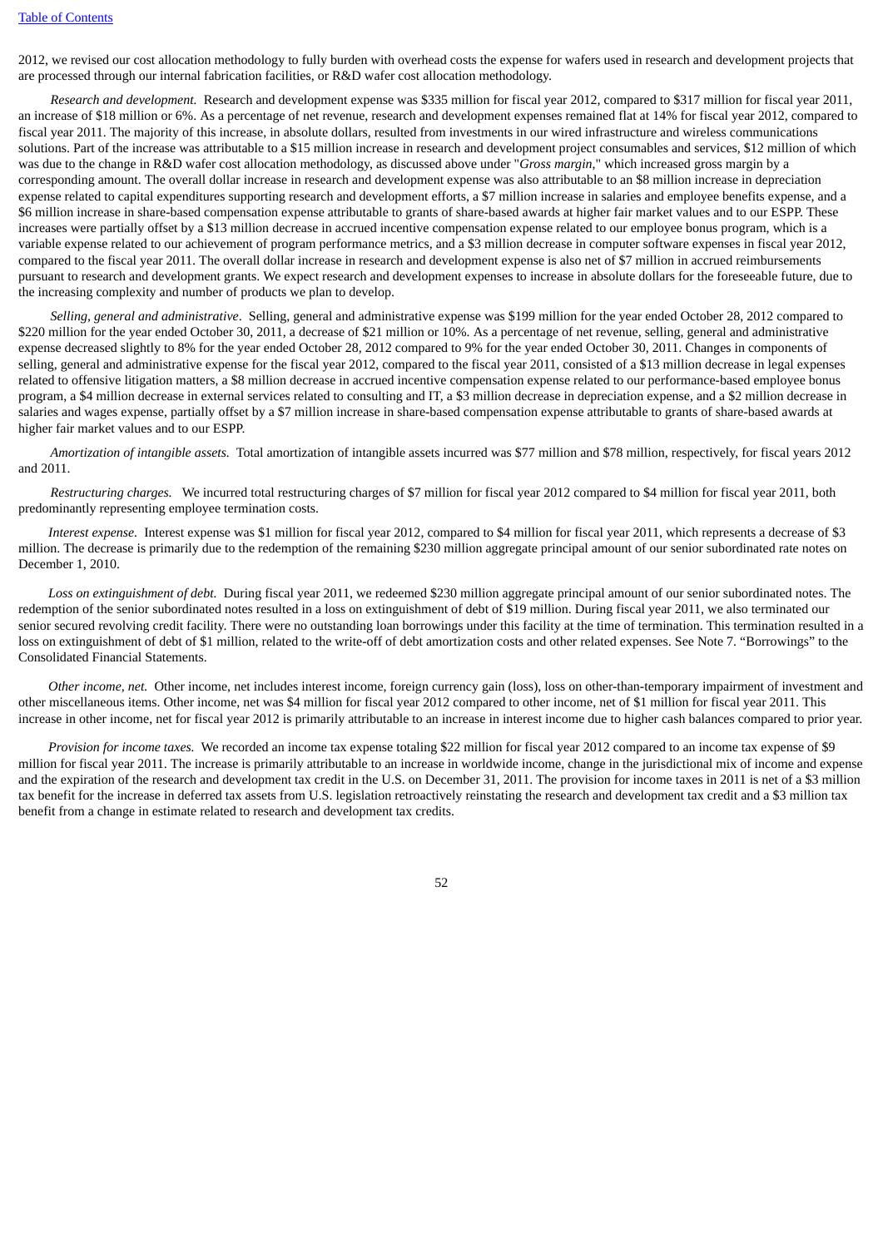2012, we revised our cost allocation methodology to fully burden with overhead costs the expense for wafers used in research and development projects that are processed through our internal fabrication facilities, or R&D wafer cost allocation methodology.

*Research and development.* Research and development expense was \$335 million for fiscal year 2012, compared to \$317 million for fiscal year 2011, an increase of \$18 million or 6%. As a percentage of net revenue, research and development expenses remained flat at 14% for fiscal year 2012, compared to fiscal year 2011. The majority of this increase, in absolute dollars, resulted from investments in our wired infrastructure and wireless communications solutions. Part of the increase was attributable to a \$15 million increase in research and development project consumables and services, \$12 million of which was due to the change in R&D wafer cost allocation methodology, as discussed above under "*Gross margin*," which increased gross margin by a corresponding amount. The overall dollar increase in research and development expense was also attributable to an \$8 million increase in depreciation expense related to capital expenditures supporting research and development efforts, a \$7 million increase in salaries and employee benefits expense, and a \$6 million increase in share-based compensation expense attributable to grants of share-based awards at higher fair market values and to our ESPP. These increases were partially offset by a \$13 million decrease in accrued incentive compensation expense related to our employee bonus program, which is a variable expense related to our achievement of program performance metrics, and a \$3 million decrease in computer software expenses in fiscal year 2012, compared to the fiscal year 2011. The overall dollar increase in research and development expense is also net of \$7 million in accrued reimbursements pursuant to research and development grants. We expect research and development expenses to increase in absolute dollars for the foreseeable future, due to the increasing complexity and number of products we plan to develop.

*Selling, general and administrative*. Selling, general and administrative expense was \$199 million for the year ended October 28, 2012 compared to \$220 million for the year ended October 30, 2011, a decrease of \$21 million or 10%. As a percentage of net revenue, selling, general and administrative expense decreased slightly to 8% for the year ended October 28, 2012 compared to 9% for the year ended October 30, 2011. Changes in components of selling, general and administrative expense for the fiscal year 2012, compared to the fiscal year 2011, consisted of a \$13 million decrease in legal expenses related to offensive litigation matters, a \$8 million decrease in accrued incentive compensation expense related to our performance-based employee bonus program, a \$4 million decrease in external services related to consulting and IT, a \$3 million decrease in depreciation expense, and a \$2 million decrease in salaries and wages expense, partially offset by a \$7 million increase in share-based compensation expense attributable to grants of share-based awards at higher fair market values and to our ESPP.

*Amortization of intangible assets.* Total amortization of intangible assets incurred was \$77 million and \$78 million, respectively, for fiscal years 2012 and 2011.

*Restructuring charges.* We incurred total restructuring charges of \$7 million for fiscal year 2012 compared to \$4 million for fiscal year 2011, both predominantly representing employee termination costs.

*Interest expense.* Interest expense was \$1 million for fiscal year 2012, compared to \$4 million for fiscal year 2011, which represents a decrease of \$3 million. The decrease is primarily due to the redemption of the remaining \$230 million aggregate principal amount of our senior subordinated rate notes on December 1, 2010.

*Loss on extinguishment of debt.* During fiscal year 2011, we redeemed \$230 million aggregate principal amount of our senior subordinated notes. The redemption of the senior subordinated notes resulted in a loss on extinguishment of debt of \$19 million. During fiscal year 2011, we also terminated our senior secured revolving credit facility. There were no outstanding loan borrowings under this facility at the time of termination. This termination resulted in a loss on extinguishment of debt of \$1 million, related to the write-off of debt amortization costs and other related expenses. See Note 7. "Borrowings" to the Consolidated Financial Statements.

*Other income, net.* Other income, net includes interest income, foreign currency gain (loss), loss on other-than-temporary impairment of investment and other miscellaneous items. Other income, net was \$4 million for fiscal year 2012 compared to other income, net of \$1 million for fiscal year 2011. This increase in other income, net for fiscal year 2012 is primarily attributable to an increase in interest income due to higher cash balances compared to prior year.

*Provision for income taxes.* We recorded an income tax expense totaling \$22 million for fiscal year 2012 compared to an income tax expense of \$9 million for fiscal year 2011. The increase is primarily attributable to an increase in worldwide income, change in the jurisdictional mix of income and expense and the expiration of the research and development tax credit in the U.S. on December 31, 2011. The provision for income taxes in 2011 is net of a \$3 million tax benefit for the increase in deferred tax assets from U.S. legislation retroactively reinstating the research and development tax credit and a \$3 million tax benefit from a change in estimate related to research and development tax credits.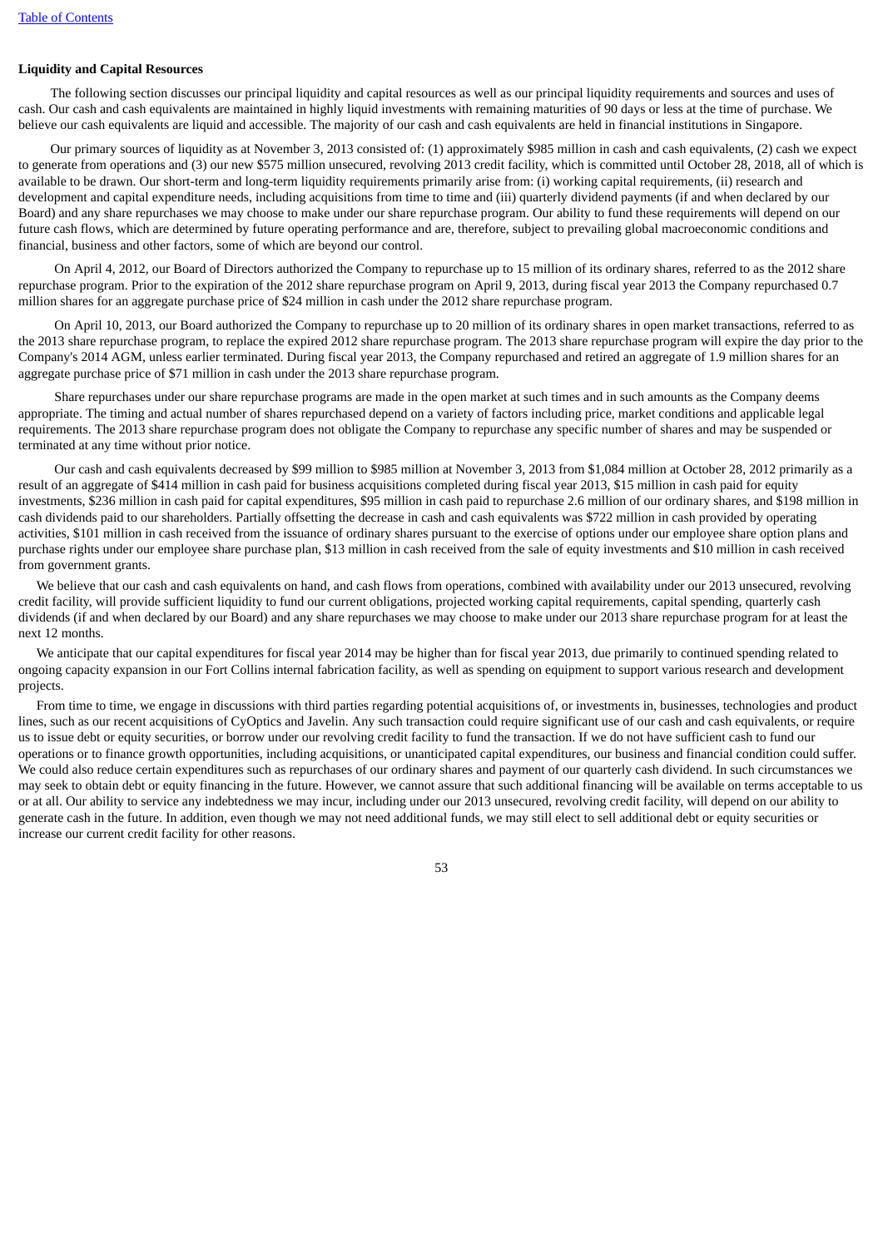## **Liquidity and Capital Resources**

The following section discusses our principal liquidity and capital resources as well as our principal liquidity requirements and sources and uses of cash. Our cash and cash equivalents are maintained in highly liquid investments with remaining maturities of 90 days or less at the time of purchase. We believe our cash equivalents are liquid and accessible. The majority of our cash and cash equivalents are held in financial institutions in Singapore.

Our primary sources of liquidity as at November 3, 2013 consisted of: (1) approximately \$985 million in cash and cash equivalents, (2) cash we expect to generate from operations and (3) our new \$575 million unsecured, revolving 2013 credit facility, which is committed until October 28, 2018, all of which is available to be drawn. Our short-term and long-term liquidity requirements primarily arise from: (i) working capital requirements, (ii) research and development and capital expenditure needs, including acquisitions from time to time and (iii) quarterly dividend payments (if and when declared by our Board) and any share repurchases we may choose to make under our share repurchase program. Our ability to fund these requirements will depend on our future cash flows, which are determined by future operating performance and are, therefore, subject to prevailing global macroeconomic conditions and financial, business and other factors, some of which are beyond our control.

On April 4, 2012, our Board of Directors authorized the Company to repurchase up to 15 million of its ordinary shares, referred to as the 2012 share repurchase program. Prior to the expiration of the 2012 share repurchase program on April 9, 2013, during fiscal year 2013 the Company repurchased 0.7 million shares for an aggregate purchase price of \$24 million in cash under the 2012 share repurchase program.

On April 10, 2013, our Board authorized the Company to repurchase up to 20 million of its ordinary shares in open market transactions, referred to as the 2013 share repurchase program, to replace the expired 2012 share repurchase program. The 2013 share repurchase program will expire the day prior to the Company's 2014 AGM, unless earlier terminated. During fiscal year 2013, the Company repurchased and retired an aggregate of 1.9 million shares for an aggregate purchase price of \$71 million in cash under the 2013 share repurchase program.

Share repurchases under our share repurchase programs are made in the open market at such times and in such amounts as the Company deems appropriate. The timing and actual number of shares repurchased depend on a variety of factors including price, market conditions and applicable legal requirements. The 2013 share repurchase program does not obligate the Company to repurchase any specific number of shares and may be suspended or terminated at any time without prior notice.

Our cash and cash equivalents decreased by \$99 million to \$985 million at November 3, 2013 from \$1,084 million at October 28, 2012 primarily as a result of an aggregate of \$414 million in cash paid for business acquisitions completed during fiscal year 2013, \$15 million in cash paid for equity investments, \$236 million in cash paid for capital expenditures, \$95 million in cash paid to repurchase 2.6 million of our ordinary shares, and \$198 million in cash dividends paid to our shareholders. Partially offsetting the decrease in cash and cash equivalents was \$722 million in cash provided by operating activities, \$101 million in cash received from the issuance of ordinary shares pursuant to the exercise of options under our employee share option plans and purchase rights under our employee share purchase plan, \$13 million in cash received from the sale of equity investments and \$10 million in cash received from government grants.

We believe that our cash and cash equivalents on hand, and cash flows from operations, combined with availability under our 2013 unsecured, revolving credit facility, will provide sufficient liquidity to fund our current obligations, projected working capital requirements, capital spending, quarterly cash dividends (if and when declared by our Board) and any share repurchases we may choose to make under our 2013 share repurchase program for at least the next 12 months.

We anticipate that our capital expenditures for fiscal year 2014 may be higher than for fiscal year 2013, due primarily to continued spending related to ongoing capacity expansion in our Fort Collins internal fabrication facility, as well as spending on equipment to support various research and development projects.

From time to time, we engage in discussions with third parties regarding potential acquisitions of, or investments in, businesses, technologies and product lines, such as our recent acquisitions of CyOptics and Javelin. Any such transaction could require significant use of our cash and cash equivalents, or require us to issue debt or equity securities, or borrow under our revolving credit facility to fund the transaction. If we do not have sufficient cash to fund our operations or to finance growth opportunities, including acquisitions, or unanticipated capital expenditures, our business and financial condition could suffer. We could also reduce certain expenditures such as repurchases of our ordinary shares and payment of our quarterly cash dividend. In such circumstances we may seek to obtain debt or equity financing in the future. However, we cannot assure that such additional financing will be available on terms acceptable to us or at all. Our ability to service any indebtedness we may incur, including under our 2013 unsecured, revolving credit facility, will depend on our ability to generate cash in the future. In addition, even though we may not need additional funds, we may still elect to sell additional debt or equity securities or increase our current credit facility for other reasons.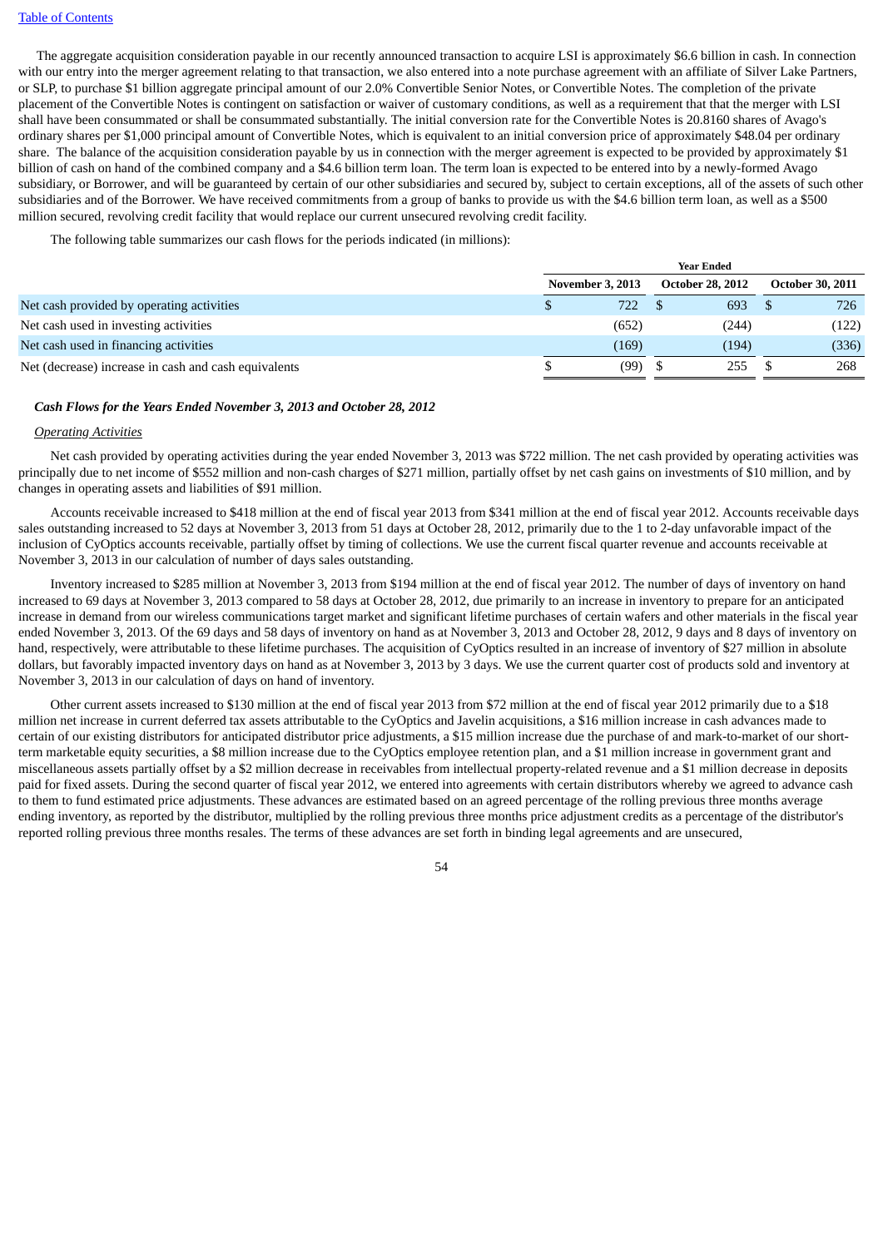### Table of [Contents](#page-0-0)

The aggregate acquisition consideration payable in our recently announced transaction to acquire LSI is approximately \$6.6 billion in cash. In connection with our entry into the merger agreement relating to that transaction, we also entered into a note purchase agreement with an affiliate of Silver Lake Partners, or SLP, to purchase \$1 billion aggregate principal amount of our 2.0% Convertible Senior Notes, or Convertible Notes. The completion of the private placement of the Convertible Notes is contingent on satisfaction or waiver of customary conditions, as well as a requirement that that the merger with LSI shall have been consummated or shall be consummated substantially. The initial conversion rate for the Convertible Notes is 20.8160 shares of Avago's ordinary shares per \$1,000 principal amount of Convertible Notes, which is equivalent to an initial conversion price of approximately \$48.04 per ordinary share. The balance of the acquisition consideration payable by us in connection with the merger agreement is expected to be provided by approximately \$1 billion of cash on hand of the combined company and a \$4.6 billion term loan. The term loan is expected to be entered into by a newly-formed Avago subsidiary, or Borrower, and will be guaranteed by certain of our other subsidiaries and secured by, subject to certain exceptions, all of the assets of such other subsidiaries and of the Borrower. We have received commitments from a group of banks to provide us with the \$4.6 billion term loan, as well as a \$500 million secured, revolving credit facility that would replace our current unsecured revolving credit facility.

The following table summarizes our cash flows for the periods indicated (in millions):

|                                                      | <b>Year Ended</b> |                         |  |                         |  |                         |  |
|------------------------------------------------------|-------------------|-------------------------|--|-------------------------|--|-------------------------|--|
|                                                      |                   | <b>November 3, 2013</b> |  | <b>October 28, 2012</b> |  | <b>October 30, 2011</b> |  |
| Net cash provided by operating activities            |                   | 722                     |  | 693                     |  | 726                     |  |
| Net cash used in investing activities                |                   | (652)                   |  | (244)                   |  | (122)                   |  |
| Net cash used in financing activities                |                   | (169)                   |  | (194)                   |  | (336)                   |  |
| Net (decrease) increase in cash and cash equivalents |                   | (99)                    |  | 255                     |  | 268                     |  |

#### *Cash Flows for the Years Ended November 3, 2013 and October 28, 2012*

### *Operating Activities*

Net cash provided by operating activities during the year ended November 3, 2013 was \$722 million. The net cash provided by operating activities was principally due to net income of \$552 million and non-cash charges of \$271 million, partially offset by net cash gains on investments of \$10 million, and by changes in operating assets and liabilities of \$91 million.

Accounts receivable increased to \$418 million at the end of fiscal year 2013 from \$341 million at the end of fiscal year 2012. Accounts receivable days sales outstanding increased to 52 days at November 3, 2013 from 51 days at October 28, 2012, primarily due to the 1 to 2-day unfavorable impact of the inclusion of CyOptics accounts receivable, partially offset by timing of collections. We use the current fiscal quarter revenue and accounts receivable at November 3, 2013 in our calculation of number of days sales outstanding.

Inventory increased to \$285 million at November 3, 2013 from \$194 million at the end of fiscal year 2012. The number of days of inventory on hand increased to 69 days at November 3, 2013 compared to 58 days at October 28, 2012, due primarily to an increase in inventory to prepare for an anticipated increase in demand from our wireless communications target market and significant lifetime purchases of certain wafers and other materials in the fiscal year ended November 3, 2013. Of the 69 days and 58 days of inventory on hand as at November 3, 2013 and October 28, 2012, 9 days and 8 days of inventory on hand, respectively, were attributable to these lifetime purchases. The acquisition of CyOptics resulted in an increase of inventory of \$27 million in absolute dollars, but favorably impacted inventory days on hand as at November 3, 2013 by 3 days. We use the current quarter cost of products sold and inventory at November 3, 2013 in our calculation of days on hand of inventory.

Other current assets increased to \$130 million at the end of fiscal year 2013 from \$72 million at the end of fiscal year 2012 primarily due to a \$18 million net increase in current deferred tax assets attributable to the CyOptics and Javelin acquisitions, a \$16 million increase in cash advances made to certain of our existing distributors for anticipated distributor price adjustments, a \$15 million increase due the purchase of and mark-to-market of our shortterm marketable equity securities, a \$8 million increase due to the CyOptics employee retention plan, and a \$1 million increase in government grant and miscellaneous assets partially offset by a \$2 million decrease in receivables from intellectual property-related revenue and a \$1 million decrease in deposits paid for fixed assets. During the second quarter of fiscal year 2012, we entered into agreements with certain distributors whereby we agreed to advance cash to them to fund estimated price adjustments. These advances are estimated based on an agreed percentage of the rolling previous three months average ending inventory, as reported by the distributor, multiplied by the rolling previous three months price adjustment credits as a percentage of the distributor's reported rolling previous three months resales. The terms of these advances are set forth in binding legal agreements and are unsecured,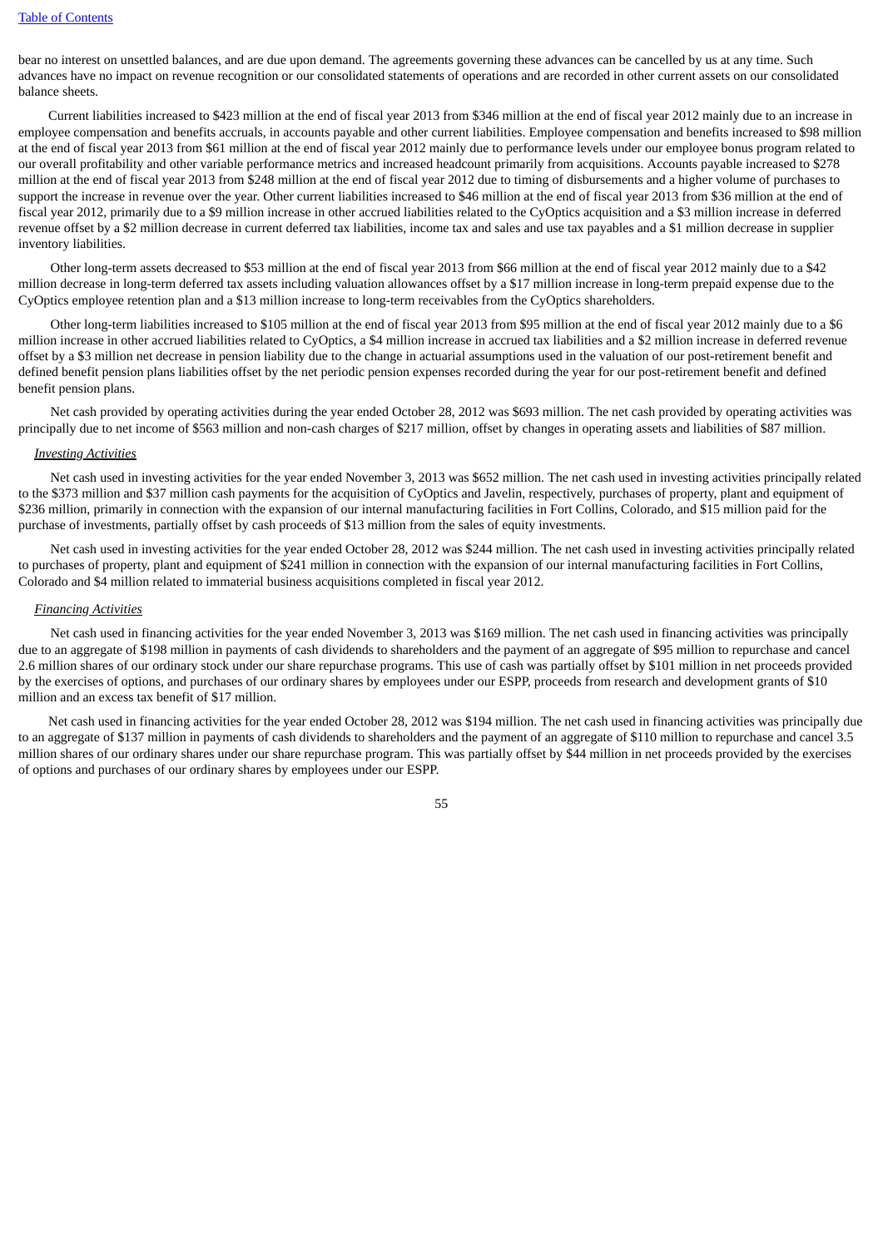bear no interest on unsettled balances, and are due upon demand. The agreements governing these advances can be cancelled by us at any time. Such advances have no impact on revenue recognition or our consolidated statements of operations and are recorded in other current assets on our consolidated balance sheets.

Current liabilities increased to \$423 million at the end of fiscal year 2013 from \$346 million at the end of fiscal year 2012 mainly due to an increase in employee compensation and benefits accruals, in accounts payable and other current liabilities. Employee compensation and benefits increased to \$98 million at the end of fiscal year 2013 from \$61 million at the end of fiscal year 2012 mainly due to performance levels under our employee bonus program related to our overall profitability and other variable performance metrics and increased headcount primarily from acquisitions. Accounts payable increased to \$278 million at the end of fiscal year 2013 from \$248 million at the end of fiscal year 2012 due to timing of disbursements and a higher volume of purchases to support the increase in revenue over the year. Other current liabilities increased to \$46 million at the end of fiscal year 2013 from \$36 million at the end of fiscal year 2012, primarily due to a \$9 million increase in other accrued liabilities related to the CyOptics acquisition and a \$3 million increase in deferred revenue offset by a \$2 million decrease in current deferred tax liabilities, income tax and sales and use tax payables and a \$1 million decrease in supplier inventory liabilities.

Other long-term assets decreased to \$53 million at the end of fiscal year 2013 from \$66 million at the end of fiscal year 2012 mainly due to a \$42 million decrease in long-term deferred tax assets including valuation allowances offset by a \$17 million increase in long-term prepaid expense due to the CyOptics employee retention plan and a \$13 million increase to long-term receivables from the CyOptics shareholders.

Other long-term liabilities increased to \$105 million at the end of fiscal year 2013 from \$95 million at the end of fiscal year 2012 mainly due to a \$6 million increase in other accrued liabilities related to CyOptics, a \$4 million increase in accrued tax liabilities and a \$2 million increase in deferred revenue offset by a \$3 million net decrease in pension liability due to the change in actuarial assumptions used in the valuation of our post-retirement benefit and defined benefit pension plans liabilities offset by the net periodic pension expenses recorded during the year for our post-retirement benefit and defined benefit pension plans.

Net cash provided by operating activities during the year ended October 28, 2012 was \$693 million. The net cash provided by operating activities was principally due to net income of \$563 million and non-cash charges of \$217 million, offset by changes in operating assets and liabilities of \$87 million.

### *Investing Activities*

Net cash used in investing activities for the year ended November 3, 2013 was \$652 million. The net cash used in investing activities principally related to the \$373 million and \$37 million cash payments for the acquisition of CyOptics and Javelin, respectively, purchases of property, plant and equipment of \$236 million, primarily in connection with the expansion of our internal manufacturing facilities in Fort Collins, Colorado, and \$15 million paid for the purchase of investments, partially offset by cash proceeds of \$13 million from the sales of equity investments.

Net cash used in investing activities for the year ended October 28, 2012 was \$244 million. The net cash used in investing activities principally related to purchases of property, plant and equipment of \$241 million in connection with the expansion of our internal manufacturing facilities in Fort Collins, Colorado and \$4 million related to immaterial business acquisitions completed in fiscal year 2012.

#### *Financing Activities*

Net cash used in financing activities for the year ended November 3, 2013 was \$169 million. The net cash used in financing activities was principally due to an aggregate of \$198 million in payments of cash dividends to shareholders and the payment of an aggregate of \$95 million to repurchase and cancel 2.6 million shares of our ordinary stock under our share repurchase programs. This use of cash was partially offset by \$101 million in net proceeds provided by the exercises of options, and purchases of our ordinary shares by employees under our ESPP, proceeds from research and development grants of \$10 million and an excess tax benefit of \$17 million.

Net cash used in financing activities for the year ended October 28, 2012 was \$194 million. The net cash used in financing activities was principally due to an aggregate of \$137 million in payments of cash dividends to shareholders and the payment of an aggregate of \$110 million to repurchase and cancel 3.5 million shares of our ordinary shares under our share repurchase program. This was partially offset by \$44 million in net proceeds provided by the exercises of options and purchases of our ordinary shares by employees under our ESPP.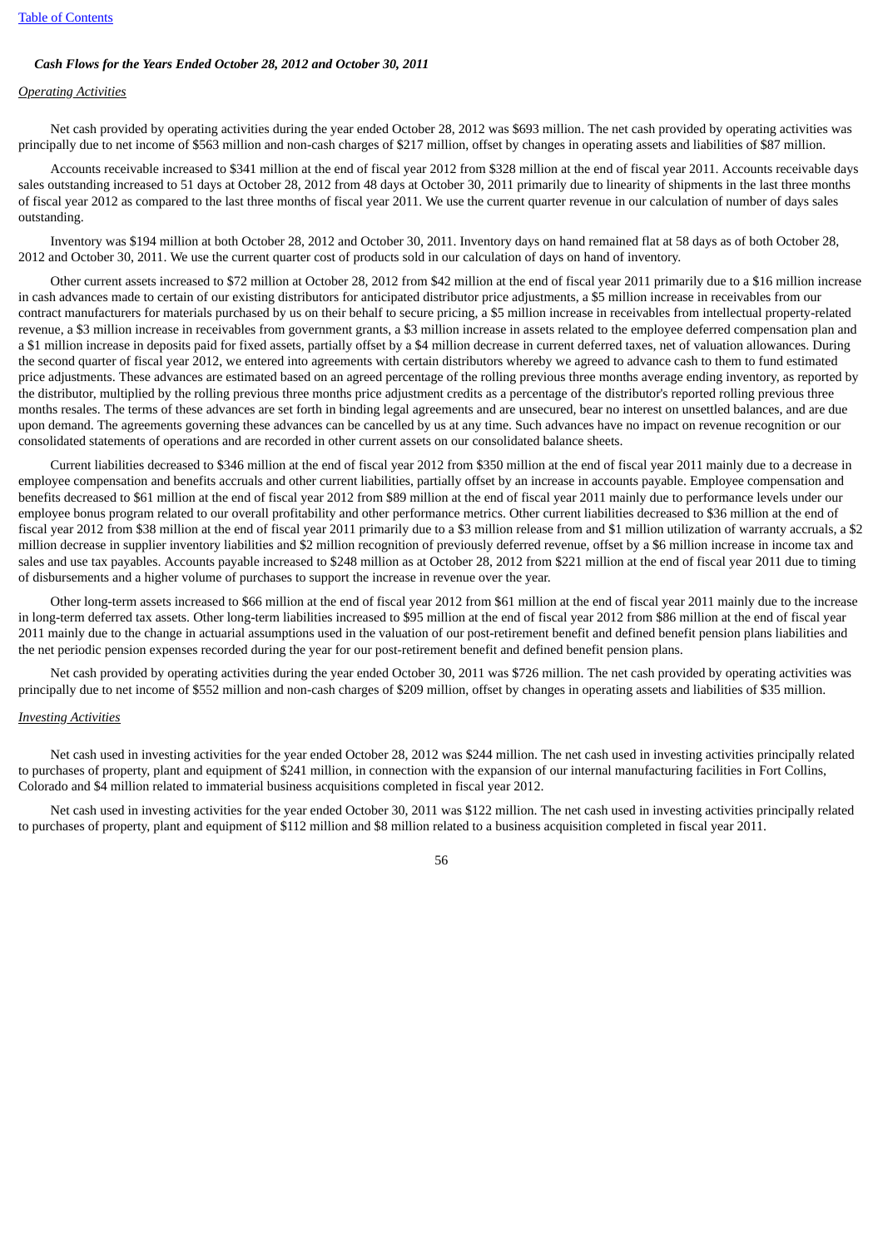## *Cash Flows for the Years Ended October 28, 2012 and October 30, 2011*

## *Operating Activities*

Net cash provided by operating activities during the year ended October 28, 2012 was \$693 million. The net cash provided by operating activities was principally due to net income of \$563 million and non-cash charges of \$217 million, offset by changes in operating assets and liabilities of \$87 million.

Accounts receivable increased to \$341 million at the end of fiscal year 2012 from \$328 million at the end of fiscal year 2011. Accounts receivable days sales outstanding increased to 51 days at October 28, 2012 from 48 days at October 30, 2011 primarily due to linearity of shipments in the last three months of fiscal year 2012 as compared to the last three months of fiscal year 2011. We use the current quarter revenue in our calculation of number of days sales outstanding.

Inventory was \$194 million at both October 28, 2012 and October 30, 2011. Inventory days on hand remained flat at 58 days as of both October 28, 2012 and October 30, 2011. We use the current quarter cost of products sold in our calculation of days on hand of inventory.

Other current assets increased to \$72 million at October 28, 2012 from \$42 million at the end of fiscal year 2011 primarily due to a \$16 million increase in cash advances made to certain of our existing distributors for anticipated distributor price adjustments, a \$5 million increase in receivables from our contract manufacturers for materials purchased by us on their behalf to secure pricing, a \$5 million increase in receivables from intellectual property-related revenue, a \$3 million increase in receivables from government grants, a \$3 million increase in assets related to the employee deferred compensation plan and a \$1 million increase in deposits paid for fixed assets, partially offset by a \$4 million decrease in current deferred taxes, net of valuation allowances. During the second quarter of fiscal year 2012, we entered into agreements with certain distributors whereby we agreed to advance cash to them to fund estimated price adjustments. These advances are estimated based on an agreed percentage of the rolling previous three months average ending inventory, as reported by the distributor, multiplied by the rolling previous three months price adjustment credits as a percentage of the distributor's reported rolling previous three months resales. The terms of these advances are set forth in binding legal agreements and are unsecured, bear no interest on unsettled balances, and are due upon demand. The agreements governing these advances can be cancelled by us at any time. Such advances have no impact on revenue recognition or our consolidated statements of operations and are recorded in other current assets on our consolidated balance sheets.

Current liabilities decreased to \$346 million at the end of fiscal year 2012 from \$350 million at the end of fiscal year 2011 mainly due to a decrease in employee compensation and benefits accruals and other current liabilities, partially offset by an increase in accounts payable. Employee compensation and benefits decreased to \$61 million at the end of fiscal year 2012 from \$89 million at the end of fiscal year 2011 mainly due to performance levels under our employee bonus program related to our overall profitability and other performance metrics. Other current liabilities decreased to \$36 million at the end of fiscal year 2012 from \$38 million at the end of fiscal year 2011 primarily due to a \$3 million release from and \$1 million utilization of warranty accruals, a \$2 million decrease in supplier inventory liabilities and \$2 million recognition of previously deferred revenue, offset by a \$6 million increase in income tax and sales and use tax payables. Accounts payable increased to \$248 million as at October 28, 2012 from \$221 million at the end of fiscal year 2011 due to timing of disbursements and a higher volume of purchases to support the increase in revenue over the year.

Other long-term assets increased to \$66 million at the end of fiscal year 2012 from \$61 million at the end of fiscal year 2011 mainly due to the increase in long-term deferred tax assets. Other long-term liabilities increased to \$95 million at the end of fiscal year 2012 from \$86 million at the end of fiscal year 2011 mainly due to the change in actuarial assumptions used in the valuation of our post-retirement benefit and defined benefit pension plans liabilities and the net periodic pension expenses recorded during the year for our post-retirement benefit and defined benefit pension plans.

Net cash provided by operating activities during the year ended October 30, 2011 was \$726 million. The net cash provided by operating activities was principally due to net income of \$552 million and non-cash charges of \$209 million, offset by changes in operating assets and liabilities of \$35 million.

### *Investing Activities*

Net cash used in investing activities for the year ended October 28, 2012 was \$244 million. The net cash used in investing activities principally related to purchases of property, plant and equipment of \$241 million, in connection with the expansion of our internal manufacturing facilities in Fort Collins, Colorado and \$4 million related to immaterial business acquisitions completed in fiscal year 2012.

Net cash used in investing activities for the year ended October 30, 2011 was \$122 million. The net cash used in investing activities principally related to purchases of property, plant and equipment of \$112 million and \$8 million related to a business acquisition completed in fiscal year 2011.

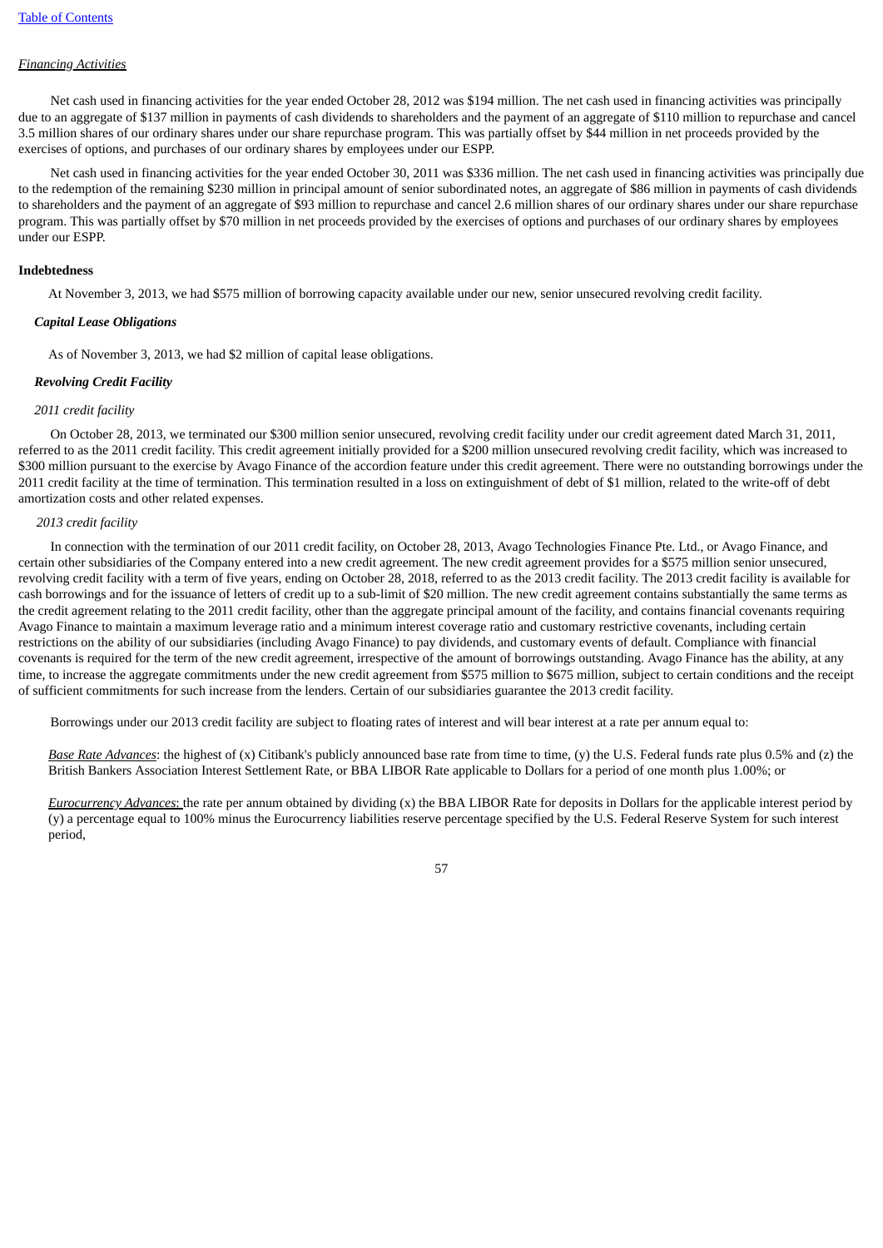#### *Financing Activities*

Net cash used in financing activities for the year ended October 28, 2012 was \$194 million. The net cash used in financing activities was principally due to an aggregate of \$137 million in payments of cash dividends to shareholders and the payment of an aggregate of \$110 million to repurchase and cancel 3.5 million shares of our ordinary shares under our share repurchase program. This was partially offset by \$44 million in net proceeds provided by the exercises of options, and purchases of our ordinary shares by employees under our ESPP.

Net cash used in financing activities for the year ended October 30, 2011 was \$336 million. The net cash used in financing activities was principally due to the redemption of the remaining \$230 million in principal amount of senior subordinated notes, an aggregate of \$86 million in payments of cash dividends to shareholders and the payment of an aggregate of \$93 million to repurchase and cancel 2.6 million shares of our ordinary shares under our share repurchase program. This was partially offset by \$70 million in net proceeds provided by the exercises of options and purchases of our ordinary shares by employees under our ESPP.

### **Indebtedness**

At November 3, 2013, we had \$575 million of borrowing capacity available under our new, senior unsecured revolving credit facility.

#### *Capital Lease Obligations*

As of November 3, 2013, we had \$2 million of capital lease obligations.

### *Revolving Credit Facility*

#### *2011 credit facility*

On October 28, 2013, we terminated our \$300 million senior unsecured, revolving credit facility under our credit agreement dated March 31, 2011, referred to as the 2011 credit facility. This credit agreement initially provided for a \$200 million unsecured revolving credit facility, which was increased to \$300 million pursuant to the exercise by Avago Finance of the accordion feature under this credit agreement. There were no outstanding borrowings under the 2011 credit facility at the time of termination. This termination resulted in a loss on extinguishment of debt of \$1 million, related to the write-off of debt amortization costs and other related expenses.

#### *2013 credit facility*

In connection with the termination of our 2011 credit facility, on October 28, 2013, Avago Technologies Finance Pte. Ltd., or Avago Finance, and certain other subsidiaries of the Company entered into a new credit agreement. The new credit agreement provides for a \$575 million senior unsecured, revolving credit facility with a term of five years, ending on October 28, 2018, referred to as the 2013 credit facility. The 2013 credit facility is available for cash borrowings and for the issuance of letters of credit up to a sub-limit of \$20 million. The new credit agreement contains substantially the same terms as the credit agreement relating to the 2011 credit facility, other than the aggregate principal amount of the facility, and contains financial covenants requiring Avago Finance to maintain a maximum leverage ratio and a minimum interest coverage ratio and customary restrictive covenants, including certain restrictions on the ability of our subsidiaries (including Avago Finance) to pay dividends, and customary events of default. Compliance with financial covenants is required for the term of the new credit agreement, irrespective of the amount of borrowings outstanding. Avago Finance has the ability, at any time, to increase the aggregate commitments under the new credit agreement from \$575 million to \$675 million, subject to certain conditions and the receipt of sufficient commitments for such increase from the lenders. Certain of our subsidiaries guarantee the 2013 credit facility.

Borrowings under our 2013 credit facility are subject to floating rates of interest and will bear interest at a rate per annum equal to:

*Base Rate Advances*: the highest of (x) Citibank's publicly announced base rate from time to time, (y) the U.S. Federal funds rate plus 0.5% and (z) the British Bankers Association Interest Settlement Rate, or BBA LIBOR Rate applicable to Dollars for a period of one month plus 1.00%; or

*Eurocurrency Advances*: the rate per annum obtained by dividing (x) the BBA LIBOR Rate for deposits in Dollars for the applicable interest period by (y) a percentage equal to 100% minus the Eurocurrency liabilities reserve percentage specified by the U.S. Federal Reserve System for such interest period,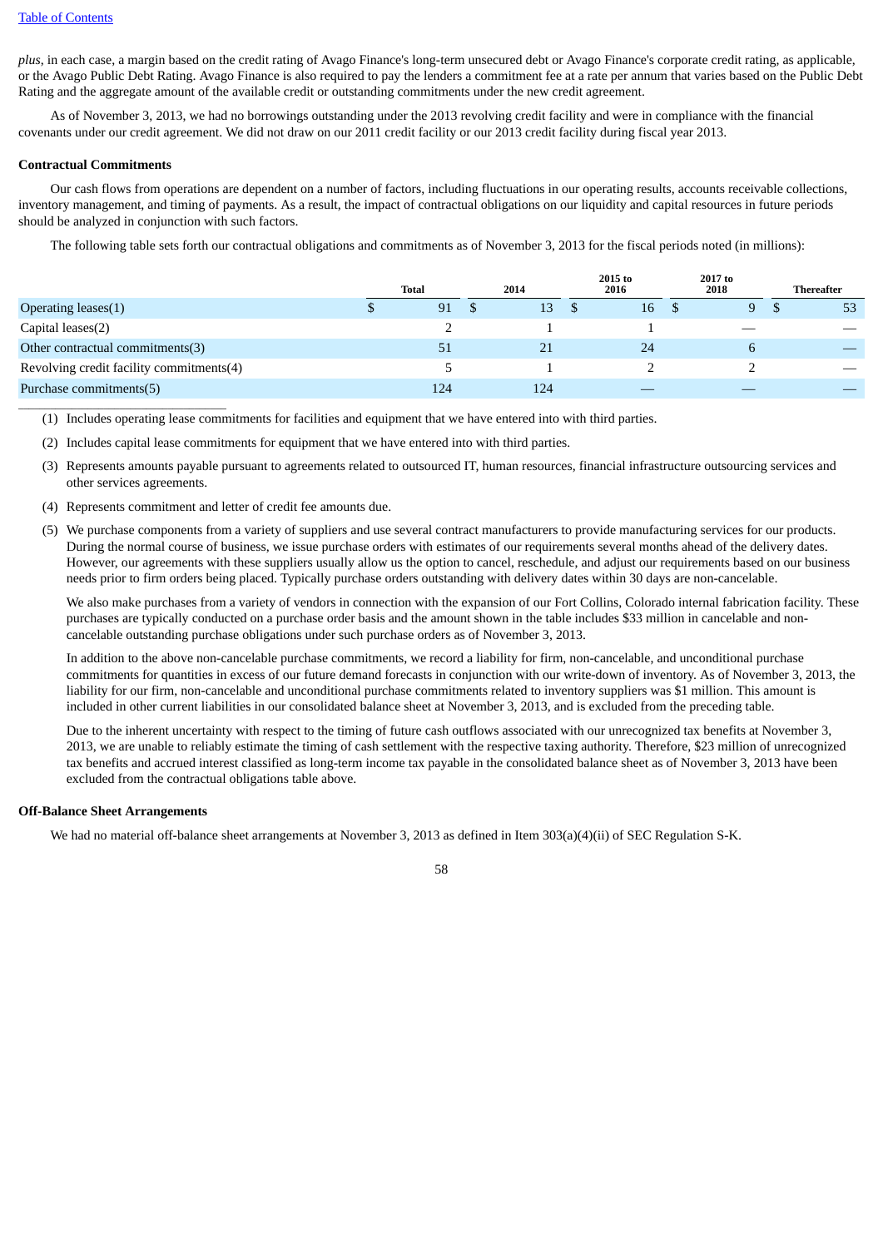*plus*, in each case, a margin based on the credit rating of Avago Finance's long-term unsecured debt or Avago Finance's corporate credit rating, as applicable, or the Avago Public Debt Rating. Avago Finance is also required to pay the lenders a commitment fee at a rate per annum that varies based on the Public Debt Rating and the aggregate amount of the available credit or outstanding commitments under the new credit agreement.

As of November 3, 2013, we had no borrowings outstanding under the 2013 revolving credit facility and were in compliance with the financial covenants under our credit agreement. We did not draw on our 2011 credit facility or our 2013 credit facility during fiscal year 2013.

### **Contractual Commitments**

 $\mathcal{L}_\text{max}$  , and the set of the set of the set of the set of the set of the set of the set of the set of the set of the set of the set of the set of the set of the set of the set of the set of the set of the set of the

Our cash flows from operations are dependent on a number of factors, including fluctuations in our operating results, accounts receivable collections, inventory management, and timing of payments. As a result, the impact of contractual obligations on our liquidity and capital resources in future periods should be analyzed in conjunction with such factors.

The following table sets forth our contractual obligations and commitments as of November 3, 2013 for the fiscal periods noted (in millions):

|                                          | <b>Total</b> | 2014 | 2015 to<br>2016 | 2017 to<br>2018 | Thereafter |
|------------------------------------------|--------------|------|-----------------|-----------------|------------|
| Operating leases(1)                      | 91           | 13   | 16              | 9               | 53         |
| Capital leases(2)                        |              |      |                 |                 |            |
| Other contractual commitments(3)         | 51           | 21   | 24              |                 |            |
| Revolving credit facility commitments(4) |              |      |                 |                 |            |
| Purchase commitments(5)                  | 124          | 124  |                 |                 |            |

(1) Includes operating lease commitments for facilities and equipment that we have entered into with third parties.

- (2) Includes capital lease commitments for equipment that we have entered into with third parties.
- (3) Represents amounts payable pursuant to agreements related to outsourced IT, human resources, financial infrastructure outsourcing services and other services agreements.
- (4) Represents commitment and letter of credit fee amounts due.
- (5) We purchase components from a variety of suppliers and use several contract manufacturers to provide manufacturing services for our products. During the normal course of business, we issue purchase orders with estimates of our requirements several months ahead of the delivery dates. However, our agreements with these suppliers usually allow us the option to cancel, reschedule, and adjust our requirements based on our business needs prior to firm orders being placed. Typically purchase orders outstanding with delivery dates within 30 days are non-cancelable.

We also make purchases from a variety of vendors in connection with the expansion of our Fort Collins, Colorado internal fabrication facility. These purchases are typically conducted on a purchase order basis and the amount shown in the table includes \$33 million in cancelable and noncancelable outstanding purchase obligations under such purchase orders as of November 3, 2013.

In addition to the above non-cancelable purchase commitments, we record a liability for firm, non-cancelable, and unconditional purchase commitments for quantities in excess of our future demand forecasts in conjunction with our write-down of inventory. As of November 3, 2013, the liability for our firm, non-cancelable and unconditional purchase commitments related to inventory suppliers was \$1 million. This amount is included in other current liabilities in our consolidated balance sheet at November 3, 2013, and is excluded from the preceding table.

Due to the inherent uncertainty with respect to the timing of future cash outflows associated with our unrecognized tax benefits at November 3, 2013, we are unable to reliably estimate the timing of cash settlement with the respective taxing authority. Therefore, \$23 million of unrecognized tax benefits and accrued interest classified as long-term income tax payable in the consolidated balance sheet as of November 3, 2013 have been excluded from the contractual obligations table above.

### **Off-Balance Sheet Arrangements**

We had no material off-balance sheet arrangements at November 3, 2013 as defined in Item 303(a)(4)(ii) of SEC Regulation S-K.

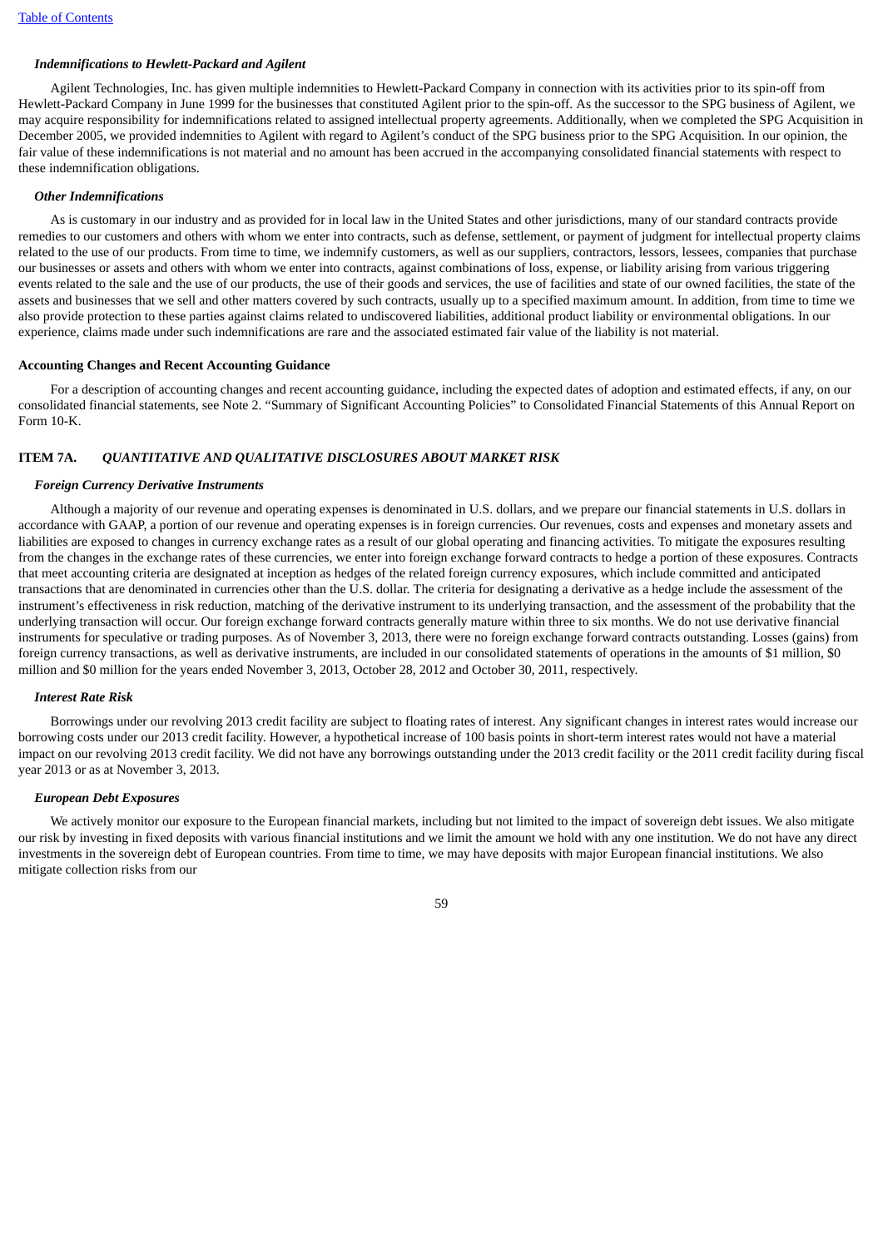## *Indemnifications to Hewlett-Packard and Agilent*

Agilent Technologies, Inc. has given multiple indemnities to Hewlett-Packard Company in connection with its activities prior to its spin-off from Hewlett-Packard Company in June 1999 for the businesses that constituted Agilent prior to the spin-off. As the successor to the SPG business of Agilent, we may acquire responsibility for indemnifications related to assigned intellectual property agreements. Additionally, when we completed the SPG Acquisition in December 2005, we provided indemnities to Agilent with regard to Agilent's conduct of the SPG business prior to the SPG Acquisition. In our opinion, the fair value of these indemnifications is not material and no amount has been accrued in the accompanying consolidated financial statements with respect to these indemnification obligations.

### *Other Indemnifications*

As is customary in our industry and as provided for in local law in the United States and other jurisdictions, many of our standard contracts provide remedies to our customers and others with whom we enter into contracts, such as defense, settlement, or payment of judgment for intellectual property claims related to the use of our products. From time to time, we indemnify customers, as well as our suppliers, contractors, lessors, lessees, companies that purchase our businesses or assets and others with whom we enter into contracts, against combinations of loss, expense, or liability arising from various triggering events related to the sale and the use of our products, the use of their goods and services, the use of facilities and state of our owned facilities, the state of the assets and businesses that we sell and other matters covered by such contracts, usually up to a specified maximum amount. In addition, from time to time we also provide protection to these parties against claims related to undiscovered liabilities, additional product liability or environmental obligations. In our experience, claims made under such indemnifications are rare and the associated estimated fair value of the liability is not material.

### **Accounting Changes and Recent Accounting Guidance**

For a description of accounting changes and recent accounting guidance, including the expected dates of adoption and estimated effects, if any, on our consolidated financial statements, see Note 2. "Summary of Significant Accounting Policies" to Consolidated Financial Statements of this Annual Report on Form 10-K.

### **ITEM 7A.** *QUANTITATIVE AND QUALITATIVE DISCLOSURES ABOUT MARKET RISK*

### *Foreign Currency Derivative Instruments*

Although a majority of our revenue and operating expenses is denominated in U.S. dollars, and we prepare our financial statements in U.S. dollars in accordance with GAAP, a portion of our revenue and operating expenses is in foreign currencies. Our revenues, costs and expenses and monetary assets and liabilities are exposed to changes in currency exchange rates as a result of our global operating and financing activities. To mitigate the exposures resulting from the changes in the exchange rates of these currencies, we enter into foreign exchange forward contracts to hedge a portion of these exposures. Contracts that meet accounting criteria are designated at inception as hedges of the related foreign currency exposures, which include committed and anticipated transactions that are denominated in currencies other than the U.S. dollar. The criteria for designating a derivative as a hedge include the assessment of the instrument's effectiveness in risk reduction, matching of the derivative instrument to its underlying transaction, and the assessment of the probability that the underlying transaction will occur. Our foreign exchange forward contracts generally mature within three to six months. We do not use derivative financial instruments for speculative or trading purposes. As of November 3, 2013, there were no foreign exchange forward contracts outstanding. Losses (gains) from foreign currency transactions, as well as derivative instruments, are included in our consolidated statements of operations in the amounts of \$1 million, \$0 million and \$0 million for the years ended November 3, 2013, October 28, 2012 and October 30, 2011, respectively.

### *Interest Rate Risk*

Borrowings under our revolving 2013 credit facility are subject to floating rates of interest. Any significant changes in interest rates would increase our borrowing costs under our 2013 credit facility. However, a hypothetical increase of 100 basis points in short-term interest rates would not have a material impact on our revolving 2013 credit facility. We did not have any borrowings outstanding under the 2013 credit facility or the 2011 credit facility during fiscal year 2013 or as at November 3, 2013.

### *European Debt Exposures*

We actively monitor our exposure to the European financial markets, including but not limited to the impact of sovereign debt issues. We also mitigate our risk by investing in fixed deposits with various financial institutions and we limit the amount we hold with any one institution. We do not have any direct investments in the sovereign debt of European countries. From time to time, we may have deposits with major European financial institutions. We also mitigate collection risks from our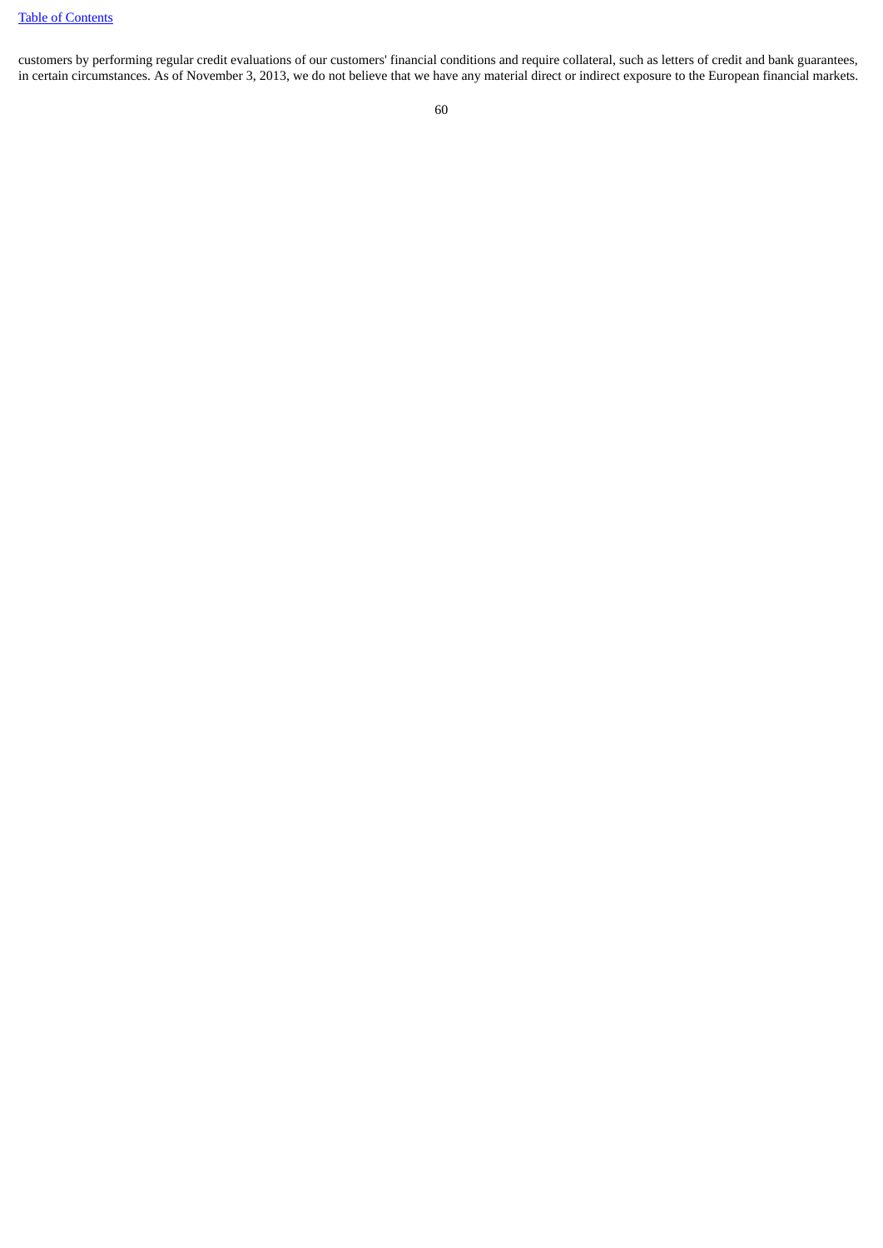## Table of [Contents](#page-0-0)

customers by performing regular credit evaluations of our customers' financial conditions and require collateral, such as letters of credit and bank guarantees, in certain circumstances. As of November 3, 2013, we do not believe that we have any material direct or indirect exposure to the European financial markets.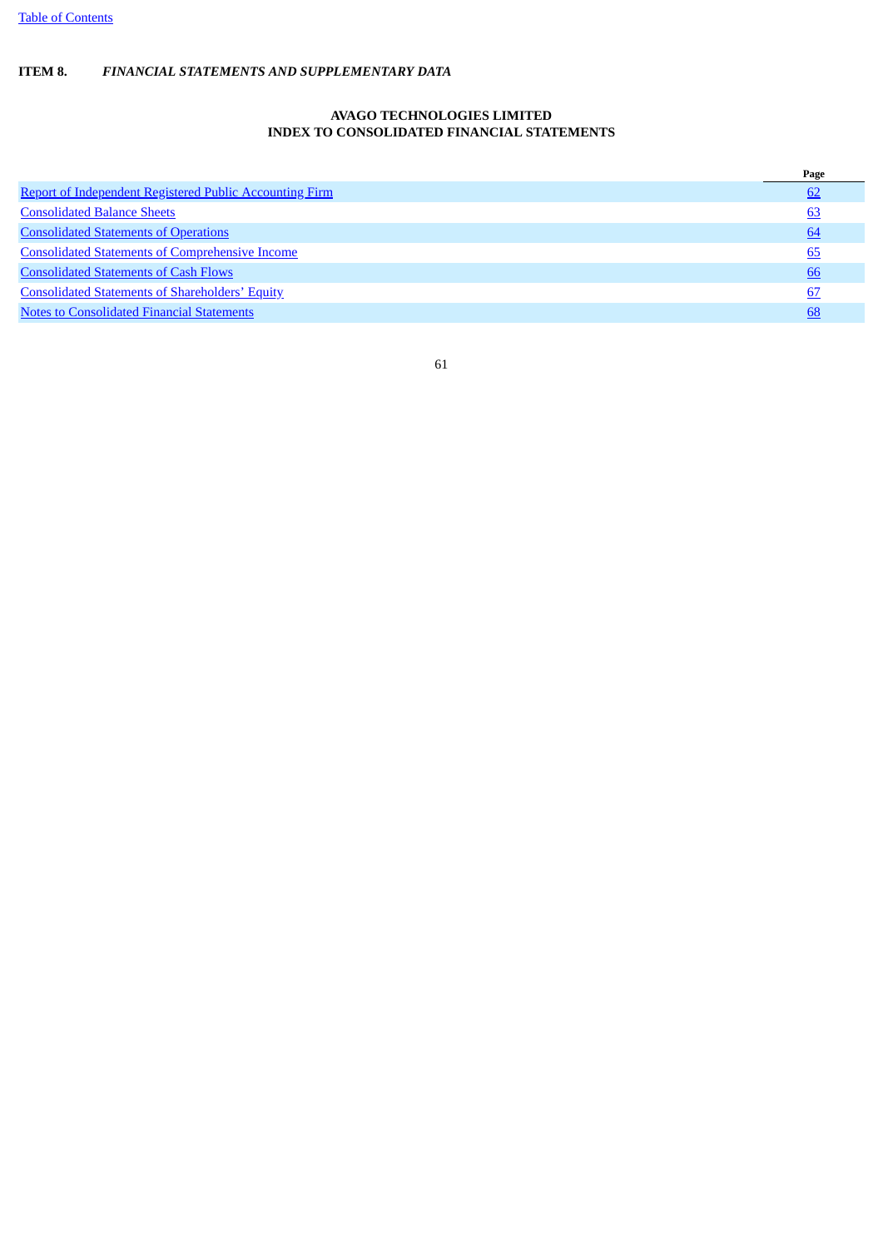## **ITEM 8.** *FINANCIAL STATEMENTS AND SUPPLEMENTARY DATA*

## **AVAGO TECHNOLOGIES LIMITED INDEX TO CONSOLIDATED FINANCIAL STATEMENTS**

<span id="page-60-0"></span>

|                                                         | Page      |
|---------------------------------------------------------|-----------|
| Report of Independent Registered Public Accounting Firm | <u>62</u> |
| <b>Consolidated Balance Sheets</b>                      | <u>63</u> |
| <b>Consolidated Statements of Operations</b>            | <u>64</u> |
| <b>Consolidated Statements of Comprehensive Income</b>  | 65        |
| <b>Consolidated Statements of Cash Flows</b>            | <u>66</u> |
| <b>Consolidated Statements of Shareholders' Equity</b>  | <u>67</u> |
| <b>Notes to Consolidated Financial Statements</b>       | 68        |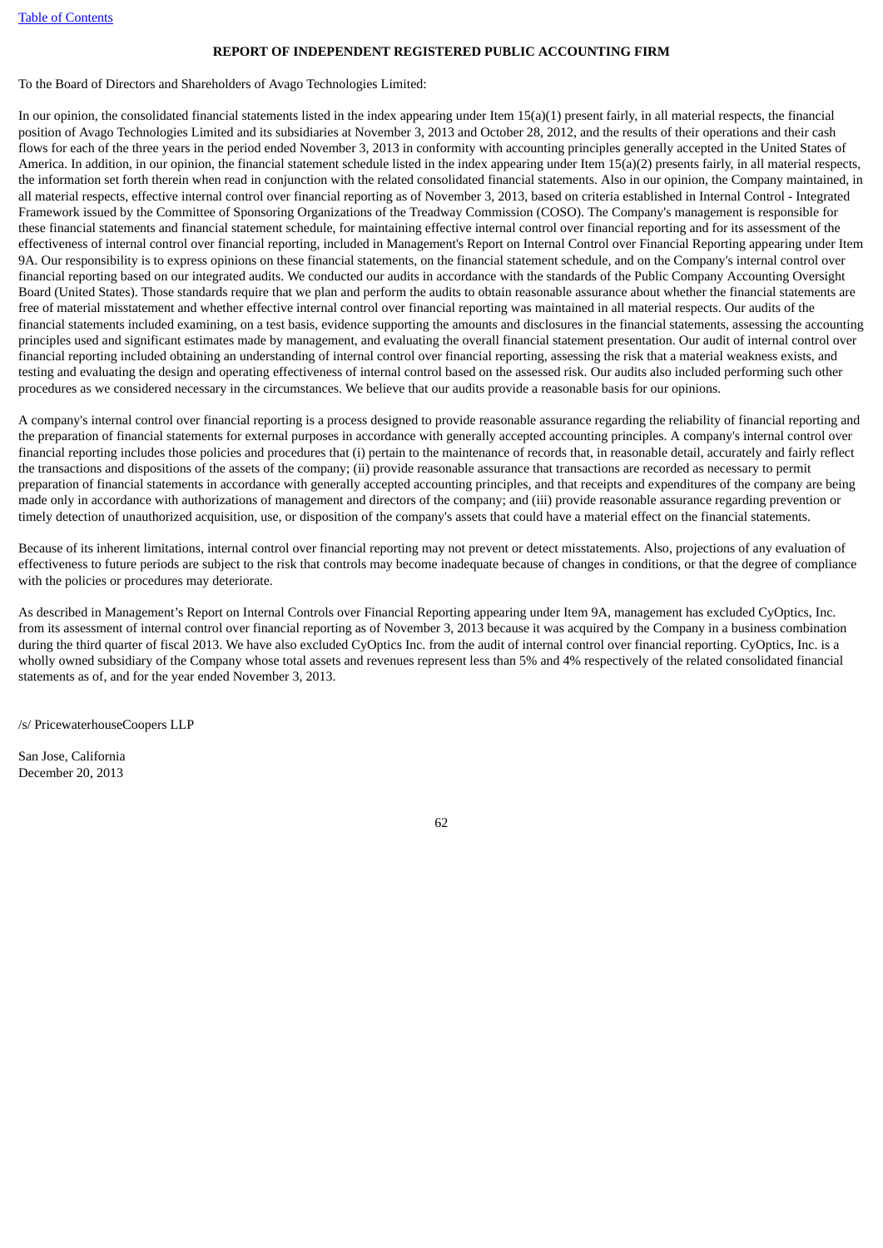## **REPORT OF INDEPENDENT REGISTERED PUBLIC ACCOUNTING FIRM**

To the Board of Directors and Shareholders of Avago Technologies Limited:

In our opinion, the consolidated financial statements listed in the index appearing under Item  $15(a)(1)$  present fairly, in all material respects, the financial position of Avago Technologies Limited and its subsidiaries at November 3, 2013 and October 28, 2012, and the results of their operations and their cash flows for each of the three years in the period ended November 3, 2013 in conformity with accounting principles generally accepted in the United States of America. In addition, in our opinion, the financial statement schedule listed in the index appearing under Item 15(a)(2) presents fairly, in all material respects, the information set forth therein when read in conjunction with the related consolidated financial statements. Also in our opinion, the Company maintained, in all material respects, effective internal control over financial reporting as of November 3, 2013, based on criteria established in Internal Control - Integrated Framework issued by the Committee of Sponsoring Organizations of the Treadway Commission (COSO). The Company's management is responsible for these financial statements and financial statement schedule, for maintaining effective internal control over financial reporting and for its assessment of the effectiveness of internal control over financial reporting, included in Management's Report on Internal Control over Financial Reporting appearing under Item 9A. Our responsibility is to express opinions on these financial statements, on the financial statement schedule, and on the Company's internal control over financial reporting based on our integrated audits. We conducted our audits in accordance with the standards of the Public Company Accounting Oversight Board (United States). Those standards require that we plan and perform the audits to obtain reasonable assurance about whether the financial statements are free of material misstatement and whether effective internal control over financial reporting was maintained in all material respects. Our audits of the financial statements included examining, on a test basis, evidence supporting the amounts and disclosures in the financial statements, assessing the accounting principles used and significant estimates made by management, and evaluating the overall financial statement presentation. Our audit of internal control over financial reporting included obtaining an understanding of internal control over financial reporting, assessing the risk that a material weakness exists, and testing and evaluating the design and operating effectiveness of internal control based on the assessed risk. Our audits also included performing such other procedures as we considered necessary in the circumstances. We believe that our audits provide a reasonable basis for our opinions.

A company's internal control over financial reporting is a process designed to provide reasonable assurance regarding the reliability of financial reporting and the preparation of financial statements for external purposes in accordance with generally accepted accounting principles. A company's internal control over financial reporting includes those policies and procedures that (i) pertain to the maintenance of records that, in reasonable detail, accurately and fairly reflect the transactions and dispositions of the assets of the company; (ii) provide reasonable assurance that transactions are recorded as necessary to permit preparation of financial statements in accordance with generally accepted accounting principles, and that receipts and expenditures of the company are being made only in accordance with authorizations of management and directors of the company; and (iii) provide reasonable assurance regarding prevention or timely detection of unauthorized acquisition, use, or disposition of the company's assets that could have a material effect on the financial statements.

Because of its inherent limitations, internal control over financial reporting may not prevent or detect misstatements. Also, projections of any evaluation of effectiveness to future periods are subject to the risk that controls may become inadequate because of changes in conditions, or that the degree of compliance with the policies or procedures may deteriorate.

As described in Management's Report on Internal Controls over Financial Reporting appearing under Item 9A, management has excluded CyOptics, Inc. from its assessment of internal control over financial reporting as of November 3, 2013 because it was acquired by the Company in a business combination during the third quarter of fiscal 2013. We have also excluded CyOptics Inc. from the audit of internal control over financial reporting. CyOptics, Inc. is a wholly owned subsidiary of the Company whose total assets and revenues represent less than 5% and 4% respectively of the related consolidated financial statements as of, and for the year ended November 3, 2013.

/s/ PricewaterhouseCoopers LLP

<span id="page-61-0"></span>San Jose, California December 20, 2013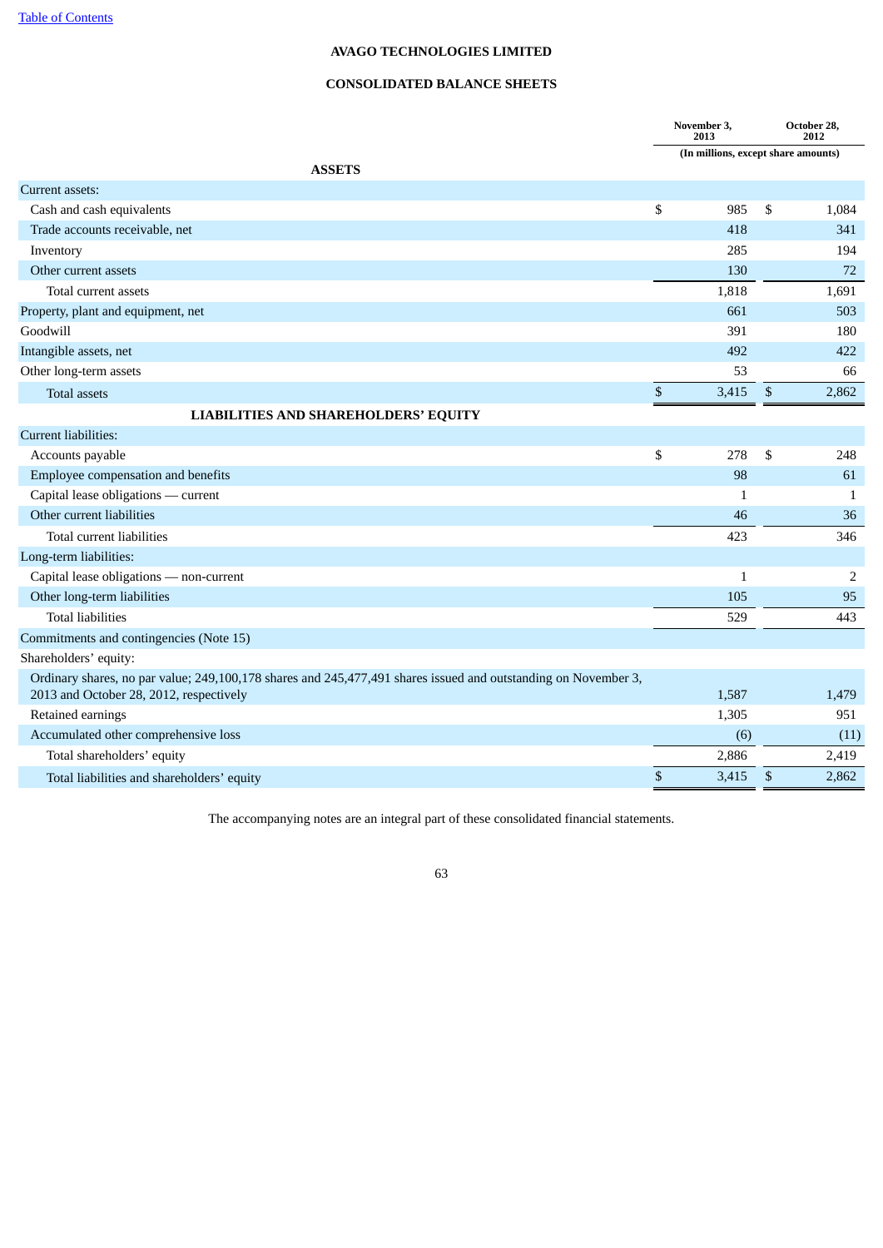# **CONSOLIDATED BALANCE SHEETS**

|                                                                                                                                                           | November 3,<br>2013                 | October 28,<br>2012 |       |
|-----------------------------------------------------------------------------------------------------------------------------------------------------------|-------------------------------------|---------------------|-------|
|                                                                                                                                                           | (In millions, except share amounts) |                     |       |
| <b>ASSETS</b>                                                                                                                                             |                                     |                     |       |
| Current assets:                                                                                                                                           |                                     |                     |       |
| Cash and cash equivalents                                                                                                                                 | \$<br>985                           | \$                  | 1,084 |
| Trade accounts receivable, net                                                                                                                            | 418                                 |                     | 341   |
| Inventory                                                                                                                                                 | 285                                 |                     | 194   |
| Other current assets                                                                                                                                      | 130                                 |                     | 72    |
| Total current assets                                                                                                                                      | 1,818                               |                     | 1,691 |
| Property, plant and equipment, net                                                                                                                        | 661                                 |                     | 503   |
| Goodwill                                                                                                                                                  | 391                                 |                     | 180   |
| Intangible assets, net                                                                                                                                    | 492                                 |                     | 422   |
| Other long-term assets                                                                                                                                    | 53                                  |                     | 66    |
| <b>Total assets</b>                                                                                                                                       | \$<br>3,415                         | \$                  | 2,862 |
| <b>LIABILITIES AND SHAREHOLDERS' EQUITY</b>                                                                                                               |                                     |                     |       |
| <b>Current liabilities:</b>                                                                                                                               |                                     |                     |       |
| Accounts payable                                                                                                                                          | \$<br>278                           | \$                  | 248   |
| Employee compensation and benefits                                                                                                                        | 98                                  |                     | 61    |
| Capital lease obligations - current                                                                                                                       | $\mathbf{1}$                        |                     | 1     |
| Other current liabilities                                                                                                                                 | 46                                  |                     | 36    |
| Total current liabilities                                                                                                                                 | 423                                 |                     | 346   |
| Long-term liabilities:                                                                                                                                    |                                     |                     |       |
| Capital lease obligations - non-current                                                                                                                   | $\mathbf{1}$                        |                     | 2     |
| Other long-term liabilities                                                                                                                               | 105                                 |                     | 95    |
| <b>Total liabilities</b>                                                                                                                                  | 529                                 |                     | 443   |
| Commitments and contingencies (Note 15)                                                                                                                   |                                     |                     |       |
| Shareholders' equity:                                                                                                                                     |                                     |                     |       |
| Ordinary shares, no par value; 249,100,178 shares and 245,477,491 shares issued and outstanding on November 3,<br>2013 and October 28, 2012, respectively | 1,587                               |                     | 1,479 |
| Retained earnings                                                                                                                                         | 1,305                               |                     | 951   |
| Accumulated other comprehensive loss                                                                                                                      | (6)                                 |                     | (11)  |
| Total shareholders' equity                                                                                                                                | 2,886                               |                     | 2,419 |
| Total liabilities and shareholders' equity                                                                                                                | \$<br>3,415                         | \$                  | 2,862 |

<span id="page-62-0"></span>The accompanying notes are an integral part of these consolidated financial statements.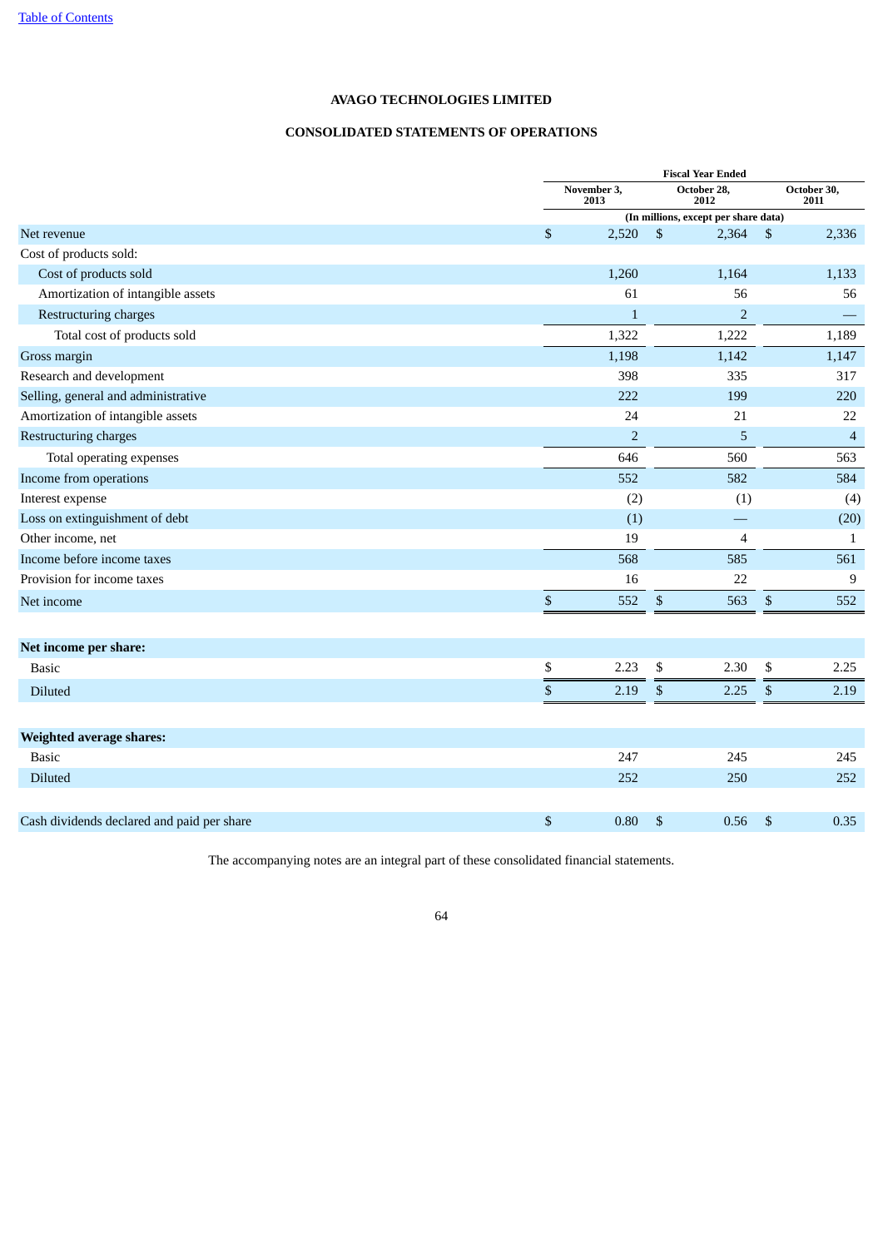## **CONSOLIDATED STATEMENTS OF OPERATIONS**

|                                            |                           | <b>Fiscal Year Ended</b> |              |                                      |              |                     |  |  |
|--------------------------------------------|---------------------------|--------------------------|--------------|--------------------------------------|--------------|---------------------|--|--|
|                                            | 2013                      | November 3,              |              | October 28,<br>2012                  |              | October 30,<br>2011 |  |  |
|                                            |                           |                          |              | (In millions, except per share data) |              |                     |  |  |
| Net revenue                                | \$                        | 2,520                    | \$           | 2,364                                | \$           | 2,336               |  |  |
| Cost of products sold:                     |                           |                          |              |                                      |              |                     |  |  |
| Cost of products sold                      |                           | 1,260                    |              | 1,164                                |              | 1,133               |  |  |
| Amortization of intangible assets          |                           | 61                       |              | 56                                   |              | 56                  |  |  |
| Restructuring charges                      |                           | $\mathbf{1}$             |              | $\overline{2}$                       |              |                     |  |  |
| Total cost of products sold                |                           | 1,322                    |              | 1,222                                |              | 1,189               |  |  |
| Gross margin                               |                           | 1,198                    |              | 1,142                                |              | 1,147               |  |  |
| Research and development                   |                           | 398                      |              | 335                                  |              | 317                 |  |  |
| Selling, general and administrative        |                           | 222                      |              | 199                                  |              | 220                 |  |  |
| Amortization of intangible assets          |                           | 24                       |              | 21                                   |              | 22                  |  |  |
| Restructuring charges                      |                           | $\overline{2}$           |              | 5                                    |              | $\overline{4}$      |  |  |
| Total operating expenses                   |                           | 646                      |              | 560                                  |              | 563                 |  |  |
| Income from operations                     |                           | 552                      |              | 582                                  |              | 584                 |  |  |
| Interest expense                           |                           | (2)                      |              | (1)                                  |              | (4)                 |  |  |
| Loss on extinguishment of debt             |                           | (1)                      |              |                                      |              | (20)                |  |  |
| Other income, net                          |                           | 19                       |              | 4                                    |              | $\mathbf{1}$        |  |  |
| Income before income taxes                 |                           | 568                      |              | 585                                  |              | 561                 |  |  |
| Provision for income taxes                 |                           | 16                       |              | 22                                   |              | 9                   |  |  |
| Net income                                 | \$                        | 552                      | $\mathbb{S}$ | 563                                  | $\mathbb{S}$ | 552                 |  |  |
| Net income per share:                      |                           |                          |              |                                      |              |                     |  |  |
| <b>Basic</b>                               | \$                        | 2.23                     | \$           | 2.30                                 | \$           | 2.25                |  |  |
| Diluted                                    | $\boldsymbol{\mathsf{S}}$ | 2.19                     | $\$$         | 2.25                                 | \$           | 2.19                |  |  |
|                                            |                           |                          |              |                                      |              |                     |  |  |
| <b>Weighted average shares:</b>            |                           |                          |              |                                      |              |                     |  |  |
| <b>Basic</b>                               |                           | 247                      |              | 245                                  |              | 245                 |  |  |
| Diluted                                    |                           | 252                      |              | 250                                  |              | 252                 |  |  |
| Cash dividends declared and paid per share | \$                        | 0.80                     | \$           | 0.56                                 | \$           | 0.35                |  |  |

<span id="page-63-0"></span>The accompanying notes are an integral part of these consolidated financial statements.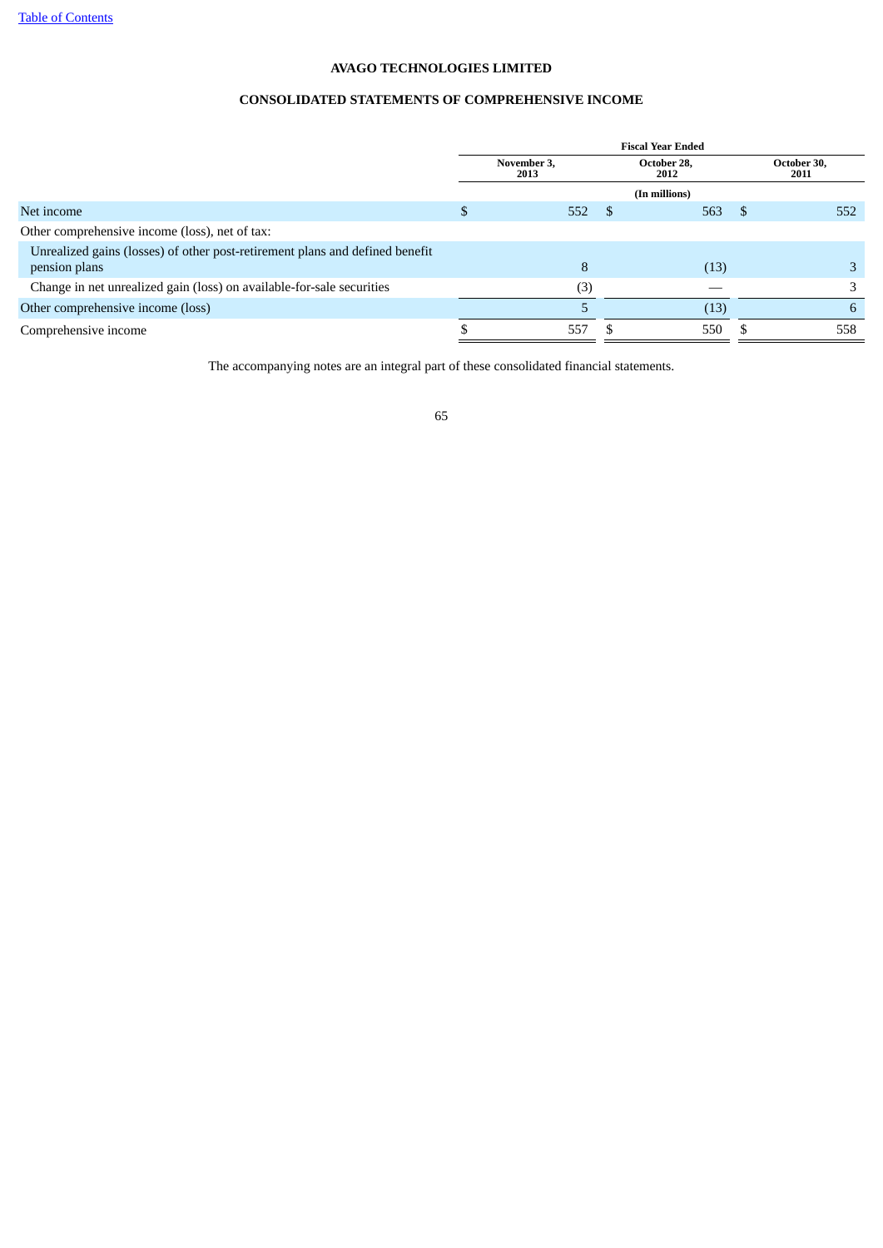# **CONSOLIDATED STATEMENTS OF COMPREHENSIVE INCOME**

|                                                                              | <b>Fiscal Year Ended</b> |                     |     |                     |                     |     |  |
|------------------------------------------------------------------------------|--------------------------|---------------------|-----|---------------------|---------------------|-----|--|
|                                                                              |                          | November 3.<br>2013 |     | October 28.<br>2012 | October 30.<br>2011 |     |  |
|                                                                              |                          |                     |     | (In millions)       |                     |     |  |
| Net income                                                                   |                          |                     | 552 | 563                 | $\sim$ S            | 552 |  |
| Other comprehensive income (loss), net of tax:                               |                          |                     |     |                     |                     |     |  |
| Unrealized gains (losses) of other post-retirement plans and defined benefit |                          |                     |     |                     |                     |     |  |
| pension plans                                                                |                          |                     | 8   | (13)                |                     |     |  |
| Change in net unrealized gain (loss) on available-for-sale securities        |                          | (3)                 |     |                     |                     |     |  |
| Other comprehensive income (loss)                                            |                          |                     |     | (13)                |                     | 6   |  |
| Comprehensive income                                                         |                          | 557                 |     | 550                 |                     | 558 |  |

<span id="page-64-0"></span>The accompanying notes are an integral part of these consolidated financial statements.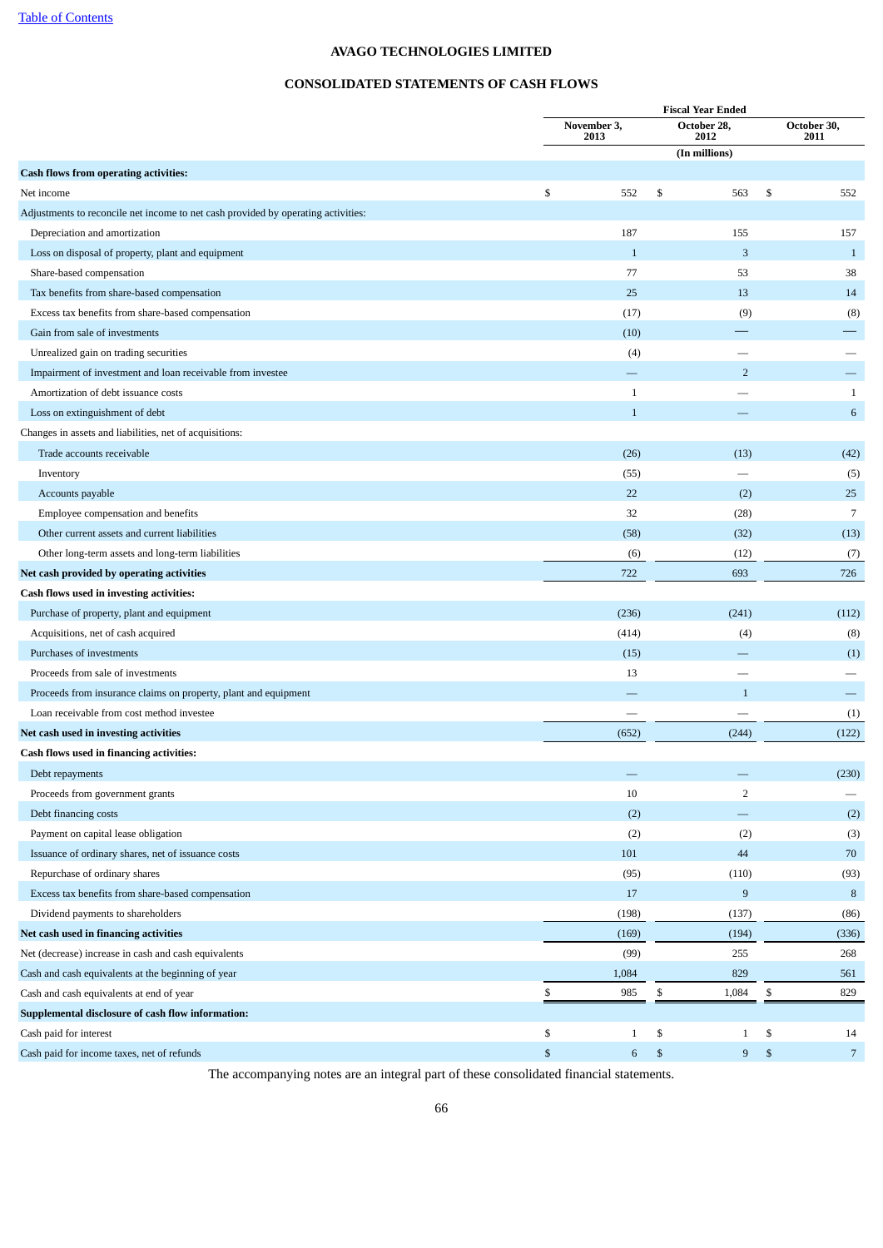## **CONSOLIDATED STATEMENTS OF CASH FLOWS**

|                                                                                   |              | November 3,<br>2013 | October 28,<br>2012 |    | October 30,<br>2011 |  |
|-----------------------------------------------------------------------------------|--------------|---------------------|---------------------|----|---------------------|--|
|                                                                                   |              |                     | (In millions)       |    |                     |  |
| <b>Cash flows from operating activities:</b>                                      |              |                     |                     |    |                     |  |
| Net income                                                                        | \$           | 552                 | \$<br>563           | \$ | 552                 |  |
| Adjustments to reconcile net income to net cash provided by operating activities: |              |                     |                     |    |                     |  |
| Depreciation and amortization                                                     |              | 187                 | 155                 |    | 157                 |  |
| Loss on disposal of property, plant and equipment                                 |              | $\mathbf{1}$        | 3                   |    | $\mathbf{1}$        |  |
| Share-based compensation                                                          |              | 77                  | 53                  |    | 38                  |  |
| Tax benefits from share-based compensation                                        |              | 25                  | 13                  |    | 14                  |  |
| Excess tax benefits from share-based compensation                                 |              | (17)                | (9)                 |    | (8)                 |  |
| Gain from sale of investments                                                     |              | (10)                |                     |    |                     |  |
| Unrealized gain on trading securities                                             |              | (4)                 |                     |    |                     |  |
| Impairment of investment and loan receivable from investee                        |              |                     | $\overline{2}$      |    |                     |  |
| Amortization of debt issuance costs                                               |              | $\mathbf{1}$        |                     |    | $\mathbf{1}$        |  |
| Loss on extinguishment of debt                                                    |              | $\mathbf{1}$        |                     |    | 6                   |  |
| Changes in assets and liabilities, net of acquisitions:                           |              |                     |                     |    |                     |  |
| Trade accounts receivable                                                         |              | (26)                | (13)                |    | (42)                |  |
| Inventory                                                                         |              | (55)                |                     |    | (5)                 |  |
| Accounts payable                                                                  |              | 22                  | (2)                 |    | 25                  |  |
| Employee compensation and benefits                                                |              | 32                  | (28)                |    | $\overline{7}$      |  |
| Other current assets and current liabilities                                      |              | (58)                | (32)                |    | (13)                |  |
| Other long-term assets and long-term liabilities                                  |              | (6)                 | (12)                |    | (7)                 |  |
| Net cash provided by operating activities                                         |              | 722                 | 693                 |    | 726                 |  |
| Cash flows used in investing activities:                                          |              |                     |                     |    |                     |  |
| Purchase of property, plant and equipment                                         |              | (236)               | (241)               |    | (112)               |  |
| Acquisitions, net of cash acquired                                                |              | (414)               | (4)                 |    | (8)                 |  |
| Purchases of investments                                                          |              | (15)                |                     |    | (1)                 |  |
| Proceeds from sale of investments                                                 |              | 13                  |                     |    |                     |  |
| Proceeds from insurance claims on property, plant and equipment                   |              |                     | $\mathbf{1}$        |    |                     |  |
| Loan receivable from cost method investee                                         |              |                     |                     |    | (1)                 |  |
| Net cash used in investing activities                                             |              | (652)               | (244)               |    | (122)               |  |
| Cash flows used in financing activities:                                          |              |                     |                     |    |                     |  |
| Debt repayments                                                                   |              |                     |                     |    | (230)               |  |
| Proceeds from government grants                                                   |              | 10                  | $\overline{2}$      |    |                     |  |
| Debt financing costs                                                              |              | (2)                 |                     |    | (2)                 |  |
| Payment on capital lease obligation                                               |              | (2)                 | (2)                 |    | (3)                 |  |
| Issuance of ordinary shares, net of issuance costs                                |              | 101                 | 44                  |    | 70                  |  |
| Repurchase of ordinary shares                                                     |              | (95)                | (110)               |    | (93)                |  |
| Excess tax benefits from share-based compensation                                 |              | 17                  | $9\,$               |    | 8                   |  |
| Dividend payments to shareholders                                                 |              | (198)               | (137)               |    | (86)                |  |
| Net cash used in financing activities                                             |              | (169)               | (194)               |    | (336)               |  |
| Net (decrease) increase in cash and cash equivalents                              |              | (99)                | 255                 |    | 268                 |  |
| Cash and cash equivalents at the beginning of year                                |              | 1,084               | 829                 |    | 561                 |  |
| Cash and cash equivalents at end of year                                          | \$           | 985                 | \$<br>1,084         | \$ | 829                 |  |
| Supplemental disclosure of cash flow information:                                 |              |                     |                     |    |                     |  |
| Cash paid for interest                                                            | \$           | $\mathbf{1}$        | \$<br>$\mathbf{1}$  | \$ | 14                  |  |
| Cash paid for income taxes, net of refunds                                        | $\mathbb{S}$ | 6 <sup>1</sup>      | $\mathbb{S}$        | 9S | $\overline{7}$      |  |
|                                                                                   |              |                     |                     |    |                     |  |

<span id="page-65-0"></span>The accompanying notes are an integral part of these consolidated financial statements.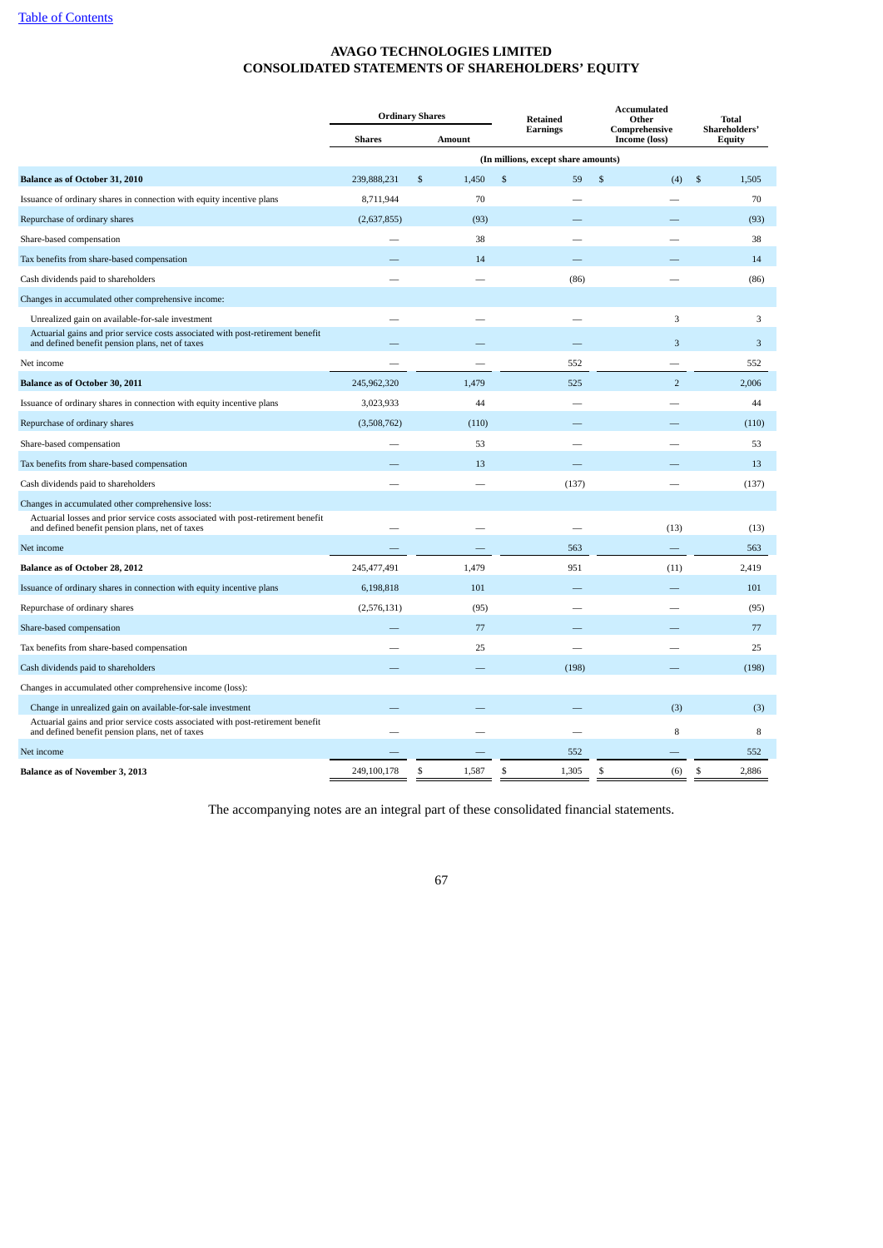## **AVAGO TECHNOLOGIES LIMITED CONSOLIDATED STATEMENTS OF SHAREHOLDERS' EQUITY**

|                                                                                                                                                                                         | <b>Ordinary Shares</b> |                                     |               | <b>Retained</b><br>Earnings | Accumulated<br>Other<br>Comprehensive | <b>Total</b><br>Shareholders' |       |  |
|-----------------------------------------------------------------------------------------------------------------------------------------------------------------------------------------|------------------------|-------------------------------------|---------------|-----------------------------|---------------------------------------|-------------------------------|-------|--|
|                                                                                                                                                                                         | <b>Shares</b>          |                                     | <b>Amount</b> |                             | <b>Income (loss)</b>                  | <b>Equity</b>                 |       |  |
|                                                                                                                                                                                         |                        | (In millions, except share amounts) |               |                             |                                       |                               |       |  |
| <b>Balance as of October 31, 2010</b>                                                                                                                                                   | 239,888,231            | \$                                  | 1,450         | \$<br>59                    | \$<br>(4)                             | \$                            | 1,505 |  |
| Issuance of ordinary shares in connection with equity incentive plans                                                                                                                   | 8,711,944              |                                     | 70            |                             |                                       |                               | 70    |  |
| Repurchase of ordinary shares                                                                                                                                                           | (2,637,855)            |                                     | (93)          |                             |                                       |                               | (93)  |  |
| Share-based compensation                                                                                                                                                                |                        |                                     | 38            |                             |                                       |                               | 38    |  |
| Tax benefits from share-based compensation                                                                                                                                              |                        |                                     | 14            |                             |                                       |                               | 14    |  |
| Cash dividends paid to shareholders                                                                                                                                                     |                        |                                     |               | (86)                        |                                       |                               | (86)  |  |
| Changes in accumulated other comprehensive income:                                                                                                                                      |                        |                                     |               |                             |                                       |                               |       |  |
| Unrealized gain on available-for-sale investment                                                                                                                                        |                        |                                     |               |                             | 3                                     |                               | 3     |  |
| Actuarial gains and prior service costs associated with post-retirement benefit<br>and defined benefit pension plans, net of taxes                                                      |                        |                                     |               |                             | 3                                     |                               | 3     |  |
| Net income                                                                                                                                                                              |                        |                                     |               | 552                         |                                       |                               | 552   |  |
| <b>Balance as of October 30, 2011</b>                                                                                                                                                   | 245,962,320            |                                     | 1,479         | 525                         | $\overline{2}$                        |                               | 2,006 |  |
| Issuance of ordinary shares in connection with equity incentive plans                                                                                                                   | 3,023,933              |                                     | 44            |                             |                                       |                               | 44    |  |
| Repurchase of ordinary shares                                                                                                                                                           | (3,508,762)            |                                     | (110)         |                             |                                       |                               | (110) |  |
| Share-based compensation                                                                                                                                                                |                        |                                     | 53            |                             |                                       |                               | 53    |  |
| Tax benefits from share-based compensation                                                                                                                                              |                        |                                     | 13            |                             |                                       |                               | 13    |  |
| Cash dividends paid to shareholders                                                                                                                                                     |                        |                                     |               | (137)                       |                                       |                               | (137) |  |
| Changes in accumulated other comprehensive loss:<br>Actuarial losses and prior service costs associated with post-retirement benefit<br>and defined benefit pension plans, net of taxes |                        |                                     |               |                             | (13)                                  |                               | (13)  |  |
| Net income                                                                                                                                                                              |                        |                                     |               | 563                         |                                       |                               | 563   |  |
| <b>Balance as of October 28, 2012</b>                                                                                                                                                   | 245,477,491            |                                     | 1,479         | 951                         | (11)                                  |                               | 2,419 |  |
| Issuance of ordinary shares in connection with equity incentive plans                                                                                                                   | 6,198,818              |                                     | 101           |                             |                                       |                               | 101   |  |
| Repurchase of ordinary shares                                                                                                                                                           | (2,576,131)            |                                     | (95)          |                             |                                       |                               | (95)  |  |
| Share-based compensation                                                                                                                                                                |                        |                                     | 77            |                             |                                       |                               | 77    |  |
| Tax benefits from share-based compensation                                                                                                                                              |                        |                                     | 25            |                             |                                       |                               | 25    |  |
| Cash dividends paid to shareholders                                                                                                                                                     |                        |                                     |               | (198)                       |                                       |                               | (198) |  |
| Changes in accumulated other comprehensive income (loss):                                                                                                                               |                        |                                     |               |                             |                                       |                               |       |  |
| Change in unrealized gain on available-for-sale investment                                                                                                                              |                        |                                     |               |                             | (3)                                   |                               | (3)   |  |
| Actuarial gains and prior service costs associated with post-retirement benefit<br>and defined benefit pension plans, net of taxes                                                      |                        |                                     |               |                             | 8                                     |                               | 8     |  |
| Net income                                                                                                                                                                              |                        |                                     |               | 552                         |                                       |                               | 552   |  |
| <b>Balance as of November 3, 2013</b>                                                                                                                                                   | 249,100,178            | \$                                  | 1,587         | \$<br>1,305                 | \$<br>(6)                             | \$                            | 2,886 |  |

<span id="page-66-0"></span>The accompanying notes are an integral part of these consolidated financial statements.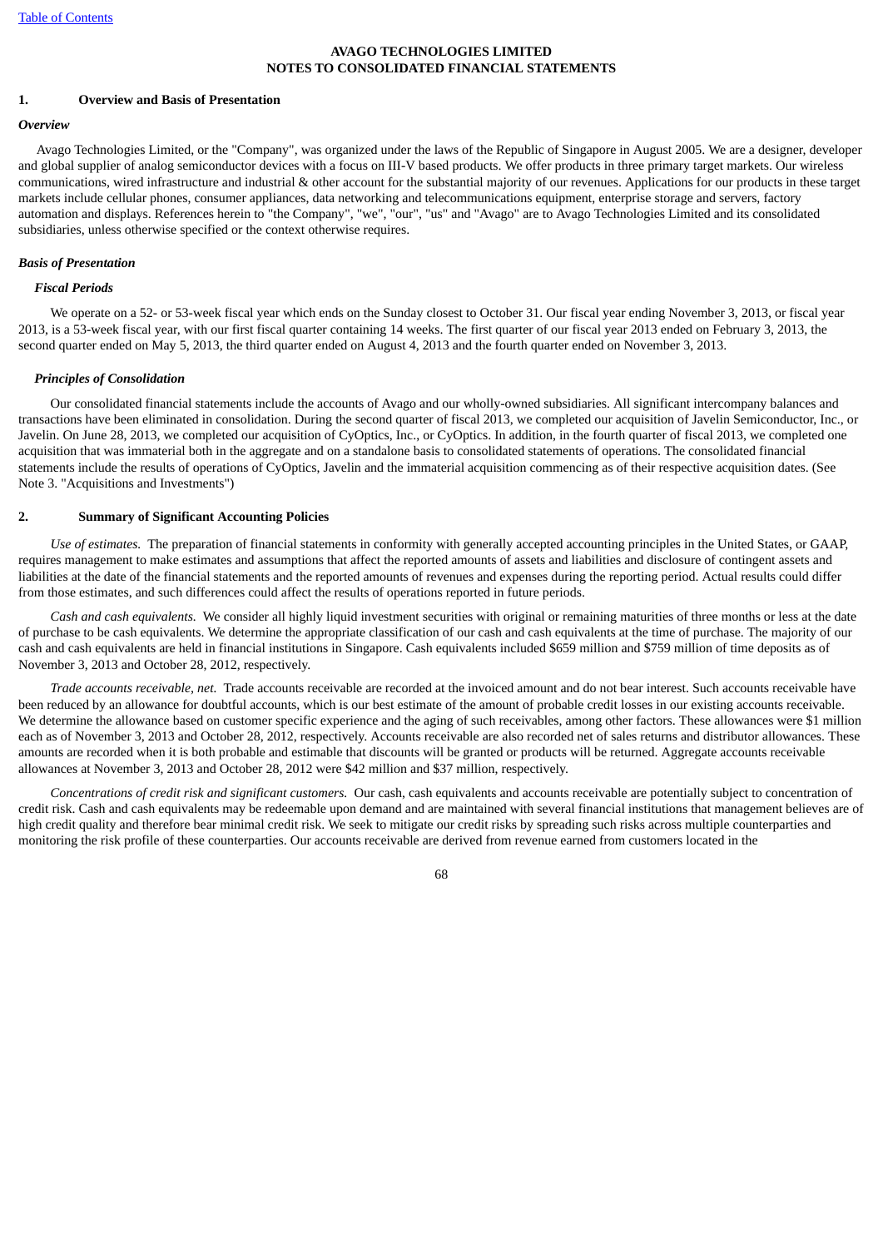### **AVAGO TECHNOLOGIES LIMITED NOTES TO CONSOLIDATED FINANCIAL STATEMENTS**

### **1. Overview and Basis of Presentation**

### *Overview*

Avago Technologies Limited, or the "Company", was organized under the laws of the Republic of Singapore in August 2005. We are a designer, developer and global supplier of analog semiconductor devices with a focus on III-V based products. We offer products in three primary target markets. Our wireless communications, wired infrastructure and industrial & other account for the substantial majority of our revenues. Applications for our products in these target markets include cellular phones, consumer appliances, data networking and telecommunications equipment, enterprise storage and servers, factory automation and displays. References herein to "the Company", "we", "our", "us" and "Avago" are to Avago Technologies Limited and its consolidated subsidiaries, unless otherwise specified or the context otherwise requires.

### *Basis of Presentation*

### *Fiscal Periods*

We operate on a 52- or 53-week fiscal year which ends on the Sunday closest to October 31. Our fiscal year ending November 3, 2013, or fiscal year 2013, is a 53-week fiscal year, with our first fiscal quarter containing 14 weeks. The first quarter of our fiscal year 2013 ended on February 3, 2013, the second quarter ended on May 5, 2013, the third quarter ended on August 4, 2013 and the fourth quarter ended on November 3, 2013.

#### *Principles of Consolidation*

Our consolidated financial statements include the accounts of Avago and our wholly-owned subsidiaries. All significant intercompany balances and transactions have been eliminated in consolidation. During the second quarter of fiscal 2013, we completed our acquisition of Javelin Semiconductor, Inc., or Javelin. On June 28, 2013, we completed our acquisition of CyOptics, Inc., or CyOptics. In addition, in the fourth quarter of fiscal 2013, we completed one acquisition that was immaterial both in the aggregate and on a standalone basis to consolidated statements of operations. The consolidated financial statements include the results of operations of CyOptics, Javelin and the immaterial acquisition commencing as of their respective acquisition dates. (See Note 3. "Acquisitions and Investments")

### **2. Summary of Significant Accounting Policies**

*Use of estimates.* The preparation of financial statements in conformity with generally accepted accounting principles in the United States, or GAAP, requires management to make estimates and assumptions that affect the reported amounts of assets and liabilities and disclosure of contingent assets and liabilities at the date of the financial statements and the reported amounts of revenues and expenses during the reporting period. Actual results could differ from those estimates, and such differences could affect the results of operations reported in future periods.

*Cash and cash equivalents.* We consider all highly liquid investment securities with original or remaining maturities of three months or less at the date of purchase to be cash equivalents. We determine the appropriate classification of our cash and cash equivalents at the time of purchase. The majority of our cash and cash equivalents are held in financial institutions in Singapore. Cash equivalents included \$659 million and \$759 million of time deposits as of November 3, 2013 and October 28, 2012, respectively.

*Trade accounts receivable, net.* Trade accounts receivable are recorded at the invoiced amount and do not bear interest. Such accounts receivable have been reduced by an allowance for doubtful accounts, which is our best estimate of the amount of probable credit losses in our existing accounts receivable. We determine the allowance based on customer specific experience and the aging of such receivables, among other factors. These allowances were \$1 million each as of November 3, 2013 and October 28, 2012, respectively. Accounts receivable are also recorded net of sales returns and distributor allowances. These amounts are recorded when it is both probable and estimable that discounts will be granted or products will be returned. Aggregate accounts receivable allowances at November 3, 2013 and October 28, 2012 were \$42 million and \$37 million, respectively.

*Concentrations of credit risk and significant customers.* Our cash, cash equivalents and accounts receivable are potentially subject to concentration of credit risk. Cash and cash equivalents may be redeemable upon demand and are maintained with several financial institutions that management believes are of high credit quality and therefore bear minimal credit risk. We seek to mitigate our credit risks by spreading such risks across multiple counterparties and monitoring the risk profile of these counterparties. Our accounts receivable are derived from revenue earned from customers located in the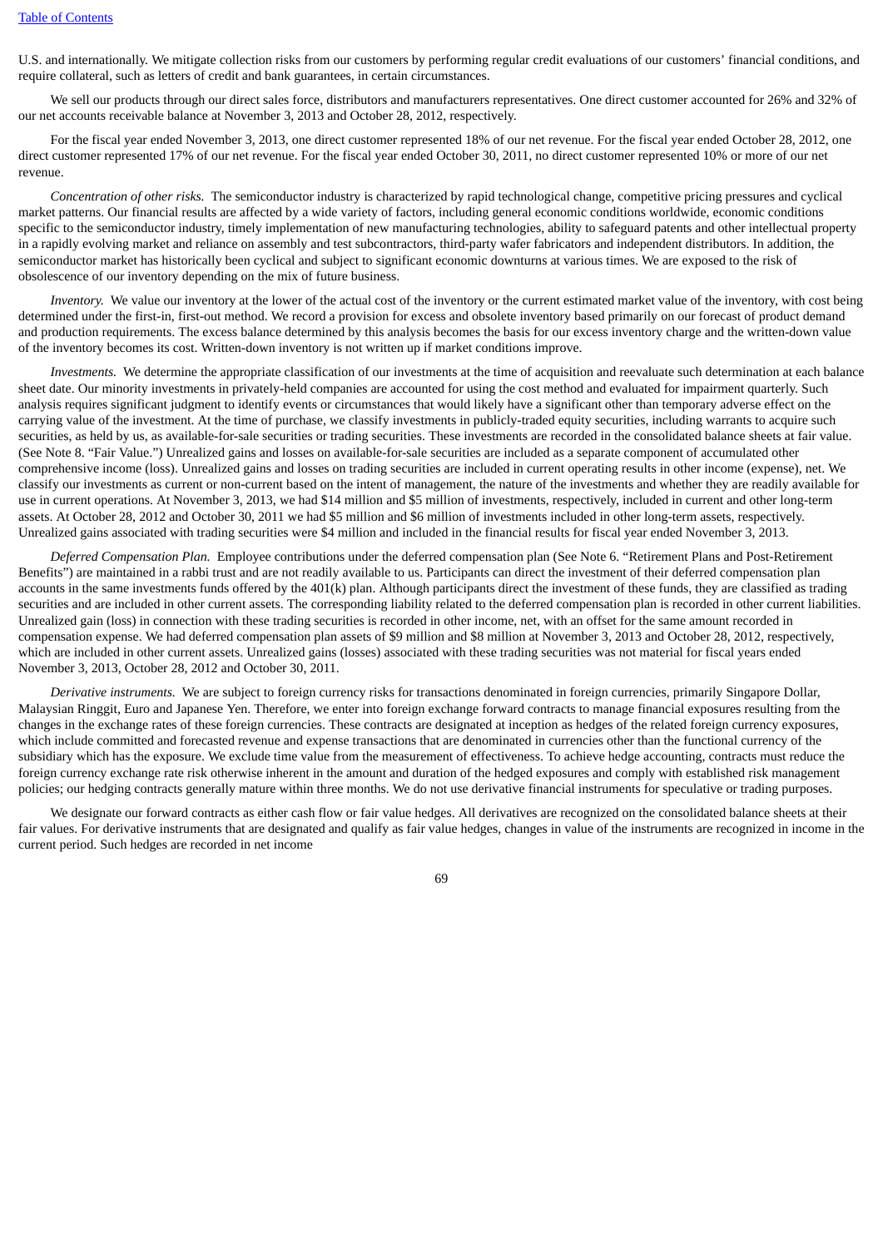U.S. and internationally. We mitigate collection risks from our customers by performing regular credit evaluations of our customers' financial conditions, and require collateral, such as letters of credit and bank guarantees, in certain circumstances.

We sell our products through our direct sales force, distributors and manufacturers representatives. One direct customer accounted for 26% and 32% of our net accounts receivable balance at November 3, 2013 and October 28, 2012, respectively.

For the fiscal year ended November 3, 2013, one direct customer represented 18% of our net revenue. For the fiscal year ended October 28, 2012, one direct customer represented 17% of our net revenue. For the fiscal year ended October 30, 2011, no direct customer represented 10% or more of our net revenue.

*Concentration of other risks.* The semiconductor industry is characterized by rapid technological change, competitive pricing pressures and cyclical market patterns. Our financial results are affected by a wide variety of factors, including general economic conditions worldwide, economic conditions specific to the semiconductor industry, timely implementation of new manufacturing technologies, ability to safeguard patents and other intellectual property in a rapidly evolving market and reliance on assembly and test subcontractors, third-party wafer fabricators and independent distributors. In addition, the semiconductor market has historically been cyclical and subject to significant economic downturns at various times. We are exposed to the risk of obsolescence of our inventory depending on the mix of future business.

*Inventory.* We value our inventory at the lower of the actual cost of the inventory or the current estimated market value of the inventory, with cost being determined under the first-in, first-out method. We record a provision for excess and obsolete inventory based primarily on our forecast of product demand and production requirements. The excess balance determined by this analysis becomes the basis for our excess inventory charge and the written-down value of the inventory becomes its cost. Written-down inventory is not written up if market conditions improve.

*Investments.* We determine the appropriate classification of our investments at the time of acquisition and reevaluate such determination at each balance sheet date. Our minority investments in privately-held companies are accounted for using the cost method and evaluated for impairment quarterly. Such analysis requires significant judgment to identify events or circumstances that would likely have a significant other than temporary adverse effect on the carrying value of the investment. At the time of purchase, we classify investments in publicly-traded equity securities, including warrants to acquire such securities, as held by us, as available-for-sale securities or trading securities. These investments are recorded in the consolidated balance sheets at fair value. (See Note 8. "Fair Value.") Unrealized gains and losses on available-for-sale securities are included as a separate component of accumulated other comprehensive income (loss). Unrealized gains and losses on trading securities are included in current operating results in other income (expense), net. We classify our investments as current or non-current based on the intent of management, the nature of the investments and whether they are readily available for use in current operations. At November 3, 2013, we had \$14 million and \$5 million of investments, respectively, included in current and other long-term assets. At October 28, 2012 and October 30, 2011 we had \$5 million and \$6 million of investments included in other long-term assets, respectively. Unrealized gains associated with trading securities were \$4 million and included in the financial results for fiscal year ended November 3, 2013.

*Deferred Compensation Plan.* Employee contributions under the deferred compensation plan (See Note 6. "Retirement Plans and Post-Retirement Benefits") are maintained in a rabbi trust and are not readily available to us. Participants can direct the investment of their deferred compensation plan accounts in the same investments funds offered by the 401(k) plan. Although participants direct the investment of these funds, they are classified as trading securities and are included in other current assets. The corresponding liability related to the deferred compensation plan is recorded in other current liabilities. Unrealized gain (loss) in connection with these trading securities is recorded in other income, net, with an offset for the same amount recorded in compensation expense. We had deferred compensation plan assets of \$9 million and \$8 million at November 3, 2013 and October 28, 2012, respectively, which are included in other current assets. Unrealized gains (losses) associated with these trading securities was not material for fiscal years ended November 3, 2013, October 28, 2012 and October 30, 2011.

*Derivative instruments.* We are subject to foreign currency risks for transactions denominated in foreign currencies, primarily Singapore Dollar, Malaysian Ringgit, Euro and Japanese Yen. Therefore, we enter into foreign exchange forward contracts to manage financial exposures resulting from the changes in the exchange rates of these foreign currencies. These contracts are designated at inception as hedges of the related foreign currency exposures, which include committed and forecasted revenue and expense transactions that are denominated in currencies other than the functional currency of the subsidiary which has the exposure. We exclude time value from the measurement of effectiveness. To achieve hedge accounting, contracts must reduce the foreign currency exchange rate risk otherwise inherent in the amount and duration of the hedged exposures and comply with established risk management policies; our hedging contracts generally mature within three months. We do not use derivative financial instruments for speculative or trading purposes.

We designate our forward contracts as either cash flow or fair value hedges. All derivatives are recognized on the consolidated balance sheets at their fair values. For derivative instruments that are designated and qualify as fair value hedges, changes in value of the instruments are recognized in income in the current period. Such hedges are recorded in net income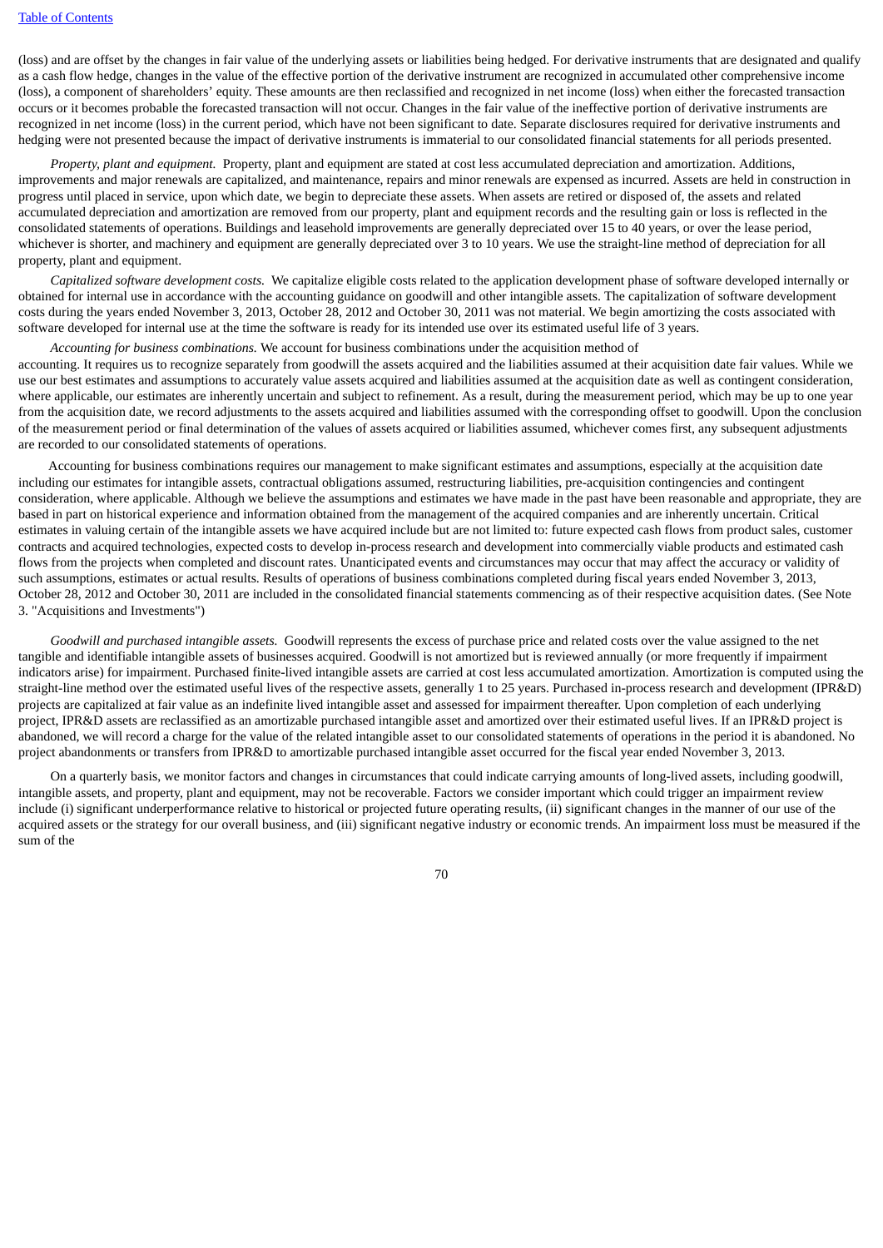(loss) and are offset by the changes in fair value of the underlying assets or liabilities being hedged. For derivative instruments that are designated and qualify as a cash flow hedge, changes in the value of the effective portion of the derivative instrument are recognized in accumulated other comprehensive income (loss), a component of shareholders' equity. These amounts are then reclassified and recognized in net income (loss) when either the forecasted transaction occurs or it becomes probable the forecasted transaction will not occur. Changes in the fair value of the ineffective portion of derivative instruments are recognized in net income (loss) in the current period, which have not been significant to date. Separate disclosures required for derivative instruments and hedging were not presented because the impact of derivative instruments is immaterial to our consolidated financial statements for all periods presented.

*Property, plant and equipment.* Property, plant and equipment are stated at cost less accumulated depreciation and amortization. Additions, improvements and major renewals are capitalized, and maintenance, repairs and minor renewals are expensed as incurred. Assets are held in construction in progress until placed in service, upon which date, we begin to depreciate these assets. When assets are retired or disposed of, the assets and related accumulated depreciation and amortization are removed from our property, plant and equipment records and the resulting gain or loss is reflected in the consolidated statements of operations. Buildings and leasehold improvements are generally depreciated over 15 to 40 years, or over the lease period, whichever is shorter, and machinery and equipment are generally depreciated over 3 to 10 years. We use the straight-line method of depreciation for all property, plant and equipment.

*Capitalized software development costs.* We capitalize eligible costs related to the application development phase of software developed internally or obtained for internal use in accordance with the accounting guidance on goodwill and other intangible assets. The capitalization of software development costs during the years ended November 3, 2013, October 28, 2012 and October 30, 2011 was not material. We begin amortizing the costs associated with software developed for internal use at the time the software is ready for its intended use over its estimated useful life of 3 years.

*Accounting for business combinations.* We account for business combinations under the acquisition method of

accounting. It requires us to recognize separately from goodwill the assets acquired and the liabilities assumed at their acquisition date fair values. While we use our best estimates and assumptions to accurately value assets acquired and liabilities assumed at the acquisition date as well as contingent consideration, where applicable, our estimates are inherently uncertain and subject to refinement. As a result, during the measurement period, which may be up to one year from the acquisition date, we record adjustments to the assets acquired and liabilities assumed with the corresponding offset to goodwill. Upon the conclusion of the measurement period or final determination of the values of assets acquired or liabilities assumed, whichever comes first, any subsequent adjustments are recorded to our consolidated statements of operations.

Accounting for business combinations requires our management to make significant estimates and assumptions, especially at the acquisition date including our estimates for intangible assets, contractual obligations assumed, restructuring liabilities, pre-acquisition contingencies and contingent consideration, where applicable. Although we believe the assumptions and estimates we have made in the past have been reasonable and appropriate, they are based in part on historical experience and information obtained from the management of the acquired companies and are inherently uncertain. Critical estimates in valuing certain of the intangible assets we have acquired include but are not limited to: future expected cash flows from product sales, customer contracts and acquired technologies, expected costs to develop in-process research and development into commercially viable products and estimated cash flows from the projects when completed and discount rates. Unanticipated events and circumstances may occur that may affect the accuracy or validity of such assumptions, estimates or actual results. Results of operations of business combinations completed during fiscal years ended November 3, 2013, October 28, 2012 and October 30, 2011 are included in the consolidated financial statements commencing as of their respective acquisition dates. (See Note 3. "Acquisitions and Investments")

*Goodwill and purchased intangible assets.* Goodwill represents the excess of purchase price and related costs over the value assigned to the net tangible and identifiable intangible assets of businesses acquired. Goodwill is not amortized but is reviewed annually (or more frequently if impairment indicators arise) for impairment. Purchased finite-lived intangible assets are carried at cost less accumulated amortization. Amortization is computed using the straight-line method over the estimated useful lives of the respective assets, generally 1 to 25 years. Purchased in-process research and development (IPR&D) projects are capitalized at fair value as an indefinite lived intangible asset and assessed for impairment thereafter. Upon completion of each underlying project, IPR&D assets are reclassified as an amortizable purchased intangible asset and amortized over their estimated useful lives. If an IPR&D project is abandoned, we will record a charge for the value of the related intangible asset to our consolidated statements of operations in the period it is abandoned. No project abandonments or transfers from IPR&D to amortizable purchased intangible asset occurred for the fiscal year ended November 3, 2013.

On a quarterly basis, we monitor factors and changes in circumstances that could indicate carrying amounts of long-lived assets, including goodwill, intangible assets, and property, plant and equipment, may not be recoverable. Factors we consider important which could trigger an impairment review include (i) significant underperformance relative to historical or projected future operating results, (ii) significant changes in the manner of our use of the acquired assets or the strategy for our overall business, and (iii) significant negative industry or economic trends. An impairment loss must be measured if the sum of the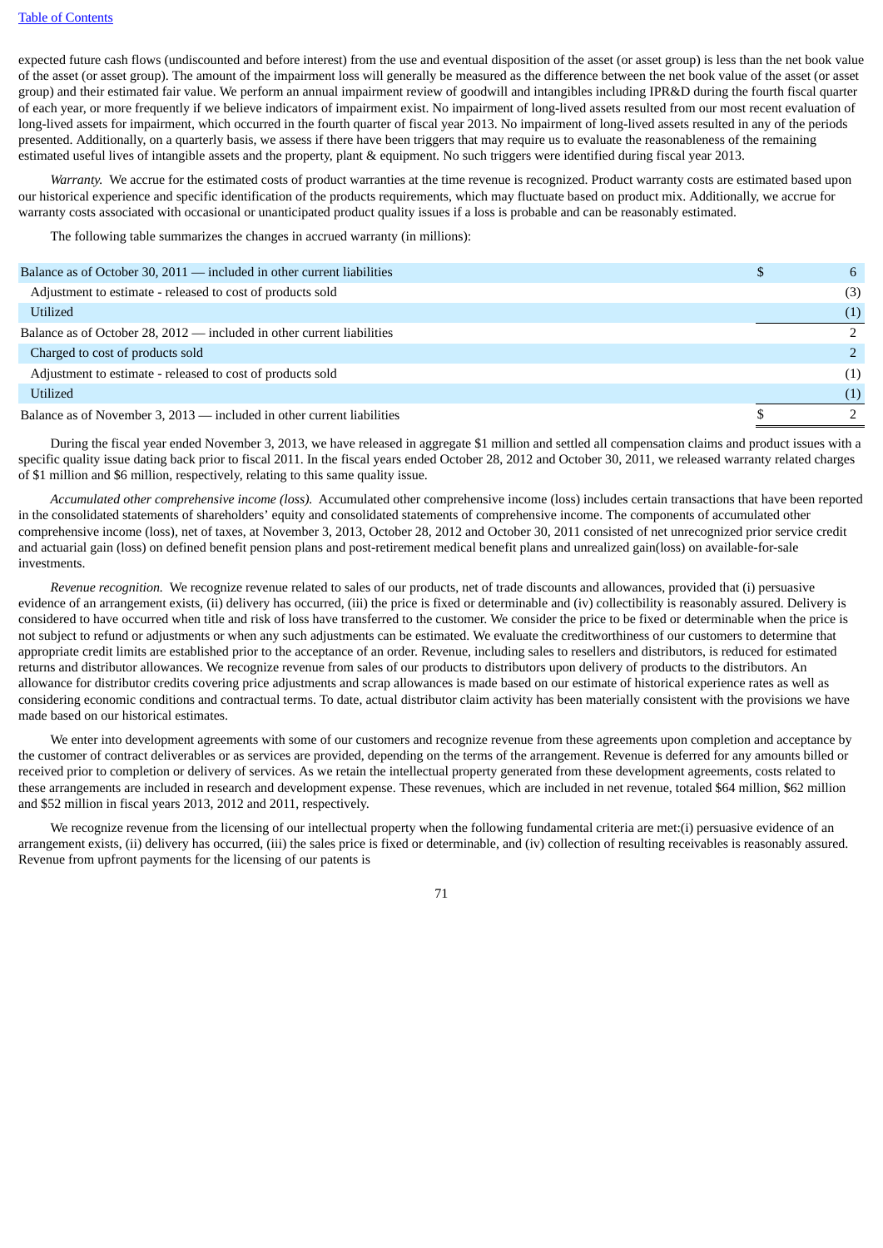expected future cash flows (undiscounted and before interest) from the use and eventual disposition of the asset (or asset group) is less than the net book value of the asset (or asset group). The amount of the impairment loss will generally be measured as the difference between the net book value of the asset (or asset group) and their estimated fair value. We perform an annual impairment review of goodwill and intangibles including IPR&D during the fourth fiscal quarter of each year, or more frequently if we believe indicators of impairment exist. No impairment of long-lived assets resulted from our most recent evaluation of long-lived assets for impairment, which occurred in the fourth quarter of fiscal year 2013. No impairment of long-lived assets resulted in any of the periods presented. Additionally, on a quarterly basis, we assess if there have been triggers that may require us to evaluate the reasonableness of the remaining estimated useful lives of intangible assets and the property, plant & equipment. No such triggers were identified during fiscal year 2013.

*Warranty.* We accrue for the estimated costs of product warranties at the time revenue is recognized. Product warranty costs are estimated based upon our historical experience and specific identification of the products requirements, which may fluctuate based on product mix. Additionally, we accrue for warranty costs associated with occasional or unanticipated product quality issues if a loss is probable and can be reasonably estimated.

The following table summarizes the changes in accrued warranty (in millions):

| Balance as of October 30, 2011 — included in other current liabilities | J | 6   |
|------------------------------------------------------------------------|---|-----|
| Adjustment to estimate - released to cost of products sold             |   | (3) |
| <b>Utilized</b>                                                        |   | (1) |
| Balance as of October 28, 2012 — included in other current liabilities |   |     |
| Charged to cost of products sold                                       |   |     |
| Adjustment to estimate - released to cost of products sold             |   | (1) |
| <b>Utilized</b>                                                        |   | (1) |
| Balance as of November 3, 2013 — included in other current liabilities |   |     |
|                                                                        |   |     |

During the fiscal year ended November 3, 2013, we have released in aggregate \$1 million and settled all compensation claims and product issues with a specific quality issue dating back prior to fiscal 2011. In the fiscal years ended October 28, 2012 and October 30, 2011, we released warranty related charges of \$1 million and \$6 million, respectively, relating to this same quality issue.

*Accumulated other comprehensive income (loss).* Accumulated other comprehensive income (loss) includes certain transactions that have been reported in the consolidated statements of shareholders' equity and consolidated statements of comprehensive income. The components of accumulated other comprehensive income (loss), net of taxes, at November 3, 2013, October 28, 2012 and October 30, 2011 consisted of net unrecognized prior service credit and actuarial gain (loss) on defined benefit pension plans and post-retirement medical benefit plans and unrealized gain(loss) on available-for-sale investments.

*Revenue recognition.* We recognize revenue related to sales of our products, net of trade discounts and allowances, provided that (i) persuasive evidence of an arrangement exists, (ii) delivery has occurred, (iii) the price is fixed or determinable and (iv) collectibility is reasonably assured. Delivery is considered to have occurred when title and risk of loss have transferred to the customer. We consider the price to be fixed or determinable when the price is not subject to refund or adjustments or when any such adjustments can be estimated. We evaluate the creditworthiness of our customers to determine that appropriate credit limits are established prior to the acceptance of an order. Revenue, including sales to resellers and distributors, is reduced for estimated returns and distributor allowances. We recognize revenue from sales of our products to distributors upon delivery of products to the distributors. An allowance for distributor credits covering price adjustments and scrap allowances is made based on our estimate of historical experience rates as well as considering economic conditions and contractual terms. To date, actual distributor claim activity has been materially consistent with the provisions we have made based on our historical estimates.

We enter into development agreements with some of our customers and recognize revenue from these agreements upon completion and acceptance by the customer of contract deliverables or as services are provided, depending on the terms of the arrangement. Revenue is deferred for any amounts billed or received prior to completion or delivery of services. As we retain the intellectual property generated from these development agreements, costs related to these arrangements are included in research and development expense. These revenues, which are included in net revenue, totaled \$64 million, \$62 million and \$52 million in fiscal years 2013, 2012 and 2011, respectively.

We recognize revenue from the licensing of our intellectual property when the following fundamental criteria are met:(i) persuasive evidence of an arrangement exists, (ii) delivery has occurred, (iii) the sales price is fixed or determinable, and (iv) collection of resulting receivables is reasonably assured. Revenue from upfront payments for the licensing of our patents is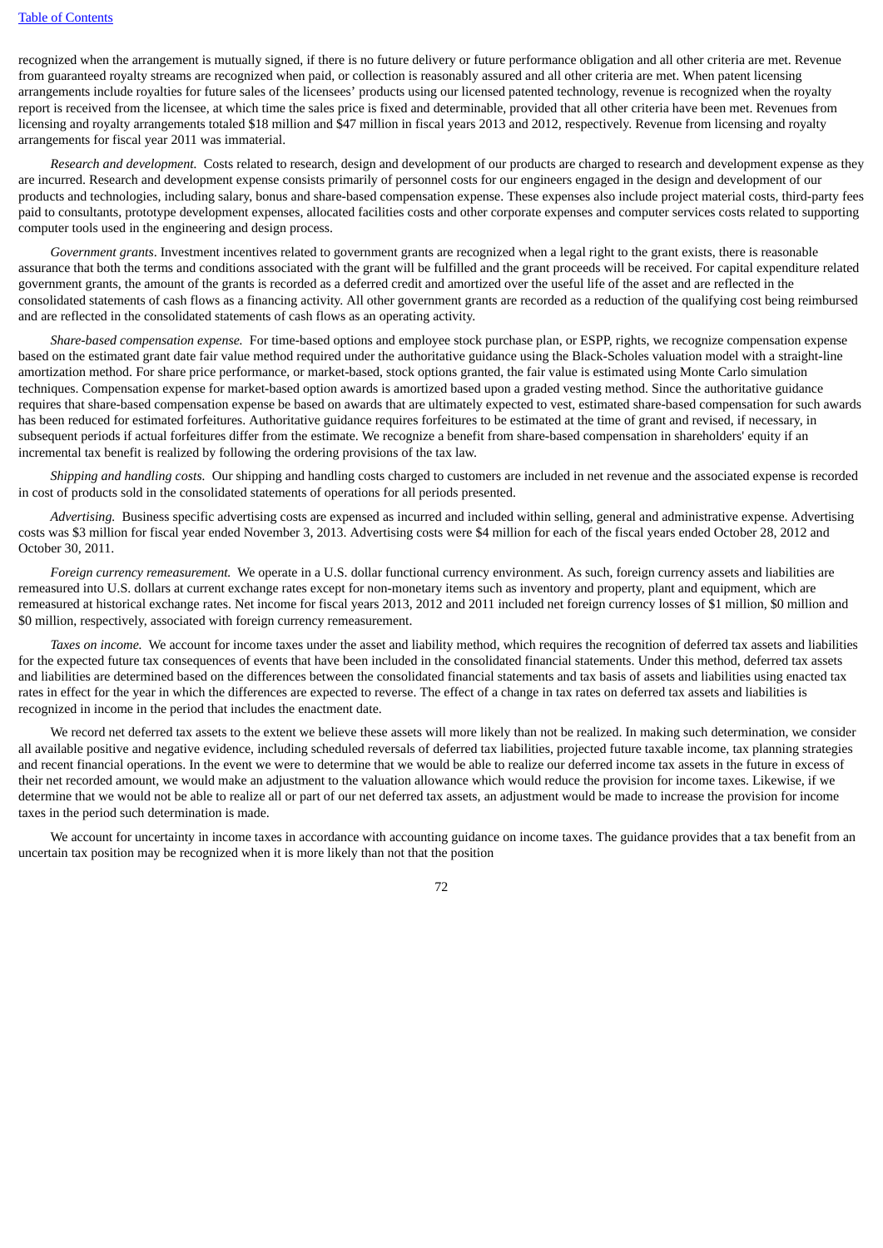recognized when the arrangement is mutually signed, if there is no future delivery or future performance obligation and all other criteria are met. Revenue from guaranteed royalty streams are recognized when paid, or collection is reasonably assured and all other criteria are met. When patent licensing arrangements include royalties for future sales of the licensees' products using our licensed patented technology, revenue is recognized when the royalty report is received from the licensee, at which time the sales price is fixed and determinable, provided that all other criteria have been met. Revenues from licensing and royalty arrangements totaled \$18 million and \$47 million in fiscal years 2013 and 2012, respectively. Revenue from licensing and royalty arrangements for fiscal year 2011 was immaterial.

*Research and development.* Costs related to research, design and development of our products are charged to research and development expense as they are incurred. Research and development expense consists primarily of personnel costs for our engineers engaged in the design and development of our products and technologies, including salary, bonus and share-based compensation expense. These expenses also include project material costs, third-party fees paid to consultants, prototype development expenses, allocated facilities costs and other corporate expenses and computer services costs related to supporting computer tools used in the engineering and design process.

*Government grants*. Investment incentives related to government grants are recognized when a legal right to the grant exists, there is reasonable assurance that both the terms and conditions associated with the grant will be fulfilled and the grant proceeds will be received. For capital expenditure related government grants, the amount of the grants is recorded as a deferred credit and amortized over the useful life of the asset and are reflected in the consolidated statements of cash flows as a financing activity. All other government grants are recorded as a reduction of the qualifying cost being reimbursed and are reflected in the consolidated statements of cash flows as an operating activity.

*Share-based compensation expense.* For time-based options and employee stock purchase plan, or ESPP, rights, we recognize compensation expense based on the estimated grant date fair value method required under the authoritative guidance using the Black-Scholes valuation model with a straight-line amortization method. For share price performance, or market-based, stock options granted, the fair value is estimated using Monte Carlo simulation techniques. Compensation expense for market-based option awards is amortized based upon a graded vesting method. Since the authoritative guidance requires that share-based compensation expense be based on awards that are ultimately expected to vest, estimated share-based compensation for such awards has been reduced for estimated forfeitures. Authoritative guidance requires forfeitures to be estimated at the time of grant and revised, if necessary, in subsequent periods if actual forfeitures differ from the estimate. We recognize a benefit from share-based compensation in shareholders' equity if an incremental tax benefit is realized by following the ordering provisions of the tax law.

*Shipping and handling costs.* Our shipping and handling costs charged to customers are included in net revenue and the associated expense is recorded in cost of products sold in the consolidated statements of operations for all periods presented.

*Advertising.* Business specific advertising costs are expensed as incurred and included within selling, general and administrative expense. Advertising costs was \$3 million for fiscal year ended November 3, 2013. Advertising costs were \$4 million for each of the fiscal years ended October 28, 2012 and October 30, 2011.

*Foreign currency remeasurement.* We operate in a U.S. dollar functional currency environment. As such, foreign currency assets and liabilities are remeasured into U.S. dollars at current exchange rates except for non-monetary items such as inventory and property, plant and equipment, which are remeasured at historical exchange rates. Net income for fiscal years 2013, 2012 and 2011 included net foreign currency losses of \$1 million, \$0 million and \$0 million, respectively, associated with foreign currency remeasurement.

*Taxes on income.* We account for income taxes under the asset and liability method, which requires the recognition of deferred tax assets and liabilities for the expected future tax consequences of events that have been included in the consolidated financial statements. Under this method, deferred tax assets and liabilities are determined based on the differences between the consolidated financial statements and tax basis of assets and liabilities using enacted tax rates in effect for the year in which the differences are expected to reverse. The effect of a change in tax rates on deferred tax assets and liabilities is recognized in income in the period that includes the enactment date.

We record net deferred tax assets to the extent we believe these assets will more likely than not be realized. In making such determination, we consider all available positive and negative evidence, including scheduled reversals of deferred tax liabilities, projected future taxable income, tax planning strategies and recent financial operations. In the event we were to determine that we would be able to realize our deferred income tax assets in the future in excess of their net recorded amount, we would make an adjustment to the valuation allowance which would reduce the provision for income taxes. Likewise, if we determine that we would not be able to realize all or part of our net deferred tax assets, an adjustment would be made to increase the provision for income taxes in the period such determination is made.

We account for uncertainty in income taxes in accordance with accounting guidance on income taxes. The guidance provides that a tax benefit from an uncertain tax position may be recognized when it is more likely than not that the position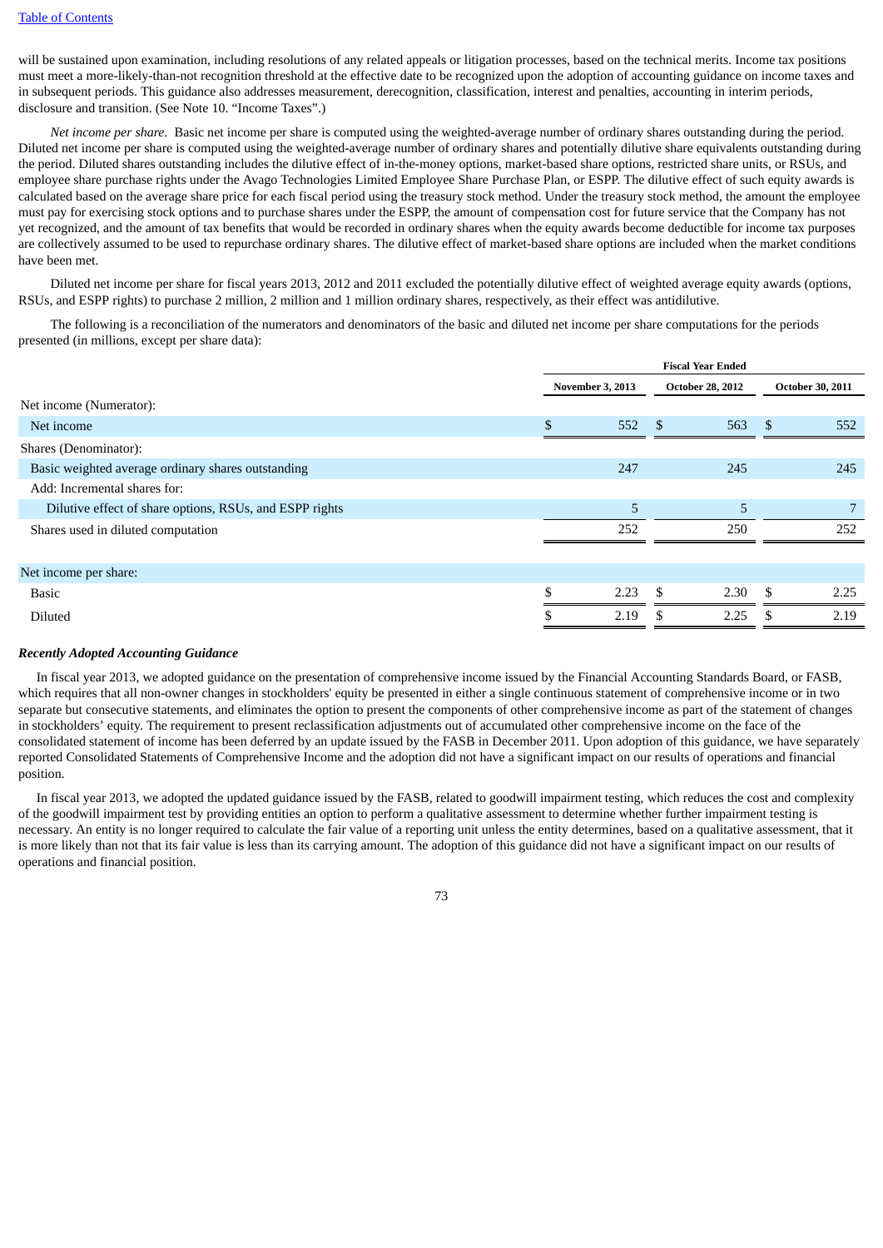will be sustained upon examination, including resolutions of any related appeals or litigation processes, based on the technical merits. Income tax positions must meet a more-likely-than-not recognition threshold at the effective date to be recognized upon the adoption of accounting guidance on income taxes and in subsequent periods. This guidance also addresses measurement, derecognition, classification, interest and penalties, accounting in interim periods, disclosure and transition. (See Note 10. "Income Taxes".)

*Net income per share.* Basic net income per share is computed using the weighted-average number of ordinary shares outstanding during the period. Diluted net income per share is computed using the weighted-average number of ordinary shares and potentially dilutive share equivalents outstanding during the period. Diluted shares outstanding includes the dilutive effect of in-the-money options, market-based share options, restricted share units, or RSUs, and employee share purchase rights under the Avago Technologies Limited Employee Share Purchase Plan, or ESPP. The dilutive effect of such equity awards is calculated based on the average share price for each fiscal period using the treasury stock method. Under the treasury stock method, the amount the employee must pay for exercising stock options and to purchase shares under the ESPP, the amount of compensation cost for future service that the Company has not yet recognized, and the amount of tax benefits that would be recorded in ordinary shares when the equity awards become deductible for income tax purposes are collectively assumed to be used to repurchase ordinary shares. The dilutive effect of market-based share options are included when the market conditions have been met.

Diluted net income per share for fiscal years 2013, 2012 and 2011 excluded the potentially dilutive effect of weighted average equity awards (options, RSUs, and ESPP rights) to purchase 2 million, 2 million and 1 million ordinary shares, respectively, as their effect was antidilutive.

The following is a reconciliation of the numerators and denominators of the basic and diluted net income per share computations for the periods presented (in millions, except per share data):

|                                                         |               | <b>Fiscal Year Ended</b> |      |                         |            |                         |
|---------------------------------------------------------|---------------|--------------------------|------|-------------------------|------------|-------------------------|
|                                                         |               | <b>November 3, 2013</b>  |      | <b>October 28, 2012</b> |            | <b>October 30, 2011</b> |
| Net income (Numerator):                                 |               |                          |      |                         |            |                         |
| Net income                                              | <sup>\$</sup> | 552                      | - \$ | 563                     | $^{\circ}$ | 552                     |
| Shares (Denominator):                                   |               |                          |      |                         |            |                         |
| Basic weighted average ordinary shares outstanding      |               | 247                      |      | 245                     |            | 245                     |
| Add: Incremental shares for:                            |               |                          |      |                         |            |                         |
| Dilutive effect of share options, RSUs, and ESPP rights |               | 5                        |      | 5                       |            | $7^{\circ}$             |
| Shares used in diluted computation                      |               | 252                      |      | 250                     |            | 252                     |
|                                                         |               |                          |      |                         |            |                         |
| Net income per share:                                   |               |                          |      |                         |            |                         |
| <b>Basic</b>                                            | \$            | 2.23                     | \$.  | 2.30                    | -\$        | 2.25                    |
| Diluted                                                 |               | 2.19                     | S.   | 2.25                    | -S         | 2.19                    |
|                                                         |               |                          |      |                         |            |                         |

#### *Recently Adopted Accounting Guidance*

In fiscal year 2013, we adopted guidance on the presentation of comprehensive income issued by the Financial Accounting Standards Board, or FASB, which requires that all non-owner changes in stockholders' equity be presented in either a single continuous statement of comprehensive income or in two separate but consecutive statements, and eliminates the option to present the components of other comprehensive income as part of the statement of changes in stockholders' equity. The requirement to present reclassification adjustments out of accumulated other comprehensive income on the face of the consolidated statement of income has been deferred by an update issued by the FASB in December 2011. Upon adoption of this guidance, we have separately reported Consolidated Statements of Comprehensive Income and the adoption did not have a significant impact on our results of operations and financial position.

In fiscal year 2013, we adopted the updated guidance issued by the FASB, related to goodwill impairment testing, which reduces the cost and complexity of the goodwill impairment test by providing entities an option to perform a qualitative assessment to determine whether further impairment testing is necessary. An entity is no longer required to calculate the fair value of a reporting unit unless the entity determines, based on a qualitative assessment, that it is more likely than not that its fair value is less than its carrying amount. The adoption of this guidance did not have a significant impact on our results of operations and financial position.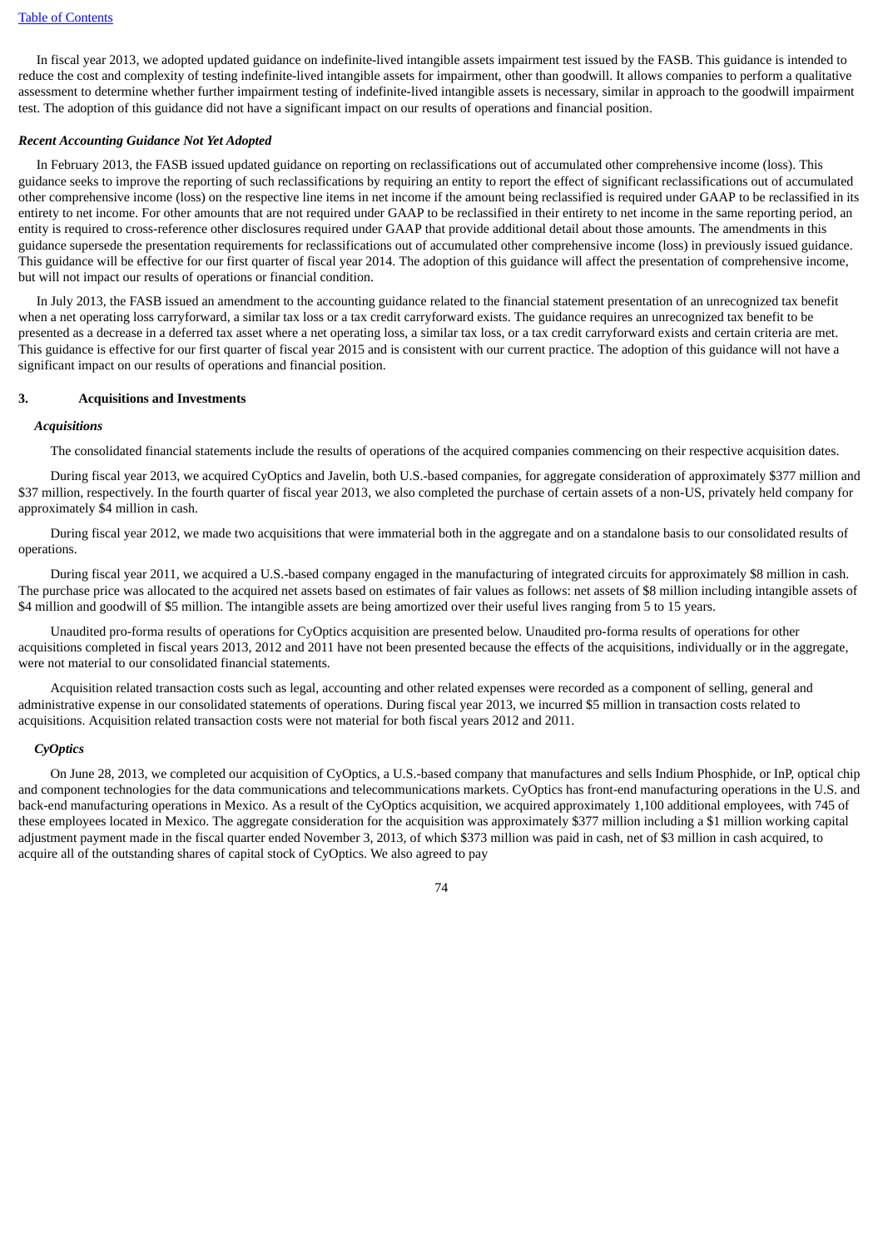In fiscal year 2013, we adopted updated guidance on indefinite-lived intangible assets impairment test issued by the FASB. This guidance is intended to reduce the cost and complexity of testing indefinite-lived intangible assets for impairment, other than goodwill. It allows companies to perform a qualitative assessment to determine whether further impairment testing of indefinite-lived intangible assets is necessary, similar in approach to the goodwill impairment test. The adoption of this guidance did not have a significant impact on our results of operations and financial position.

## *Recent Accounting Guidance Not Yet Adopted*

In February 2013, the FASB issued updated guidance on reporting on reclassifications out of accumulated other comprehensive income (loss). This guidance seeks to improve the reporting of such reclassifications by requiring an entity to report the effect of significant reclassifications out of accumulated other comprehensive income (loss) on the respective line items in net income if the amount being reclassified is required under GAAP to be reclassified in its entirety to net income. For other amounts that are not required under GAAP to be reclassified in their entirety to net income in the same reporting period, an entity is required to cross-reference other disclosures required under GAAP that provide additional detail about those amounts. The amendments in this guidance supersede the presentation requirements for reclassifications out of accumulated other comprehensive income (loss) in previously issued guidance. This guidance will be effective for our first quarter of fiscal year 2014. The adoption of this guidance will affect the presentation of comprehensive income, but will not impact our results of operations or financial condition.

In July 2013, the FASB issued an amendment to the accounting guidance related to the financial statement presentation of an unrecognized tax benefit when a net operating loss carryforward, a similar tax loss or a tax credit carryforward exists. The guidance requires an unrecognized tax benefit to be presented as a decrease in a deferred tax asset where a net operating loss, a similar tax loss, or a tax credit carryforward exists and certain criteria are met. This guidance is effective for our first quarter of fiscal year 2015 and is consistent with our current practice. The adoption of this guidance will not have a significant impact on our results of operations and financial position.

#### **3. Acquisitions and Investments**

#### *Acquisitions*

The consolidated financial statements include the results of operations of the acquired companies commencing on their respective acquisition dates.

During fiscal year 2013, we acquired CyOptics and Javelin, both U.S.-based companies, for aggregate consideration of approximately \$377 million and \$37 million, respectively. In the fourth quarter of fiscal year 2013, we also completed the purchase of certain assets of a non-US, privately held company for approximately \$4 million in cash.

During fiscal year 2012, we made two acquisitions that were immaterial both in the aggregate and on a standalone basis to our consolidated results of operations.

During fiscal year 2011, we acquired a U.S.-based company engaged in the manufacturing of integrated circuits for approximately \$8 million in cash. The purchase price was allocated to the acquired net assets based on estimates of fair values as follows: net assets of \$8 million including intangible assets of \$4 million and goodwill of \$5 million. The intangible assets are being amortized over their useful lives ranging from 5 to 15 years.

Unaudited pro-forma results of operations for CyOptics acquisition are presented below. Unaudited pro-forma results of operations for other acquisitions completed in fiscal years 2013, 2012 and 2011 have not been presented because the effects of the acquisitions, individually or in the aggregate, were not material to our consolidated financial statements.

Acquisition related transaction costs such as legal, accounting and other related expenses were recorded as a component of selling, general and administrative expense in our consolidated statements of operations. During fiscal year 2013, we incurred \$5 million in transaction costs related to acquisitions. Acquisition related transaction costs were not material for both fiscal years 2012 and 2011.

#### *CyOptics*

On June 28, 2013, we completed our acquisition of CyOptics, a U.S.-based company that manufactures and sells Indium Phosphide, or InP, optical chip and component technologies for the data communications and telecommunications markets. CyOptics has front-end manufacturing operations in the U.S. and back-end manufacturing operations in Mexico. As a result of the CyOptics acquisition, we acquired approximately 1,100 additional employees, with 745 of these employees located in Mexico. The aggregate consideration for the acquisition was approximately \$377 million including a \$1 million working capital adjustment payment made in the fiscal quarter ended November 3, 2013, of which \$373 million was paid in cash, net of \$3 million in cash acquired, to acquire all of the outstanding shares of capital stock of CyOptics. We also agreed to pay

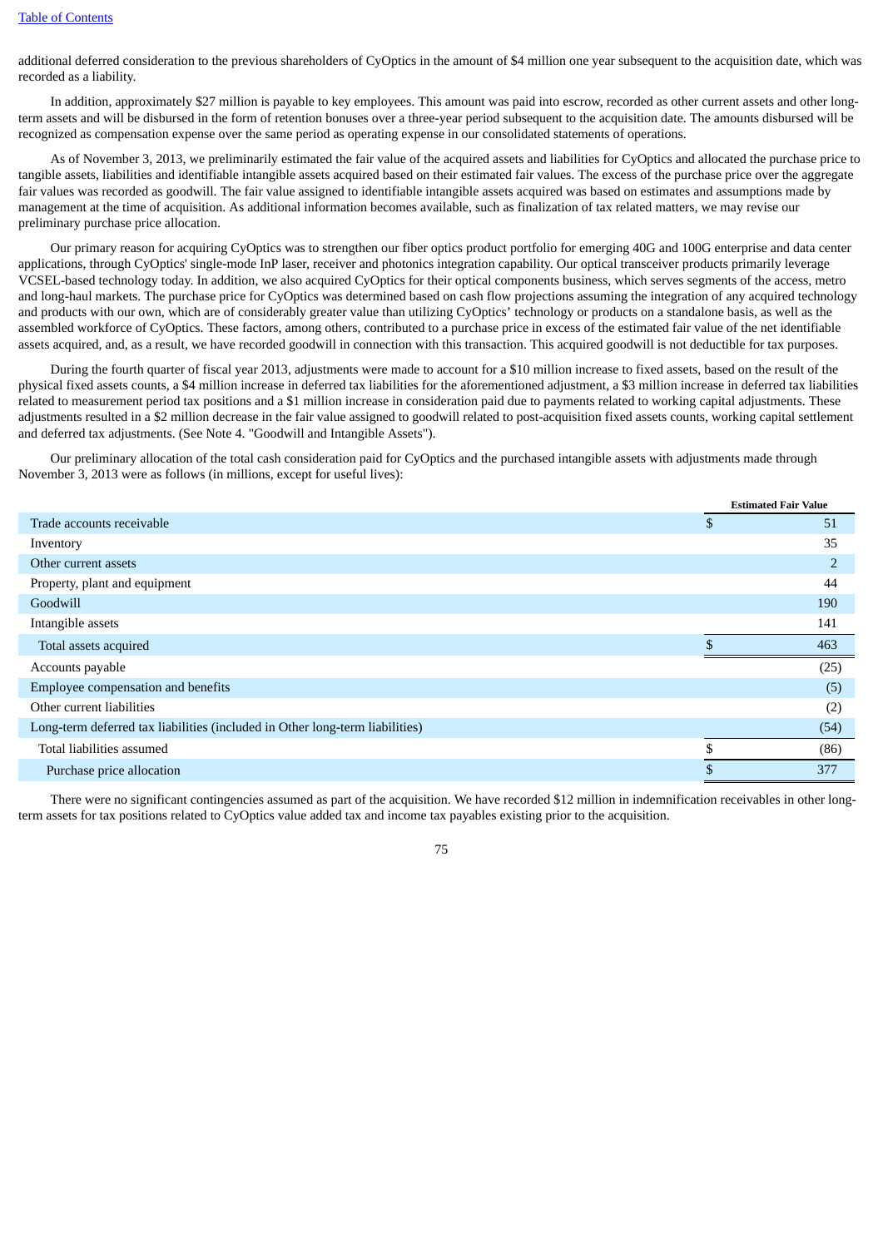additional deferred consideration to the previous shareholders of CyOptics in the amount of \$4 million one year subsequent to the acquisition date, which was recorded as a liability.

In addition, approximately \$27 million is payable to key employees. This amount was paid into escrow, recorded as other current assets and other longterm assets and will be disbursed in the form of retention bonuses over a three-year period subsequent to the acquisition date. The amounts disbursed will be recognized as compensation expense over the same period as operating expense in our consolidated statements of operations.

As of November 3, 2013, we preliminarily estimated the fair value of the acquired assets and liabilities for CyOptics and allocated the purchase price to tangible assets, liabilities and identifiable intangible assets acquired based on their estimated fair values. The excess of the purchase price over the aggregate fair values was recorded as goodwill. The fair value assigned to identifiable intangible assets acquired was based on estimates and assumptions made by management at the time of acquisition. As additional information becomes available, such as finalization of tax related matters, we may revise our preliminary purchase price allocation.

Our primary reason for acquiring CyOptics was to strengthen our fiber optics product portfolio for emerging 40G and 100G enterprise and data center applications, through CyOptics' single-mode InP laser, receiver and photonics integration capability. Our optical transceiver products primarily leverage VCSEL-based technology today. In addition, we also acquired CyOptics for their optical components business, which serves segments of the access, metro and long-haul markets. The purchase price for CyOptics was determined based on cash flow projections assuming the integration of any acquired technology and products with our own, which are of considerably greater value than utilizing CyOptics' technology or products on a standalone basis, as well as the assembled workforce of CyOptics. These factors, among others, contributed to a purchase price in excess of the estimated fair value of the net identifiable assets acquired, and, as a result, we have recorded goodwill in connection with this transaction. This acquired goodwill is not deductible for tax purposes.

During the fourth quarter of fiscal year 2013, adjustments were made to account for a \$10 million increase to fixed assets, based on the result of the physical fixed assets counts, a \$4 million increase in deferred tax liabilities for the aforementioned adjustment, a \$3 million increase in deferred tax liabilities related to measurement period tax positions and a \$1 million increase in consideration paid due to payments related to working capital adjustments. These adjustments resulted in a \$2 million decrease in the fair value assigned to goodwill related to post-acquisition fixed assets counts, working capital settlement and deferred tax adjustments. (See Note 4. "Goodwill and Intangible Assets").

Our preliminary allocation of the total cash consideration paid for CyOptics and the purchased intangible assets with adjustments made through November 3, 2013 were as follows (in millions, except for useful lives):

|                                                                              |   | <b>Estimated Fair Value</b> |
|------------------------------------------------------------------------------|---|-----------------------------|
| Trade accounts receivable                                                    | Ъ | 51                          |
| Inventory                                                                    |   | 35                          |
| Other current assets                                                         |   | 2                           |
| Property, plant and equipment                                                |   | 44                          |
| Goodwill                                                                     |   | 190                         |
| Intangible assets                                                            |   | 141                         |
| Total assets acquired                                                        |   | 463                         |
| Accounts payable                                                             |   | (25)                        |
| Employee compensation and benefits                                           |   | (5)                         |
| Other current liabilities                                                    |   | (2)                         |
| Long-term deferred tax liabilities (included in Other long-term liabilities) |   | (54)                        |
| Total liabilities assumed                                                    |   | (86)                        |
| Purchase price allocation                                                    |   | 377                         |

There were no significant contingencies assumed as part of the acquisition. We have recorded \$12 million in indemnification receivables in other longterm assets for tax positions related to CyOptics value added tax and income tax payables existing prior to the acquisition.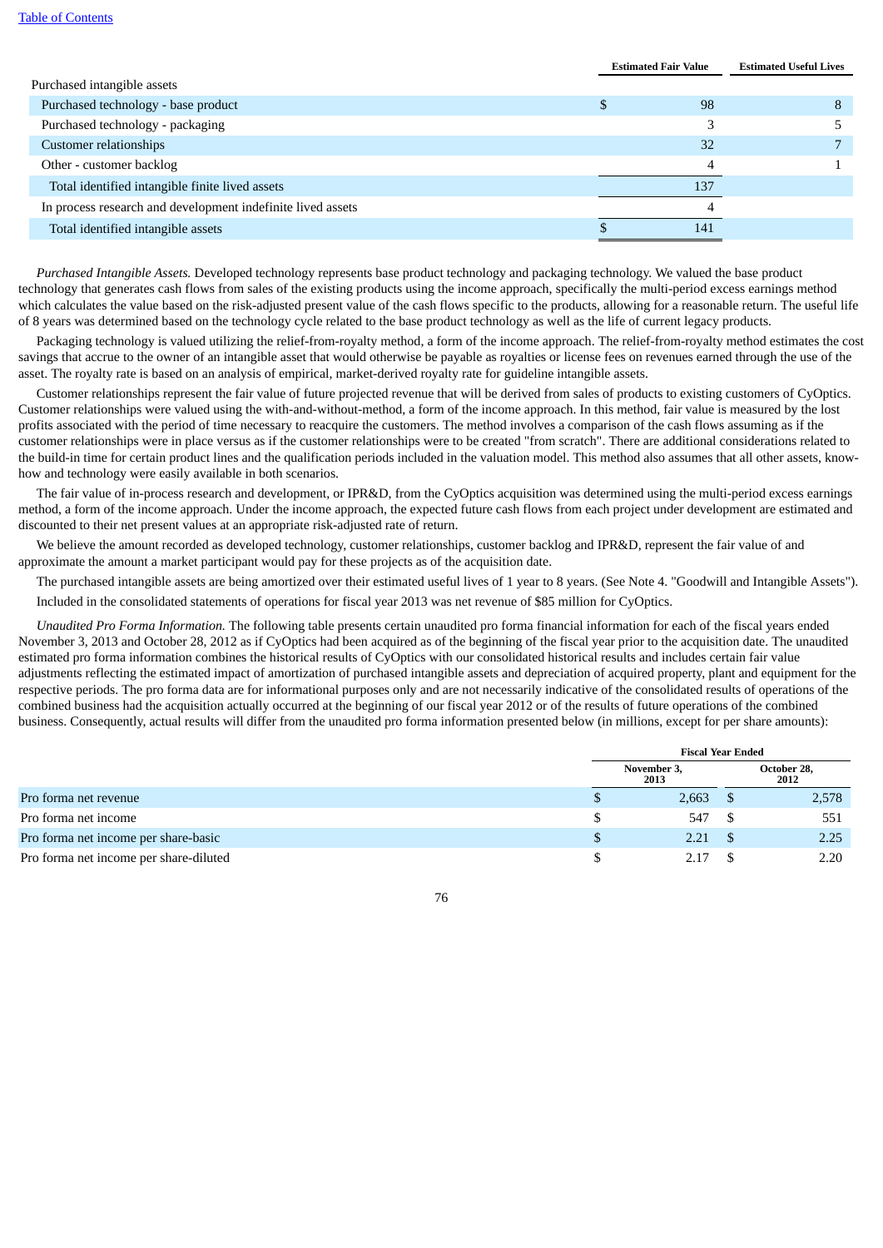#### Table of [Contents](#page-0-0)

|                                                             | <b>Estimated Fair Value</b> | <b>Estimated Useful Lives</b> |  |  |
|-------------------------------------------------------------|-----------------------------|-------------------------------|--|--|
| Purchased intangible assets                                 |                             |                               |  |  |
| Purchased technology - base product                         | 98                          |                               |  |  |
| Purchased technology - packaging                            | ٠,                          |                               |  |  |
| Customer relationships                                      | 32                          |                               |  |  |
| Other - customer backlog                                    | 4                           |                               |  |  |
| Total identified intangible finite lived assets             | 137                         |                               |  |  |
| In process research and development indefinite lived assets |                             |                               |  |  |
| Total identified intangible assets                          | 141                         |                               |  |  |

*Purchased Intangible Assets.* Developed technology represents base product technology and packaging technology. We valued the base product technology that generates cash flows from sales of the existing products using the income approach, specifically the multi-period excess earnings method which calculates the value based on the risk-adjusted present value of the cash flows specific to the products, allowing for a reasonable return. The useful life of 8 years was determined based on the technology cycle related to the base product technology as well as the life of current legacy products.

Packaging technology is valued utilizing the relief-from-royalty method, a form of the income approach. The relief-from-royalty method estimates the cost savings that accrue to the owner of an intangible asset that would otherwise be payable as royalties or license fees on revenues earned through the use of the asset. The royalty rate is based on an analysis of empirical, market-derived royalty rate for guideline intangible assets.

Customer relationships represent the fair value of future projected revenue that will be derived from sales of products to existing customers of CyOptics. Customer relationships were valued using the with-and-without-method, a form of the income approach. In this method, fair value is measured by the lost profits associated with the period of time necessary to reacquire the customers. The method involves a comparison of the cash flows assuming as if the customer relationships were in place versus as if the customer relationships were to be created "from scratch". There are additional considerations related to the build-in time for certain product lines and the qualification periods included in the valuation model. This method also assumes that all other assets, knowhow and technology were easily available in both scenarios.

The fair value of in-process research and development, or IPR&D, from the CyOptics acquisition was determined using the multi-period excess earnings method, a form of the income approach. Under the income approach, the expected future cash flows from each project under development are estimated and discounted to their net present values at an appropriate risk-adjusted rate of return.

We believe the amount recorded as developed technology, customer relationships, customer backlog and IPR&D, represent the fair value of and approximate the amount a market participant would pay for these projects as of the acquisition date.

The purchased intangible assets are being amortized over their estimated useful lives of 1 year to 8 years. (See Note 4. "Goodwill and Intangible Assets"). Included in the consolidated statements of operations for fiscal year 2013 was net revenue of \$85 million for CyOptics.

*Unaudited Pro Forma Information.* The following table presents certain unaudited pro forma financial information for each of the fiscal years ended November 3, 2013 and October 28, 2012 as if CyOptics had been acquired as of the beginning of the fiscal year prior to the acquisition date. The unaudited estimated pro forma information combines the historical results of CyOptics with our consolidated historical results and includes certain fair value adjustments reflecting the estimated impact of amortization of purchased intangible assets and depreciation of acquired property, plant and equipment for the respective periods. The pro forma data are for informational purposes only and are not necessarily indicative of the consolidated results of operations of the combined business had the acquisition actually occurred at the beginning of our fiscal year 2012 or of the results of future operations of the combined business. Consequently, actual results will differ from the unaudited pro forma information presented below (in millions, except for per share amounts):

|                                        | <b>Fiscal Year Ended</b> |  |                     |  |  |
|----------------------------------------|--------------------------|--|---------------------|--|--|
|                                        | November 3,<br>2013      |  | October 28,<br>2012 |  |  |
| Pro forma net revenue                  | 2,663                    |  | 2,578               |  |  |
| Pro forma net income                   | 547                      |  | 551                 |  |  |
| Pro forma net income per share-basic   | 2.21                     |  | 2.25                |  |  |
| Pro forma net income per share-diluted | 2.17                     |  | 2.20                |  |  |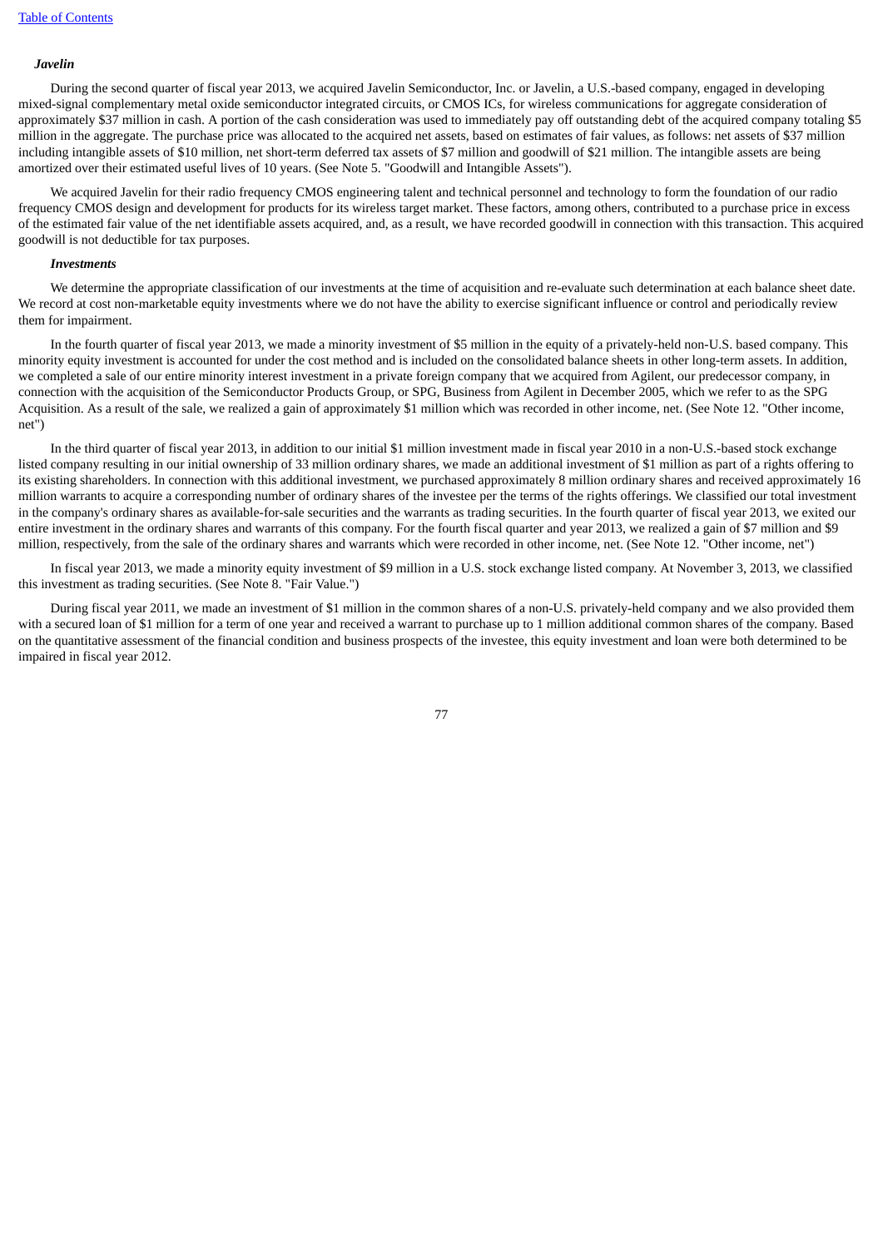### *Javelin*

During the second quarter of fiscal year 2013, we acquired Javelin Semiconductor, Inc. or Javelin, a U.S.-based company, engaged in developing mixed-signal complementary metal oxide semiconductor integrated circuits, or CMOS ICs, for wireless communications for aggregate consideration of approximately \$37 million in cash. A portion of the cash consideration was used to immediately pay off outstanding debt of the acquired company totaling \$5 million in the aggregate. The purchase price was allocated to the acquired net assets, based on estimates of fair values, as follows: net assets of \$37 million including intangible assets of \$10 million, net short-term deferred tax assets of \$7 million and goodwill of \$21 million. The intangible assets are being amortized over their estimated useful lives of 10 years. (See Note 5. "Goodwill and Intangible Assets").

We acquired Javelin for their radio frequency CMOS engineering talent and technical personnel and technology to form the foundation of our radio frequency CMOS design and development for products for its wireless target market. These factors, among others, contributed to a purchase price in excess of the estimated fair value of the net identifiable assets acquired, and, as a result, we have recorded goodwill in connection with this transaction. This acquired goodwill is not deductible for tax purposes.

#### *Investments*

We determine the appropriate classification of our investments at the time of acquisition and re-evaluate such determination at each balance sheet date. We record at cost non-marketable equity investments where we do not have the ability to exercise significant influence or control and periodically review them for impairment.

In the fourth quarter of fiscal year 2013, we made a minority investment of \$5 million in the equity of a privately-held non-U.S. based company. This minority equity investment is accounted for under the cost method and is included on the consolidated balance sheets in other long-term assets. In addition, we completed a sale of our entire minority interest investment in a private foreign company that we acquired from Agilent, our predecessor company, in connection with the acquisition of the Semiconductor Products Group, or SPG, Business from Agilent in December 2005, which we refer to as the SPG Acquisition. As a result of the sale, we realized a gain of approximately \$1 million which was recorded in other income, net. (See Note 12. "Other income, net")

In the third quarter of fiscal year 2013, in addition to our initial \$1 million investment made in fiscal year 2010 in a non-U.S.-based stock exchange listed company resulting in our initial ownership of 33 million ordinary shares, we made an additional investment of \$1 million as part of a rights offering to its existing shareholders. In connection with this additional investment, we purchased approximately 8 million ordinary shares and received approximately 16 million warrants to acquire a corresponding number of ordinary shares of the investee per the terms of the rights offerings. We classified our total investment in the company's ordinary shares as available-for-sale securities and the warrants as trading securities. In the fourth quarter of fiscal year 2013, we exited our entire investment in the ordinary shares and warrants of this company. For the fourth fiscal quarter and year 2013, we realized a gain of \$7 million and \$9 million, respectively, from the sale of the ordinary shares and warrants which were recorded in other income, net. (See Note 12. "Other income, net")

In fiscal year 2013, we made a minority equity investment of \$9 million in a U.S. stock exchange listed company. At November 3, 2013, we classified this investment as trading securities. (See Note 8. "Fair Value.")

During fiscal year 2011, we made an investment of \$1 million in the common shares of a non-U.S. privately-held company and we also provided them with a secured loan of \$1 million for a term of one year and received a warrant to purchase up to 1 million additional common shares of the company. Based on the quantitative assessment of the financial condition and business prospects of the investee, this equity investment and loan were both determined to be impaired in fiscal year 2012.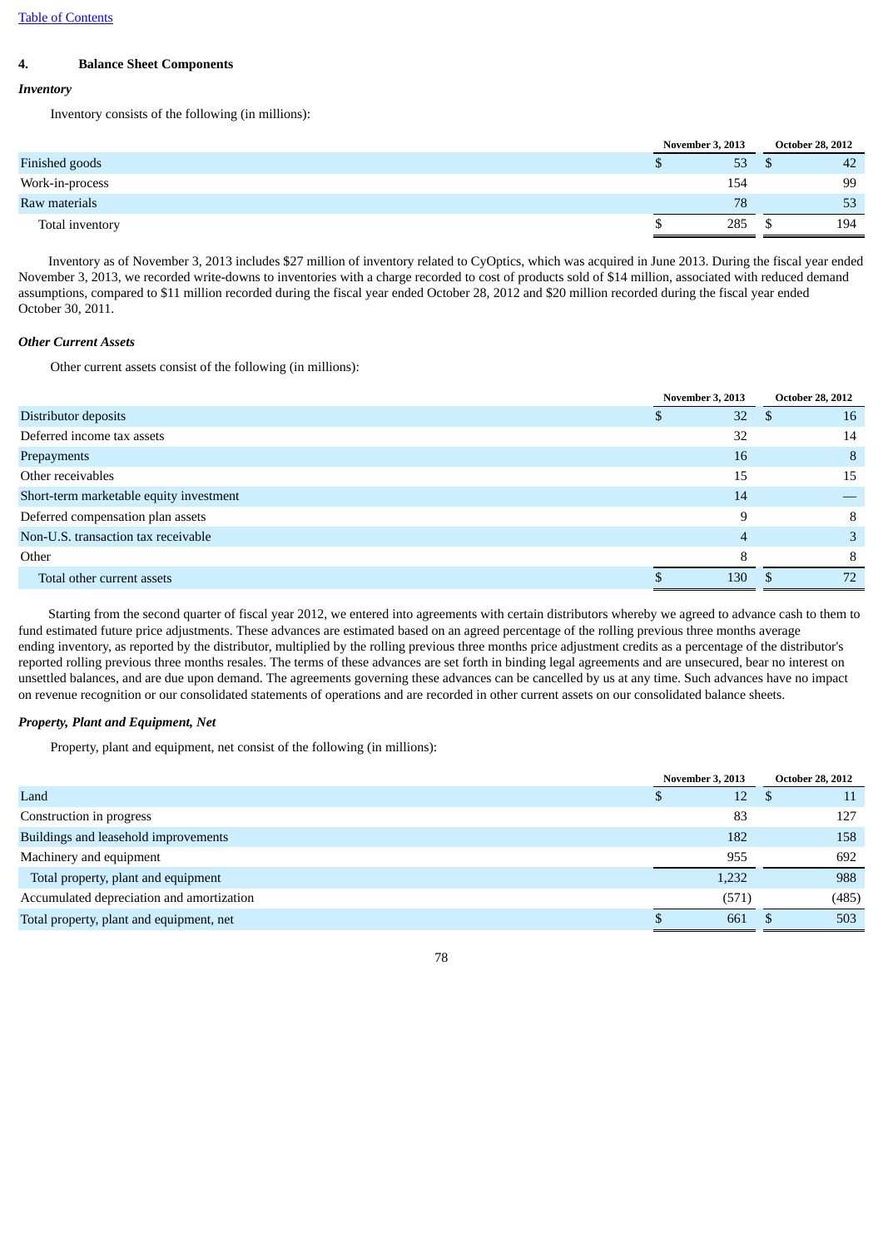# **4. Balance Sheet Components**

# *Inventory*

Inventory consists of the following (in millions):

|                 |    | <b>November 3, 2013</b> |  | <b>October 28, 2012</b> |  |
|-----------------|----|-------------------------|--|-------------------------|--|
| Finished goods  | ۰υ | 53                      |  | 42                      |  |
| Work-in-process |    | 154                     |  | 99                      |  |
| Raw materials   |    | 78                      |  | 53                      |  |
| Total inventory |    | 285                     |  | 194                     |  |

Inventory as of November 3, 2013 includes \$27 million of inventory related to CyOptics, which was acquired in June 2013. During the fiscal year ended November 3, 2013, we recorded write-downs to inventories with a charge recorded to cost of products sold of \$14 million, associated with reduced demand assumptions, compared to \$11 million recorded during the fiscal year ended October 28, 2012 and \$20 million recorded during the fiscal year ended October 30, 2011.

## *Other Current Assets*

Other current assets consist of the following (in millions):

|                                         | <b>November 3, 2013</b> |  | <b>October 28, 2012</b> |
|-----------------------------------------|-------------------------|--|-------------------------|
| Distributor deposits                    | 32                      |  | 16                      |
| Deferred income tax assets              | 32                      |  | 14                      |
| Prepayments                             | 16                      |  | 8                       |
| Other receivables                       | 15                      |  | 15                      |
| Short-term marketable equity investment | 14                      |  |                         |
| Deferred compensation plan assets       | 9                       |  | 8                       |
| Non-U.S. transaction tax receivable     |                         |  |                         |
| Other                                   | 8                       |  | 8                       |
| Total other current assets              | 130                     |  | 72                      |

Starting from the second quarter of fiscal year 2012, we entered into agreements with certain distributors whereby we agreed to advance cash to them to fund estimated future price adjustments. These advances are estimated based on an agreed percentage of the rolling previous three months average ending inventory, as reported by the distributor, multiplied by the rolling previous three months price adjustment credits as a percentage of the distributor's reported rolling previous three months resales. The terms of these advances are set forth in binding legal agreements and are unsecured, bear no interest on unsettled balances, and are due upon demand. The agreements governing these advances can be cancelled by us at any time. Such advances have no impact on revenue recognition or our consolidated statements of operations and are recorded in other current assets on our consolidated balance sheets.

## *Property, Plant and Equipment, Net*

Property, plant and equipment, net consist of the following (in millions):

|                                           | <b>November 3, 2013</b> |  | <b>October 28, 2012</b> |  |
|-------------------------------------------|-------------------------|--|-------------------------|--|
| Land                                      | 12                      |  | 11                      |  |
| Construction in progress                  | 83                      |  | 127                     |  |
| Buildings and leasehold improvements      | 182                     |  | 158                     |  |
| Machinery and equipment                   | 955                     |  | 692                     |  |
| Total property, plant and equipment       | 1,232                   |  | 988                     |  |
| Accumulated depreciation and amortization | (571)                   |  | (485)                   |  |
| Total property, plant and equipment, net  | 661                     |  | 503                     |  |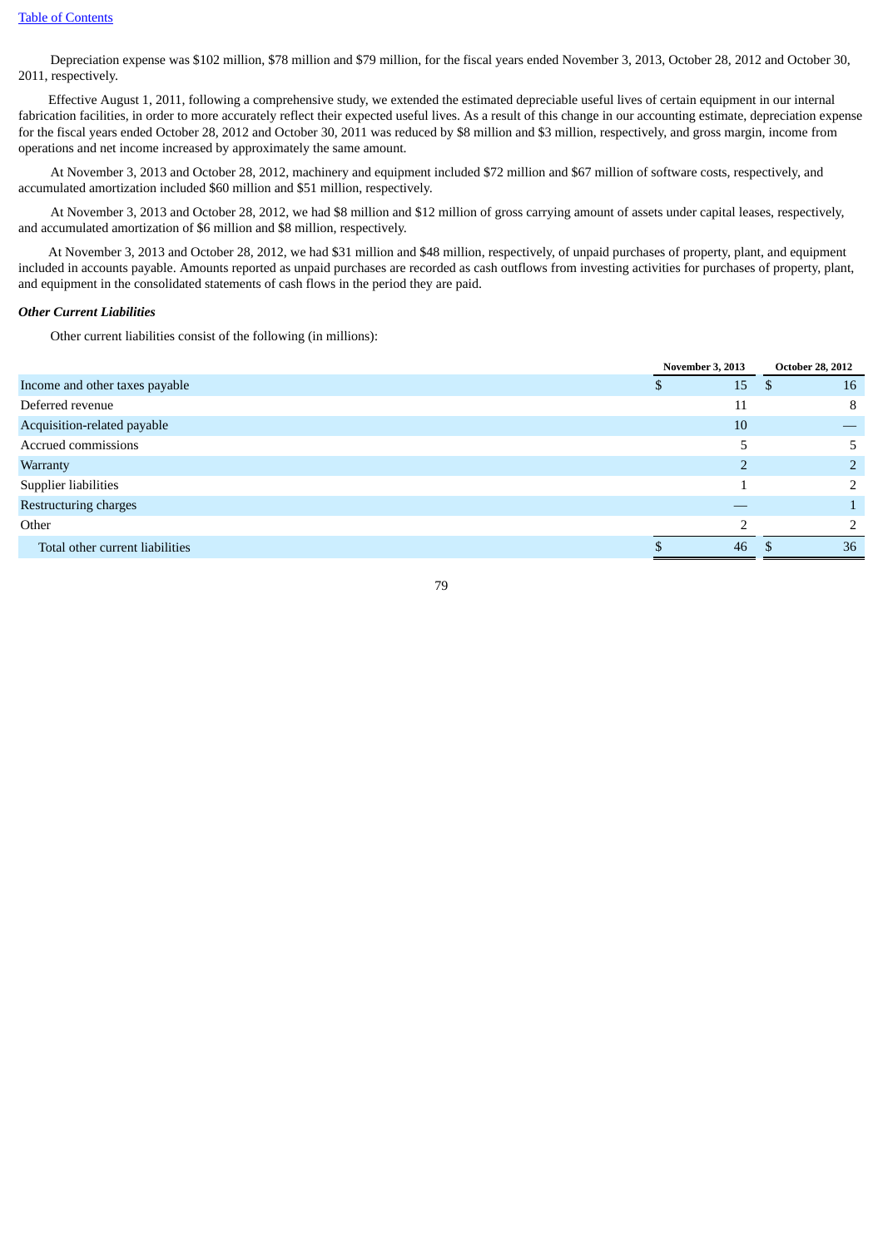Depreciation expense was \$102 million, \$78 million and \$79 million, for the fiscal years ended November 3, 2013, October 28, 2012 and October 30, 2011, respectively.

Effective August 1, 2011, following a comprehensive study, we extended the estimated depreciable useful lives of certain equipment in our internal fabrication facilities, in order to more accurately reflect their expected useful lives. As a result of this change in our accounting estimate, depreciation expense for the fiscal years ended October 28, 2012 and October 30, 2011 was reduced by \$8 million and \$3 million, respectively, and gross margin, income from operations and net income increased by approximately the same amount.

At November 3, 2013 and October 28, 2012, machinery and equipment included \$72 million and \$67 million of software costs, respectively, and accumulated amortization included \$60 million and \$51 million, respectively.

At November 3, 2013 and October 28, 2012, we had \$8 million and \$12 million of gross carrying amount of assets under capital leases, respectively, and accumulated amortization of \$6 million and \$8 million, respectively.

At November 3, 2013 and October 28, 2012, we had \$31 million and \$48 million, respectively, of unpaid purchases of property, plant, and equipment included in accounts payable. Amounts reported as unpaid purchases are recorded as cash outflows from investing activities for purchases of property, plant, and equipment in the consolidated statements of cash flows in the period they are paid.

### *Other Current Liabilities*

Other current liabilities consist of the following (in millions):

|                                 | <b>November 3, 2013</b> | <b>October 28, 2012</b> |
|---------------------------------|-------------------------|-------------------------|
| Income and other taxes payable  | 15                      | <b>16</b><br>-5         |
| Deferred revenue                | 11                      | 8                       |
| Acquisition-related payable     | 10                      |                         |
| Accrued commissions             | 5                       | 5.                      |
| Warranty                        | ר                       |                         |
| Supplier liabilities            |                         |                         |
| <b>Restructuring charges</b>    |                         |                         |
| Other                           | h                       |                         |
| Total other current liabilities | 46                      | 36                      |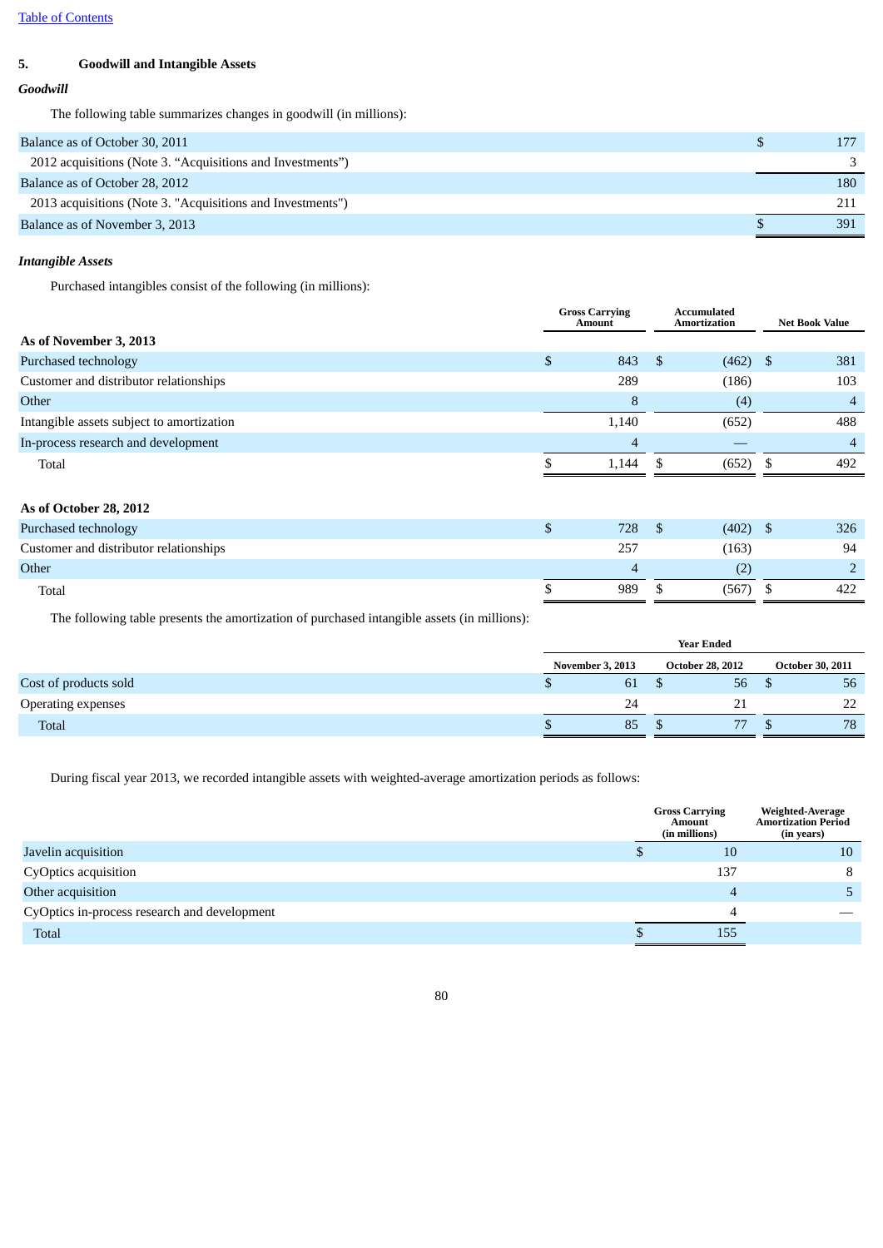# **5. Goodwill and Intangible Assets**

# *Goodwill*

The following table summarizes changes in goodwill (in millions):

| Balance as of October 30, 2011                             |      |
|------------------------------------------------------------|------|
| 2012 acquisitions (Note 3. "Acquisitions and Investments") |      |
| Balance as of October 28, 2012                             | 180  |
| 2013 acquisitions (Note 3. "Acquisitions and Investments") | 211. |
| Balance as of November 3, 2013                             | 391  |

## *Intangible Assets*

Purchased intangibles consist of the following (in millions):

|                                           |               | <b>Gross Carrying</b><br><b>Amount</b> |     | <b>Accumulated</b><br><b>Amortization</b> |      | <b>Net Book Value</b> |
|-------------------------------------------|---------------|----------------------------------------|-----|-------------------------------------------|------|-----------------------|
| As of November 3, 2013                    |               |                                        |     |                                           |      |                       |
| Purchased technology                      | <sup>\$</sup> | 843                                    | - S | (462)                                     | - \$ | 381                   |
| Customer and distributor relationships    |               | 289                                    |     | (186)                                     |      | 103                   |
| Other                                     |               | 8                                      |     | (4)                                       |      | $\overline{4}$        |
| Intangible assets subject to amortization |               | 1,140                                  |     | (652)                                     |      | 488                   |
| In-process research and development       |               | $\overline{4}$                         |     |                                           |      | $\overline{4}$        |
| Total                                     |               | 1,144                                  |     | (652)                                     | - 5  | 492                   |
|                                           |               |                                        |     |                                           |      |                       |

# **As of October 28, 2012**

| Purchased technology                   | 728 | (402) | 326 |
|----------------------------------------|-----|-------|-----|
| Customer and distributor relationships | 257 | (163) | 94  |
| Other                                  |     |       |     |
| Total                                  | 989 | 567)  | 422 |

The following table presents the amortization of purchased intangible assets (in millions):

|                       | <b>Year Ended</b>                                  |  |    |  |                         |
|-----------------------|----------------------------------------------------|--|----|--|-------------------------|
|                       | <b>October 28, 2012</b><br><b>November 3, 2013</b> |  |    |  | <b>October 30, 2011</b> |
| Cost of products sold | 61                                                 |  | 56 |  | 56                      |
| Operating expenses    | 24                                                 |  | 71 |  | 22                      |
| <b>Total</b>          | 85                                                 |  |    |  | 78                      |

During fiscal year 2013, we recorded intangible assets with weighted-average amortization periods as follows:

|                                              | <b>Gross Carrying</b><br>Amount<br>(in millions) | <b>Weighted-Average</b><br><b>Amortization Period</b><br>(in years) |
|----------------------------------------------|--------------------------------------------------|---------------------------------------------------------------------|
| Javelin acquisition                          | 10                                               | 10                                                                  |
| CyOptics acquisition                         | 137                                              | 8                                                                   |
| Other acquisition                            | 4                                                |                                                                     |
| CyOptics in-process research and development |                                                  |                                                                     |
| <b>Total</b>                                 | 155                                              |                                                                     |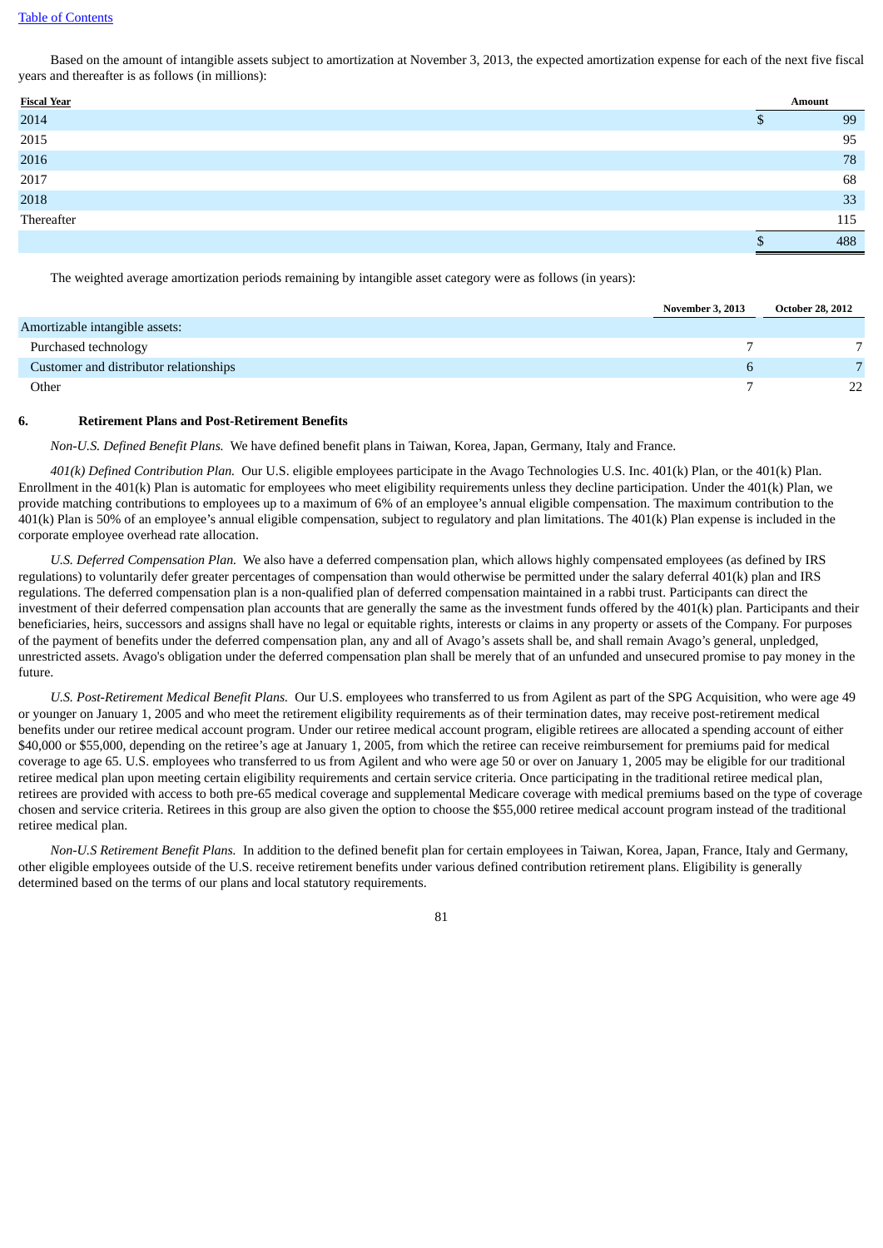#### Table of [Contents](#page-0-0)

Based on the amount of intangible assets subject to amortization at November 3, 2013, the expected amortization expense for each of the next five fiscal years and thereafter is as follows (in millions):

| <b>Fiscal Year</b> | <b>Amount</b> |
|--------------------|---------------|
| 2014               | 99            |
| 2015               | 95            |
| 2016               | 78            |
| 2017               | 68            |
| 2018               | 33            |
| Thereafter         | 115           |
|                    | 488           |

The weighted average amortization periods remaining by intangible asset category were as follows (in years):

|                                        | <b>November 3, 2013</b> | <b>October 28, 2012</b> |
|----------------------------------------|-------------------------|-------------------------|
| Amortizable intangible assets:         |                         |                         |
| Purchased technology                   |                         |                         |
| Customer and distributor relationships |                         |                         |
| Other                                  |                         | 22                      |

### **6. Retirement Plans and Post-Retirement Benefits**

*Non-U.S. Defined Benefit Plans.* We have defined benefit plans in Taiwan, Korea, Japan, Germany, Italy and France.

*401(k) Defined Contribution Plan.* Our U.S. eligible employees participate in the Avago Technologies U.S. Inc. 401(k) Plan, or the 401(k) Plan. Enrollment in the 401(k) Plan is automatic for employees who meet eligibility requirements unless they decline participation. Under the 401(k) Plan, we provide matching contributions to employees up to a maximum of 6% of an employee's annual eligible compensation. The maximum contribution to the  $401(k)$  Plan is 50% of an employee's annual eligible compensation, subject to regulatory and plan limitations. The  $401(k)$  Plan expense is included in the corporate employee overhead rate allocation.

*U.S. Deferred Compensation Plan.* We also have a deferred compensation plan, which allows highly compensated employees (as defined by IRS regulations) to voluntarily defer greater percentages of compensation than would otherwise be permitted under the salary deferral 401(k) plan and IRS regulations. The deferred compensation plan is a non-qualified plan of deferred compensation maintained in a rabbi trust. Participants can direct the investment of their deferred compensation plan accounts that are generally the same as the investment funds offered by the 401(k) plan. Participants and their beneficiaries, heirs, successors and assigns shall have no legal or equitable rights, interests or claims in any property or assets of the Company. For purposes of the payment of benefits under the deferred compensation plan, any and all of Avago's assets shall be, and shall remain Avago's general, unpledged, unrestricted assets. Avago's obligation under the deferred compensation plan shall be merely that of an unfunded and unsecured promise to pay money in the future.

*U.S. Post-Retirement Medical Benefit Plans.* Our U.S. employees who transferred to us from Agilent as part of the SPG Acquisition, who were age 49 or younger on January 1, 2005 and who meet the retirement eligibility requirements as of their termination dates, may receive post-retirement medical benefits under our retiree medical account program. Under our retiree medical account program, eligible retirees are allocated a spending account of either \$40,000 or \$55,000, depending on the retiree's age at January 1, 2005, from which the retiree can receive reimbursement for premiums paid for medical coverage to age 65. U.S. employees who transferred to us from Agilent and who were age 50 or over on January 1, 2005 may be eligible for our traditional retiree medical plan upon meeting certain eligibility requirements and certain service criteria. Once participating in the traditional retiree medical plan, retirees are provided with access to both pre-65 medical coverage and supplemental Medicare coverage with medical premiums based on the type of coverage chosen and service criteria. Retirees in this group are also given the option to choose the \$55,000 retiree medical account program instead of the traditional retiree medical plan.

*Non-U.S Retirement Benefit Plans.* In addition to the defined benefit plan for certain employees in Taiwan, Korea, Japan, France, Italy and Germany, other eligible employees outside of the U.S. receive retirement benefits under various defined contribution retirement plans. Eligibility is generally determined based on the terms of our plans and local statutory requirements.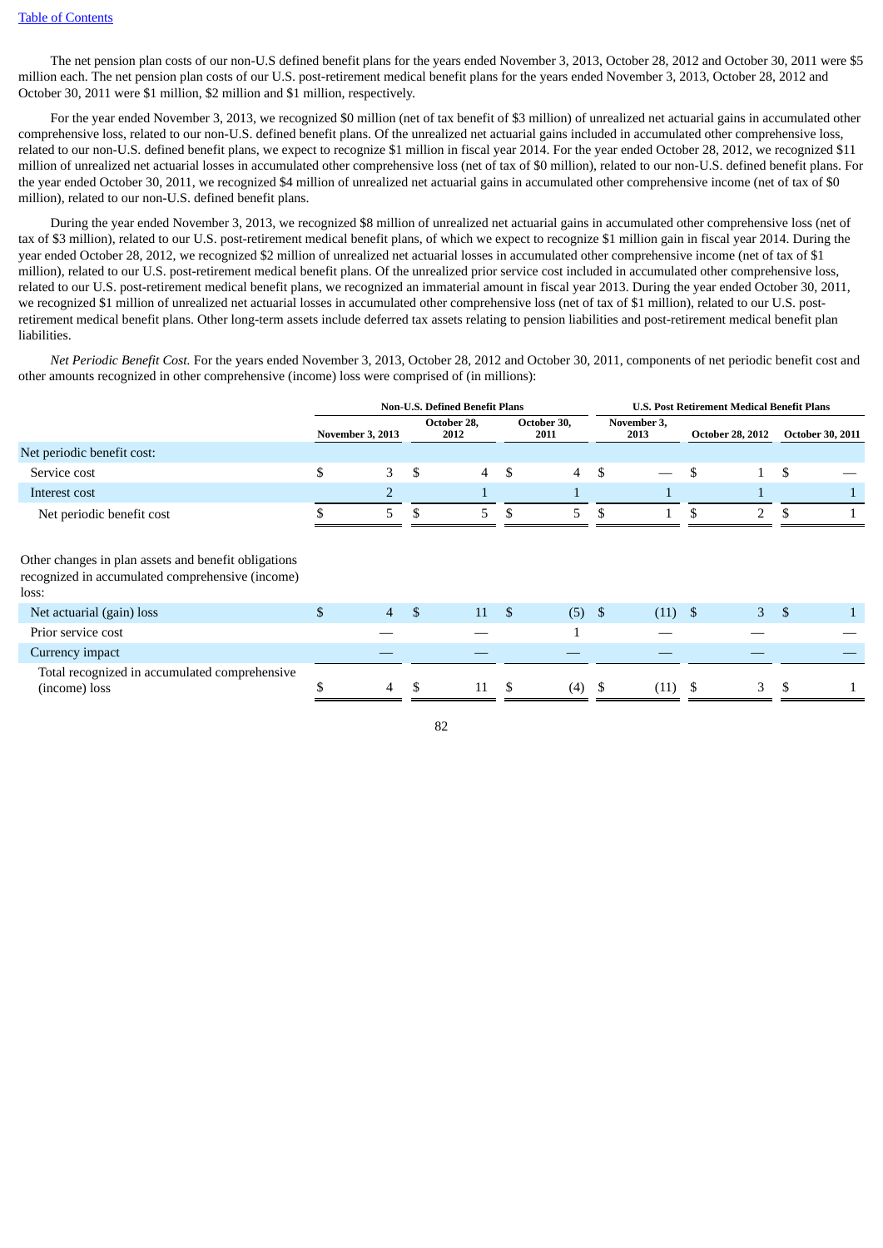The net pension plan costs of our non-U.S defined benefit plans for the years ended November 3, 2013, October 28, 2012 and October 30, 2011 were \$5 million each. The net pension plan costs of our U.S. post-retirement medical benefit plans for the years ended November 3, 2013, October 28, 2012 and October 30, 2011 were \$1 million, \$2 million and \$1 million, respectively.

For the year ended November 3, 2013, we recognized \$0 million (net of tax benefit of \$3 million) of unrealized net actuarial gains in accumulated other comprehensive loss, related to our non-U.S. defined benefit plans. Of the unrealized net actuarial gains included in accumulated other comprehensive loss, related to our non-U.S. defined benefit plans, we expect to recognize \$1 million in fiscal year 2014. For the year ended October 28, 2012, we recognized \$11 million of unrealized net actuarial losses in accumulated other comprehensive loss (net of tax of \$0 million), related to our non-U.S. defined benefit plans. For the year ended October 30, 2011, we recognized \$4 million of unrealized net actuarial gains in accumulated other comprehensive income (net of tax of \$0 million), related to our non-U.S. defined benefit plans.

During the year ended November 3, 2013, we recognized \$8 million of unrealized net actuarial gains in accumulated other comprehensive loss (net of tax of \$3 million), related to our U.S. post-retirement medical benefit plans, of which we expect to recognize \$1 million gain in fiscal year 2014. During the year ended October 28, 2012, we recognized \$2 million of unrealized net actuarial losses in accumulated other comprehensive income (net of tax of \$1 million), related to our U.S. post-retirement medical benefit plans. Of the unrealized prior service cost included in accumulated other comprehensive loss, related to our U.S. post-retirement medical benefit plans, we recognized an immaterial amount in fiscal year 2013. During the year ended October 30, 2011, we recognized \$1 million of unrealized net actuarial losses in accumulated other comprehensive loss (net of tax of \$1 million), related to our U.S. postretirement medical benefit plans. Other long-term assets include deferred tax assets relating to pension liabilities and post-retirement medical benefit plan liabilities.

*Net Periodic Benefit Cost.* For the years ended November 3, 2013, October 28, 2012 and October 30, 2011, components of net periodic benefit cost and other amounts recognized in other comprehensive (income) loss were comprised of (in millions):

|                            | <b>Non-U.S. Defined Benefit Plans</b> |  |                     |     |                     |  |                     | <b>U.S. Post Retirement Medical Benefit Plans</b> |                         |  |                         |  |  |
|----------------------------|---------------------------------------|--|---------------------|-----|---------------------|--|---------------------|---------------------------------------------------|-------------------------|--|-------------------------|--|--|
|                            | <b>November 3, 2013</b>               |  | October 28.<br>2012 |     | October 30,<br>2011 |  | November 3,<br>2013 |                                                   | <b>October 28, 2012</b> |  | <b>October 30, 2011</b> |  |  |
| Net periodic benefit cost: |                                       |  |                     |     |                     |  |                     |                                                   |                         |  |                         |  |  |
| Service cost               | 3S                                    |  | $\overline{4}$      | - S | $\overline{4}$      |  |                     |                                                   |                         |  |                         |  |  |
| Interest cost              |                                       |  |                     |     |                     |  |                     |                                                   |                         |  |                         |  |  |
| Net periodic benefit cost  | $5 -$                                 |  | 5.                  |     | 5.                  |  |                     |                                                   |                         |  |                         |  |  |

Other changes in plan assets and benefit obligations

recognized in accumulated comprehensive (income)

| loss:                                                          |          |             |          |      |           |    |  |
|----------------------------------------------------------------|----------|-------------|----------|------|-----------|----|--|
| Net actuarial (gain) loss                                      | $\sim$ 4 | 11 <b>S</b> | (5)      | - \$ | $(11)$ \$ | 3S |  |
| Prior service cost                                             | __       |             |          |      | _         |    |  |
| Currency impact                                                |          |             |          |      |           |    |  |
| Total recognized in accumulated comprehensive<br>(income) loss | 4        | 11          | $(4)$ \$ |      | $(11)$ \$ |    |  |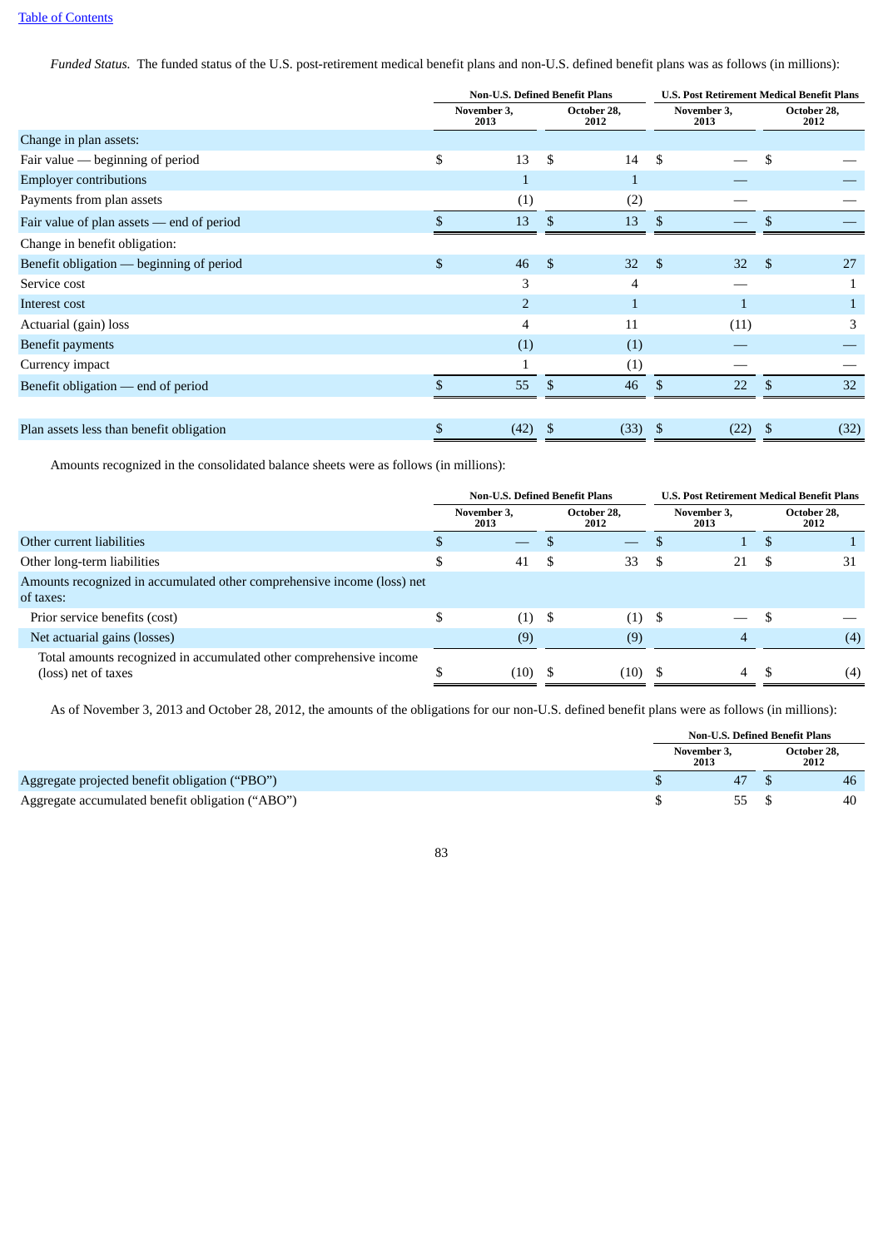*Funded Status.* The funded status of the U.S. post-retirement medical benefit plans and non-U.S. defined benefit plans was as follows (in millions):

|                                           | <b>Non-U.S. Defined Benefit Plans</b> |               | <b>U.S. Post Retirement Medical Benefit Plans</b> |                    |                     |               |                     |
|-------------------------------------------|---------------------------------------|---------------|---------------------------------------------------|--------------------|---------------------|---------------|---------------------|
|                                           | November 3,<br>2013                   |               | October 28,<br>2012                               |                    | November 3,<br>2013 |               | October 28,<br>2012 |
| Change in plan assets:                    |                                       |               |                                                   |                    |                     |               |                     |
| Fair value — beginning of period          | \$<br>13                              | \$            | 14                                                | \$                 |                     | \$            |                     |
| <b>Employer contributions</b>             | $\mathbf{1}$                          |               | $\mathbf{1}$                                      |                    |                     |               |                     |
| Payments from plan assets                 | (1)                                   |               | (2)                                               |                    |                     |               |                     |
| Fair value of plan assets - end of period | 13                                    | $\mathcal{S}$ | 13                                                | \$                 |                     | \$.           |                     |
| Change in benefit obligation:             |                                       |               |                                                   |                    |                     |               |                     |
| Benefit obligation — beginning of period  | \$<br>46                              | \$            | 32                                                | $\mathbf{\hat{S}}$ | 32                  | $\mathcal{S}$ | 27                  |
| Service cost                              | 3                                     |               | $\overline{4}$                                    |                    |                     |               | 1                   |
| Interest cost                             | $\overline{2}$                        |               | $\mathbf{1}$                                      |                    | $\mathbf{1}$        |               |                     |
| Actuarial (gain) loss                     | 4                                     |               | 11                                                |                    | (11)                |               | 3                   |
| Benefit payments                          | (1)                                   |               | (1)                                               |                    |                     |               |                     |
| Currency impact                           | $\mathbf{1}$                          |               | (1)                                               |                    |                     |               |                     |
| Benefit obligation - end of period        | 55                                    | <sup>\$</sup> | 46                                                |                    | 22                  |               | 32                  |
|                                           |                                       |               |                                                   |                    |                     |               |                     |
| Plan assets less than benefit obligation  | \$<br>(42)                            | \$            | (33)                                              | - \$               | (22)                | - \$          | (32)                |

Amounts recognized in the consolidated balance sheets were as follows (in millions):

|                                                                                           | <b>Non-U.S. Defined Benefit Plans</b> |                          |     |                     |      |                     | <b>U.S. Post Retirement Medical Benefit Plans</b> |                     |
|-------------------------------------------------------------------------------------------|---------------------------------------|--------------------------|-----|---------------------|------|---------------------|---------------------------------------------------|---------------------|
|                                                                                           |                                       | November 3,<br>2013      |     | October 28.<br>2012 |      | November 3,<br>2013 |                                                   | October 28,<br>2012 |
| Other current liabilities                                                                 |                                       | $\overline{\phantom{0}}$ |     |                     |      |                     |                                                   |                     |
| Other long-term liabilities                                                               |                                       | 41                       | - S | 33                  | -S   | $21 \quad$ \$       |                                                   | 31                  |
| Amounts recognized in accumulated other comprehensive income (loss) net<br>of taxes:      |                                       |                          |     |                     |      |                     |                                                   |                     |
| Prior service benefits (cost)                                                             |                                       | $(1)$ \$                 |     | (1)                 | - \$ |                     |                                                   |                     |
| Net actuarial gains (losses)                                                              |                                       | (9)                      |     | (9)                 |      | 4                   |                                                   | (4)                 |
| Total amounts recognized in accumulated other comprehensive income<br>(loss) net of taxes |                                       | $(10)$ \$                |     | (10)                | - S  | $\overline{4}$      |                                                   | (4)                 |

As of November 3, 2013 and October 28, 2012, the amounts of the obligations for our non-U.S. defined benefit plans were as follows (in millions):

|                                                  |                     | <b>Non-U.S. Defined Benefit Plans</b> |
|--------------------------------------------------|---------------------|---------------------------------------|
|                                                  | November 3.<br>2013 | October 28.<br>2012                   |
| Aggregate projected benefit obligation ("PBO")   | 47                  | 46                                    |
| Aggregate accumulated benefit obligation ("ABO") |                     | 40                                    |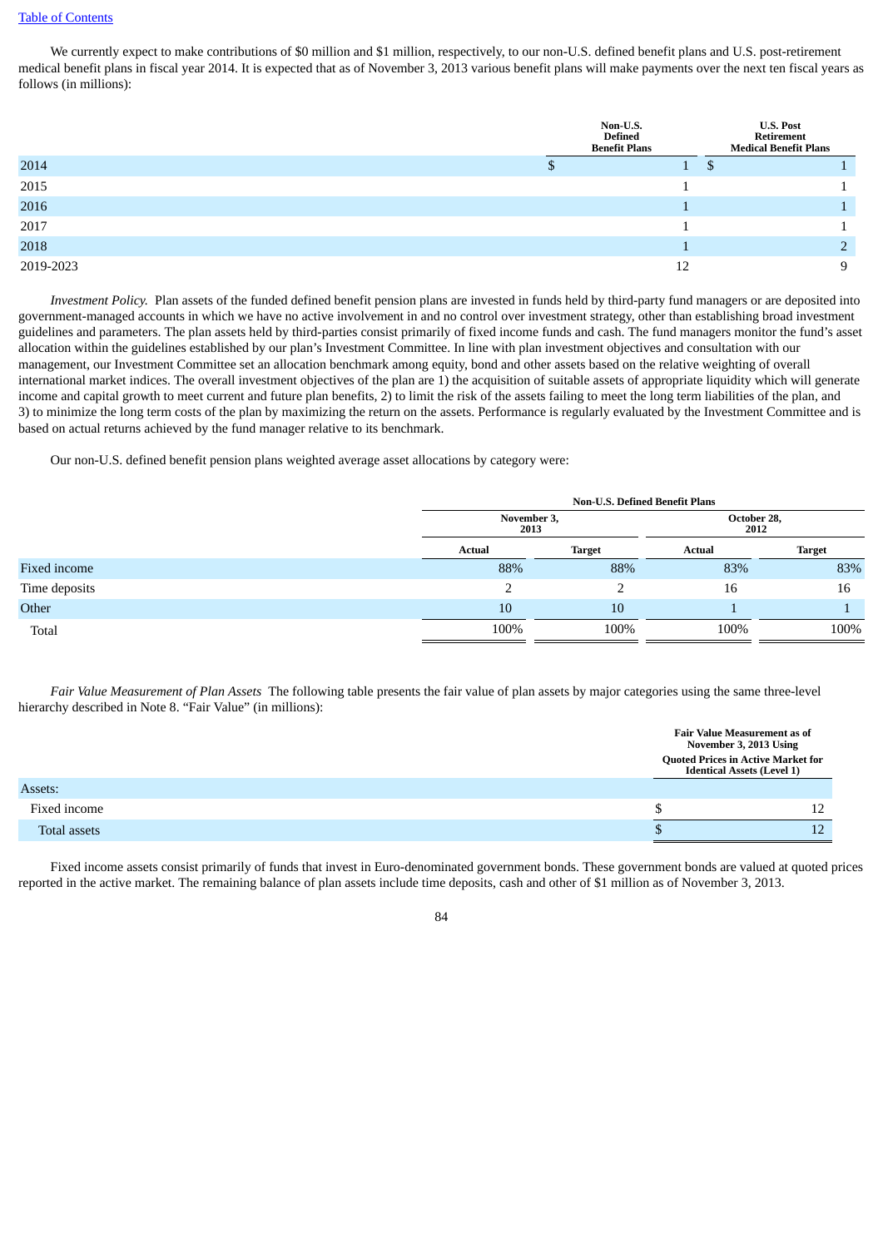## Table of [Contents](#page-0-0)

We currently expect to make contributions of \$0 million and \$1 million, respectively, to our non-U.S. defined benefit plans and U.S. post-retirement medical benefit plans in fiscal year 2014. It is expected that as of November 3, 2013 various benefit plans will make payments over the next ten fiscal years as follows (in millions):

|           | Non-U.S.<br><b>Defined</b><br><b>Benefit Plans</b> |    | <b>U.S. Post</b><br>Retirement<br><b>Medical Benefit Plans</b> |
|-----------|----------------------------------------------------|----|----------------------------------------------------------------|
| 2014      |                                                    |    |                                                                |
| 2015      |                                                    |    |                                                                |
| 2016      |                                                    |    |                                                                |
| 2017      |                                                    |    |                                                                |
| 2018      |                                                    |    |                                                                |
| 2019-2023 |                                                    | 12 | 9                                                              |

*Investment Policy.* Plan assets of the funded defined benefit pension plans are invested in funds held by third-party fund managers or are deposited into government-managed accounts in which we have no active involvement in and no control over investment strategy, other than establishing broad investment guidelines and parameters. The plan assets held by third-parties consist primarily of fixed income funds and cash. The fund managers monitor the fund's asset allocation within the guidelines established by our plan's Investment Committee. In line with plan investment objectives and consultation with our management, our Investment Committee set an allocation benchmark among equity, bond and other assets based on the relative weighting of overall international market indices. The overall investment objectives of the plan are 1) the acquisition of suitable assets of appropriate liquidity which will generate income and capital growth to meet current and future plan benefits, 2) to limit the risk of the assets failing to meet the long term liabilities of the plan, and 3) to minimize the long term costs of the plan by maximizing the return on the assets. Performance is regularly evaluated by the Investment Committee and is based on actual returns achieved by the fund manager relative to its benchmark.

Our non-U.S. defined benefit pension plans weighted average asset allocations by category were:

|               |               | <b>Non-U.S. Defined Benefit Plans</b> |                     |               |  |  |  |  |  |
|---------------|---------------|---------------------------------------|---------------------|---------------|--|--|--|--|--|
|               | November 3,   | 2013                                  | October 28,<br>2012 |               |  |  |  |  |  |
|               | <b>Actual</b> | <b>Target</b>                         | <b>Actual</b>       | <b>Target</b> |  |  |  |  |  |
| Fixed income  | 88%           | 88%                                   | 83%                 | 83%           |  |  |  |  |  |
| Time deposits |               |                                       | 16                  | 16            |  |  |  |  |  |
| Other         | 10            | 10                                    |                     |               |  |  |  |  |  |
| Total         | 100%          | 100%                                  | 100%                | 100%          |  |  |  |  |  |

*Fair Value Measurement of Plan Assets* The following table presents the fair value of plan assets by major categories using the same three-level hierarchy described in Note 8. "Fair Value" (in millions):

|              |    | <b>Fair Value Measurement as of</b><br>November 3, 2013 Using                  |  |
|--------------|----|--------------------------------------------------------------------------------|--|
|              |    | <b>Quoted Prices in Active Market for</b><br><b>Identical Assets (Level 1)</b> |  |
| Assets:      |    |                                                                                |  |
| Fixed income | ш  |                                                                                |  |
| Total assets | πU |                                                                                |  |

Fixed income assets consist primarily of funds that invest in Euro-denominated government bonds. These government bonds are valued at quoted prices reported in the active market. The remaining balance of plan assets include time deposits, cash and other of \$1 million as of November 3, 2013.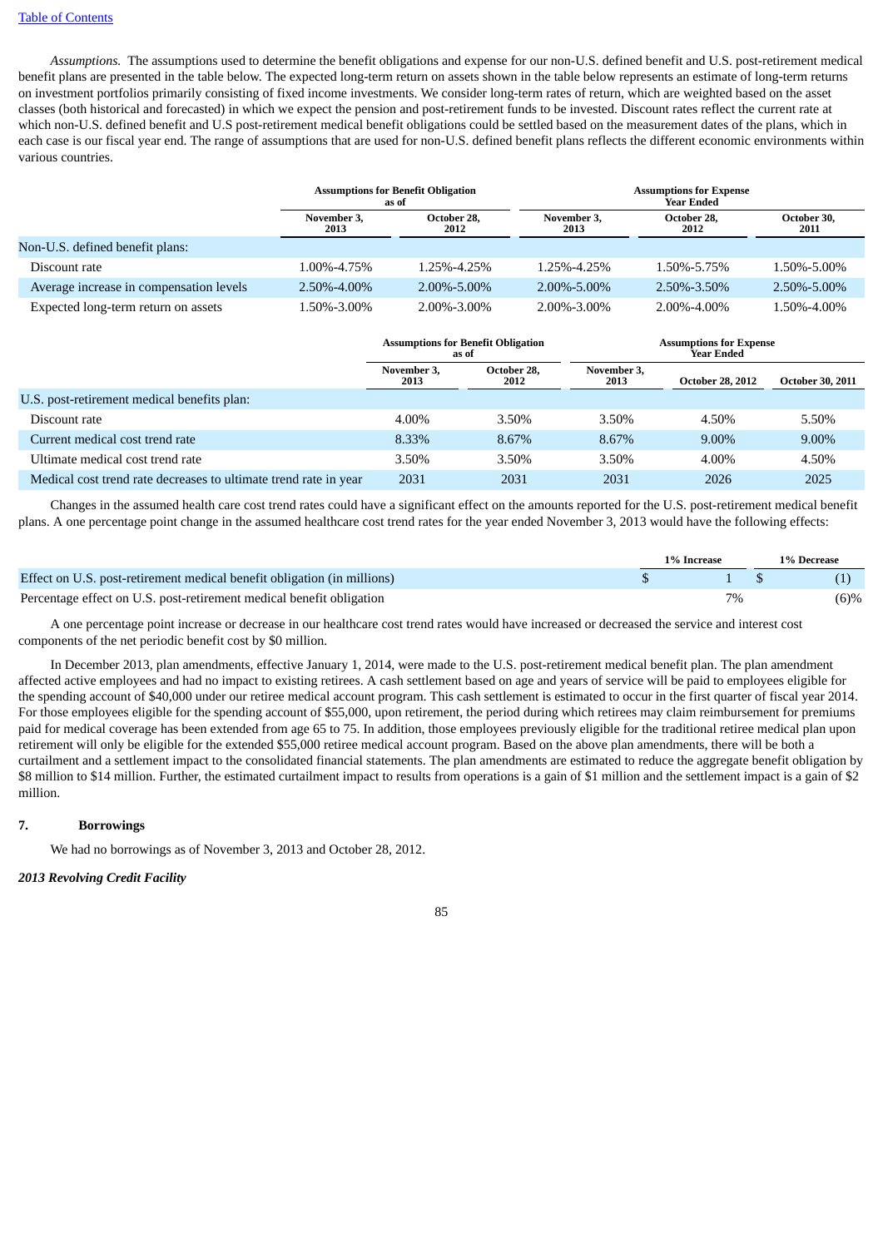#### Table of [Contents](#page-0-0)

*Assumptions.* The assumptions used to determine the benefit obligations and expense for our non-U.S. defined benefit and U.S. post-retirement medical benefit plans are presented in the table below. The expected long-term return on assets shown in the table below represents an estimate of long-term returns on investment portfolios primarily consisting of fixed income investments. We consider long-term rates of return, which are weighted based on the asset classes (both historical and forecasted) in which we expect the pension and post-retirement funds to be invested. Discount rates reflect the current rate at which non-U.S. defined benefit and U.S post-retirement medical benefit obligations could be settled based on the measurement dates of the plans, which in each case is our fiscal year end. The range of assumptions that are used for non-U.S. defined benefit plans reflects the different economic environments within various countries.

|                                         |                     | <b>Assumptions for Benefit Obligation</b><br>as of |                     | <b>Assumptions for Expense</b><br>Year Ended |                     |  |  |  |  |
|-----------------------------------------|---------------------|----------------------------------------------------|---------------------|----------------------------------------------|---------------------|--|--|--|--|
|                                         | November 3,<br>2013 | October 28,<br>2012                                | November 3.<br>2013 | October 28.<br>2012                          | October 30,<br>2011 |  |  |  |  |
| Non-U.S. defined benefit plans:         |                     |                                                    |                     |                                              |                     |  |  |  |  |
| Discount rate                           | 1.00%-4.75%         | 1.25%-4.25%                                        | 1.25%-4.25%         | 1.50%-5.75%                                  | 1.50%-5.00%         |  |  |  |  |
| Average increase in compensation levels | $2.50\% - 4.00\%$   | 2.00%-5.00%                                        | $2.00\% - 5.00\%$   | 2.50%-3.50%                                  | 2.50%-5.00%         |  |  |  |  |
| Expected long-term return on assets     | 1.50%-3.00%         | 2.00%-3.00%                                        | 2.00%-3.00%         | 2.00%-4.00%                                  | 1.50%-4.00%         |  |  |  |  |

|                                                                  |                     | <b>Assumptions for Benefit Obligation</b><br>as of | <b>Assumptions for Expense</b><br>Year Ended |                         |                         |  |  |
|------------------------------------------------------------------|---------------------|----------------------------------------------------|----------------------------------------------|-------------------------|-------------------------|--|--|
|                                                                  | November 3.<br>2013 | October 28.<br>2012                                | November 3.<br>2013                          | <b>October 28, 2012</b> | <b>October 30, 2011</b> |  |  |
| U.S. post-retirement medical benefits plan:                      |                     |                                                    |                                              |                         |                         |  |  |
| Discount rate                                                    | 4.00%               | 3.50%                                              | 3.50%                                        | 4.50%                   | 5.50%                   |  |  |
| Current medical cost trend rate                                  | 8.33%               | 8.67%                                              | 8.67%                                        | 9.00%                   | 9.00%                   |  |  |
| Ultimate medical cost trend rate                                 | 3.50%               | 3.50%                                              | 3.50%                                        | 4.00%                   | 4.50%                   |  |  |
| Medical cost trend rate decreases to ultimate trend rate in year | 2031                | 2031                                               | 2031                                         | 2026                    | 2025                    |  |  |

Changes in the assumed health care cost trend rates could have a significant effect on the amounts reported for the U.S. post-retirement medical benefit plans. A one percentage point change in the assumed healthcare cost trend rates for the year ended November 3, 2013 would have the following effects:

|                                                                         | 1% Increase | 1% Decrease |         |  |
|-------------------------------------------------------------------------|-------------|-------------|---------|--|
| Effect on U.S. post-retirement medical benefit obligation (in millions) | 1 S         |             |         |  |
| Percentage effect on U.S. post-retirement medical benefit obligation    |             |             | $(6)\%$ |  |

A one percentage point increase or decrease in our healthcare cost trend rates would have increased or decreased the service and interest cost components of the net periodic benefit cost by \$0 million.

In December 2013, plan amendments, effective January 1, 2014, were made to the U.S. post-retirement medical benefit plan. The plan amendment affected active employees and had no impact to existing retirees. A cash settlement based on age and years of service will be paid to employees eligible for the spending account of \$40,000 under our retiree medical account program. This cash settlement is estimated to occur in the first quarter of fiscal year 2014. For those employees eligible for the spending account of \$55,000, upon retirement, the period during which retirees may claim reimbursement for premiums paid for medical coverage has been extended from age 65 to 75. In addition, those employees previously eligible for the traditional retiree medical plan upon retirement will only be eligible for the extended \$55,000 retiree medical account program. Based on the above plan amendments, there will be both a curtailment and a settlement impact to the consolidated financial statements. The plan amendments are estimated to reduce the aggregate benefit obligation by \$8 million to \$14 million. Further, the estimated curtailment impact to results from operations is a gain of \$1 million and the settlement impact is a gain of \$2 million.

## **7. Borrowings**

We had no borrowings as of November 3, 2013 and October 28, 2012.

#### *2013 Revolving Credit Facility*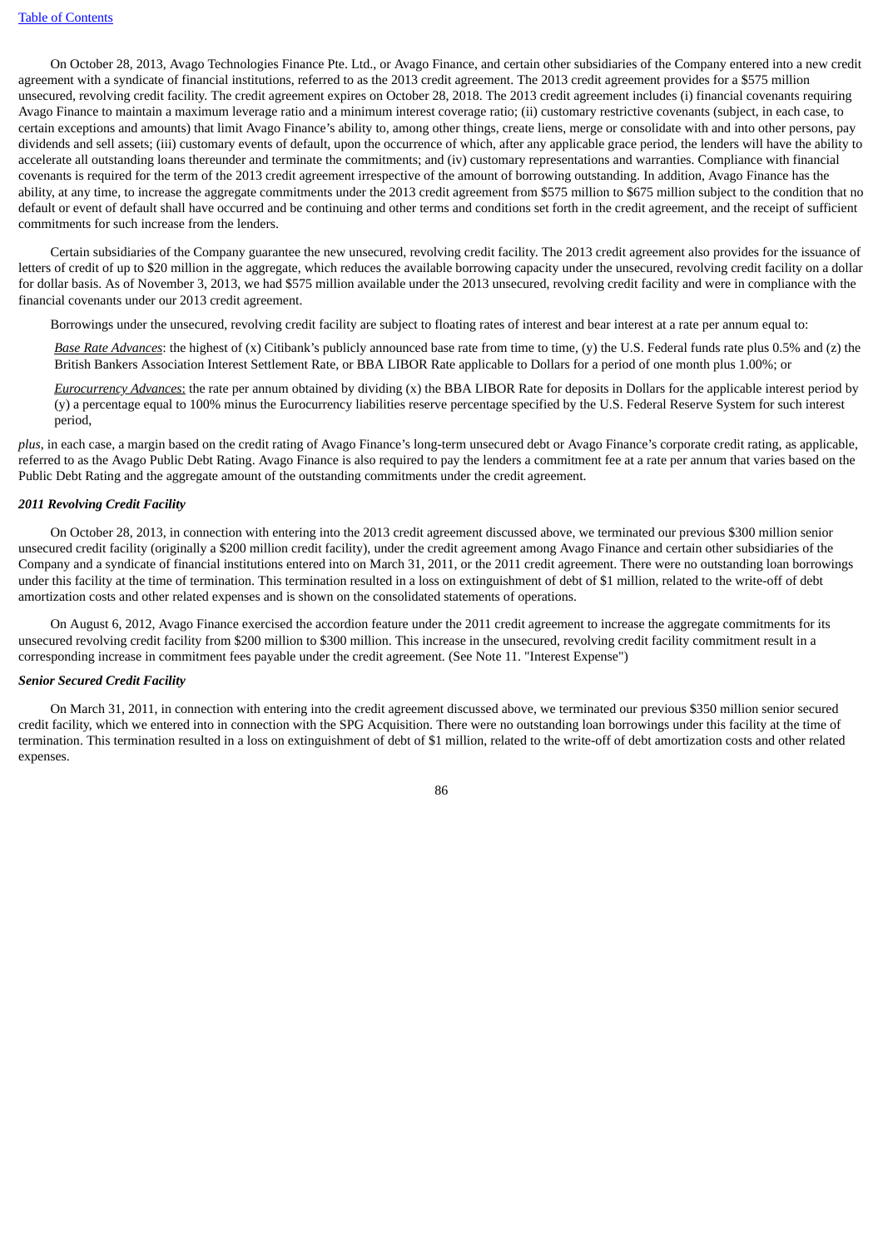On October 28, 2013, Avago Technologies Finance Pte. Ltd., or Avago Finance, and certain other subsidiaries of the Company entered into a new credit agreement with a syndicate of financial institutions, referred to as the 2013 credit agreement. The 2013 credit agreement provides for a \$575 million unsecured, revolving credit facility. The credit agreement expires on October 28, 2018. The 2013 credit agreement includes (i) financial covenants requiring Avago Finance to maintain a maximum leverage ratio and a minimum interest coverage ratio; (ii) customary restrictive covenants (subject, in each case, to certain exceptions and amounts) that limit Avago Finance's ability to, among other things, create liens, merge or consolidate with and into other persons, pay dividends and sell assets; (iii) customary events of default, upon the occurrence of which, after any applicable grace period, the lenders will have the ability to accelerate all outstanding loans thereunder and terminate the commitments; and (iv) customary representations and warranties. Compliance with financial covenants is required for the term of the 2013 credit agreement irrespective of the amount of borrowing outstanding. In addition, Avago Finance has the ability, at any time, to increase the aggregate commitments under the 2013 credit agreement from \$575 million to \$675 million subject to the condition that no default or event of default shall have occurred and be continuing and other terms and conditions set forth in the credit agreement, and the receipt of sufficient commitments for such increase from the lenders.

Certain subsidiaries of the Company guarantee the new unsecured, revolving credit facility. The 2013 credit agreement also provides for the issuance of letters of credit of up to \$20 million in the aggregate, which reduces the available borrowing capacity under the unsecured, revolving credit facility on a dollar for dollar basis. As of November 3, 2013, we had \$575 million available under the 2013 unsecured, revolving credit facility and were in compliance with the financial covenants under our 2013 credit agreement.

Borrowings under the unsecured, revolving credit facility are subject to floating rates of interest and bear interest at a rate per annum equal to:

*Base Rate Advances*: the highest of (x) Citibank's publicly announced base rate from time to time, (y) the U.S. Federal funds rate plus 0.5% and (z) the British Bankers Association Interest Settlement Rate, or BBA LIBOR Rate applicable to Dollars for a period of one month plus 1.00%; or

*Eurocurrency Advances*: the rate per annum obtained by dividing (x) the BBA LIBOR Rate for deposits in Dollars for the applicable interest period by (y) a percentage equal to 100% minus the Eurocurrency liabilities reserve percentage specified by the U.S. Federal Reserve System for such interest period,

*plus*, in each case, a margin based on the credit rating of Avago Finance's long-term unsecured debt or Avago Finance's corporate credit rating, as applicable, referred to as the Avago Public Debt Rating. Avago Finance is also required to pay the lenders a commitment fee at a rate per annum that varies based on the Public Debt Rating and the aggregate amount of the outstanding commitments under the credit agreement.

### *2011 Revolving Credit Facility*

On October 28, 2013, in connection with entering into the 2013 credit agreement discussed above, we terminated our previous \$300 million senior unsecured credit facility (originally a \$200 million credit facility), under the credit agreement among Avago Finance and certain other subsidiaries of the Company and a syndicate of financial institutions entered into on March 31, 2011, or the 2011 credit agreement. There were no outstanding loan borrowings under this facility at the time of termination. This termination resulted in a loss on extinguishment of debt of \$1 million, related to the write-off of debt amortization costs and other related expenses and is shown on the consolidated statements of operations.

On August 6, 2012, Avago Finance exercised the accordion feature under the 2011 credit agreement to increase the aggregate commitments for its unsecured revolving credit facility from \$200 million to \$300 million. This increase in the unsecured, revolving credit facility commitment result in a corresponding increase in commitment fees payable under the credit agreement. (See Note 11. "Interest Expense")

#### *Senior Secured Credit Facility*

On March 31, 2011, in connection with entering into the credit agreement discussed above, we terminated our previous \$350 million senior secured credit facility, which we entered into in connection with the SPG Acquisition. There were no outstanding loan borrowings under this facility at the time of termination. This termination resulted in a loss on extinguishment of debt of \$1 million, related to the write-off of debt amortization costs and other related expenses.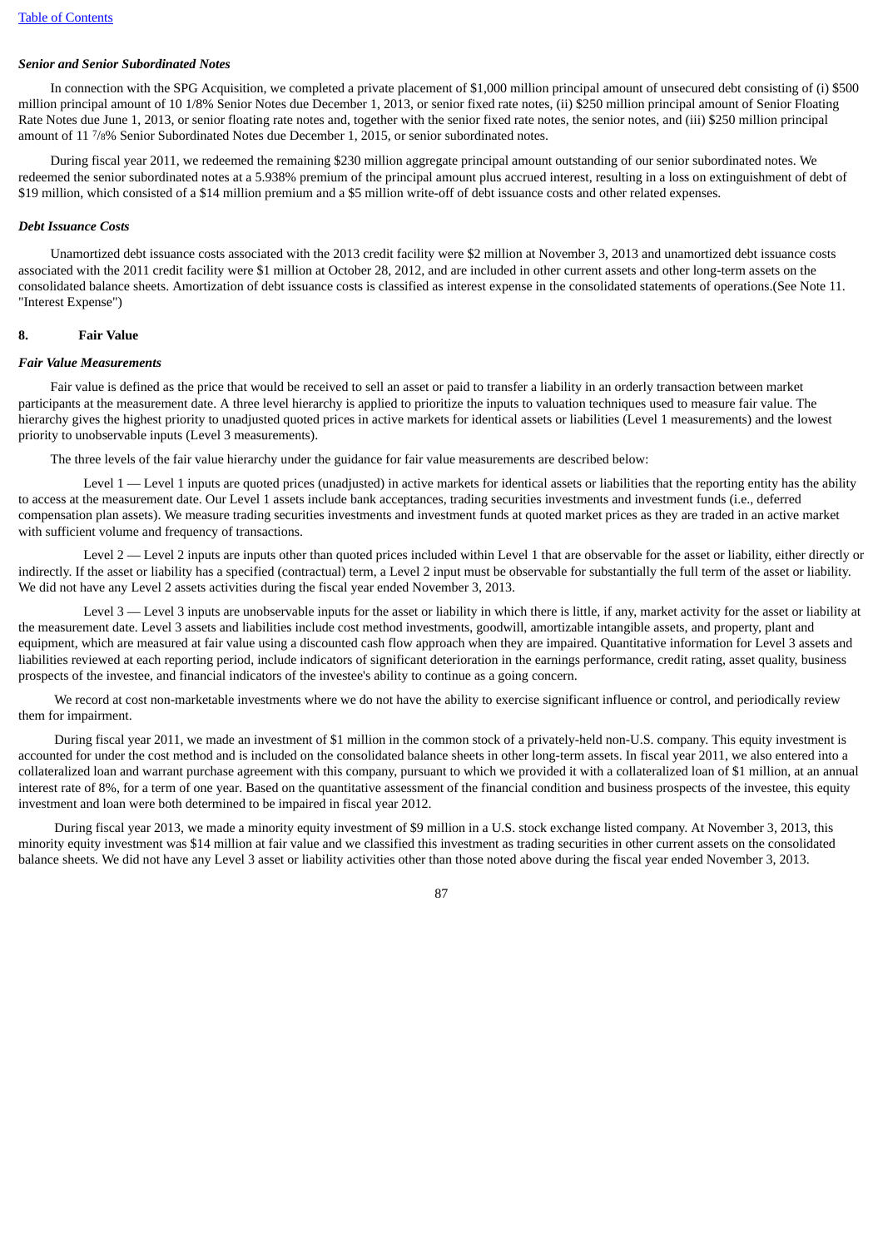## *Senior and Senior Subordinated Notes*

In connection with the SPG Acquisition, we completed a private placement of \$1,000 million principal amount of unsecured debt consisting of (i) \$500 million principal amount of 10 1/8% Senior Notes due December 1, 2013, or senior fixed rate notes, (ii) \$250 million principal amount of Senior Floating Rate Notes due June 1, 2013, or senior floating rate notes and, together with the senior fixed rate notes, the senior notes, and (iii) \$250 million principal amount of 11 7 /8% Senior Subordinated Notes due December 1, 2015, or senior subordinated notes.

During fiscal year 2011, we redeemed the remaining \$230 million aggregate principal amount outstanding of our senior subordinated notes. We redeemed the senior subordinated notes at a 5.938% premium of the principal amount plus accrued interest, resulting in a loss on extinguishment of debt of \$19 million, which consisted of a \$14 million premium and a \$5 million write-off of debt issuance costs and other related expenses.

#### *Debt Issuance Costs*

Unamortized debt issuance costs associated with the 2013 credit facility were \$2 million at November 3, 2013 and unamortized debt issuance costs associated with the 2011 credit facility were \$1 million at October 28, 2012, and are included in other current assets and other long-term assets on the consolidated balance sheets. Amortization of debt issuance costs is classified as interest expense in the consolidated statements of operations.(See Note 11. "Interest Expense")

#### **8. Fair Value**

### *Fair Value Measurements*

Fair value is defined as the price that would be received to sell an asset or paid to transfer a liability in an orderly transaction between market participants at the measurement date. A three level hierarchy is applied to prioritize the inputs to valuation techniques used to measure fair value. The hierarchy gives the highest priority to unadjusted quoted prices in active markets for identical assets or liabilities (Level 1 measurements) and the lowest priority to unobservable inputs (Level 3 measurements).

The three levels of the fair value hierarchy under the guidance for fair value measurements are described below:

Level 1 — Level 1 inputs are quoted prices (unadjusted) in active markets for identical assets or liabilities that the reporting entity has the ability to access at the measurement date. Our Level 1 assets include bank acceptances, trading securities investments and investment funds (i.e., deferred compensation plan assets). We measure trading securities investments and investment funds at quoted market prices as they are traded in an active market with sufficient volume and frequency of transactions.

Level 2 — Level 2 inputs are inputs other than quoted prices included within Level 1 that are observable for the asset or liability, either directly or indirectly. If the asset or liability has a specified (contractual) term, a Level 2 input must be observable for substantially the full term of the asset or liability. We did not have any Level 2 assets activities during the fiscal year ended November 3, 2013.

Level 3 — Level 3 inputs are unobservable inputs for the asset or liability in which there is little, if any, market activity for the asset or liability at the measurement date. Level 3 assets and liabilities include cost method investments, goodwill, amortizable intangible assets, and property, plant and equipment, which are measured at fair value using a discounted cash flow approach when they are impaired. Quantitative information for Level 3 assets and liabilities reviewed at each reporting period, include indicators of significant deterioration in the earnings performance, credit rating, asset quality, business prospects of the investee, and financial indicators of the investee's ability to continue as a going concern.

We record at cost non-marketable investments where we do not have the ability to exercise significant influence or control, and periodically review them for impairment.

During fiscal year 2011, we made an investment of \$1 million in the common stock of a privately-held non-U.S. company. This equity investment is accounted for under the cost method and is included on the consolidated balance sheets in other long-term assets. In fiscal year 2011, we also entered into a collateralized loan and warrant purchase agreement with this company, pursuant to which we provided it with a collateralized loan of \$1 million, at an annual interest rate of 8%, for a term of one year. Based on the quantitative assessment of the financial condition and business prospects of the investee, this equity investment and loan were both determined to be impaired in fiscal year 2012.

During fiscal year 2013, we made a minority equity investment of \$9 million in a U.S. stock exchange listed company. At November 3, 2013, this minority equity investment was \$14 million at fair value and we classified this investment as trading securities in other current assets on the consolidated balance sheets. We did not have any Level 3 asset or liability activities other than those noted above during the fiscal year ended November 3, 2013.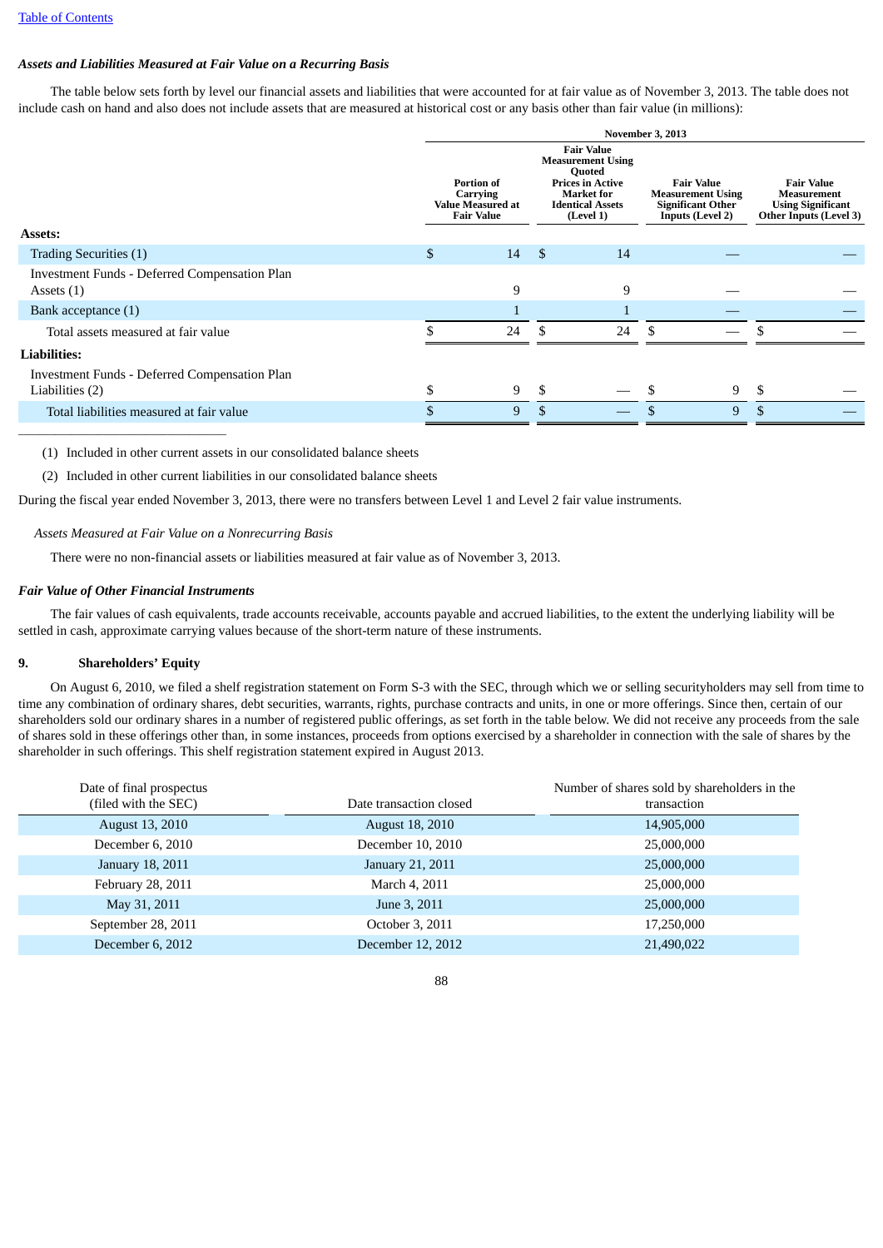#### *Assets and Liabilities Measured at Fair Value on a Recurring Basis*

The table below sets forth by level our financial assets and liabilities that were accounted for at fair value as of November 3, 2013. The table does not include cash on hand and also does not include assets that are measured at historical cost or any basis other than fair value (in millions):

|                                                                      | <b>November 3, 2013</b> |                                                                                                                                                                                                                                          |      |    |                                                                                                      |                                                                                        |  |  |  |  |  |
|----------------------------------------------------------------------|-------------------------|------------------------------------------------------------------------------------------------------------------------------------------------------------------------------------------------------------------------------------------|------|----|------------------------------------------------------------------------------------------------------|----------------------------------------------------------------------------------------|--|--|--|--|--|
|                                                                      |                         | <b>Fair Value</b><br><b>Measurement Using</b><br><b>Quoted</b><br><b>Prices in Active</b><br><b>Portion of</b><br><b>Market</b> for<br>Carrying<br><b>Value Measured at</b><br><b>Identical Assets</b><br><b>Fair Value</b><br>(Level 1) |      |    | <b>Fair Value</b><br><b>Measurement Using</b><br><b>Significant Other</b><br><b>Inputs (Level 2)</b> | <b>Fair Value</b><br>Measurement<br><b>Using Significant</b><br>Other Inputs (Level 3) |  |  |  |  |  |
| Assets:                                                              |                         |                                                                                                                                                                                                                                          |      |    |                                                                                                      |                                                                                        |  |  |  |  |  |
| Trading Securities (1)                                               | \$                      | 14                                                                                                                                                                                                                                       | - \$ | 14 |                                                                                                      |                                                                                        |  |  |  |  |  |
| <b>Investment Funds - Deferred Compensation Plan</b><br>Assets $(1)$ |                         | 9                                                                                                                                                                                                                                        |      | 9  |                                                                                                      |                                                                                        |  |  |  |  |  |
| Bank acceptance (1)                                                  |                         |                                                                                                                                                                                                                                          |      |    |                                                                                                      |                                                                                        |  |  |  |  |  |
| Total assets measured at fair value                                  |                         | 24                                                                                                                                                                                                                                       | £.   | 24 | \$                                                                                                   | \$                                                                                     |  |  |  |  |  |
| <b>Liabilities:</b>                                                  |                         |                                                                                                                                                                                                                                          |      |    |                                                                                                      |                                                                                        |  |  |  |  |  |
| Investment Funds - Deferred Compensation Plan<br>Liabilities (2)     | \$                      | 9                                                                                                                                                                                                                                        | \$.  |    | 9<br>-S                                                                                              | \$.                                                                                    |  |  |  |  |  |
| Total liabilities measured at fair value                             |                         | 9                                                                                                                                                                                                                                        |      |    | 9                                                                                                    | \$                                                                                     |  |  |  |  |  |

(1) Included in other current assets in our consolidated balance sheets

(2) Included in other current liabilities in our consolidated balance sheets

During the fiscal year ended November 3, 2013, there were no transfers between Level 1 and Level 2 fair value instruments.

#### *Assets Measured at Fair Value on a Nonrecurring Basis*

There were no non-financial assets or liabilities measured at fair value as of November 3, 2013.

### *Fair Value of Other Financial Instruments*

 $\mathcal{L}_\text{max}$  , and the set of the set of the set of the set of the set of the set of the set of the set of the set of the set of the set of the set of the set of the set of the set of the set of the set of the set of the

The fair values of cash equivalents, trade accounts receivable, accounts payable and accrued liabilities, to the extent the underlying liability will be settled in cash, approximate carrying values because of the short-term nature of these instruments.

## **9. Shareholders' Equity**

On August 6, 2010, we filed a shelf registration statement on Form S-3 with the SEC, through which we or selling securityholders may sell from time to time any combination of ordinary shares, debt securities, warrants, rights, purchase contracts and units, in one or more offerings. Since then, certain of our shareholders sold our ordinary shares in a number of registered public offerings, as set forth in the table below. We did not receive any proceeds from the sale of shares sold in these offerings other than, in some instances, proceeds from options exercised by a shareholder in connection with the sale of shares by the shareholder in such offerings. This shelf registration statement expired in August 2013.

| Date of final prospectus |                         | Number of shares sold by shareholders in the |
|--------------------------|-------------------------|----------------------------------------------|
| (filed with the SEC)     | Date transaction closed | transaction                                  |
| <b>August 13, 2010</b>   | <b>August 18, 2010</b>  | 14,905,000                                   |
| December 6, 2010         | December 10, 2010       | 25,000,000                                   |
| January 18, 2011         | January 21, 2011        | 25,000,000                                   |
| February 28, 2011        | March 4, 2011           | 25,000,000                                   |
| May 31, 2011             | June 3, 2011            | 25,000,000                                   |
| September 28, 2011       | October 3, 2011         | 17,250,000                                   |
| December 6, 2012         | December 12, 2012       | 21,490,022                                   |

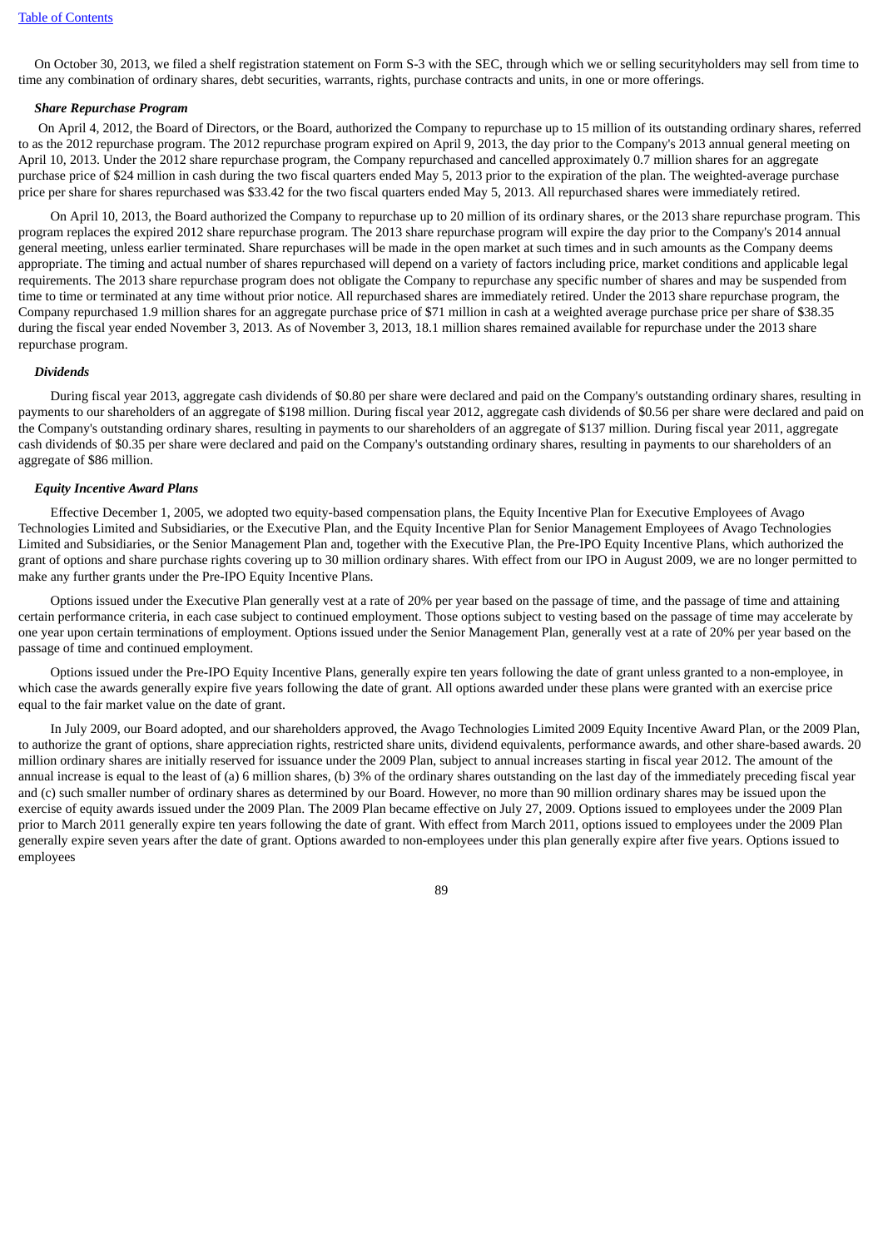On October 30, 2013, we filed a shelf registration statement on Form S-3 with the SEC, through which we or selling securityholders may sell from time to time any combination of ordinary shares, debt securities, warrants, rights, purchase contracts and units, in one or more offerings.

## *Share Repurchase Program*

On April 4, 2012, the Board of Directors, or the Board, authorized the Company to repurchase up to 15 million of its outstanding ordinary shares, referred to as the 2012 repurchase program. The 2012 repurchase program expired on April 9, 2013, the day prior to the Company's 2013 annual general meeting on April 10, 2013. Under the 2012 share repurchase program, the Company repurchased and cancelled approximately 0.7 million shares for an aggregate purchase price of \$24 million in cash during the two fiscal quarters ended May 5, 2013 prior to the expiration of the plan. The weighted-average purchase price per share for shares repurchased was \$33.42 for the two fiscal quarters ended May 5, 2013. All repurchased shares were immediately retired.

On April 10, 2013, the Board authorized the Company to repurchase up to 20 million of its ordinary shares, or the 2013 share repurchase program. This program replaces the expired 2012 share repurchase program. The 2013 share repurchase program will expire the day prior to the Company's 2014 annual general meeting, unless earlier terminated. Share repurchases will be made in the open market at such times and in such amounts as the Company deems appropriate. The timing and actual number of shares repurchased will depend on a variety of factors including price, market conditions and applicable legal requirements. The 2013 share repurchase program does not obligate the Company to repurchase any specific number of shares and may be suspended from time to time or terminated at any time without prior notice. All repurchased shares are immediately retired. Under the 2013 share repurchase program, the Company repurchased 1.9 million shares for an aggregate purchase price of \$71 million in cash at a weighted average purchase price per share of \$38.35 during the fiscal year ended November 3, 2013. As of November 3, 2013, 18.1 million shares remained available for repurchase under the 2013 share repurchase program.

#### *Dividends*

During fiscal year 2013, aggregate cash dividends of \$0.80 per share were declared and paid on the Company's outstanding ordinary shares, resulting in payments to our shareholders of an aggregate of \$198 million. During fiscal year 2012, aggregate cash dividends of \$0.56 per share were declared and paid on the Company's outstanding ordinary shares, resulting in payments to our shareholders of an aggregate of \$137 million. During fiscal year 2011, aggregate cash dividends of \$0.35 per share were declared and paid on the Company's outstanding ordinary shares, resulting in payments to our shareholders of an aggregate of \$86 million.

## *Equity Incentive Award Plans*

Effective December 1, 2005, we adopted two equity-based compensation plans, the Equity Incentive Plan for Executive Employees of Avago Technologies Limited and Subsidiaries, or the Executive Plan, and the Equity Incentive Plan for Senior Management Employees of Avago Technologies Limited and Subsidiaries, or the Senior Management Plan and, together with the Executive Plan, the Pre-IPO Equity Incentive Plans, which authorized the grant of options and share purchase rights covering up to 30 million ordinary shares. With effect from our IPO in August 2009, we are no longer permitted to make any further grants under the Pre-IPO Equity Incentive Plans.

Options issued under the Executive Plan generally vest at a rate of 20% per year based on the passage of time, and the passage of time and attaining certain performance criteria, in each case subject to continued employment. Those options subject to vesting based on the passage of time may accelerate by one year upon certain terminations of employment. Options issued under the Senior Management Plan, generally vest at a rate of 20% per year based on the passage of time and continued employment.

Options issued under the Pre-IPO Equity Incentive Plans, generally expire ten years following the date of grant unless granted to a non-employee, in which case the awards generally expire five years following the date of grant. All options awarded under these plans were granted with an exercise price equal to the fair market value on the date of grant.

In July 2009, our Board adopted, and our shareholders approved, the Avago Technologies Limited 2009 Equity Incentive Award Plan, or the 2009 Plan, to authorize the grant of options, share appreciation rights, restricted share units, dividend equivalents, performance awards, and other share-based awards. 20 million ordinary shares are initially reserved for issuance under the 2009 Plan, subject to annual increases starting in fiscal year 2012. The amount of the annual increase is equal to the least of (a) 6 million shares, (b) 3% of the ordinary shares outstanding on the last day of the immediately preceding fiscal year and (c) such smaller number of ordinary shares as determined by our Board. However, no more than 90 million ordinary shares may be issued upon the exercise of equity awards issued under the 2009 Plan. The 2009 Plan became effective on July 27, 2009. Options issued to employees under the 2009 Plan prior to March 2011 generally expire ten years following the date of grant. With effect from March 2011, options issued to employees under the 2009 Plan generally expire seven years after the date of grant. Options awarded to non-employees under this plan generally expire after five years. Options issued to employees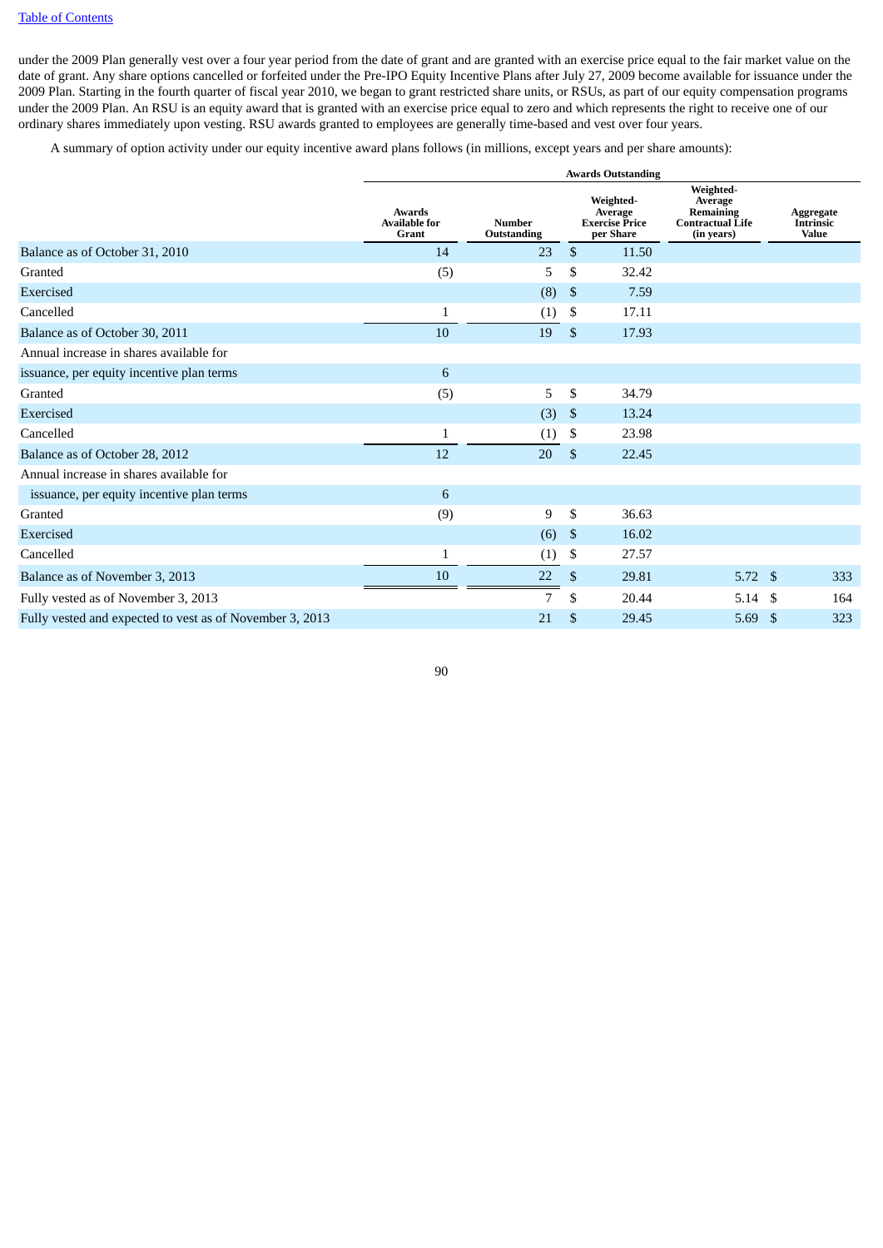under the 2009 Plan generally vest over a four year period from the date of grant and are granted with an exercise price equal to the fair market value on the date of grant. Any share options cancelled or forfeited under the Pre-IPO Equity Incentive Plans after July 27, 2009 become available for issuance under the 2009 Plan. Starting in the fourth quarter of fiscal year 2010, we began to grant restricted share units, or RSUs, as part of our equity compensation programs under the 2009 Plan. An RSU is an equity award that is granted with an exercise price equal to zero and which represents the right to receive one of our ordinary shares immediately upon vesting. RSU awards granted to employees are generally time-based and vest over four years.

A summary of option activity under our equity incentive award plans follows (in millions, except years and per share amounts):

|                                                          | <b>Awards Outstanding</b>                      |                              |                                                            |       |                                                                                   |                                               |  |  |  |
|----------------------------------------------------------|------------------------------------------------|------------------------------|------------------------------------------------------------|-------|-----------------------------------------------------------------------------------|-----------------------------------------------|--|--|--|
|                                                          | <b>Awards</b><br><b>Available for</b><br>Grant | <b>Number</b><br>Outstanding | Weighted-<br>Average<br><b>Exercise Price</b><br>per Share |       | Weighted-<br>Average<br><b>Remaining</b><br><b>Contractual Life</b><br>(in years) | Aggregate<br><b>Intrinsic</b><br><b>Value</b> |  |  |  |
| Balance as of October 31, 2010                           | 14                                             | 23                           | <sup>\$</sup>                                              | 11.50 |                                                                                   |                                               |  |  |  |
| Granted                                                  | (5)                                            | 5                            | \$                                                         | 32.42 |                                                                                   |                                               |  |  |  |
| Exercised                                                |                                                | (8)                          | \$                                                         | 7.59  |                                                                                   |                                               |  |  |  |
| Cancelled                                                | $\mathbf{1}$                                   | (1)                          | \$                                                         | 17.11 |                                                                                   |                                               |  |  |  |
| Balance as of October 30, 2011                           | 10                                             | 19                           | \$                                                         | 17.93 |                                                                                   |                                               |  |  |  |
| Annual increase in shares available for                  |                                                |                              |                                                            |       |                                                                                   |                                               |  |  |  |
| issuance, per equity incentive plan terms                | 6                                              |                              |                                                            |       |                                                                                   |                                               |  |  |  |
| Granted                                                  | (5)                                            | 5                            | \$                                                         | 34.79 |                                                                                   |                                               |  |  |  |
| Exercised                                                |                                                | (3)                          | \$                                                         | 13.24 |                                                                                   |                                               |  |  |  |
| Cancelled                                                | $\mathbf{1}$                                   | (1)                          | \$                                                         | 23.98 |                                                                                   |                                               |  |  |  |
| Balance as of October 28, 2012                           | 12                                             | 20                           | \$                                                         | 22.45 |                                                                                   |                                               |  |  |  |
| Annual increase in shares available for                  |                                                |                              |                                                            |       |                                                                                   |                                               |  |  |  |
| issuance, per equity incentive plan terms                | 6                                              |                              |                                                            |       |                                                                                   |                                               |  |  |  |
| Granted                                                  | (9)                                            | 9                            | \$                                                         | 36.63 |                                                                                   |                                               |  |  |  |
| Exercised                                                |                                                | (6)                          | \$                                                         | 16.02 |                                                                                   |                                               |  |  |  |
| Cancelled                                                | $\mathbf{1}$                                   | (1)                          | \$                                                         | 27.57 |                                                                                   |                                               |  |  |  |
| Balance as of November 3, 2013                           | 10                                             | 22                           | \$                                                         | 29.81 | $5.72$ \$                                                                         | 333                                           |  |  |  |
| Fully vested as of November 3, 2013                      |                                                | 7                            | \$                                                         | 20.44 | 5.14                                                                              | - \$<br>164                                   |  |  |  |
| Fully vested and expected to vest as of November 3, 2013 |                                                | 21                           | \$                                                         | 29.45 | 5.69                                                                              | 323<br>- \$                                   |  |  |  |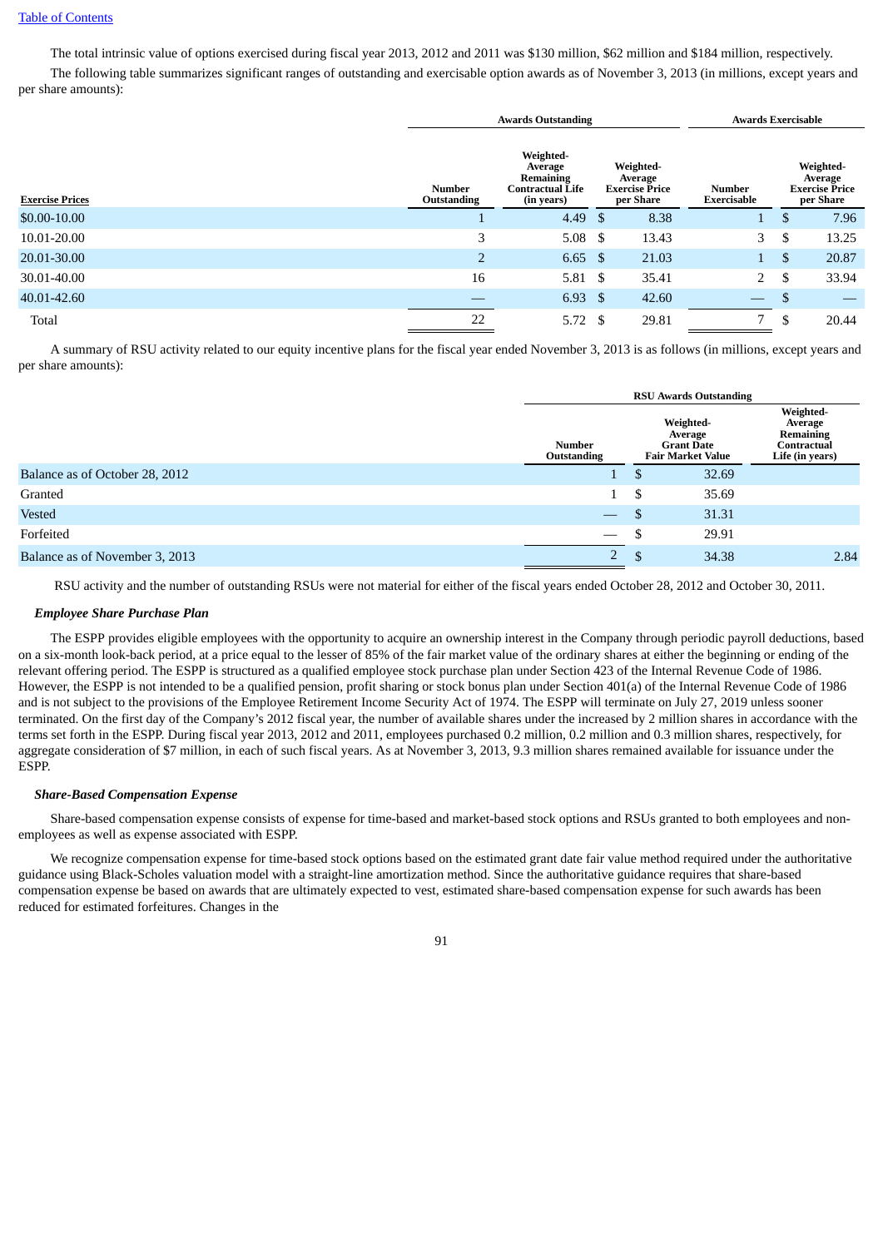## Table of [Contents](#page-0-0)

The total intrinsic value of options exercised during fiscal year 2013, 2012 and 2011 was \$130 million, \$62 million and \$184 million, respectively. The following table summarizes significant ranges of outstanding and exercisable option awards as of November 3, 2013 (in millions, except years and per share amounts):

|                        | <b>Awards Outstanding</b>    |                                                                                   |  |                                                            | <b>Awards Exercisable</b>       |     |                                                            |  |
|------------------------|------------------------------|-----------------------------------------------------------------------------------|--|------------------------------------------------------------|---------------------------------|-----|------------------------------------------------------------|--|
| <b>Exercise Prices</b> | <b>Number</b><br>Outstanding | Weighted-<br>Average<br><b>Remaining</b><br><b>Contractual Life</b><br>(in years) |  | Weighted-<br>Average<br><b>Exercise Price</b><br>per Share | <b>Number</b><br>Exercisable    |     | Weighted-<br>Average<br><b>Exercise Price</b><br>per Share |  |
| $$0.00-10.00$          |                              | 4.49 \$                                                                           |  | 8.38                                                       | 1                               | \$  | 7.96                                                       |  |
| 10.01-20.00            | 3                            | $5.08 \quad $$                                                                    |  | 13.43                                                      | 3 <sup>1</sup>                  | \$  | 13.25                                                      |  |
| 20.01-30.00            | 2                            | $6.65\quad$                                                                       |  | 21.03                                                      | 1                               | \$  | 20.87                                                      |  |
| 30.01-40.00            | 16                           | 5.81 \$                                                                           |  | 35.41                                                      | $\overline{2}$                  | \$  | 33.94                                                      |  |
| 40.01-42.60            |                              | 6.93 \$                                                                           |  | 42.60                                                      | $\hspace{0.1mm}-\hspace{0.1mm}$ | -\$ |                                                            |  |
| Total                  | 22                           | 5.72 <sup>5</sup>                                                                 |  | 29.81                                                      | $7^{\circ}$                     | S   | 20.44                                                      |  |

A summary of RSU activity related to our equity incentive plans for the fiscal year ended November 3, 2013 is as follows (in millions, except years and per share amounts):

|                                |                                 | <b>RSU Awards Outstanding</b> |                                                                       |                                                                            |
|--------------------------------|---------------------------------|-------------------------------|-----------------------------------------------------------------------|----------------------------------------------------------------------------|
|                                | <b>Number</b><br>Outstanding    |                               | Weighted-<br>Average<br><b>Grant Date</b><br><b>Fair Market Value</b> | Weighted-<br>Average<br><b>Remaining</b><br>Contractual<br>Life (in years) |
| Balance as of October 28, 2012 |                                 | \$                            | 32.69                                                                 |                                                                            |
| Granted                        | 1                               | \$                            | 35.69                                                                 |                                                                            |
| Vested                         | $\hspace{0.1cm}-\hspace{0.1cm}$ | S                             | 31.31                                                                 |                                                                            |
| Forfeited                      |                                 | ാ                             | 29.91                                                                 |                                                                            |
| Balance as of November 3, 2013 | 2 <sup>1</sup>                  | -\$                           | 34.38                                                                 | 2.84                                                                       |

RSU activity and the number of outstanding RSUs were not material for either of the fiscal years ended October 28, 2012 and October 30, 2011.

#### *Employee Share Purchase Plan*

The ESPP provides eligible employees with the opportunity to acquire an ownership interest in the Company through periodic payroll deductions, based on a six-month look-back period, at a price equal to the lesser of 85% of the fair market value of the ordinary shares at either the beginning or ending of the relevant offering period. The ESPP is structured as a qualified employee stock purchase plan under Section 423 of the Internal Revenue Code of 1986. However, the ESPP is not intended to be a qualified pension, profit sharing or stock bonus plan under Section 401(a) of the Internal Revenue Code of 1986 and is not subject to the provisions of the Employee Retirement Income Security Act of 1974. The ESPP will terminate on July 27, 2019 unless sooner terminated. On the first day of the Company's 2012 fiscal year, the number of available shares under the increased by 2 million shares in accordance with the terms set forth in the ESPP. During fiscal year 2013, 2012 and 2011, employees purchased 0.2 million, 0.2 million and 0.3 million shares, respectively, for aggregate consideration of \$7 million, in each of such fiscal years. As at November 3, 2013, 9.3 million shares remained available for issuance under the ESPP.

#### *Share-Based Compensation Expense*

Share-based compensation expense consists of expense for time-based and market-based stock options and RSUs granted to both employees and nonemployees as well as expense associated with ESPP.

We recognize compensation expense for time-based stock options based on the estimated grant date fair value method required under the authoritative guidance using Black-Scholes valuation model with a straight-line amortization method. Since the authoritative guidance requires that share-based compensation expense be based on awards that are ultimately expected to vest, estimated share-based compensation expense for such awards has been reduced for estimated forfeitures. Changes in the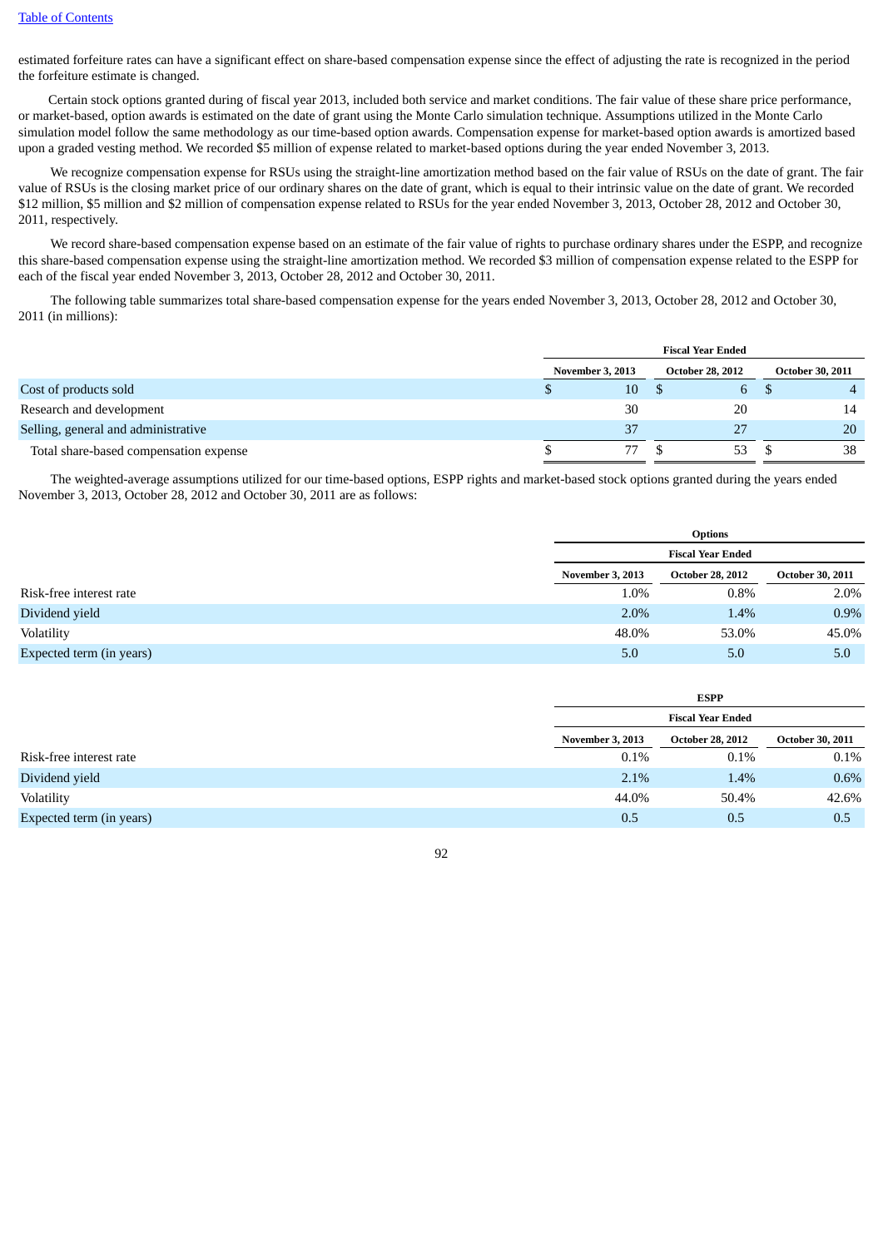estimated forfeiture rates can have a significant effect on share-based compensation expense since the effect of adjusting the rate is recognized in the period the forfeiture estimate is changed.

Certain stock options granted during of fiscal year 2013, included both service and market conditions. The fair value of these share price performance, or market-based, option awards is estimated on the date of grant using the Monte Carlo simulation technique. Assumptions utilized in the Monte Carlo simulation model follow the same methodology as our time-based option awards. Compensation expense for market-based option awards is amortized based upon a graded vesting method. We recorded \$5 million of expense related to market-based options during the year ended November 3, 2013.

We recognize compensation expense for RSUs using the straight-line amortization method based on the fair value of RSUs on the date of grant. The fair value of RSUs is the closing market price of our ordinary shares on the date of grant, which is equal to their intrinsic value on the date of grant. We recorded \$12 million, \$5 million and \$2 million of compensation expense related to RSUs for the year ended November 3, 2013, October 28, 2012 and October 30, 2011, respectively.

We record share-based compensation expense based on an estimate of the fair value of rights to purchase ordinary shares under the ESPP, and recognize this share-based compensation expense using the straight-line amortization method. We recorded \$3 million of compensation expense related to the ESPP for each of the fiscal year ended November 3, 2013, October 28, 2012 and October 30, 2011.

The following table summarizes total share-based compensation expense for the years ended November 3, 2013, October 28, 2012 and October 30, 2011 (in millions):

|                                        | <b>Fiscal Year Ended</b> |  |                         |  |                         |  |
|----------------------------------------|--------------------------|--|-------------------------|--|-------------------------|--|
|                                        | <b>November 3, 2013</b>  |  | <b>October 28, 2012</b> |  | <b>October 30, 2011</b> |  |
| Cost of products sold                  | 10                       |  | 6                       |  |                         |  |
| Research and development               | 30                       |  | 20                      |  | 14                      |  |
| Selling, general and administrative    | 37                       |  | 27                      |  | 20                      |  |
| Total share-based compensation expense | 77                       |  | 53                      |  | 38                      |  |

The weighted-average assumptions utilized for our time-based options, ESPP rights and market-based stock options granted during the years ended November 3, 2013, October 28, 2012 and October 30, 2011 are as follows:

|                          | <b>Options</b>           |                         |                         |  |  |
|--------------------------|--------------------------|-------------------------|-------------------------|--|--|
|                          | <b>Fiscal Year Ended</b> |                         |                         |  |  |
|                          | <b>November 3, 2013</b>  | <b>October 28, 2012</b> | <b>October 30, 2011</b> |  |  |
| Risk-free interest rate  | 1.0%                     | 0.8%                    | 2.0%                    |  |  |
| Dividend yield           | 2.0%                     | 1.4%                    | 0.9%                    |  |  |
| Volatility               | 48.0%                    | 53.0%                   | 45.0%                   |  |  |
| Expected term (in years) | 5.0                      | 5.0                     | 5.0                     |  |  |

|                          |                         | <b>ESPP</b>              |                         |  |  |  |
|--------------------------|-------------------------|--------------------------|-------------------------|--|--|--|
|                          |                         | <b>Fiscal Year Ended</b> |                         |  |  |  |
|                          | <b>November 3, 2013</b> | <b>October 28, 2012</b>  | <b>October 30, 2011</b> |  |  |  |
| Risk-free interest rate  | 0.1%                    | 0.1%                     | $0.1\%$                 |  |  |  |
| Dividend yield           | 2.1%                    | 1.4%                     | $0.6\%$                 |  |  |  |
| Volatility               | 44.0%                   | 50.4%                    | 42.6%                   |  |  |  |
| Expected term (in years) | 0.5                     | 0.5                      | 0.5                     |  |  |  |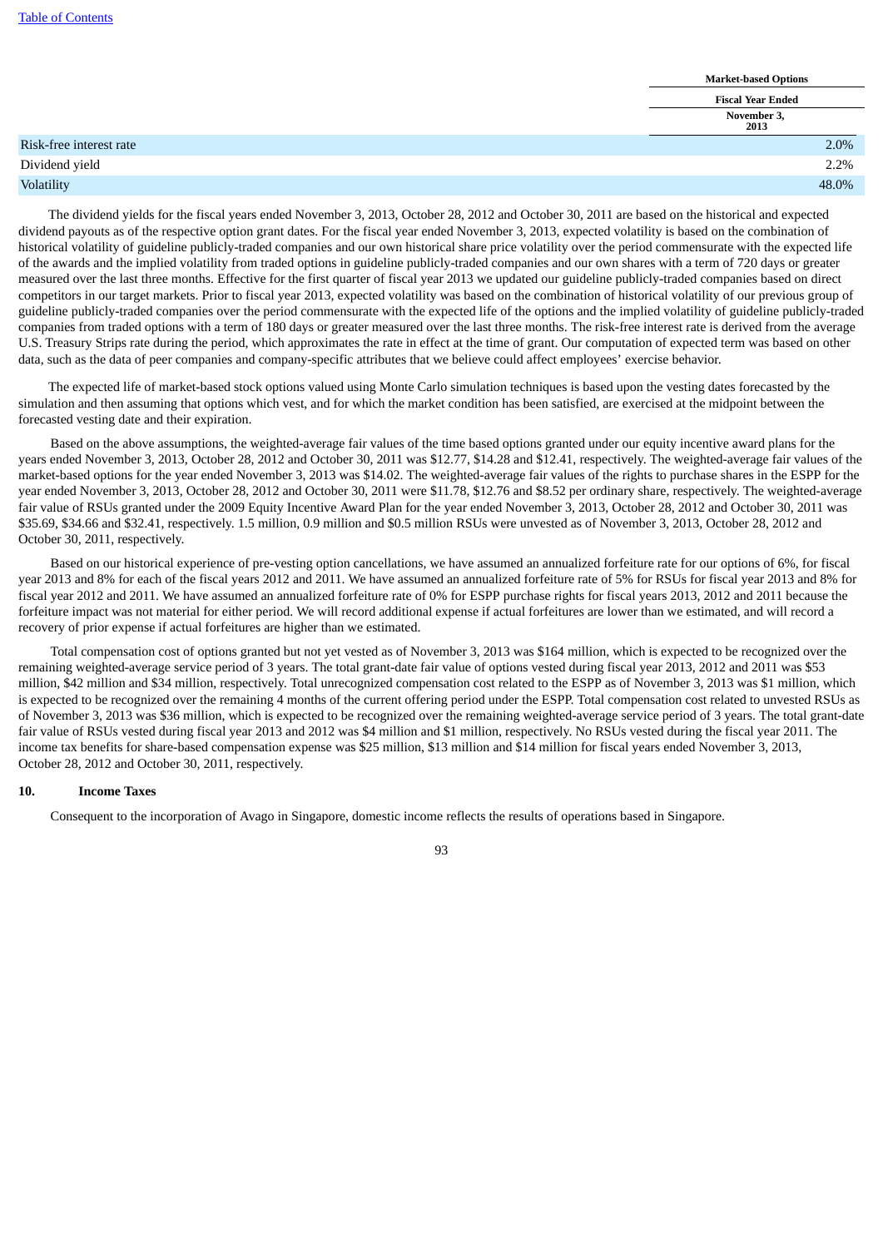|                         | <b>Market-based Options</b> |
|-------------------------|-----------------------------|
|                         | <b>Fiscal Year Ended</b>    |
|                         | November 3,<br>2013         |
| Risk-free interest rate | 2.0%                        |
| Dividend yield          | 2.2%                        |
| <b>Volatility</b>       | 48.0%                       |

The dividend yields for the fiscal years ended November 3, 2013, October 28, 2012 and October 30, 2011 are based on the historical and expected dividend payouts as of the respective option grant dates. For the fiscal year ended November 3, 2013, expected volatility is based on the combination of historical volatility of guideline publicly-traded companies and our own historical share price volatility over the period commensurate with the expected life of the awards and the implied volatility from traded options in guideline publicly-traded companies and our own shares with a term of 720 days or greater measured over the last three months. Effective for the first quarter of fiscal year 2013 we updated our guideline publicly-traded companies based on direct competitors in our target markets. Prior to fiscal year 2013, expected volatility was based on the combination of historical volatility of our previous group of guideline publicly-traded companies over the period commensurate with the expected life of the options and the implied volatility of guideline publicly-traded companies from traded options with a term of 180 days or greater measured over the last three months. The risk-free interest rate is derived from the average U.S. Treasury Strips rate during the period, which approximates the rate in effect at the time of grant. Our computation of expected term was based on other data, such as the data of peer companies and company-specific attributes that we believe could affect employees' exercise behavior.

The expected life of market-based stock options valued using Monte Carlo simulation techniques is based upon the vesting dates forecasted by the simulation and then assuming that options which vest, and for which the market condition has been satisfied, are exercised at the midpoint between the forecasted vesting date and their expiration.

Based on the above assumptions, the weighted-average fair values of the time based options granted under our equity incentive award plans for the years ended November 3, 2013, October 28, 2012 and October 30, 2011 was \$12.77, \$14.28 and \$12.41, respectively. The weighted-average fair values of the market-based options for the year ended November 3, 2013 was \$14.02. The weighted-average fair values of the rights to purchase shares in the ESPP for the year ended November 3, 2013, October 28, 2012 and October 30, 2011 were \$11.78, \$12.76 and \$8.52 per ordinary share, respectively. The weighted-average fair value of RSUs granted under the 2009 Equity Incentive Award Plan for the year ended November 3, 2013, October 28, 2012 and October 30, 2011 was \$35.69, \$34.66 and \$32.41, respectively. 1.5 million, 0.9 million and \$0.5 million RSUs were unvested as of November 3, 2013, October 28, 2012 and October 30, 2011, respectively.

Based on our historical experience of pre-vesting option cancellations, we have assumed an annualized forfeiture rate for our options of 6%, for fiscal year 2013 and 8% for each of the fiscal years 2012 and 2011. We have assumed an annualized forfeiture rate of 5% for RSUs for fiscal year 2013 and 8% for fiscal year 2012 and 2011. We have assumed an annualized forfeiture rate of 0% for ESPP purchase rights for fiscal years 2013, 2012 and 2011 because the forfeiture impact was not material for either period. We will record additional expense if actual forfeitures are lower than we estimated, and will record a recovery of prior expense if actual forfeitures are higher than we estimated.

Total compensation cost of options granted but not yet vested as of November 3, 2013 was \$164 million, which is expected to be recognized over the remaining weighted-average service period of 3 years. The total grant-date fair value of options vested during fiscal year 2013, 2012 and 2011 was \$53 million, \$42 million and \$34 million, respectively. Total unrecognized compensation cost related to the ESPP as of November 3, 2013 was \$1 million, which is expected to be recognized over the remaining 4 months of the current offering period under the ESPP. Total compensation cost related to unvested RSUs as of November 3, 2013 was \$36 million, which is expected to be recognized over the remaining weighted-average service period of 3 years. The total grant-date fair value of RSUs vested during fiscal year 2013 and 2012 was \$4 million and \$1 million, respectively. No RSUs vested during the fiscal year 2011. The income tax benefits for share-based compensation expense was \$25 million, \$13 million and \$14 million for fiscal years ended November 3, 2013, October 28, 2012 and October 30, 2011, respectively.

## **10. Income Taxes**

Consequent to the incorporation of Avago in Singapore, domestic income reflects the results of operations based in Singapore.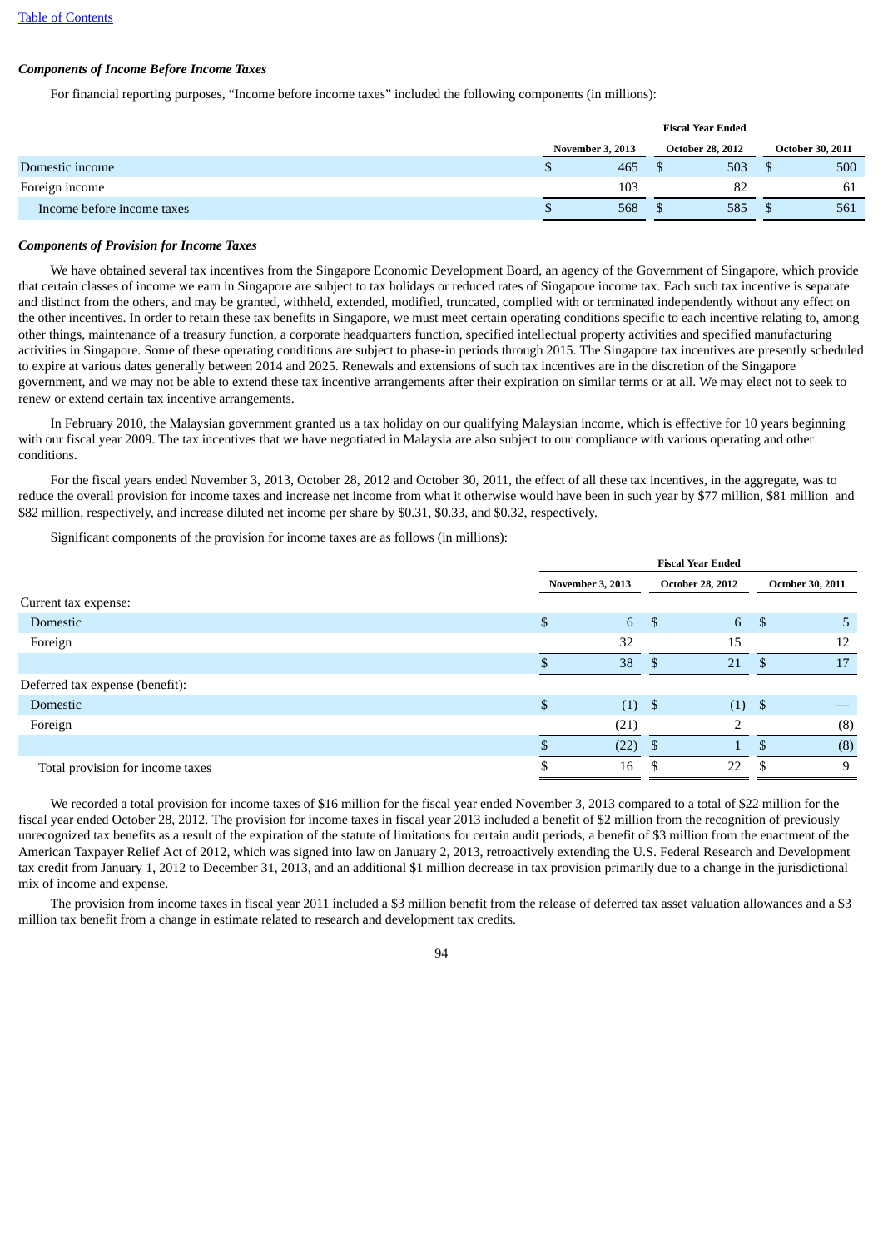# *Components of Income Before Income Taxes*

For financial reporting purposes, "Income before income taxes" included the following components (in millions):

|                            | <b>Fiscal Year Ended</b> |     |  |                         |                         |     |
|----------------------------|--------------------------|-----|--|-------------------------|-------------------------|-----|
|                            | <b>November 3, 2013</b>  |     |  | <b>October 28, 2012</b> | <b>October 30, 2011</b> |     |
| Domestic income            |                          | 465 |  | 503                     |                         | 500 |
| Foreign income             |                          | 103 |  | 82                      |                         | 61  |
| Income before income taxes |                          | 568 |  | 585                     |                         | 561 |

## *Components of Provision for Income Taxes*

We have obtained several tax incentives from the Singapore Economic Development Board, an agency of the Government of Singapore, which provide that certain classes of income we earn in Singapore are subject to tax holidays or reduced rates of Singapore income tax. Each such tax incentive is separate and distinct from the others, and may be granted, withheld, extended, modified, truncated, complied with or terminated independently without any effect on the other incentives. In order to retain these tax benefits in Singapore, we must meet certain operating conditions specific to each incentive relating to, among other things, maintenance of a treasury function, a corporate headquarters function, specified intellectual property activities and specified manufacturing activities in Singapore. Some of these operating conditions are subject to phase-in periods through 2015. The Singapore tax incentives are presently scheduled to expire at various dates generally between 2014 and 2025. Renewals and extensions of such tax incentives are in the discretion of the Singapore government, and we may not be able to extend these tax incentive arrangements after their expiration on similar terms or at all. We may elect not to seek to renew or extend certain tax incentive arrangements.

In February 2010, the Malaysian government granted us a tax holiday on our qualifying Malaysian income, which is effective for 10 years beginning with our fiscal year 2009. The tax incentives that we have negotiated in Malaysia are also subject to our compliance with various operating and other conditions.

For the fiscal years ended November 3, 2013, October 28, 2012 and October 30, 2011, the effect of all these tax incentives, in the aggregate, was to reduce the overall provision for income taxes and increase net income from what it otherwise would have been in such year by \$77 million, \$81 million and \$82 million, respectively, and increase diluted net income per share by \$0.31, \$0.33, and \$0.32, respectively.

Significant components of the provision for income taxes are as follows (in millions):

|                                  | <b>Fiscal Year Ended</b> |             |                         |               |                  |  |  |  |
|----------------------------------|--------------------------|-------------|-------------------------|---------------|------------------|--|--|--|
|                                  | <b>November 3, 2013</b>  |             | <b>October 28, 2012</b> |               | October 30, 2011 |  |  |  |
| Current tax expense:             |                          |             |                         |               |                  |  |  |  |
| Domestic                         | $\mathfrak{s}$           | 6           | \$<br>6                 | \$            | 5                |  |  |  |
| Foreign                          | 32                       |             | 15                      |               | 12               |  |  |  |
|                                  | 38                       |             | 21                      |               | 17               |  |  |  |
| Deferred tax expense (benefit):  |                          |             |                         |               |                  |  |  |  |
| Domestic                         | \$                       | (1)<br>- \$ | $(1)$ \$                |               |                  |  |  |  |
| Foreign                          | (21)                     |             | C.                      |               | (8)              |  |  |  |
|                                  | (22)                     |             | - \$                    | <sup>\$</sup> | (8)              |  |  |  |
| Total provision for income taxes | 16                       |             | 22                      | Ъ             | 9                |  |  |  |

We recorded a total provision for income taxes of \$16 million for the fiscal year ended November 3, 2013 compared to a total of \$22 million for the fiscal year ended October 28, 2012. The provision for income taxes in fiscal year 2013 included a benefit of \$2 million from the recognition of previously unrecognized tax benefits as a result of the expiration of the statute of limitations for certain audit periods, a benefit of \$3 million from the enactment of the American Taxpayer Relief Act of 2012, which was signed into law on January 2, 2013, retroactively extending the U.S. Federal Research and Development tax credit from January 1, 2012 to December 31, 2013, and an additional \$1 million decrease in tax provision primarily due to a change in the jurisdictional mix of income and expense.

The provision from income taxes in fiscal year 2011 included a \$3 million benefit from the release of deferred tax asset valuation allowances and a \$3 million tax benefit from a change in estimate related to research and development tax credits.

 $Q_4$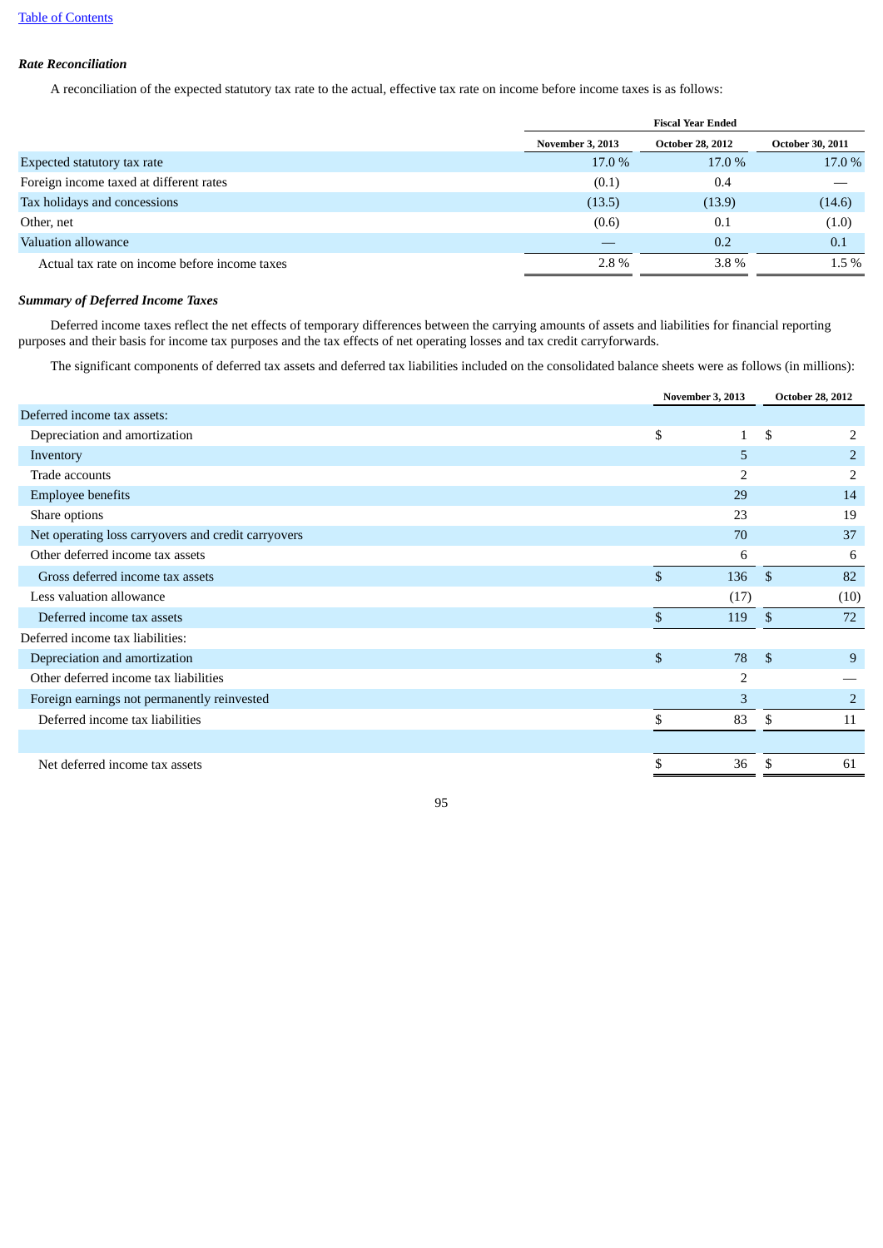## *Rate Reconciliation*

A reconciliation of the expected statutory tax rate to the actual, effective tax rate on income before income taxes is as follows:

|                                               |                         | <b>Fiscal Year Ended</b> |                         |
|-----------------------------------------------|-------------------------|--------------------------|-------------------------|
|                                               | <b>November 3, 2013</b> | <b>October 28, 2012</b>  | <b>October 30, 2011</b> |
| Expected statutory tax rate                   | 17.0 %                  | 17.0 %                   | 17.0 %                  |
| Foreign income taxed at different rates       | (0.1)                   | 0.4                      |                         |
| Tax holidays and concessions                  | (13.5)                  | (13.9)                   | (14.6)                  |
| Other, net                                    | (0.6)                   | 0.1                      | (1.0)                   |
| Valuation allowance                           |                         | 0.2                      | 0.1                     |
| Actual tax rate on income before income taxes | 2.8%                    | $3.8\%$                  | $1.5\%$                 |

## *Summary of Deferred Income Taxes*

Deferred income taxes reflect the net effects of temporary differences between the carrying amounts of assets and liabilities for financial reporting purposes and their basis for income tax purposes and the tax effects of net operating losses and tax credit carryforwards.

The significant components of deferred tax assets and deferred tax liabilities included on the consolidated balance sheets were as follows (in millions):

|                                                     |              | <b>November 3, 2013</b> | <b>October 28, 2012</b> |                |  |
|-----------------------------------------------------|--------------|-------------------------|-------------------------|----------------|--|
| Deferred income tax assets:                         |              |                         |                         |                |  |
| Depreciation and amortization                       | \$           | $\mathbf{1}$            | \$                      | 2              |  |
| Inventory                                           |              | 5                       |                         | $\overline{2}$ |  |
| Trade accounts                                      |              | 2                       |                         | 2              |  |
| Employee benefits                                   |              | 29                      |                         | 14             |  |
| Share options                                       |              | 23                      |                         | 19             |  |
| Net operating loss carryovers and credit carryovers |              | 70                      |                         | 37             |  |
| Other deferred income tax assets                    |              | 6                       |                         | 6              |  |
| Gross deferred income tax assets                    | $\mathbf{s}$ | 136                     | \$.                     | 82             |  |
| Less valuation allowance                            |              | (17)                    |                         | (10)           |  |
| Deferred income tax assets                          | \$           | 119                     | $\mathfrak{S}$          | 72             |  |
| Deferred income tax liabilities:                    |              |                         |                         |                |  |
| Depreciation and amortization                       | $\mathbb{S}$ | 78                      | $\mathbf{\hat{S}}$      | 9              |  |
| Other deferred income tax liabilities               |              | 2                       |                         |                |  |
| Foreign earnings not permanently reinvested         |              | 3                       |                         | $\overline{2}$ |  |
| Deferred income tax liabilities                     | \$           | 83                      | \$                      | 11             |  |
|                                                     |              |                         |                         |                |  |
| Net deferred income tax assets                      | \$           | 36                      | \$                      | 61             |  |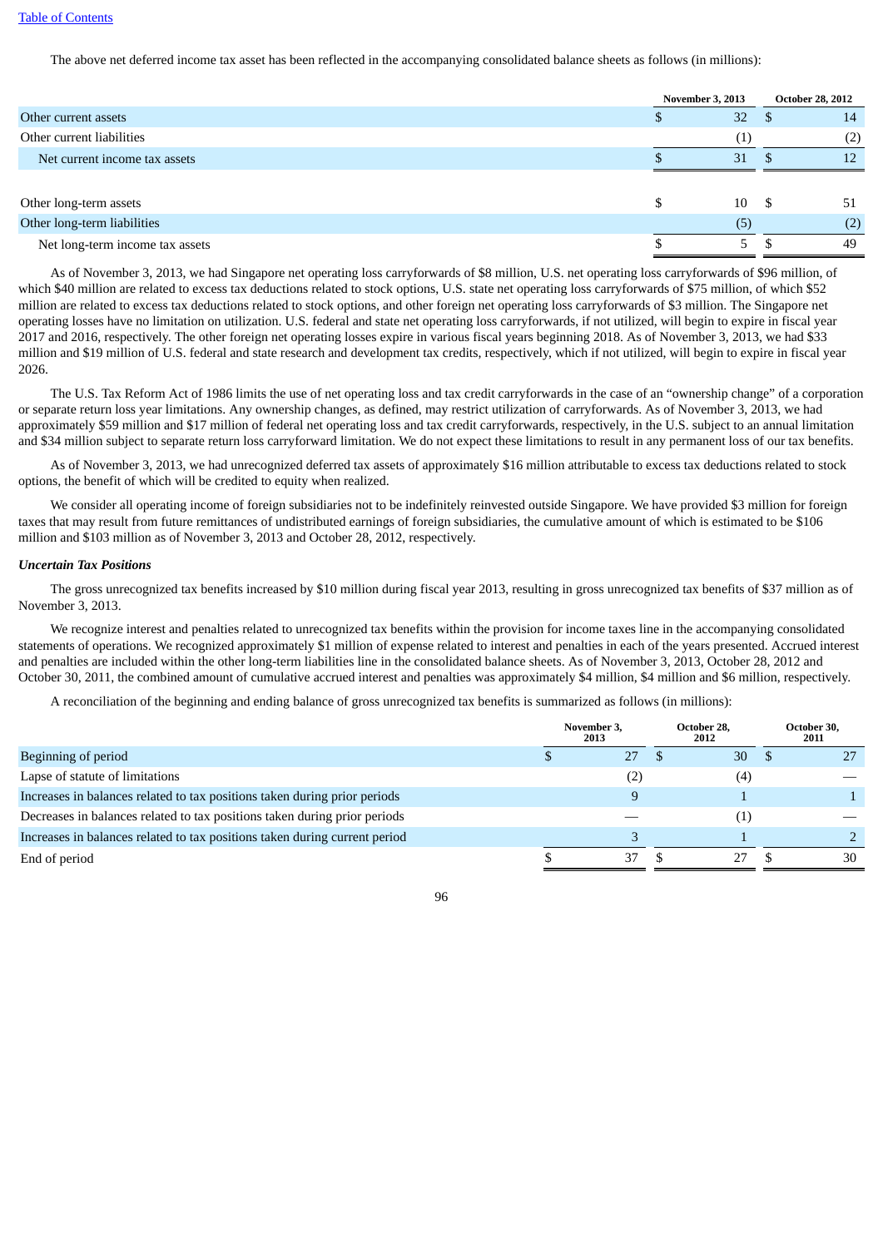The above net deferred income tax asset has been reflected in the accompanying consolidated balance sheets as follows (in millions):

|                                 | <b>November 3, 2013</b> | <b>October 28, 2012</b> |     |  |
|---------------------------------|-------------------------|-------------------------|-----|--|
| Other current assets            | 32                      |                         | 14  |  |
| Other current liabilities       | $\left(1\right)$        |                         | (2) |  |
| Net current income tax assets   | 31                      |                         | 12  |  |
|                                 |                         |                         |     |  |
| Other long-term assets          | 10                      | -8                      | 51  |  |
| Other long-term liabilities     | (5)                     |                         | (2) |  |
| Net long-term income tax assets |                         |                         | 49  |  |

As of November 3, 2013, we had Singapore net operating loss carryforwards of \$8 million, U.S. net operating loss carryforwards of \$96 million, of which \$40 million are related to excess tax deductions related to stock options, U.S. state net operating loss carryforwards of \$75 million, of which \$52 million are related to excess tax deductions related to stock options, and other foreign net operating loss carryforwards of \$3 million. The Singapore net operating losses have no limitation on utilization. U.S. federal and state net operating loss carryforwards, if not utilized, will begin to expire in fiscal year 2017 and 2016, respectively. The other foreign net operating losses expire in various fiscal years beginning 2018. As of November 3, 2013, we had \$33 million and \$19 million of U.S. federal and state research and development tax credits, respectively, which if not utilized, will begin to expire in fiscal year 2026.

The U.S. Tax Reform Act of 1986 limits the use of net operating loss and tax credit carryforwards in the case of an "ownership change" of a corporation or separate return loss year limitations. Any ownership changes, as defined, may restrict utilization of carryforwards. As of November 3, 2013, we had approximately \$59 million and \$17 million of federal net operating loss and tax credit carryforwards, respectively, in the U.S. subject to an annual limitation and \$34 million subject to separate return loss carryforward limitation. We do not expect these limitations to result in any permanent loss of our tax benefits.

As of November 3, 2013, we had unrecognized deferred tax assets of approximately \$16 million attributable to excess tax deductions related to stock options, the benefit of which will be credited to equity when realized.

We consider all operating income of foreign subsidiaries not to be indefinitely reinvested outside Singapore. We have provided \$3 million for foreign taxes that may result from future remittances of undistributed earnings of foreign subsidiaries, the cumulative amount of which is estimated to be \$106 million and \$103 million as of November 3, 2013 and October 28, 2012, respectively.

### *Uncertain Tax Positions*

The gross unrecognized tax benefits increased by \$10 million during fiscal year 2013, resulting in gross unrecognized tax benefits of \$37 million as of November 3, 2013.

We recognize interest and penalties related to unrecognized tax benefits within the provision for income taxes line in the accompanying consolidated statements of operations. We recognized approximately \$1 million of expense related to interest and penalties in each of the years presented. Accrued interest and penalties are included within the other long-term liabilities line in the consolidated balance sheets. As of November 3, 2013, October 28, 2012 and October 30, 2011, the combined amount of cumulative accrued interest and penalties was approximately \$4 million, \$4 million and \$6 million, respectively.

A reconciliation of the beginning and ending balance of gross unrecognized tax benefits is summarized as follows (in millions):

|                                                                            | November 3.<br>2013 | October 28,<br>2012 | October 30,<br>2011 |
|----------------------------------------------------------------------------|---------------------|---------------------|---------------------|
| Beginning of period                                                        | 27                  | 30                  | 27                  |
| Lapse of statute of limitations                                            | (2)                 | (4)                 |                     |
| Increases in balances related to tax positions taken during prior periods  |                     |                     |                     |
| Decreases in balances related to tax positions taken during prior periods  |                     | $\left( 1\right)$   |                     |
| Increases in balances related to tax positions taken during current period |                     |                     |                     |
| End of period                                                              | 37                  |                     | 30                  |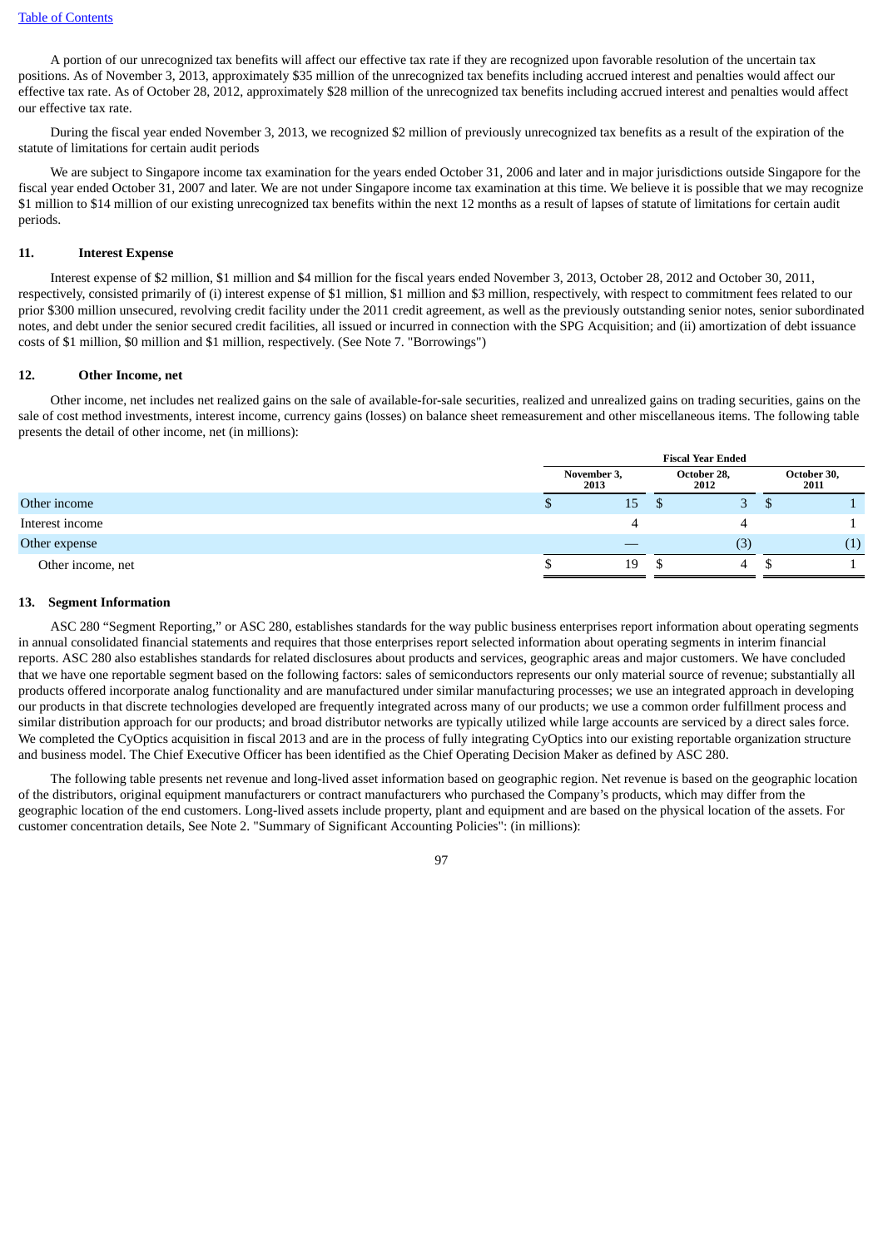A portion of our unrecognized tax benefits will affect our effective tax rate if they are recognized upon favorable resolution of the uncertain tax positions. As of November 3, 2013, approximately \$35 million of the unrecognized tax benefits including accrued interest and penalties would affect our effective tax rate. As of October 28, 2012, approximately \$28 million of the unrecognized tax benefits including accrued interest and penalties would affect our effective tax rate.

During the fiscal year ended November 3, 2013, we recognized \$2 million of previously unrecognized tax benefits as a result of the expiration of the statute of limitations for certain audit periods

We are subject to Singapore income tax examination for the years ended October 31, 2006 and later and in major jurisdictions outside Singapore for the fiscal year ended October 31, 2007 and later. We are not under Singapore income tax examination at this time. We believe it is possible that we may recognize \$1 million to \$14 million of our existing unrecognized tax benefits within the next 12 months as a result of lapses of statute of limitations for certain audit periods.

## **11. Interest Expense**

Interest expense of \$2 million, \$1 million and \$4 million for the fiscal years ended November 3, 2013, October 28, 2012 and October 30, 2011, respectively, consisted primarily of (i) interest expense of \$1 million, \$1 million and \$3 million, respectively, with respect to commitment fees related to our prior \$300 million unsecured, revolving credit facility under the 2011 credit agreement, as well as the previously outstanding senior notes, senior subordinated notes, and debt under the senior secured credit facilities, all issued or incurred in connection with the SPG Acquisition; and (ii) amortization of debt issuance costs of \$1 million, \$0 million and \$1 million, respectively. (See Note 7. "Borrowings")

#### **12. Other Income, net**

Other income, net includes net realized gains on the sale of available-for-sale securities, realized and unrealized gains on trading securities, gains on the sale of cost method investments, interest income, currency gains (losses) on balance sheet remeasurement and other miscellaneous items. The following table presents the detail of other income, net (in millions):

|                   |                     |    |                     | <b>Fiscal Year Ended</b> |  |                     |  |  |
|-------------------|---------------------|----|---------------------|--------------------------|--|---------------------|--|--|
|                   | November 3,<br>2013 |    | October 28,<br>2012 |                          |  | October 30,<br>2011 |  |  |
| Other income      |                     | 15 | D                   | n<br>3                   |  |                     |  |  |
| Interest income   |                     |    |                     |                          |  |                     |  |  |
| Other expense     |                     |    |                     | (3)                      |  | (1)                 |  |  |
| Other income, net |                     | 19 |                     | 4                        |  |                     |  |  |

#### **13. Segment Information**

ASC 280 "Segment Reporting," or ASC 280, establishes standards for the way public business enterprises report information about operating segments in annual consolidated financial statements and requires that those enterprises report selected information about operating segments in interim financial reports. ASC 280 also establishes standards for related disclosures about products and services, geographic areas and major customers. We have concluded that we have one reportable segment based on the following factors: sales of semiconductors represents our only material source of revenue; substantially all products offered incorporate analog functionality and are manufactured under similar manufacturing processes; we use an integrated approach in developing our products in that discrete technologies developed are frequently integrated across many of our products; we use a common order fulfillment process and similar distribution approach for our products; and broad distributor networks are typically utilized while large accounts are serviced by a direct sales force. We completed the CyOptics acquisition in fiscal 2013 and are in the process of fully integrating CyOptics into our existing reportable organization structure and business model. The Chief Executive Officer has been identified as the Chief Operating Decision Maker as defined by ASC 280.

The following table presents net revenue and long-lived asset information based on geographic region. Net revenue is based on the geographic location of the distributors, original equipment manufacturers or contract manufacturers who purchased the Company's products, which may differ from the geographic location of the end customers. Long-lived assets include property, plant and equipment and are based on the physical location of the assets. For customer concentration details, See Note 2. "Summary of Significant Accounting Policies": (in millions):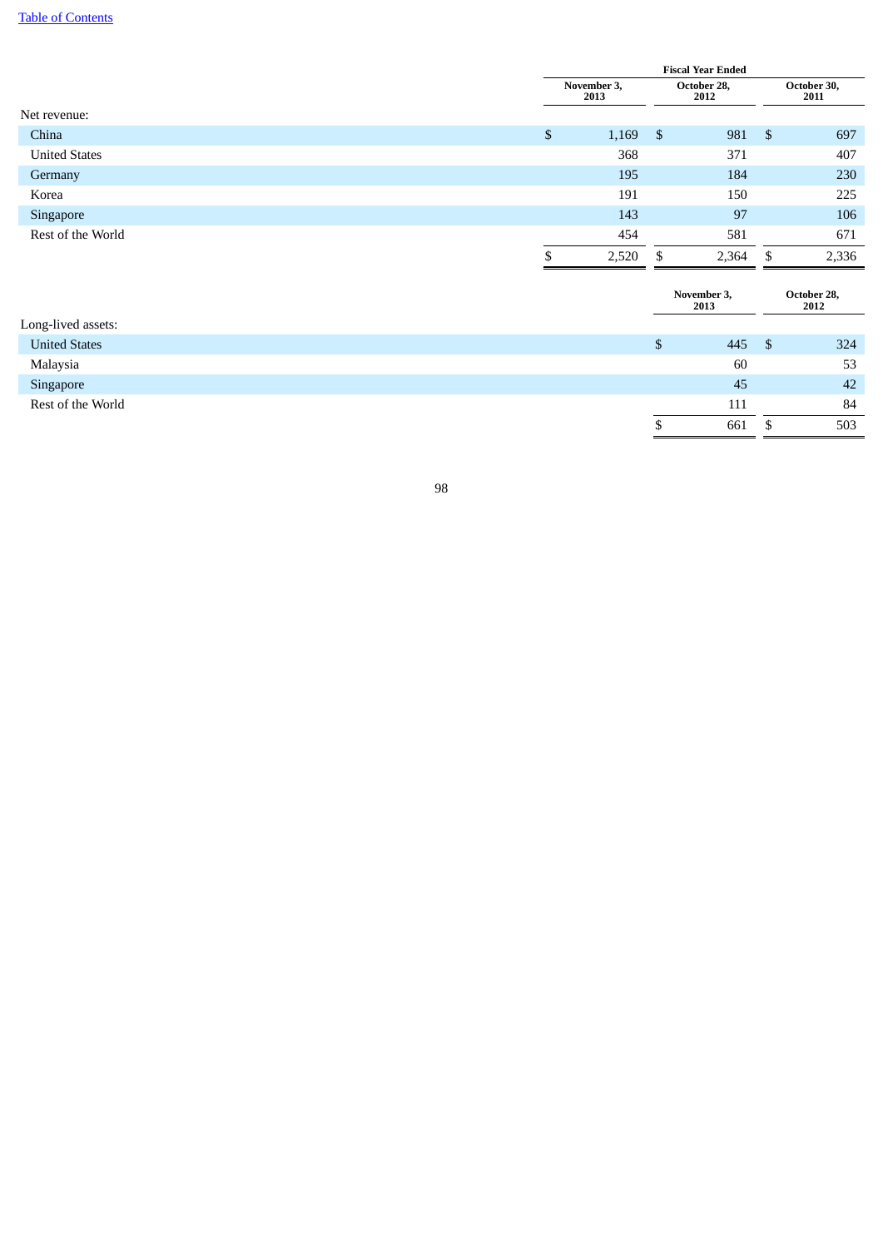## [Ta](#page-0-0)ble of Contents

|                      | <b>Fiscal Year Ended</b> |     |                     |            |                     |  |  |  |  |  |
|----------------------|--------------------------|-----|---------------------|------------|---------------------|--|--|--|--|--|
|                      | November 3,<br>2013      |     | October 28,<br>2012 |            | October 30,<br>2011 |  |  |  |  |  |
| Net revenue:         |                          |     |                     |            |                     |  |  |  |  |  |
| China                | \$<br>1,169              | \$  | 981                 | $\sqrt{S}$ | 697                 |  |  |  |  |  |
| <b>United States</b> | 368                      |     | 371                 |            | 407                 |  |  |  |  |  |
| Germany              | 195                      |     | 184                 |            | 230                 |  |  |  |  |  |
| Korea                | 191                      |     | 150                 |            | 225                 |  |  |  |  |  |
| Singapore            | 143                      |     | 97                  |            | 106                 |  |  |  |  |  |
| Rest of the World    | 454                      |     | 581                 |            | 671                 |  |  |  |  |  |
|                      | 2,520                    | \$. | 2,364               | £.         | 2,336               |  |  |  |  |  |

|                      | November 3,<br>2013 |                | October 28,<br>2012 |
|----------------------|---------------------|----------------|---------------------|
| Long-lived assets:   |                     |                |                     |
| <b>United States</b> |                     | $445 \quad$ \$ | 324                 |
| Malaysia             | 60                  |                | 53                  |
| Singapore            | 45                  |                | 42                  |
| Rest of the World    | 111                 |                | 84                  |
|                      | 661<br>۰Ľ           |                | 503                 |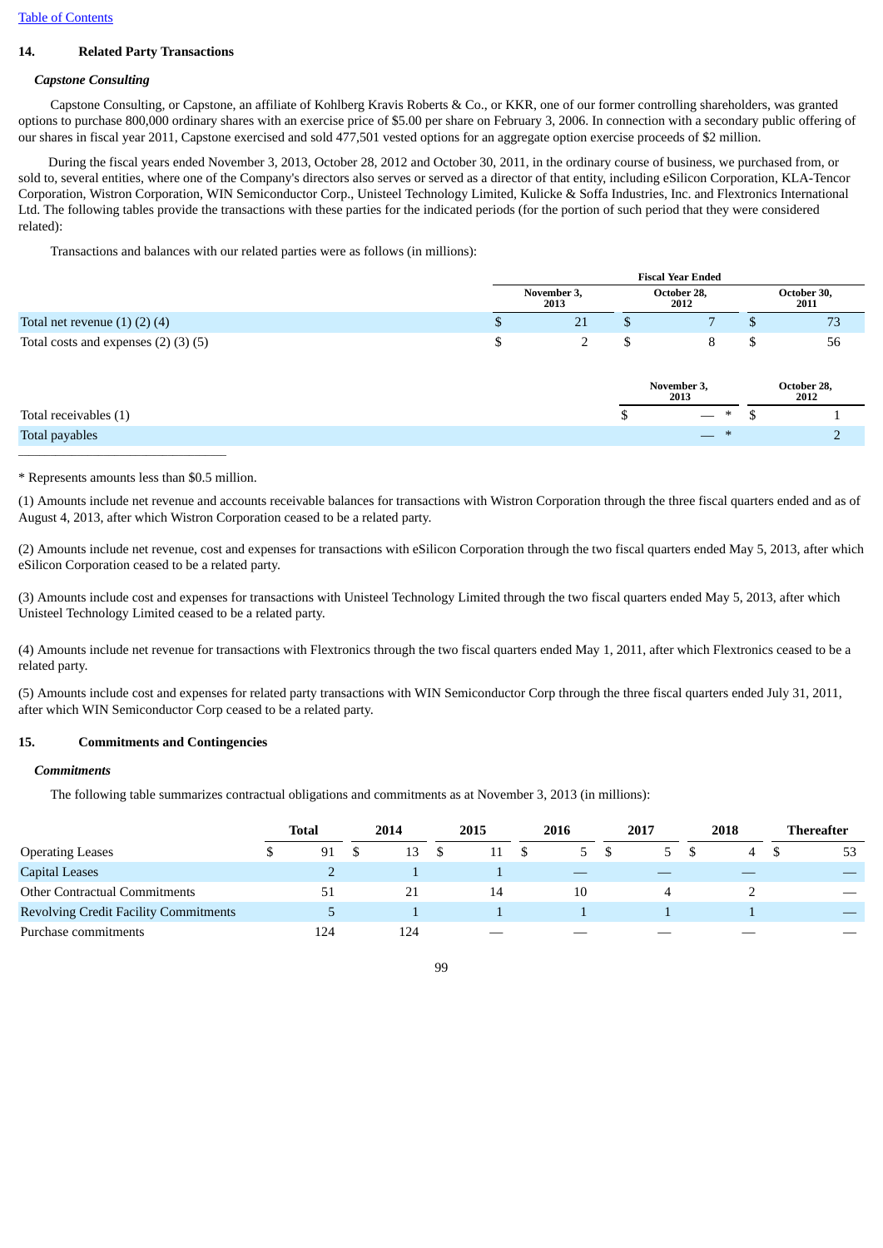# **14. Related Party Transactions**

# *Capstone Consulting*

Capstone Consulting, or Capstone, an affiliate of Kohlberg Kravis Roberts & Co., or KKR, one of our former controlling shareholders, was granted options to purchase 800,000 ordinary shares with an exercise price of \$5.00 per share on February 3, 2006. In connection with a secondary public offering of our shares in fiscal year 2011, Capstone exercised and sold 477,501 vested options for an aggregate option exercise proceeds of \$2 million.

During the fiscal years ended November 3, 2013, October 28, 2012 and October 30, 2011, in the ordinary course of business, we purchased from, or sold to, several entities, where one of the Company's directors also serves or served as a director of that entity, including eSilicon Corporation, KLA-Tencor Corporation, Wistron Corporation, WIN Semiconductor Corp., Unisteel Technology Limited, Kulicke & Soffa Industries, Inc. and Flextronics International Ltd. The following tables provide the transactions with these parties for the indicated periods (for the portion of such period that they were considered related):

Transactions and balances with our related parties were as follows (in millions):

|                                            |    |                     |     | <b>Fiscal Year Ended</b>           |                     |    |  |
|--------------------------------------------|----|---------------------|-----|------------------------------------|---------------------|----|--|
|                                            |    | November 3,<br>2013 |     | October 28,<br>2012                | October 30,<br>2011 |    |  |
| Total net revenue $(1)$ $(2)$ $(4)$        | Φ  | 21                  | \$. |                                    |                     | 73 |  |
| Total costs and expenses $(2)$ $(3)$ $(5)$ | \$ | 2                   | \$  | 8                                  | \$                  | 56 |  |
|                                            |    |                     |     | November 3,<br>2013                | October 28,<br>2012 |    |  |
| Total receivables (1)                      |    |                     |     | $\ast$<br>$\overline{\phantom{0}}$ | - \$                |    |  |
| Total payables                             |    |                     |     | $-$ *                              |                     |    |  |
|                                            |    |                     |     |                                    |                     |    |  |

### \* Represents amounts less than \$0.5 million.

(1) Amounts include net revenue and accounts receivable balances for transactions with Wistron Corporation through the three fiscal quarters ended and as of August 4, 2013, after which Wistron Corporation ceased to be a related party.

(2) Amounts include net revenue, cost and expenses for transactions with eSilicon Corporation through the two fiscal quarters ended May 5, 2013, after which eSilicon Corporation ceased to be a related party.

(3) Amounts include cost and expenses for transactions with Unisteel Technology Limited through the two fiscal quarters ended May 5, 2013, after which Unisteel Technology Limited ceased to be a related party.

(4) Amounts include net revenue for transactions with Flextronics through the two fiscal quarters ended May 1, 2011, after which Flextronics ceased to be a related party.

(5) Amounts include cost and expenses for related party transactions with WIN Semiconductor Corp through the three fiscal quarters ended July 31, 2011, after which WIN Semiconductor Corp ceased to be a related party.

## **15. Commitments and Contingencies**

## *Commitments*

The following table summarizes contractual obligations and commitments as at November 3, 2013 (in millions):

|                                              | <b>Total</b> | 2014 |    | 2015 | 2016 | 2017 |  | 2018 | Thereafter |
|----------------------------------------------|--------------|------|----|------|------|------|--|------|------------|
| <b>Operating Leases</b>                      | 91           | 13   | S. | 11   |      |      |  | 4    | 53         |
| <b>Capital Leases</b>                        |              |      |    |      | _    |      |  |      |            |
| <b>Other Contractual Commitments</b>         | 51           |      |    | 14   | 10   |      |  |      |            |
| <b>Revolving Credit Facility Commitments</b> |              |      |    |      |      |      |  |      |            |
| Purchase commitments                         | 124          | 124  |    | __   |      |      |  |      |            |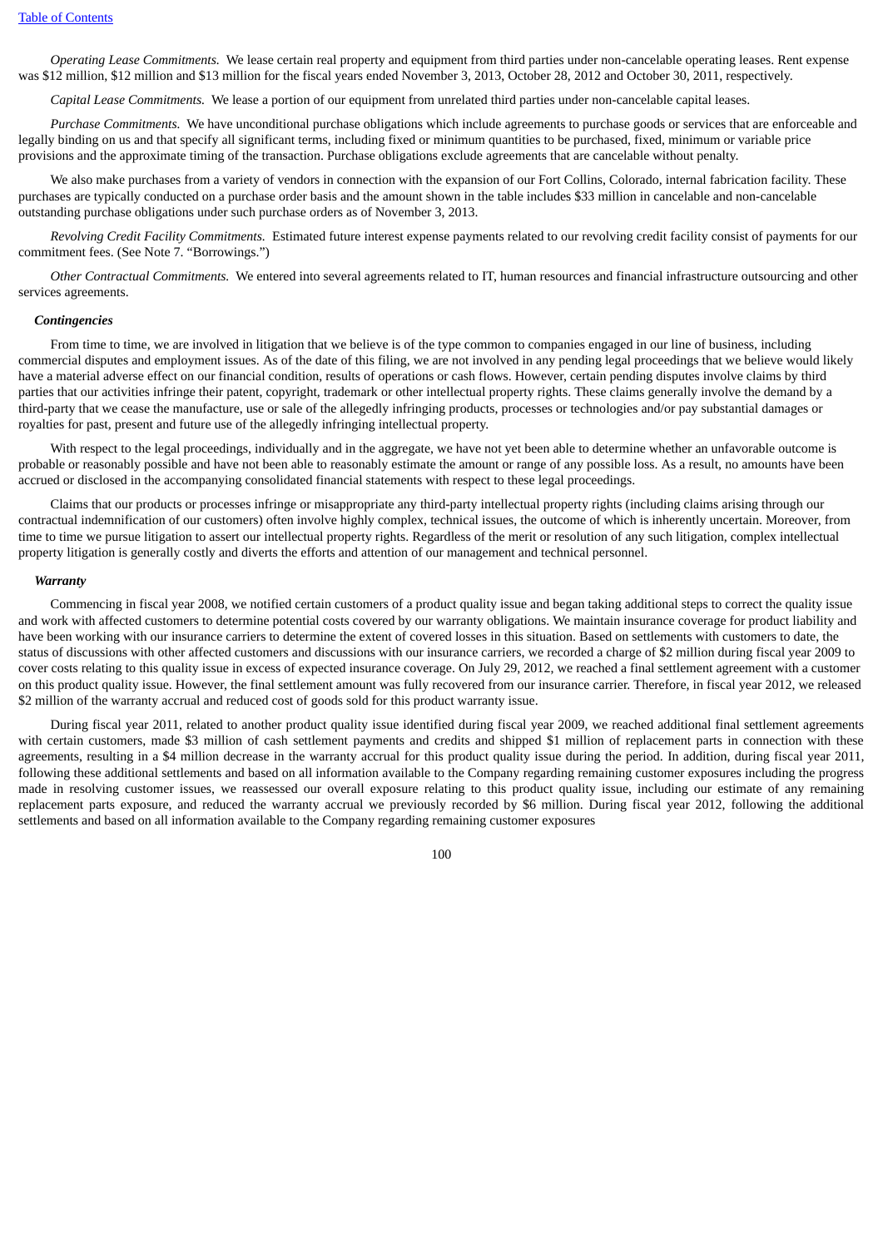*Operating Lease Commitments.* We lease certain real property and equipment from third parties under non-cancelable operating leases. Rent expense was \$12 million, \$12 million and \$13 million for the fiscal years ended November 3, 2013, October 28, 2012 and October 30, 2011, respectively.

*Capital Lease Commitments.* We lease a portion of our equipment from unrelated third parties under non-cancelable capital leases.

*Purchase Commitments.* We have unconditional purchase obligations which include agreements to purchase goods or services that are enforceable and legally binding on us and that specify all significant terms, including fixed or minimum quantities to be purchased, fixed, minimum or variable price provisions and the approximate timing of the transaction. Purchase obligations exclude agreements that are cancelable without penalty.

We also make purchases from a variety of vendors in connection with the expansion of our Fort Collins, Colorado, internal fabrication facility. These purchases are typically conducted on a purchase order basis and the amount shown in the table includes \$33 million in cancelable and non-cancelable outstanding purchase obligations under such purchase orders as of November 3, 2013.

*Revolving Credit Facility Commitments.* Estimated future interest expense payments related to our revolving credit facility consist of payments for our commitment fees. (See Note 7. "Borrowings.")

*Other Contractual Commitments.* We entered into several agreements related to IT, human resources and financial infrastructure outsourcing and other services agreements.

#### *Contingencies*

From time to time, we are involved in litigation that we believe is of the type common to companies engaged in our line of business, including commercial disputes and employment issues. As of the date of this filing, we are not involved in any pending legal proceedings that we believe would likely have a material adverse effect on our financial condition, results of operations or cash flows. However, certain pending disputes involve claims by third parties that our activities infringe their patent, copyright, trademark or other intellectual property rights. These claims generally involve the demand by a third-party that we cease the manufacture, use or sale of the allegedly infringing products, processes or technologies and/or pay substantial damages or royalties for past, present and future use of the allegedly infringing intellectual property.

With respect to the legal proceedings, individually and in the aggregate, we have not yet been able to determine whether an unfavorable outcome is probable or reasonably possible and have not been able to reasonably estimate the amount or range of any possible loss. As a result, no amounts have been accrued or disclosed in the accompanying consolidated financial statements with respect to these legal proceedings.

Claims that our products or processes infringe or misappropriate any third-party intellectual property rights (including claims arising through our contractual indemnification of our customers) often involve highly complex, technical issues, the outcome of which is inherently uncertain. Moreover, from time to time we pursue litigation to assert our intellectual property rights. Regardless of the merit or resolution of any such litigation, complex intellectual property litigation is generally costly and diverts the efforts and attention of our management and technical personnel.

#### *Warranty*

Commencing in fiscal year 2008, we notified certain customers of a product quality issue and began taking additional steps to correct the quality issue and work with affected customers to determine potential costs covered by our warranty obligations. We maintain insurance coverage for product liability and have been working with our insurance carriers to determine the extent of covered losses in this situation. Based on settlements with customers to date, the status of discussions with other affected customers and discussions with our insurance carriers, we recorded a charge of \$2 million during fiscal year 2009 to cover costs relating to this quality issue in excess of expected insurance coverage. On July 29, 2012, we reached a final settlement agreement with a customer on this product quality issue. However, the final settlement amount was fully recovered from our insurance carrier. Therefore, in fiscal year 2012, we released \$2 million of the warranty accrual and reduced cost of goods sold for this product warranty issue.

During fiscal year 2011, related to another product quality issue identified during fiscal year 2009, we reached additional final settlement agreements with certain customers, made \$3 million of cash settlement payments and credits and shipped \$1 million of replacement parts in connection with these agreements, resulting in a \$4 million decrease in the warranty accrual for this product quality issue during the period. In addition, during fiscal year 2011, following these additional settlements and based on all information available to the Company regarding remaining customer exposures including the progress made in resolving customer issues, we reassessed our overall exposure relating to this product quality issue, including our estimate of any remaining replacement parts exposure, and reduced the warranty accrual we previously recorded by \$6 million. During fiscal year 2012, following the additional settlements and based on all information available to the Company regarding remaining customer exposures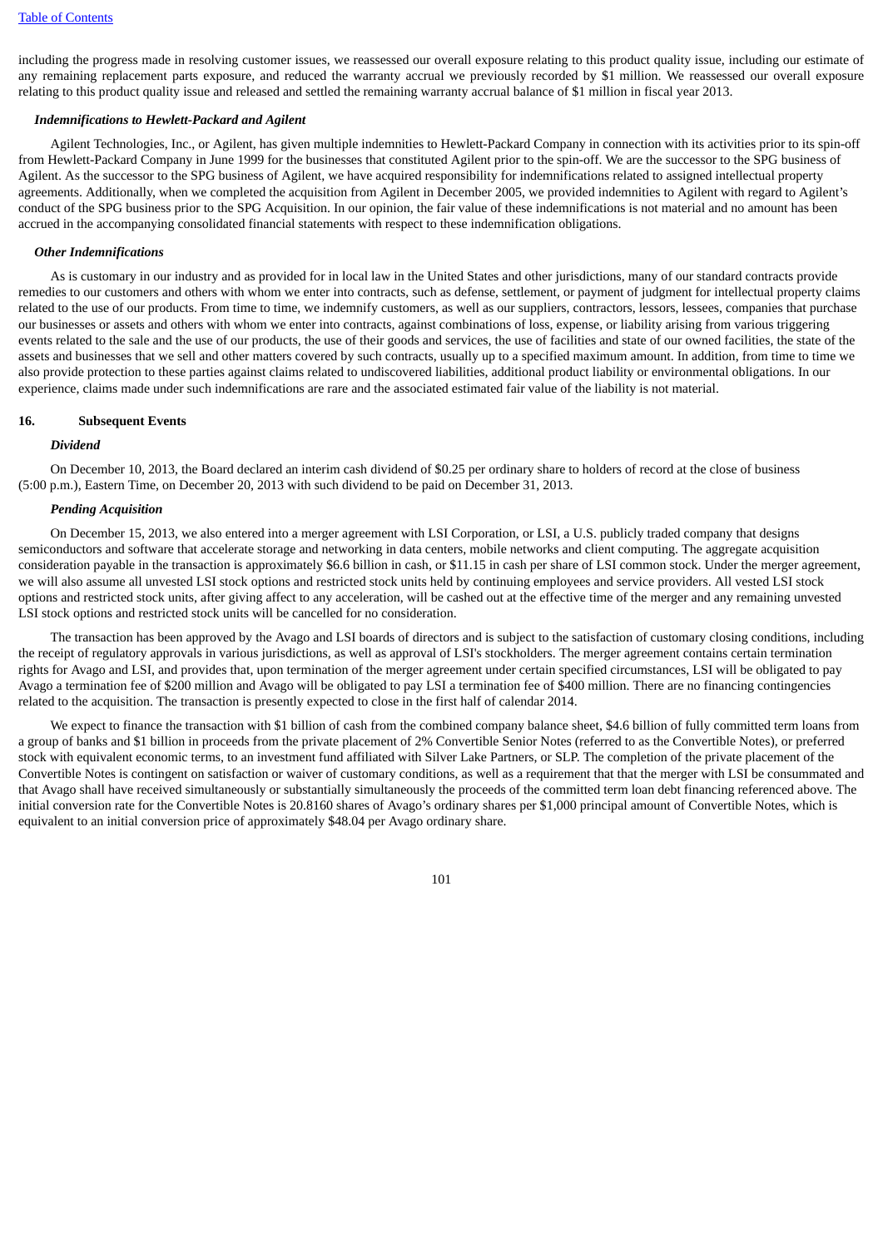including the progress made in resolving customer issues, we reassessed our overall exposure relating to this product quality issue, including our estimate of any remaining replacement parts exposure, and reduced the warranty accrual we previously recorded by \$1 million. We reassessed our overall exposure relating to this product quality issue and released and settled the remaining warranty accrual balance of \$1 million in fiscal year 2013.

## *Indemnifications to Hewlett-Packard and Agilent*

Agilent Technologies, Inc., or Agilent, has given multiple indemnities to Hewlett-Packard Company in connection with its activities prior to its spin-off from Hewlett-Packard Company in June 1999 for the businesses that constituted Agilent prior to the spin-off. We are the successor to the SPG business of Agilent. As the successor to the SPG business of Agilent, we have acquired responsibility for indemnifications related to assigned intellectual property agreements. Additionally, when we completed the acquisition from Agilent in December 2005, we provided indemnities to Agilent with regard to Agilent's conduct of the SPG business prior to the SPG Acquisition. In our opinion, the fair value of these indemnifications is not material and no amount has been accrued in the accompanying consolidated financial statements with respect to these indemnification obligations.

#### *Other Indemnifications*

As is customary in our industry and as provided for in local law in the United States and other jurisdictions, many of our standard contracts provide remedies to our customers and others with whom we enter into contracts, such as defense, settlement, or payment of judgment for intellectual property claims related to the use of our products. From time to time, we indemnify customers, as well as our suppliers, contractors, lessors, lessees, companies that purchase our businesses or assets and others with whom we enter into contracts, against combinations of loss, expense, or liability arising from various triggering events related to the sale and the use of our products, the use of their goods and services, the use of facilities and state of our owned facilities, the state of the assets and businesses that we sell and other matters covered by such contracts, usually up to a specified maximum amount. In addition, from time to time we also provide protection to these parties against claims related to undiscovered liabilities, additional product liability or environmental obligations. In our experience, claims made under such indemnifications are rare and the associated estimated fair value of the liability is not material.

## **16. Subsequent Events**

## *Dividend*

On December 10, 2013, the Board declared an interim cash dividend of \$0.25 per ordinary share to holders of record at the close of business (5:00 p.m.), Eastern Time, on December 20, 2013 with such dividend to be paid on December 31, 2013.

### *Pending Acquisition*

On December 15, 2013, we also entered into a merger agreement with LSI Corporation, or LSI, a U.S. publicly traded company that designs semiconductors and software that accelerate storage and networking in data centers, mobile networks and client computing. The aggregate acquisition consideration payable in the transaction is approximately \$6.6 billion in cash, or \$11.15 in cash per share of LSI common stock. Under the merger agreement, we will also assume all unvested LSI stock options and restricted stock units held by continuing employees and service providers. All vested LSI stock options and restricted stock units, after giving affect to any acceleration, will be cashed out at the effective time of the merger and any remaining unvested LSI stock options and restricted stock units will be cancelled for no consideration.

The transaction has been approved by the Avago and LSI boards of directors and is subject to the satisfaction of customary closing conditions, including the receipt of regulatory approvals in various jurisdictions, as well as approval of LSI's stockholders. The merger agreement contains certain termination rights for Avago and LSI, and provides that, upon termination of the merger agreement under certain specified circumstances, LSI will be obligated to pay Avago a termination fee of \$200 million and Avago will be obligated to pay LSI a termination fee of \$400 million. There are no financing contingencies related to the acquisition. The transaction is presently expected to close in the first half of calendar 2014.

We expect to finance the transaction with \$1 billion of cash from the combined company balance sheet, \$4.6 billion of fully committed term loans from a group of banks and \$1 billion in proceeds from the private placement of 2% Convertible Senior Notes (referred to as the Convertible Notes), or preferred stock with equivalent economic terms, to an investment fund affiliated with Silver Lake Partners, or SLP. The completion of the private placement of the Convertible Notes is contingent on satisfaction or waiver of customary conditions, as well as a requirement that that the merger with LSI be consummated and that Avago shall have received simultaneously or substantially simultaneously the proceeds of the committed term loan debt financing referenced above. The initial conversion rate for the Convertible Notes is 20.8160 shares of Avago's ordinary shares per \$1,000 principal amount of Convertible Notes, which is equivalent to an initial conversion price of approximately \$48.04 per Avago ordinary share.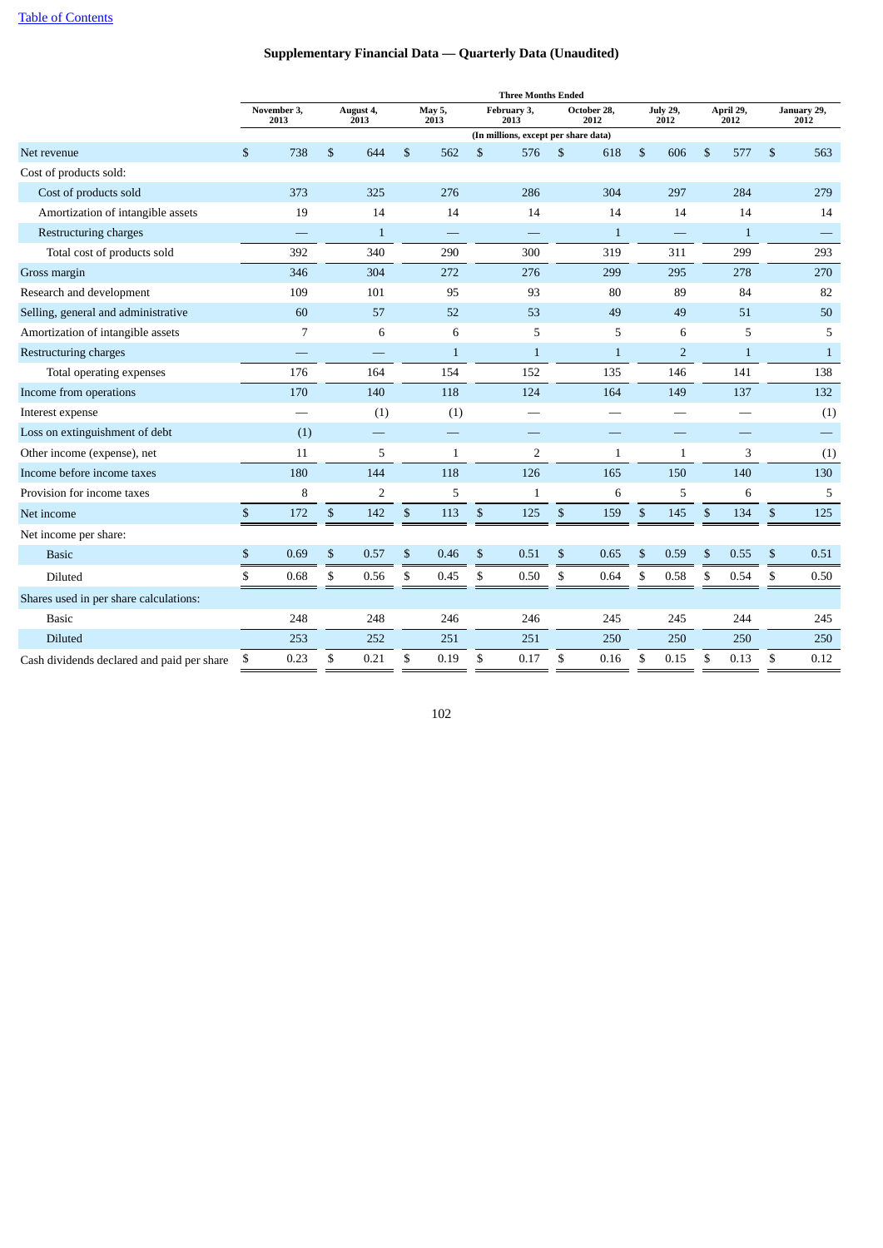# **Supplementary Financial Data — Quarterly Data (Unaudited)**

|                                            |                |                     |                |                          |                | <b>Three Months Ended</b>            |                     |                         |                   |                |                     |
|--------------------------------------------|----------------|---------------------|----------------|--------------------------|----------------|--------------------------------------|---------------------|-------------------------|-------------------|----------------|---------------------|
|                                            |                | November 3,<br>2013 |                | August 4,<br><b>2013</b> | May 5,<br>2013 | February 3,<br>2013                  | October 28,<br>2012 | <b>July 29,</b><br>2012 | April 29,<br>2012 |                | January 29,<br>2012 |
|                                            |                |                     |                |                          |                | (In millions, except per share data) |                     |                         |                   |                |                     |
| Net revenue                                | \$             | 738                 | \$             | 644                      | \$<br>562      | \$<br>576                            | \$<br>618           | \$<br>606               | \$<br>577         | \$             | 563                 |
| Cost of products sold:                     |                |                     |                |                          |                |                                      |                     |                         |                   |                |                     |
| Cost of products sold                      |                | 373                 |                | 325                      | 276            | 286                                  | 304                 | 297                     | 284               |                | 279                 |
| Amortization of intangible assets          |                | 19                  |                | 14                       | 14             | 14                                   | 14                  | 14                      | 14                |                | 14                  |
| Restructuring charges                      |                |                     |                | $\mathbf{1}$             |                |                                      | $\mathbf{1}$        |                         | $\mathbf{1}$      |                |                     |
| Total cost of products sold                |                | 392                 |                | 340                      | 290            | 300                                  | 319                 | 311                     | 299               |                | 293                 |
| Gross margin                               |                | 346                 |                | 304                      | 272            | 276                                  | 299                 | 295                     | 278               |                | 270                 |
| Research and development                   |                | 109                 |                | 101                      | 95             | 93                                   | 80                  | 89                      | 84                |                | 82                  |
| Selling, general and administrative        |                | 60                  |                | 57                       | 52             | 53                                   | 49                  | 49                      | 51                |                | 50                  |
| Amortization of intangible assets          |                | 7                   |                | 6                        | 6              | 5                                    | 5                   | 6                       | 5                 |                | 5                   |
| Restructuring charges                      |                |                     |                |                          | $\mathbf{1}$   | $\mathbf{1}$                         | $\mathbf{1}$        | $\overline{2}$          | $\mathbf{1}$      |                | $\mathbf{1}$        |
| Total operating expenses                   |                | 176                 |                | 164                      | 154            | 152                                  | 135                 | 146                     | 141               |                | 138                 |
| Income from operations                     |                | 170                 |                | 140                      | 118            | 124                                  | 164                 | 149                     | 137               |                | 132                 |
| Interest expense                           |                |                     |                | (1)                      | (1)            |                                      |                     |                         |                   |                | (1)                 |
| Loss on extinguishment of debt             |                | (1)                 |                |                          |                |                                      |                     |                         |                   |                |                     |
| Other income (expense), net                |                | 11                  |                | 5                        | $\mathbf{1}$   | $\overline{2}$                       | $\mathbf{1}$        | $\mathbf{1}$            | 3                 |                | (1)                 |
| Income before income taxes                 |                | 180                 |                | 144                      | 118            | 126                                  | 165                 | 150                     | 140               |                | 130                 |
| Provision for income taxes                 |                | 8                   |                | $\overline{2}$           | 5              | $\mathbf{1}$                         | 6                   | 5                       | 6                 |                | 5                   |
| Net income                                 | $\mathfrak{S}$ | 172                 | $\mathfrak{S}$ | 142                      | \$<br>113      | \$<br>125                            | \$<br>159           | \$<br>145               | \$<br>134         | $\mathfrak{S}$ | 125                 |
| Net income per share:                      |                |                     |                |                          |                |                                      |                     |                         |                   |                |                     |
| <b>Basic</b>                               | \$             | 0.69                | \$             | 0.57                     | \$<br>0.46     | \$<br>0.51                           | \$<br>0.65          | \$<br>0.59              | \$<br>0.55        | \$             | 0.51                |
| Diluted                                    | \$             | 0.68                | \$             | 0.56                     | \$<br>0.45     | \$<br>0.50                           | \$<br>0.64          | \$<br>0.58              | \$<br>0.54        | \$             | 0.50                |
| Shares used in per share calculations:     |                |                     |                |                          |                |                                      |                     |                         |                   |                |                     |
| <b>Basic</b>                               |                | 248                 |                | 248                      | 246            | 246                                  | 245                 | 245                     | 244               |                | 245                 |
| <b>Diluted</b>                             |                | 253                 |                | 252                      | 251            | 251                                  | 250                 | 250                     | 250               |                | 250                 |
| Cash dividends declared and paid per share | \$             | 0.23                | \$             | 0.21                     | \$<br>0.19     | \$<br>0.17                           | \$<br>0.16          | \$<br>0.15              | \$<br>0.13        | \$             | 0.12                |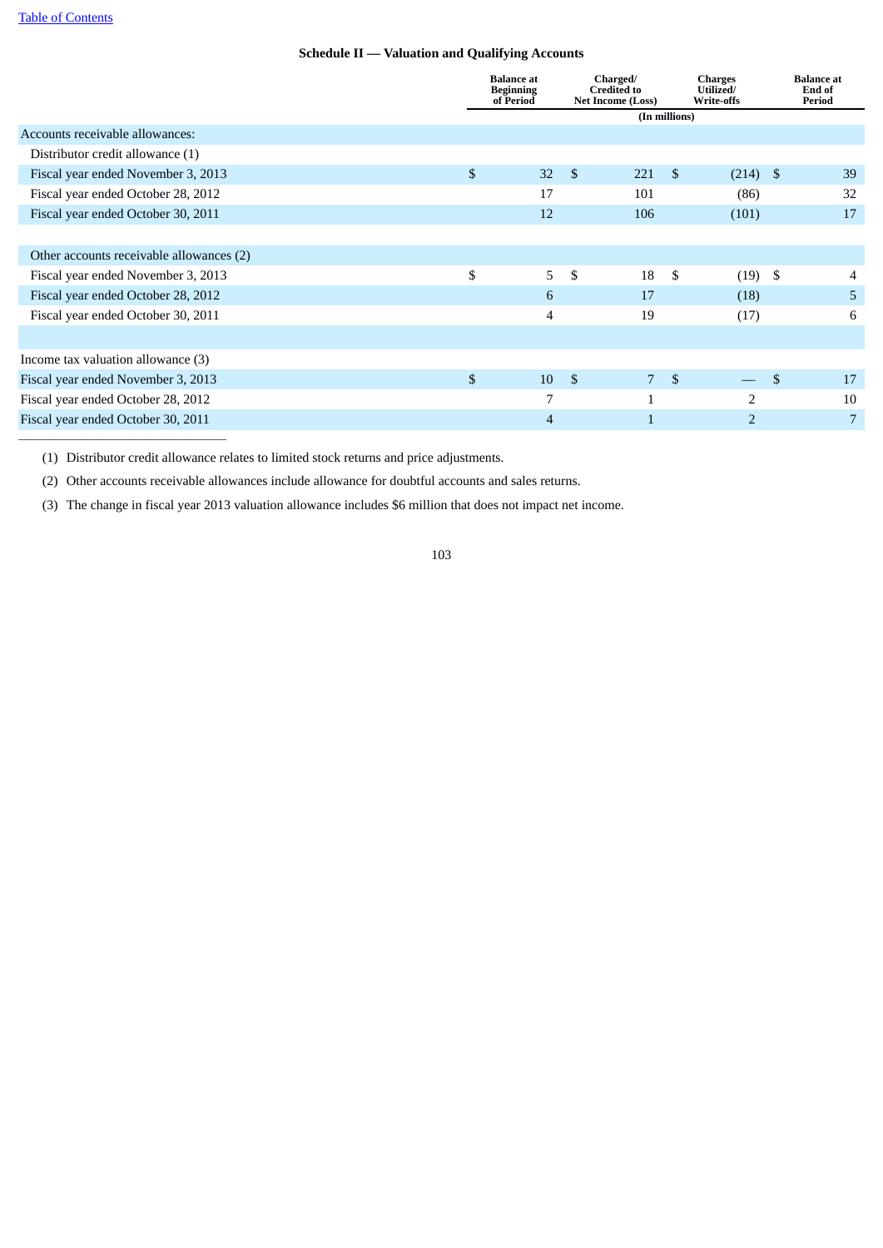# **Schedule II — Valuation and Qualifying Accounts**

|                                          | <b>Balance</b> at<br><b>Beginning</b><br>of Period | Charged/<br><b>Credited to</b><br><b>Net Income (Loss)</b> |                | <b>Charges</b><br>Utilized/<br><b>Write-offs</b> | <b>Balance</b> at<br>End of<br>Period |          |
|------------------------------------------|----------------------------------------------------|------------------------------------------------------------|----------------|--------------------------------------------------|---------------------------------------|----------|
|                                          |                                                    |                                                            | (In millions)  |                                                  |                                       |          |
| Accounts receivable allowances:          |                                                    |                                                            |                |                                                  |                                       |          |
| Distributor credit allowance (1)         |                                                    |                                                            |                |                                                  |                                       |          |
| Fiscal year ended November 3, 2013       | \$<br>32                                           | $\mathfrak{S}$                                             | 221            | <sup>\$</sup>                                    | $(214)$ \$                            | 39       |
| Fiscal year ended October 28, 2012       | 17                                                 |                                                            | 101            |                                                  | (86)                                  | 32       |
| Fiscal year ended October 30, 2011       | 12                                                 |                                                            | 106            |                                                  | (101)                                 | 17       |
|                                          |                                                    |                                                            |                |                                                  |                                       |          |
| Other accounts receivable allowances (2) |                                                    |                                                            |                |                                                  |                                       |          |
| Fiscal year ended November 3, 2013       | \$<br>5.                                           | \$                                                         | 18             | \$                                               | (19)                                  | \$<br>4  |
| Fiscal year ended October 28, 2012       | 6                                                  |                                                            | 17             |                                                  | (18)                                  | 5        |
| Fiscal year ended October 30, 2011       | 4                                                  |                                                            | 19             |                                                  | (17)                                  | 6        |
|                                          |                                                    |                                                            |                |                                                  |                                       |          |
| Income tax valuation allowance (3)       |                                                    |                                                            |                |                                                  |                                       |          |
| Fiscal year ended November 3, 2013       | \$<br>10                                           | - \$                                                       | 7 <sup>7</sup> | $\mathbf{s}$                                     | $\overline{\phantom{0}}$              | \$<br>17 |
| Fiscal year ended October 28, 2012       | 7                                                  |                                                            |                |                                                  | 2                                     | 10       |
| Fiscal year ended October 30, 2011       | $\overline{4}$                                     |                                                            | $\mathbf{1}$   |                                                  | $\overline{2}$                        | 7        |
|                                          |                                                    |                                                            |                |                                                  |                                       |          |

(1) Distributor credit allowance relates to limited stock returns and price adjustments.

(2) Other accounts receivable allowances include allowance for doubtful accounts and sales returns.

(3) The change in fiscal year 2013 valuation allowance includes \$6 million that does not impact net income.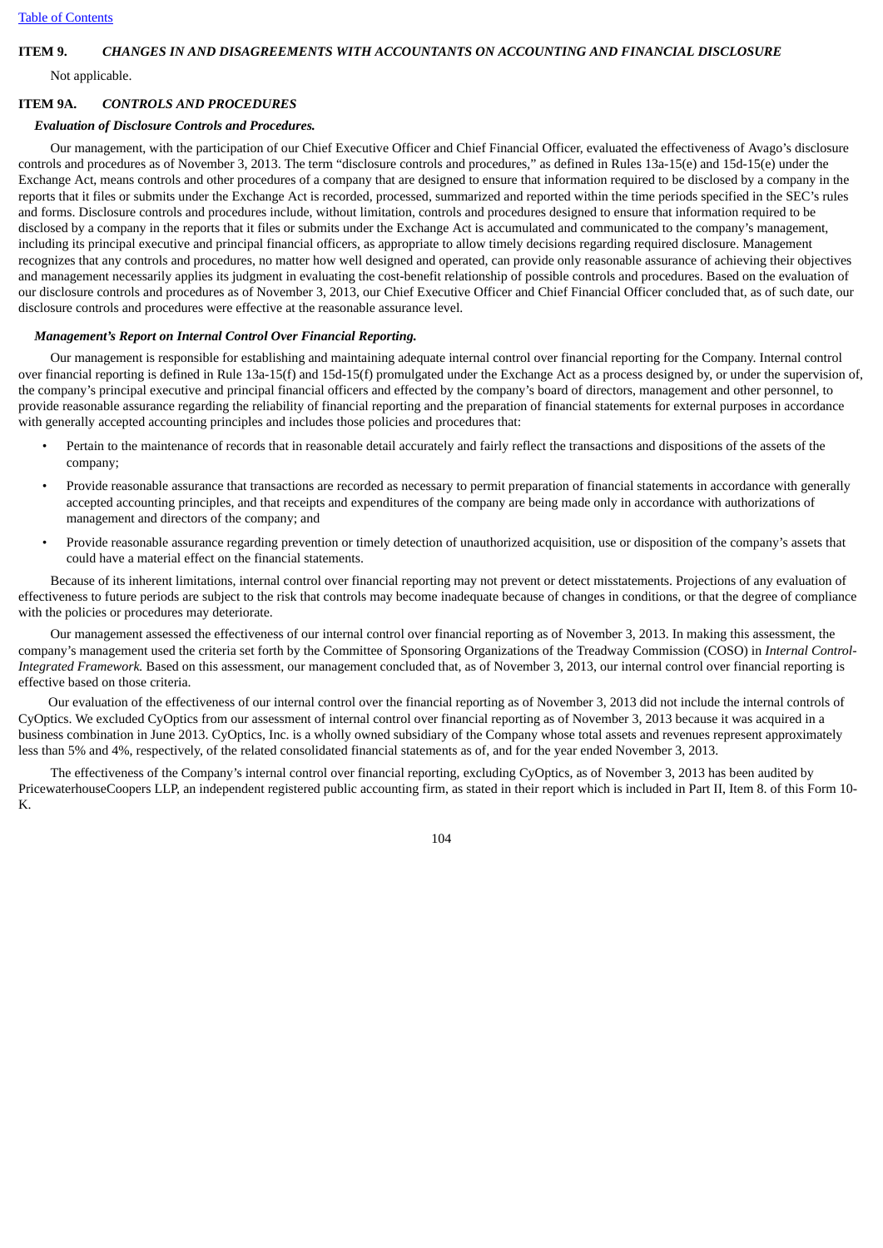## **ITEM 9.** *CHANGES IN AND DISAGREEMENTS WITH ACCOUNTANTS ON ACCOUNTING AND FINANCIAL DISCLOSURE*

Not applicable.

#### **ITEM 9A.** *CONTROLS AND PROCEDURES*

### *Evaluation of Disclosure Controls and Procedures.*

Our management, with the participation of our Chief Executive Officer and Chief Financial Officer, evaluated the effectiveness of Avago's disclosure controls and procedures as of November 3, 2013. The term "disclosure controls and procedures," as defined in Rules 13a-15(e) and 15d-15(e) under the Exchange Act, means controls and other procedures of a company that are designed to ensure that information required to be disclosed by a company in the reports that it files or submits under the Exchange Act is recorded, processed, summarized and reported within the time periods specified in the SEC's rules and forms. Disclosure controls and procedures include, without limitation, controls and procedures designed to ensure that information required to be disclosed by a company in the reports that it files or submits under the Exchange Act is accumulated and communicated to the company's management, including its principal executive and principal financial officers, as appropriate to allow timely decisions regarding required disclosure. Management recognizes that any controls and procedures, no matter how well designed and operated, can provide only reasonable assurance of achieving their objectives and management necessarily applies its judgment in evaluating the cost-benefit relationship of possible controls and procedures. Based on the evaluation of our disclosure controls and procedures as of November 3, 2013, our Chief Executive Officer and Chief Financial Officer concluded that, as of such date, our disclosure controls and procedures were effective at the reasonable assurance level.

### *Management's Report on Internal Control Over Financial Reporting.*

Our management is responsible for establishing and maintaining adequate internal control over financial reporting for the Company. Internal control over financial reporting is defined in Rule 13a-15(f) and 15d-15(f) promulgated under the Exchange Act as a process designed by, or under the supervision of, the company's principal executive and principal financial officers and effected by the company's board of directors, management and other personnel, to provide reasonable assurance regarding the reliability of financial reporting and the preparation of financial statements for external purposes in accordance with generally accepted accounting principles and includes those policies and procedures that:

- Pertain to the maintenance of records that in reasonable detail accurately and fairly reflect the transactions and dispositions of the assets of the company;
- Provide reasonable assurance that transactions are recorded as necessary to permit preparation of financial statements in accordance with generally accepted accounting principles, and that receipts and expenditures of the company are being made only in accordance with authorizations of management and directors of the company; and
- Provide reasonable assurance regarding prevention or timely detection of unauthorized acquisition, use or disposition of the company's assets that could have a material effect on the financial statements.

Because of its inherent limitations, internal control over financial reporting may not prevent or detect misstatements. Projections of any evaluation of effectiveness to future periods are subject to the risk that controls may become inadequate because of changes in conditions, or that the degree of compliance with the policies or procedures may deteriorate.

Our management assessed the effectiveness of our internal control over financial reporting as of November 3, 2013. In making this assessment, the company's management used the criteria set forth by the Committee of Sponsoring Organizations of the Treadway Commission (COSO) in *Internal Control-Integrated Framework.* Based on this assessment, our management concluded that, as of November 3, 2013, our internal control over financial reporting is effective based on those criteria.

Our evaluation of the effectiveness of our internal control over the financial reporting as of November 3, 2013 did not include the internal controls of CyOptics. We excluded CyOptics from our assessment of internal control over financial reporting as of November 3, 2013 because it was acquired in a business combination in June 2013. CyOptics, Inc. is a wholly owned subsidiary of the Company whose total assets and revenues represent approximately less than 5% and 4%, respectively, of the related consolidated financial statements as of, and for the year ended November 3, 2013.

The effectiveness of the Company's internal control over financial reporting, excluding CyOptics, as of November 3, 2013 has been audited by PricewaterhouseCoopers LLP, an independent registered public accounting firm, as stated in their report which is included in Part II, Item 8. of this Form 10- K.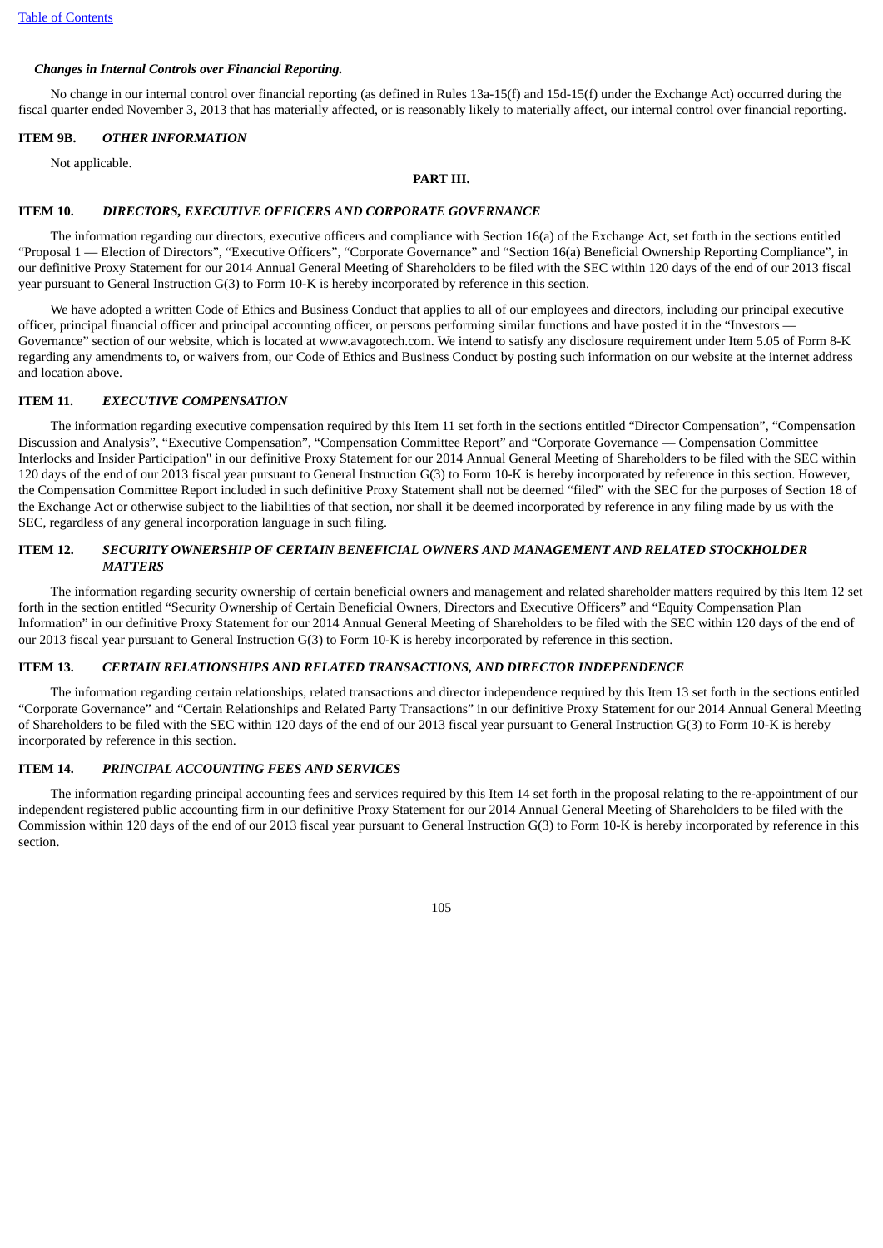# *Changes in Internal Controls over Financial Reporting.*

No change in our internal control over financial reporting (as defined in Rules 13a-15(f) and 15d-15(f) under the Exchange Act) occurred during the fiscal quarter ended November 3, 2013 that has materially affected, or is reasonably likely to materially affect, our internal control over financial reporting.

# **ITEM 9B.** *OTHER INFORMATION*

Not applicable.

#### **PART III.**

# **ITEM 10.** *DIRECTORS, EXECUTIVE OFFICERS AND CORPORATE GOVERNANCE*

The information regarding our directors, executive officers and compliance with Section 16(a) of the Exchange Act, set forth in the sections entitled "Proposal 1 — Election of Directors", "Executive Officers", "Corporate Governance" and "Section 16(a) Beneficial Ownership Reporting Compliance", in our definitive Proxy Statement for our 2014 Annual General Meeting of Shareholders to be filed with the SEC within 120 days of the end of our 2013 fiscal year pursuant to General Instruction G(3) to Form 10-K is hereby incorporated by reference in this section.

We have adopted a written Code of Ethics and Business Conduct that applies to all of our employees and directors, including our principal executive officer, principal financial officer and principal accounting officer, or persons performing similar functions and have posted it in the "Investors — Governance" section of our website, which is located at www.avagotech.com. We intend to satisfy any disclosure requirement under Item 5.05 of Form 8-K regarding any amendments to, or waivers from, our Code of Ethics and Business Conduct by posting such information on our website at the internet address and location above.

# **ITEM 11.** *EXECUTIVE COMPENSATION*

The information regarding executive compensation required by this Item 11 set forth in the sections entitled "Director Compensation", "Compensation Discussion and Analysis", "Executive Compensation", "Compensation Committee Report" and "Corporate Governance — Compensation Committee Interlocks and Insider Participation" in our definitive Proxy Statement for our 2014 Annual General Meeting of Shareholders to be filed with the SEC within 120 days of the end of our 2013 fiscal year pursuant to General Instruction G(3) to Form 10-K is hereby incorporated by reference in this section. However, the Compensation Committee Report included in such definitive Proxy Statement shall not be deemed "filed" with the SEC for the purposes of Section 18 of the Exchange Act or otherwise subject to the liabilities of that section, nor shall it be deemed incorporated by reference in any filing made by us with the SEC, regardless of any general incorporation language in such filing.

## **ITEM 12.** *SECURITY OWNERSHIP OF CERTAIN BENEFICIAL OWNERS AND MANAGEMENT AND RELATED STOCKHOLDER MATTERS*

The information regarding security ownership of certain beneficial owners and management and related shareholder matters required by this Item 12 set forth in the section entitled "Security Ownership of Certain Beneficial Owners, Directors and Executive Officers" and "Equity Compensation Plan Information" in our definitive Proxy Statement for our 2014 Annual General Meeting of Shareholders to be filed with the SEC within 120 days of the end of our 2013 fiscal year pursuant to General Instruction G(3) to Form 10-K is hereby incorporated by reference in this section.

# **ITEM 13.** *CERTAIN RELATIONSHIPS AND RELATED TRANSACTIONS, AND DIRECTOR INDEPENDENCE*

The information regarding certain relationships, related transactions and director independence required by this Item 13 set forth in the sections entitled "Corporate Governance" and "Certain Relationships and Related Party Transactions" in our definitive Proxy Statement for our 2014 Annual General Meeting of Shareholders to be filed with the SEC within 120 days of the end of our 2013 fiscal year pursuant to General Instruction G(3) to Form 10-K is hereby incorporated by reference in this section.

# **ITEM 14.** *PRINCIPAL ACCOUNTING FEES AND SERVICES*

The information regarding principal accounting fees and services required by this Item 14 set forth in the proposal relating to the re-appointment of our independent registered public accounting firm in our definitive Proxy Statement for our 2014 Annual General Meeting of Shareholders to be filed with the Commission within 120 days of the end of our 2013 fiscal year pursuant to General Instruction G(3) to Form 10-K is hereby incorporated by reference in this section.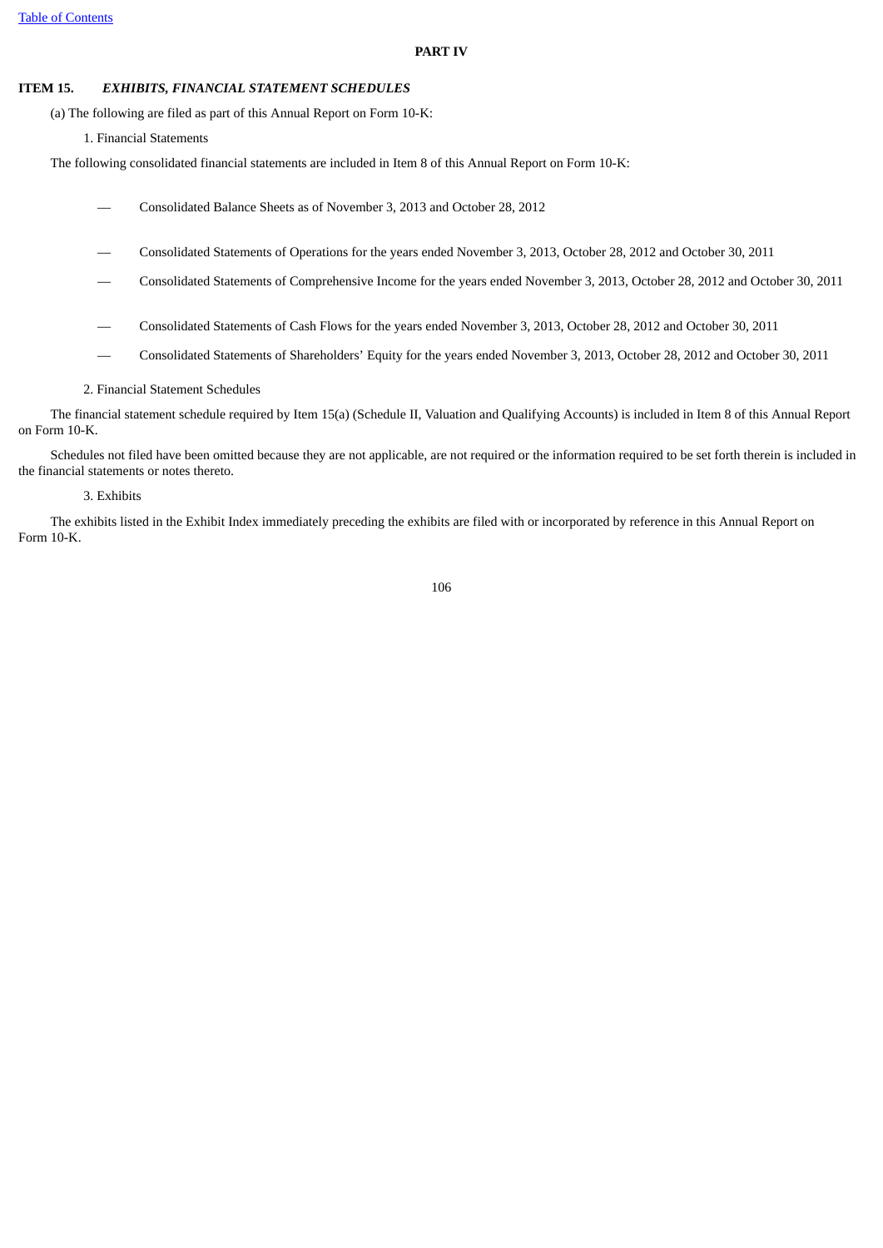### **PART IV**

## **ITEM 15.** *EXHIBITS, FINANCIAL STATEMENT SCHEDULES*

(a) The following are filed as part of this Annual Report on Form 10-K:

1. Financial Statements

The following consolidated financial statements are included in Item 8 of this Annual Report on Form 10-K:

- Consolidated Balance Sheets as of November 3, 2013 and October 28, 2012
- Consolidated Statements of Operations for the years ended November 3, 2013, October 28, 2012 and October 30, 2011
- Consolidated Statements of Comprehensive Income for the years ended November 3, 2013, October 28, 2012 and October 30, 2011
- Consolidated Statements of Cash Flows for the years ended November 3, 2013, October 28, 2012 and October 30, 2011
- Consolidated Statements of Shareholders' Equity for the years ended November 3, 2013, October 28, 2012 and October 30, 2011
- 2. Financial Statement Schedules

The financial statement schedule required by Item 15(a) (Schedule II, Valuation and Qualifying Accounts) is included in Item 8 of this Annual Report on Form 10-K.

Schedules not filed have been omitted because they are not applicable, are not required or the information required to be set forth therein is included in the financial statements or notes thereto.

## 3. Exhibits

The exhibits listed in the Exhibit Index immediately preceding the exhibits are filed with or incorporated by reference in this Annual Report on Form 10-K.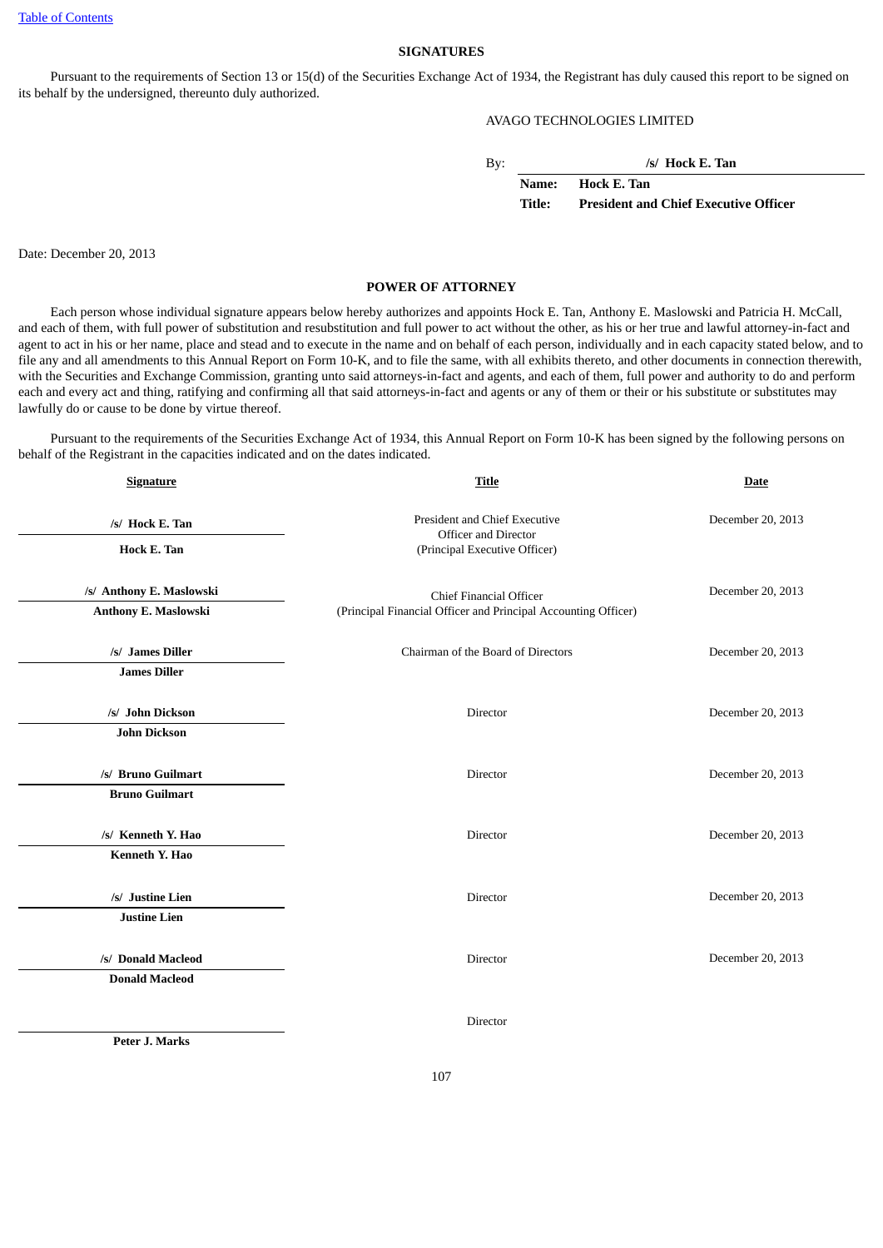#### **SIGNATURES**

Pursuant to the requirements of Section 13 or 15(d) of the Securities Exchange Act of 1934, the Registrant has duly caused this report to be signed on its behalf by the undersigned, thereunto duly authorized.

## AVAGO TECHNOLOGIES LIMITED

By: **/s/ Hock E. Tan**

**Name: Hock E. Tan Title: President and Chief Executive Officer**

Date: December 20, 2013

#### **POWER OF ATTORNEY**

Each person whose individual signature appears below hereby authorizes and appoints Hock E. Tan, Anthony E. Maslowski and Patricia H. McCall, and each of them, with full power of substitution and resubstitution and full power to act without the other, as his or her true and lawful attorney-in-fact and agent to act in his or her name, place and stead and to execute in the name and on behalf of each person, individually and in each capacity stated below, and to file any and all amendments to this Annual Report on Form 10-K, and to file the same, with all exhibits thereto, and other documents in connection therewith, with the Securities and Exchange Commission, granting unto said attorneys-in-fact and agents, and each of them, full power and authority to do and perform each and every act and thing, ratifying and confirming all that said attorneys-in-fact and agents or any of them or their or his substitute or substitutes may lawfully do or cause to be done by virtue thereof.

Pursuant to the requirements of the Securities Exchange Act of 1934, this Annual Report on Form 10-K has been signed by the following persons on behalf of the Registrant in the capacities indicated and on the dates indicated.

| <b>Signature</b>                                 | <b>Title</b>                                                                              | <b>Date</b>       |
|--------------------------------------------------|-------------------------------------------------------------------------------------------|-------------------|
| /s/ Hock E. Tan<br>Hock E. Tan                   | President and Chief Executive<br>Officer and Director<br>(Principal Executive Officer)    |                   |
| /s/ Anthony E. Maslowski<br>Anthony E. Maslowski | Chief Financial Officer<br>(Principal Financial Officer and Principal Accounting Officer) | December 20, 2013 |
| /s/ James Diller<br><b>James Diller</b>          | Chairman of the Board of Directors                                                        | December 20, 2013 |
| /s/ John Dickson<br><b>John Dickson</b>          | Director                                                                                  | December 20, 2013 |
| /s/ Bruno Guilmart<br><b>Bruno Guilmart</b>      | Director                                                                                  | December 20, 2013 |
| /s/ Kenneth Y. Hao<br><b>Kenneth Y. Hao</b>      | Director                                                                                  | December 20, 2013 |
| /s/ Justine Lien<br><b>Justine Lien</b>          | Director                                                                                  | December 20, 2013 |
| /s/ Donald Macleod<br><b>Donald Macleod</b>      | Director                                                                                  | December 20, 2013 |
| Peter J. Marks                                   | Director                                                                                  |                   |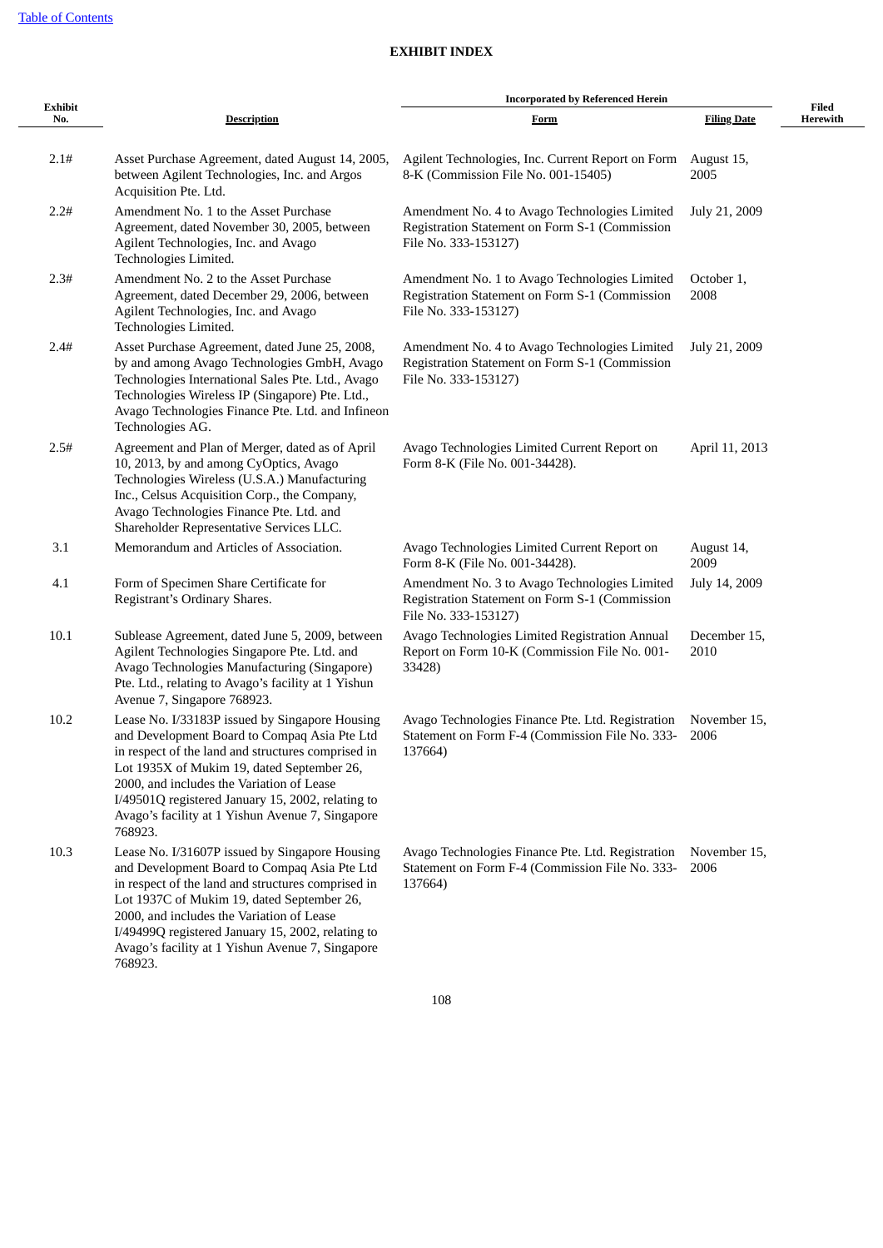# **EXHIBIT INDEX**

|                |                                                                                                                                                                                                                                                                                                                                                                     | <b>Incorporated by Referenced Herein</b>                                                                                |                      |                   |
|----------------|---------------------------------------------------------------------------------------------------------------------------------------------------------------------------------------------------------------------------------------------------------------------------------------------------------------------------------------------------------------------|-------------------------------------------------------------------------------------------------------------------------|----------------------|-------------------|
| Exhibit<br>No. | <b>Description</b>                                                                                                                                                                                                                                                                                                                                                  | <u>Form</u>                                                                                                             | <b>Filing Date</b>   | Filed<br>Herewith |
| 2.1#           | Asset Purchase Agreement, dated August 14, 2005,<br>between Agilent Technologies, Inc. and Argos<br>Acquisition Pte. Ltd.                                                                                                                                                                                                                                           | Agilent Technologies, Inc. Current Report on Form<br>8-K (Commission File No. 001-15405)                                | August 15,<br>2005   |                   |
| 2.2#           | Amendment No. 1 to the Asset Purchase<br>Agreement, dated November 30, 2005, between<br>Agilent Technologies, Inc. and Avago<br>Technologies Limited.                                                                                                                                                                                                               | Amendment No. 4 to Avago Technologies Limited<br>Registration Statement on Form S-1 (Commission<br>File No. 333-153127) | July 21, 2009        |                   |
| 2.3#           | Amendment No. 2 to the Asset Purchase<br>Agreement, dated December 29, 2006, between<br>Agilent Technologies, Inc. and Avago<br>Technologies Limited.                                                                                                                                                                                                               | Amendment No. 1 to Avago Technologies Limited<br>Registration Statement on Form S-1 (Commission<br>File No. 333-153127) | October 1,<br>2008   |                   |
| 2.4#           | Asset Purchase Agreement, dated June 25, 2008,<br>by and among Avago Technologies GmbH, Avago<br>Technologies International Sales Pte. Ltd., Avago<br>Technologies Wireless IP (Singapore) Pte. Ltd.,<br>Avago Technologies Finance Pte. Ltd. and Infineon<br>Technologies AG.                                                                                      | Amendment No. 4 to Avago Technologies Limited<br>Registration Statement on Form S-1 (Commission<br>File No. 333-153127) | July 21, 2009        |                   |
| 2.5#           | Agreement and Plan of Merger, dated as of April<br>10, 2013, by and among CyOptics, Avago<br>Technologies Wireless (U.S.A.) Manufacturing<br>Inc., Celsus Acquisition Corp., the Company,<br>Avago Technologies Finance Pte. Ltd. and<br>Shareholder Representative Services LLC.                                                                                   | Avago Technologies Limited Current Report on<br>Form 8-K (File No. 001-34428).                                          | April 11, 2013       |                   |
| 3.1            | Memorandum and Articles of Association.                                                                                                                                                                                                                                                                                                                             | Avago Technologies Limited Current Report on<br>Form 8-K (File No. 001-34428).                                          | August 14,<br>2009   |                   |
| 4.1            | Form of Specimen Share Certificate for<br>Registrant's Ordinary Shares.                                                                                                                                                                                                                                                                                             | Amendment No. 3 to Avago Technologies Limited<br>Registration Statement on Form S-1 (Commission<br>File No. 333-153127) | July 14, 2009        |                   |
| 10.1           | Sublease Agreement, dated June 5, 2009, between<br>Agilent Technologies Singapore Pte. Ltd. and<br>Avago Technologies Manufacturing (Singapore)<br>Pte. Ltd., relating to Avago's facility at 1 Yishun<br>Avenue 7, Singapore 768923.                                                                                                                               | Avago Technologies Limited Registration Annual<br>Report on Form 10-K (Commission File No. 001-<br>33428)               | December 15,<br>2010 |                   |
| 10.2           | Lease No. I/33183P issued by Singapore Housing<br>and Development Board to Compaq Asia Pte Ltd<br>in respect of the land and structures comprised in<br>Lot 1935X of Mukim 19, dated September 26,<br>2000, and includes the Variation of Lease<br>I/49501Q registered January 15, 2002, relating to<br>Avago's facility at 1 Yishun Avenue 7, Singapore<br>768923. | Avago Technologies Finance Pte. Ltd. Registration<br>Statement on Form F-4 (Commission File No. 333-<br>137664)         | November 15,<br>2006 |                   |
| 10.3           | Lease No. I/31607P issued by Singapore Housing<br>and Development Board to Compaq Asia Pte Ltd<br>in respect of the land and structures comprised in<br>Lot 1937C of Mukim 19, dated September 26,<br>2000, and includes the Variation of Lease<br>I/49499Q registered January 15, 2002, relating to<br>Avago's facility at 1 Yishun Avenue 7, Singapore<br>768923. | Avago Technologies Finance Pte. Ltd. Registration<br>Statement on Form F-4 (Commission File No. 333-<br>137664)         | November 15,<br>2006 |                   |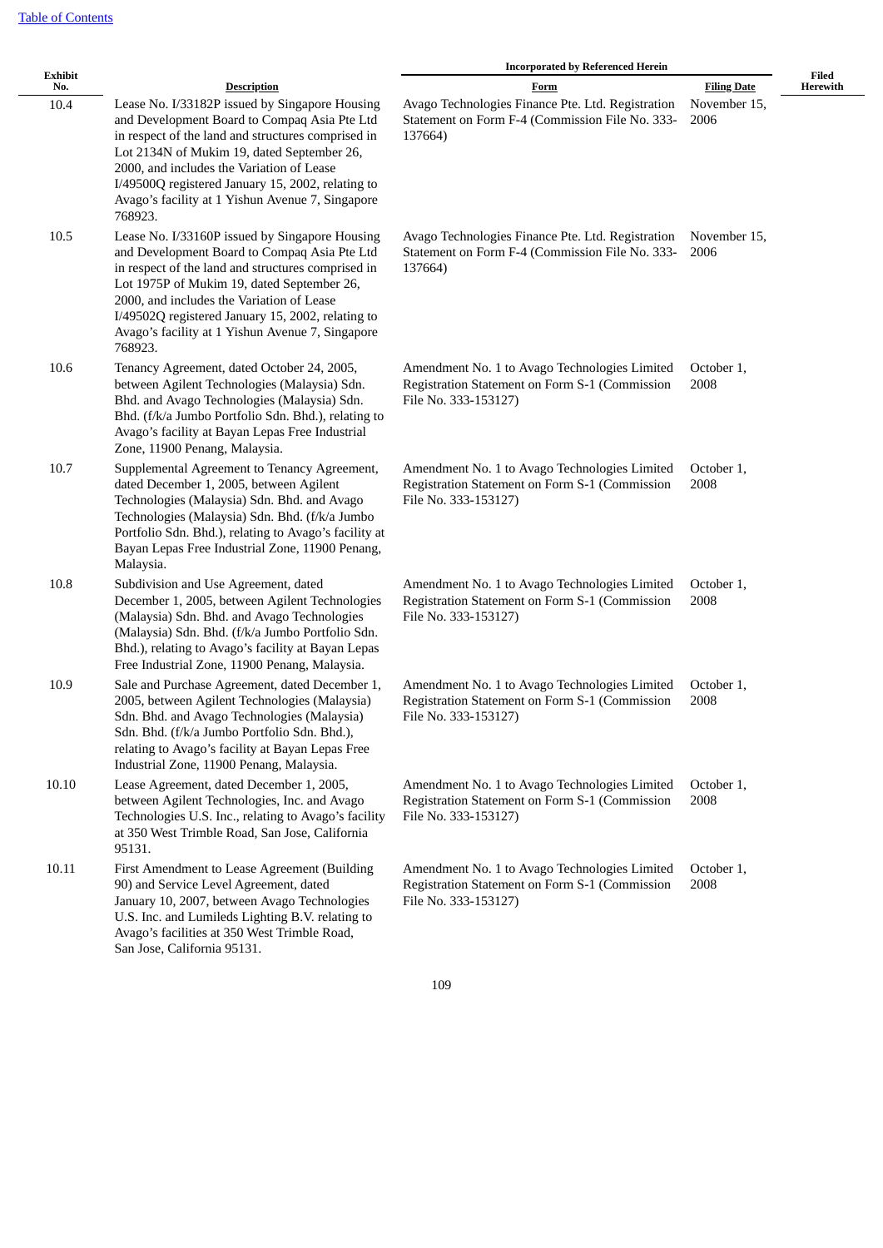|                       |                                                                                                                                                                                                                                                                                                                                                                     | <b>Incorporated by Referenced Herein</b>                                                                                |                      |                   |
|-----------------------|---------------------------------------------------------------------------------------------------------------------------------------------------------------------------------------------------------------------------------------------------------------------------------------------------------------------------------------------------------------------|-------------------------------------------------------------------------------------------------------------------------|----------------------|-------------------|
| <b>Exhibit</b><br>No. | <b>Description</b>                                                                                                                                                                                                                                                                                                                                                  | <u>Form</u>                                                                                                             | <b>Filing Date</b>   | Filed<br>Herewith |
| 10.4                  | Lease No. I/33182P issued by Singapore Housing<br>and Development Board to Compaq Asia Pte Ltd<br>in respect of the land and structures comprised in<br>Lot 2134N of Mukim 19, dated September 26,<br>2000, and includes the Variation of Lease<br>I/49500Q registered January 15, 2002, relating to<br>Avago's facility at 1 Yishun Avenue 7, Singapore<br>768923. | Avago Technologies Finance Pte. Ltd. Registration<br>Statement on Form F-4 (Commission File No. 333-<br>137664)         | November 15,<br>2006 |                   |
| 10.5                  | Lease No. I/33160P issued by Singapore Housing<br>and Development Board to Compaq Asia Pte Ltd<br>in respect of the land and structures comprised in<br>Lot 1975P of Mukim 19, dated September 26,<br>2000, and includes the Variation of Lease<br>I/49502Q registered January 15, 2002, relating to<br>Avago's facility at 1 Yishun Avenue 7, Singapore<br>768923. | Avago Technologies Finance Pte. Ltd. Registration<br>Statement on Form F-4 (Commission File No. 333-<br>137664)         | November 15,<br>2006 |                   |
| 10.6                  | Tenancy Agreement, dated October 24, 2005,<br>between Agilent Technologies (Malaysia) Sdn.<br>Bhd. and Avago Technologies (Malaysia) Sdn.<br>Bhd. (f/k/a Jumbo Portfolio Sdn. Bhd.), relating to<br>Avago's facility at Bayan Lepas Free Industrial<br>Zone, 11900 Penang, Malaysia.                                                                                | Amendment No. 1 to Avago Technologies Limited<br>Registration Statement on Form S-1 (Commission<br>File No. 333-153127) | October 1,<br>2008   |                   |
| 10.7                  | Supplemental Agreement to Tenancy Agreement,<br>dated December 1, 2005, between Agilent<br>Technologies (Malaysia) Sdn. Bhd. and Avago<br>Technologies (Malaysia) Sdn. Bhd. (f/k/a Jumbo<br>Portfolio Sdn. Bhd.), relating to Avago's facility at<br>Bayan Lepas Free Industrial Zone, 11900 Penang,<br>Malaysia.                                                   | Amendment No. 1 to Avago Technologies Limited<br>Registration Statement on Form S-1 (Commission<br>File No. 333-153127) | October 1,<br>2008   |                   |
| 10.8                  | Subdivision and Use Agreement, dated<br>December 1, 2005, between Agilent Technologies<br>(Malaysia) Sdn. Bhd. and Avago Technologies<br>(Malaysia) Sdn. Bhd. (f/k/a Jumbo Portfolio Sdn.<br>Bhd.), relating to Avago's facility at Bayan Lepas<br>Free Industrial Zone, 11900 Penang, Malaysia.                                                                    | Amendment No. 1 to Avago Technologies Limited<br>Registration Statement on Form S-1 (Commission<br>File No. 333-153127) | October 1,<br>2008   |                   |
| 10.9                  | Sale and Purchase Agreement, dated December 1,<br>2005, between Agilent Technologies (Malaysia)<br>Sdn. Bhd. and Avago Technologies (Malaysia)<br>Sdn. Bhd. (f/k/a Jumbo Portfolio Sdn. Bhd.),<br>relating to Avago's facility at Bayan Lepas Free<br>Industrial Zone, 11900 Penang, Malaysia.                                                                      | Amendment No. 1 to Avago Technologies Limited<br>Registration Statement on Form S-1 (Commission<br>File No. 333-153127) | October 1,<br>2008   |                   |
| 10.10                 | Lease Agreement, dated December 1, 2005,<br>between Agilent Technologies, Inc. and Avago<br>Technologies U.S. Inc., relating to Avago's facility<br>at 350 West Trimble Road, San Jose, California<br>95131.                                                                                                                                                        | Amendment No. 1 to Avago Technologies Limited<br>Registration Statement on Form S-1 (Commission<br>File No. 333-153127) | October 1,<br>2008   |                   |
| 10.11                 | First Amendment to Lease Agreement (Building<br>90) and Service Level Agreement, dated<br>January 10, 2007, between Avago Technologies<br>U.S. Inc. and Lumileds Lighting B.V. relating to<br>Avago's facilities at 350 West Trimble Road,<br>San Jose, California 95131.                                                                                           | Amendment No. 1 to Avago Technologies Limited<br>Registration Statement on Form S-1 (Commission<br>File No. 333-153127) | October 1,<br>2008   |                   |

 $\overline{\phantom{a}}$ 

109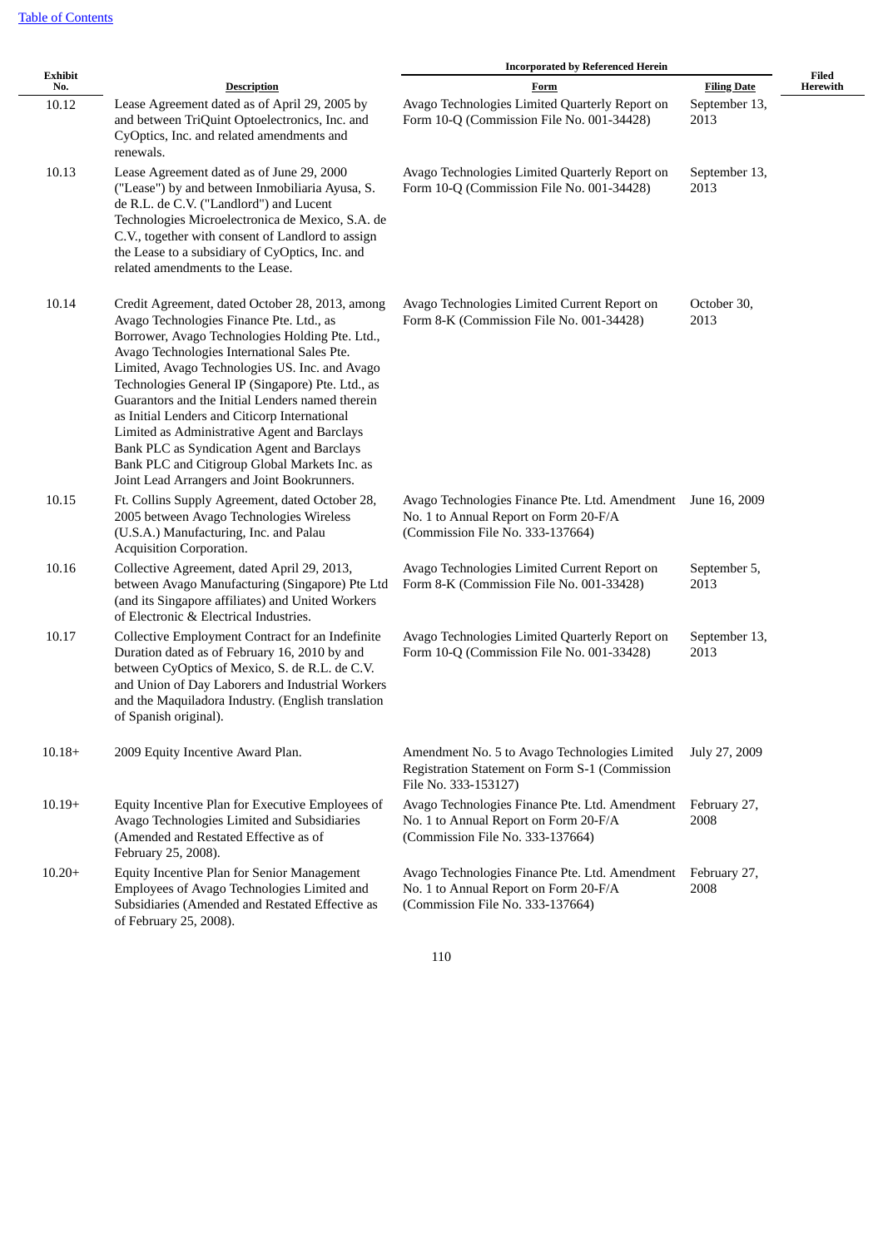|                       |                                                                                                                                                                                                                                                                                                                                                                                                                                                                                                                                                                                                         | <b>Incorporated by Referenced Herein</b>                                                                                                  |                       |                   |
|-----------------------|---------------------------------------------------------------------------------------------------------------------------------------------------------------------------------------------------------------------------------------------------------------------------------------------------------------------------------------------------------------------------------------------------------------------------------------------------------------------------------------------------------------------------------------------------------------------------------------------------------|-------------------------------------------------------------------------------------------------------------------------------------------|-----------------------|-------------------|
| <b>Exhibit</b><br>No. | <b>Description</b>                                                                                                                                                                                                                                                                                                                                                                                                                                                                                                                                                                                      | <u>Form</u>                                                                                                                               | <b>Filing Date</b>    | Filed<br>Herewith |
| 10.12                 | Lease Agreement dated as of April 29, 2005 by<br>and between TriQuint Optoelectronics, Inc. and<br>CyOptics, Inc. and related amendments and<br>renewals.                                                                                                                                                                                                                                                                                                                                                                                                                                               | Avago Technologies Limited Quarterly Report on<br>Form 10-Q (Commission File No. 001-34428)                                               | September 13,<br>2013 |                   |
| 10.13                 | Lease Agreement dated as of June 29, 2000<br>("Lease") by and between Inmobiliaria Ayusa, S.<br>de R.L. de C.V. ("Landlord") and Lucent<br>Technologies Microelectronica de Mexico, S.A. de<br>C.V., together with consent of Landlord to assign<br>the Lease to a subsidiary of CyOptics, Inc. and<br>related amendments to the Lease.                                                                                                                                                                                                                                                                 | Avago Technologies Limited Quarterly Report on<br>Form 10-Q (Commission File No. 001-34428)                                               | September 13,<br>2013 |                   |
| 10.14                 | Credit Agreement, dated October 28, 2013, among<br>Avago Technologies Finance Pte. Ltd., as<br>Borrower, Avago Technologies Holding Pte. Ltd.,<br>Avago Technologies International Sales Pte.<br>Limited, Avago Technologies US. Inc. and Avago<br>Technologies General IP (Singapore) Pte. Ltd., as<br>Guarantors and the Initial Lenders named therein<br>as Initial Lenders and Citicorp International<br>Limited as Administrative Agent and Barclays<br>Bank PLC as Syndication Agent and Barclays<br>Bank PLC and Citigroup Global Markets Inc. as<br>Joint Lead Arrangers and Joint Bookrunners. | Avago Technologies Limited Current Report on<br>Form 8-K (Commission File No. 001-34428)                                                  | October 30,<br>2013   |                   |
| 10.15                 | Ft. Collins Supply Agreement, dated October 28,<br>2005 between Avago Technologies Wireless<br>(U.S.A.) Manufacturing, Inc. and Palau<br>Acquisition Corporation.                                                                                                                                                                                                                                                                                                                                                                                                                                       | Avago Technologies Finance Pte. Ltd. Amendment June 16, 2009<br>No. 1 to Annual Report on Form 20-F/A<br>(Commission File No. 333-137664) |                       |                   |
| 10.16                 | Collective Agreement, dated April 29, 2013,<br>between Avago Manufacturing (Singapore) Pte Ltd<br>(and its Singapore affiliates) and United Workers<br>of Electronic & Electrical Industries.                                                                                                                                                                                                                                                                                                                                                                                                           | Avago Technologies Limited Current Report on<br>Form 8-K (Commission File No. 001-33428)                                                  | September 5,<br>2013  |                   |
| 10.17                 | Collective Employment Contract for an Indefinite<br>Duration dated as of February 16, 2010 by and<br>between CyOptics of Mexico, S. de R.L. de C.V.<br>and Union of Day Laborers and Industrial Workers<br>and the Maquiladora Industry. (English translation<br>of Spanish original).                                                                                                                                                                                                                                                                                                                  | Avago Technologies Limited Quarterly Report on<br>Form 10-Q (Commission File No. 001-33428)                                               | September 13,<br>2013 |                   |
| $10.18+$              | 2009 Equity Incentive Award Plan.                                                                                                                                                                                                                                                                                                                                                                                                                                                                                                                                                                       | Amendment No. 5 to Avago Technologies Limited<br>Registration Statement on Form S-1 (Commission<br>File No. 333-153127)                   | July 27, 2009         |                   |
| $10.19+$              | Equity Incentive Plan for Executive Employees of<br>Avago Technologies Limited and Subsidiaries<br>(Amended and Restated Effective as of<br>February 25, 2008).                                                                                                                                                                                                                                                                                                                                                                                                                                         | Avago Technologies Finance Pte. Ltd. Amendment<br>No. 1 to Annual Report on Form 20-F/A<br>(Commission File No. 333-137664)               | February 27,<br>2008  |                   |
| $10.20+$              | Equity Incentive Plan for Senior Management<br>Employees of Avago Technologies Limited and<br>Subsidiaries (Amended and Restated Effective as<br>of February 25, 2008).                                                                                                                                                                                                                                                                                                                                                                                                                                 | Avago Technologies Finance Pte. Ltd. Amendment<br>No. 1 to Annual Report on Form 20-F/A<br>(Commission File No. 333-137664)               | February 27,<br>2008  |                   |

 $\overline{\phantom{a}}$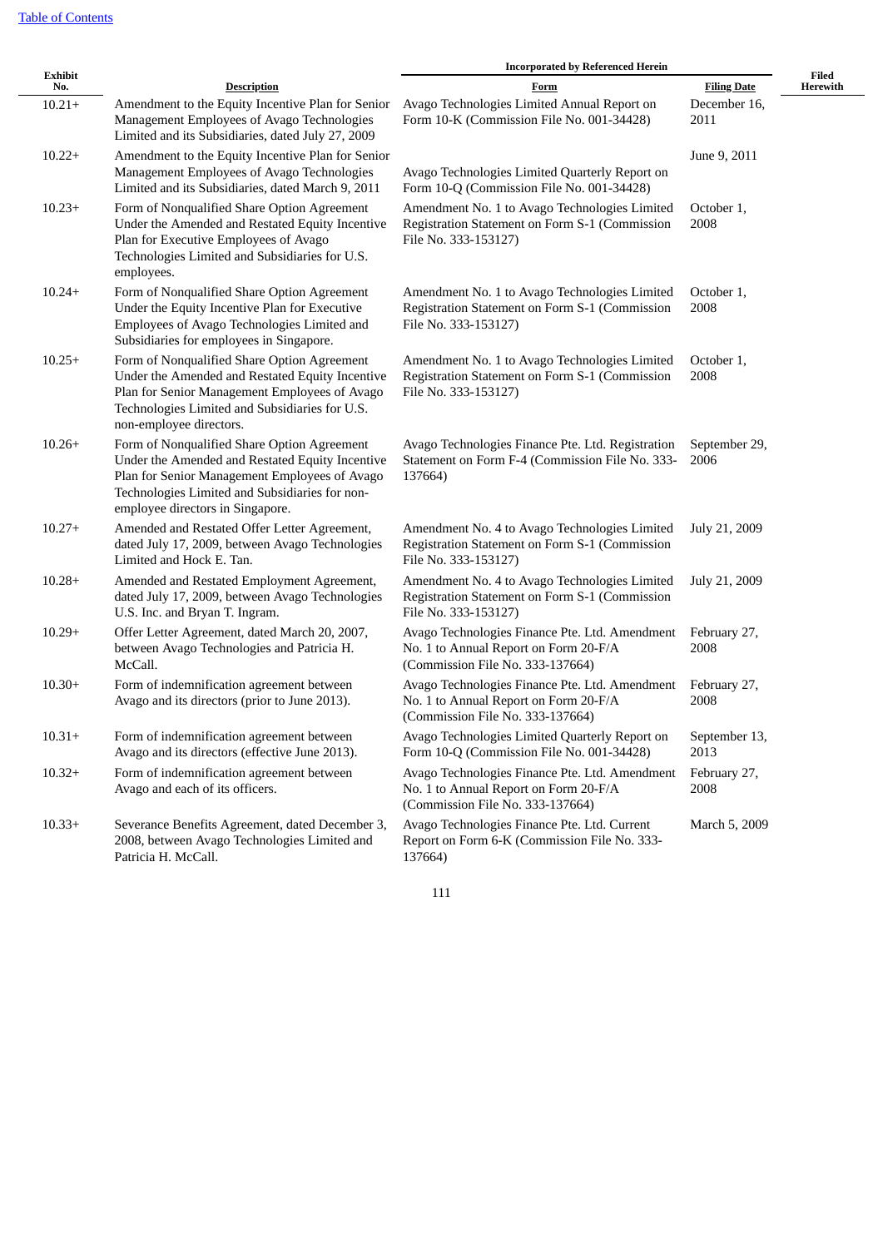|                |                                                                                                                                                                                                                                       | <b>Incorporated by Referenced Herein</b>                                                                                    |                       | Filed    |
|----------------|---------------------------------------------------------------------------------------------------------------------------------------------------------------------------------------------------------------------------------------|-----------------------------------------------------------------------------------------------------------------------------|-----------------------|----------|
| Exhibit<br>No. | <b>Description</b>                                                                                                                                                                                                                    | <u>Form</u>                                                                                                                 | <b>Filing Date</b>    | Herewith |
| $10.21 +$      | Amendment to the Equity Incentive Plan for Senior<br>Management Employees of Avago Technologies<br>Limited and its Subsidiaries, dated July 27, 2009                                                                                  | Avago Technologies Limited Annual Report on<br>Form 10-K (Commission File No. 001-34428)                                    | December 16,<br>2011  |          |
| $10.22+$       | Amendment to the Equity Incentive Plan for Senior<br>Management Employees of Avago Technologies<br>Limited and its Subsidiaries, dated March 9, 2011                                                                                  | Avago Technologies Limited Quarterly Report on<br>Form 10-Q (Commission File No. 001-34428)                                 | June 9, 2011          |          |
| $10.23+$       | Form of Nonqualified Share Option Agreement<br>Under the Amended and Restated Equity Incentive<br>Plan for Executive Employees of Avago<br>Technologies Limited and Subsidiaries for U.S.<br>employees.                               | Amendment No. 1 to Avago Technologies Limited<br>Registration Statement on Form S-1 (Commission<br>File No. 333-153127)     | October 1,<br>2008    |          |
| $10.24+$       | Form of Nonqualified Share Option Agreement<br>Under the Equity Incentive Plan for Executive<br>Employees of Avago Technologies Limited and<br>Subsidiaries for employees in Singapore.                                               | Amendment No. 1 to Avago Technologies Limited<br>Registration Statement on Form S-1 (Commission<br>File No. 333-153127)     | October 1,<br>2008    |          |
| $10.25+$       | Form of Nonqualified Share Option Agreement<br>Under the Amended and Restated Equity Incentive<br>Plan for Senior Management Employees of Avago<br>Technologies Limited and Subsidiaries for U.S.<br>non-employee directors.          | Amendment No. 1 to Avago Technologies Limited<br>Registration Statement on Form S-1 (Commission<br>File No. 333-153127)     | October 1,<br>2008    |          |
| $10.26+$       | Form of Nonqualified Share Option Agreement<br>Under the Amended and Restated Equity Incentive<br>Plan for Senior Management Employees of Avago<br>Technologies Limited and Subsidiaries for non-<br>employee directors in Singapore. | Avago Technologies Finance Pte. Ltd. Registration<br>Statement on Form F-4 (Commission File No. 333-<br>137664)             | September 29,<br>2006 |          |
| $10.27+$       | Amended and Restated Offer Letter Agreement,<br>dated July 17, 2009, between Avago Technologies<br>Limited and Hock E. Tan.                                                                                                           | Amendment No. 4 to Avago Technologies Limited<br>Registration Statement on Form S-1 (Commission<br>File No. 333-153127)     | July 21, 2009         |          |
| $10.28 +$      | Amended and Restated Employment Agreement,<br>dated July 17, 2009, between Avago Technologies<br>U.S. Inc. and Bryan T. Ingram.                                                                                                       | Amendment No. 4 to Avago Technologies Limited<br>Registration Statement on Form S-1 (Commission<br>File No. 333-153127)     | July 21, 2009         |          |
| $10.29+$       | Offer Letter Agreement, dated March 20, 2007,<br>between Avago Technologies and Patricia H.<br>McCall.                                                                                                                                | Avago Technologies Finance Pte. Ltd. Amendment<br>No. 1 to Annual Report on Form 20-F/A<br>(Commission File No. 333-137664) | February 27,<br>2008  |          |
| $10.30+$       | Form of indemnification agreement between<br>Avago and its directors (prior to June 2013).                                                                                                                                            | Avago Technologies Finance Pte. Ltd. Amendment<br>No. 1 to Annual Report on Form 20-F/A<br>(Commission File No. 333-137664) | February 27,<br>2008  |          |
| $10.31+$       | Form of indemnification agreement between<br>Avago and its directors (effective June 2013).                                                                                                                                           | Avago Technologies Limited Quarterly Report on<br>Form 10-Q (Commission File No. 001-34428)                                 | September 13,<br>2013 |          |
| $10.32+$       | Form of indemnification agreement between<br>Avago and each of its officers.                                                                                                                                                          | Avago Technologies Finance Pte. Ltd. Amendment<br>No. 1 to Annual Report on Form 20-F/A<br>(Commission File No. 333-137664) | February 27,<br>2008  |          |
| $10.33+$       | Severance Benefits Agreement, dated December 3,<br>2008, between Avago Technologies Limited and<br>Patricia H. McCall.                                                                                                                | Avago Technologies Finance Pte. Ltd. Current<br>Report on Form 6-K (Commission File No. 333-<br>137664)                     | March 5, 2009         |          |

111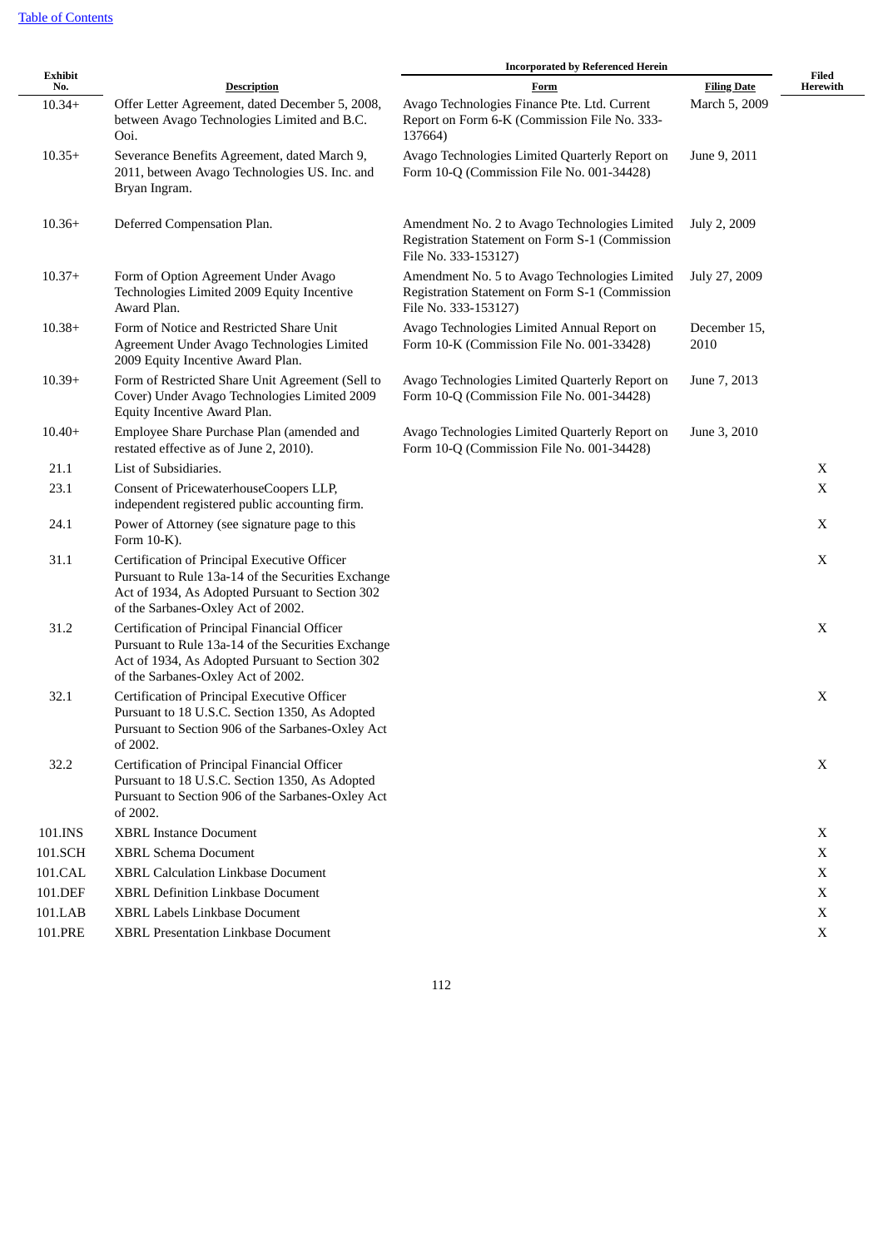|                |                                                                                                                                                                                             | <b>Incorporated by Referenced Herein</b>                                                                                |                      |                   |
|----------------|---------------------------------------------------------------------------------------------------------------------------------------------------------------------------------------------|-------------------------------------------------------------------------------------------------------------------------|----------------------|-------------------|
| Exhibit<br>No. | <b>Description</b>                                                                                                                                                                          | <u>Form</u>                                                                                                             | <b>Filing Date</b>   | Filed<br>Herewith |
| $10.34+$       | Offer Letter Agreement, dated December 5, 2008,<br>between Avago Technologies Limited and B.C.<br>Ooi.                                                                                      | Avago Technologies Finance Pte. Ltd. Current<br>Report on Form 6-K (Commission File No. 333-<br>137664)                 | March 5, 2009        |                   |
| $10.35+$       | Severance Benefits Agreement, dated March 9,<br>2011, between Avago Technologies US. Inc. and<br>Bryan Ingram.                                                                              | Avago Technologies Limited Quarterly Report on<br>Form 10-Q (Commission File No. 001-34428)                             | June 9, 2011         |                   |
| $10.36+$       | Deferred Compensation Plan.                                                                                                                                                                 | Amendment No. 2 to Avago Technologies Limited<br>Registration Statement on Form S-1 (Commission<br>File No. 333-153127) | July 2, 2009         |                   |
| $10.37+$       | Form of Option Agreement Under Avago<br>Technologies Limited 2009 Equity Incentive<br>Award Plan.                                                                                           | Amendment No. 5 to Avago Technologies Limited<br>Registration Statement on Form S-1 (Commission<br>File No. 333-153127) | July 27, 2009        |                   |
| $10.38 +$      | Form of Notice and Restricted Share Unit<br>Agreement Under Avago Technologies Limited<br>2009 Equity Incentive Award Plan.                                                                 | Avago Technologies Limited Annual Report on<br>Form 10-K (Commission File No. 001-33428)                                | December 15,<br>2010 |                   |
| $10.39+$       | Form of Restricted Share Unit Agreement (Sell to<br>Cover) Under Avago Technologies Limited 2009<br>Equity Incentive Award Plan.                                                            | Avago Technologies Limited Quarterly Report on<br>Form 10-Q (Commission File No. 001-34428)                             | June 7, 2013         |                   |
| $10.40+$       | Employee Share Purchase Plan (amended and<br>restated effective as of June 2, 2010).                                                                                                        | Avago Technologies Limited Quarterly Report on<br>Form 10-Q (Commission File No. 001-34428)                             | June 3, 2010         |                   |
| 21.1           | List of Subsidiaries.                                                                                                                                                                       |                                                                                                                         |                      | X                 |
| 23.1           | Consent of PricewaterhouseCoopers LLP,<br>independent registered public accounting firm.                                                                                                    |                                                                                                                         |                      | $\mathbf X$       |
| 24.1           | Power of Attorney (see signature page to this<br>Form 10-K).                                                                                                                                |                                                                                                                         |                      | X                 |
| 31.1           | Certification of Principal Executive Officer<br>Pursuant to Rule 13a-14 of the Securities Exchange<br>Act of 1934, As Adopted Pursuant to Section 302<br>of the Sarbanes-Oxley Act of 2002. |                                                                                                                         |                      | X                 |
| 31.2           | Certification of Principal Financial Officer<br>Pursuant to Rule 13a-14 of the Securities Exchange<br>Act of 1934, As Adopted Pursuant to Section 302<br>of the Sarbanes-Oxley Act of 2002. |                                                                                                                         |                      | $\mathbf X$       |
| 32.1           | Certification of Principal Executive Officer<br>Pursuant to 18 U.S.C. Section 1350, As Adopted<br>Pursuant to Section 906 of the Sarbanes-Oxley Act<br>of 2002.                             |                                                                                                                         |                      | X                 |
| 32.2           | Certification of Principal Financial Officer<br>Pursuant to 18 U.S.C. Section 1350, As Adopted<br>Pursuant to Section 906 of the Sarbanes-Oxley Act<br>of 2002.                             |                                                                                                                         |                      | X                 |
| 101.INS        | <b>XBRL Instance Document</b>                                                                                                                                                               |                                                                                                                         |                      | X                 |
| 101.SCH        | <b>XBRL Schema Document</b>                                                                                                                                                                 |                                                                                                                         |                      | X                 |
| 101.CAL        | <b>XBRL Calculation Linkbase Document</b>                                                                                                                                                   |                                                                                                                         |                      | X                 |
| 101.DEF        | <b>XBRL Definition Linkbase Document</b>                                                                                                                                                    |                                                                                                                         |                      | X                 |
| 101.LAB        | XBRL Labels Linkbase Document                                                                                                                                                               |                                                                                                                         |                      | X                 |
| 101.PRE        | <b>XBRL Presentation Linkbase Document</b>                                                                                                                                                  |                                                                                                                         |                      | $\mathbf X$       |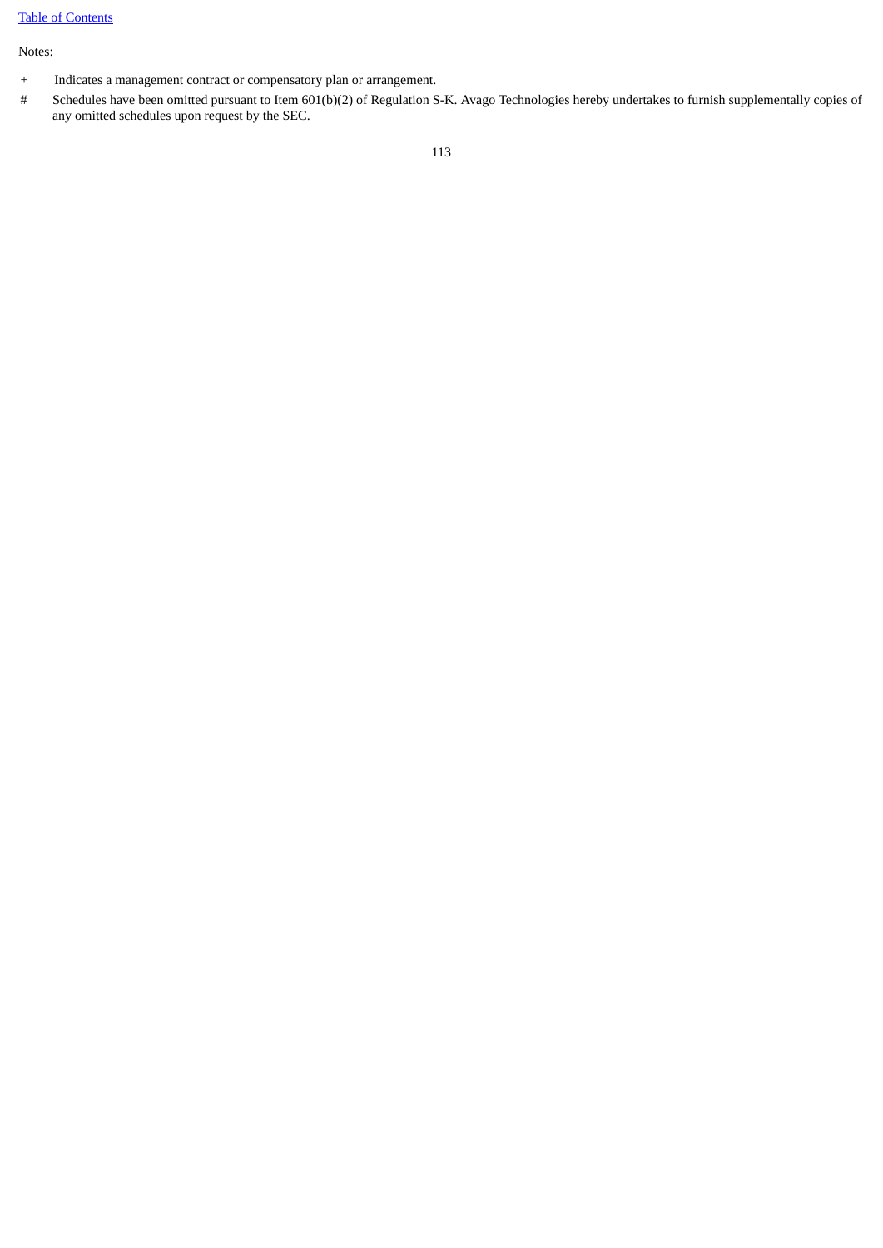# Table of [Contents](#page-0-0)

Notes:

- + Indicates a management contract or compensatory plan or arrangement.
- # Schedules have been omitted pursuant to Item 601(b)(2) of Regulation S-K. Avago Technologies hereby undertakes to furnish supplementally copies of any omitted schedules upon request by the SEC.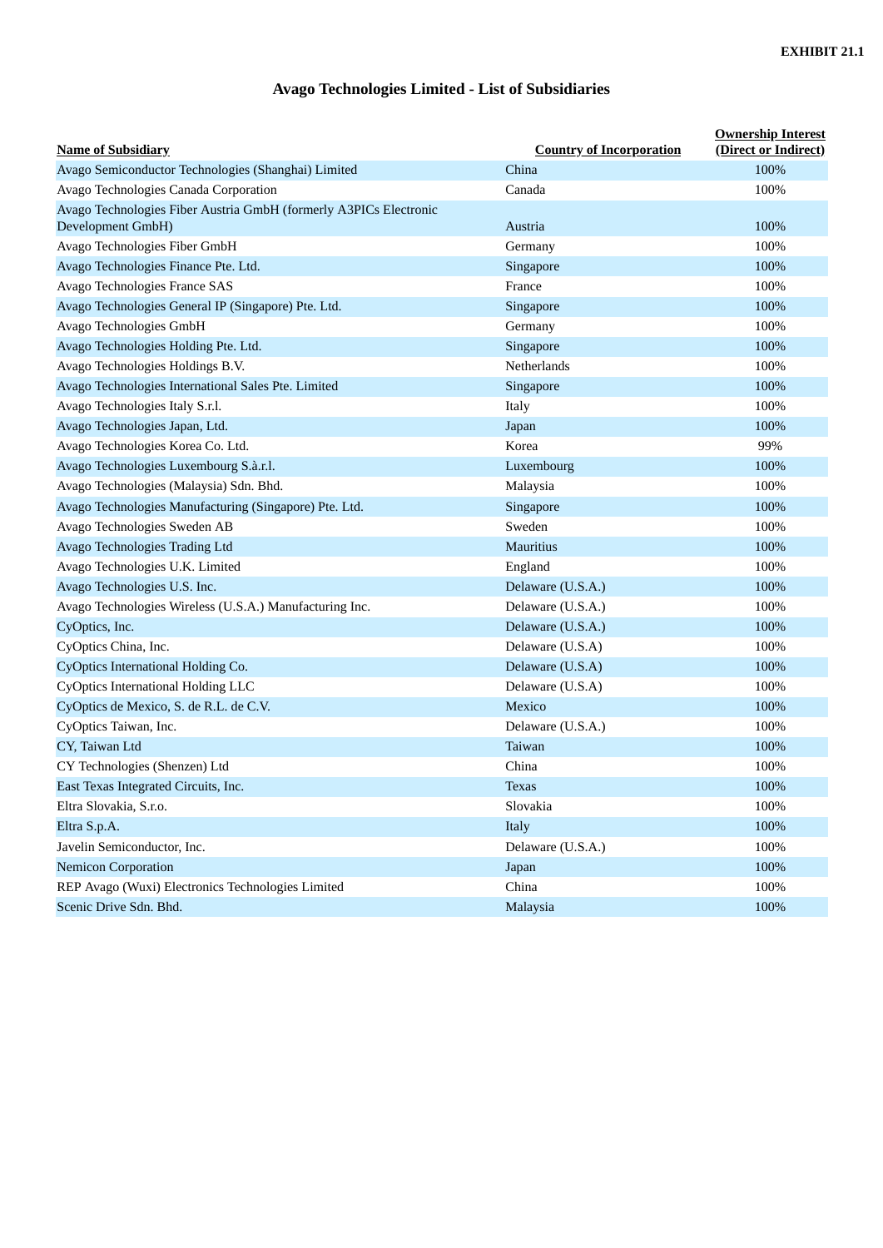# **Avago Technologies Limited - List of Subsidiaries**

| <b>Name of Subsidiary</b>                                         | <b>Country of Incorporation</b> | <b>Ownership Interest</b><br>(Direct or Indirect) |
|-------------------------------------------------------------------|---------------------------------|---------------------------------------------------|
| Avago Semiconductor Technologies (Shanghai) Limited               | China                           | 100%                                              |
| Avago Technologies Canada Corporation                             | Canada                          | 100%                                              |
| Avago Technologies Fiber Austria GmbH (formerly A3PICs Electronic |                                 |                                                   |
| Development GmbH)                                                 | Austria                         | 100%                                              |
| Avago Technologies Fiber GmbH                                     | Germany                         | 100%                                              |
| Avago Technologies Finance Pte. Ltd.                              | Singapore                       | 100%                                              |
| Avago Technologies France SAS                                     | France                          | 100%                                              |
| Avago Technologies General IP (Singapore) Pte. Ltd.               | Singapore                       | 100%                                              |
| Avago Technologies GmbH                                           | Germany                         | 100%                                              |
| Avago Technologies Holding Pte. Ltd.                              | Singapore                       | 100%                                              |
| Avago Technologies Holdings B.V.                                  | Netherlands                     | 100%                                              |
| Avago Technologies International Sales Pte. Limited               | Singapore                       | 100%                                              |
| Avago Technologies Italy S.r.l.                                   | Italy                           | 100%                                              |
| Avago Technologies Japan, Ltd.                                    | Japan                           | 100%                                              |
| Avago Technologies Korea Co. Ltd.                                 | Korea                           | 99%                                               |
| Avago Technologies Luxembourg S.à.r.l.                            | Luxembourg                      | 100%                                              |
| Avago Technologies (Malaysia) Sdn. Bhd.                           | Malaysia                        | 100%                                              |
| Avago Technologies Manufacturing (Singapore) Pte. Ltd.            | Singapore                       | 100%                                              |
| Avago Technologies Sweden AB                                      | Sweden                          | 100%                                              |
| Avago Technologies Trading Ltd                                    | <b>Mauritius</b>                | 100%                                              |
| Avago Technologies U.K. Limited                                   | England                         | 100%                                              |
| Avago Technologies U.S. Inc.                                      | Delaware (U.S.A.)               | 100%                                              |
| Avago Technologies Wireless (U.S.A.) Manufacturing Inc.           | Delaware (U.S.A.)               | 100%                                              |
| CyOptics, Inc.                                                    | Delaware (U.S.A.)               | 100%                                              |
| CyOptics China, Inc.                                              | Delaware (U.S.A)                | 100%                                              |
| CyOptics International Holding Co.                                | Delaware (U.S.A)                | 100%                                              |
| CyOptics International Holding LLC                                | Delaware (U.S.A)                | 100%                                              |
| CyOptics de Mexico, S. de R.L. de C.V.                            | Mexico                          | 100%                                              |
| CyOptics Taiwan, Inc.                                             | Delaware (U.S.A.)               | 100%                                              |
| CY, Taiwan Ltd                                                    | Taiwan                          | 100%                                              |
| CY Technologies (Shenzen) Ltd                                     | China                           | 100%                                              |
| East Texas Integrated Circuits, Inc.                              | <b>Texas</b>                    | 100%                                              |
| Eltra Slovakia, S.r.o.                                            | Slovakia                        | 100%                                              |
| Eltra S.p.A.                                                      | Italy                           | 100%                                              |
| Javelin Semiconductor, Inc.                                       | Delaware (U.S.A.)               | 100%                                              |
| <b>Nemicon Corporation</b>                                        | Japan                           | 100%                                              |
| REP Avago (Wuxi) Electronics Technologies Limited                 | China                           | 100%                                              |
| Scenic Drive Sdn. Bhd.                                            | Malaysia                        | 100%                                              |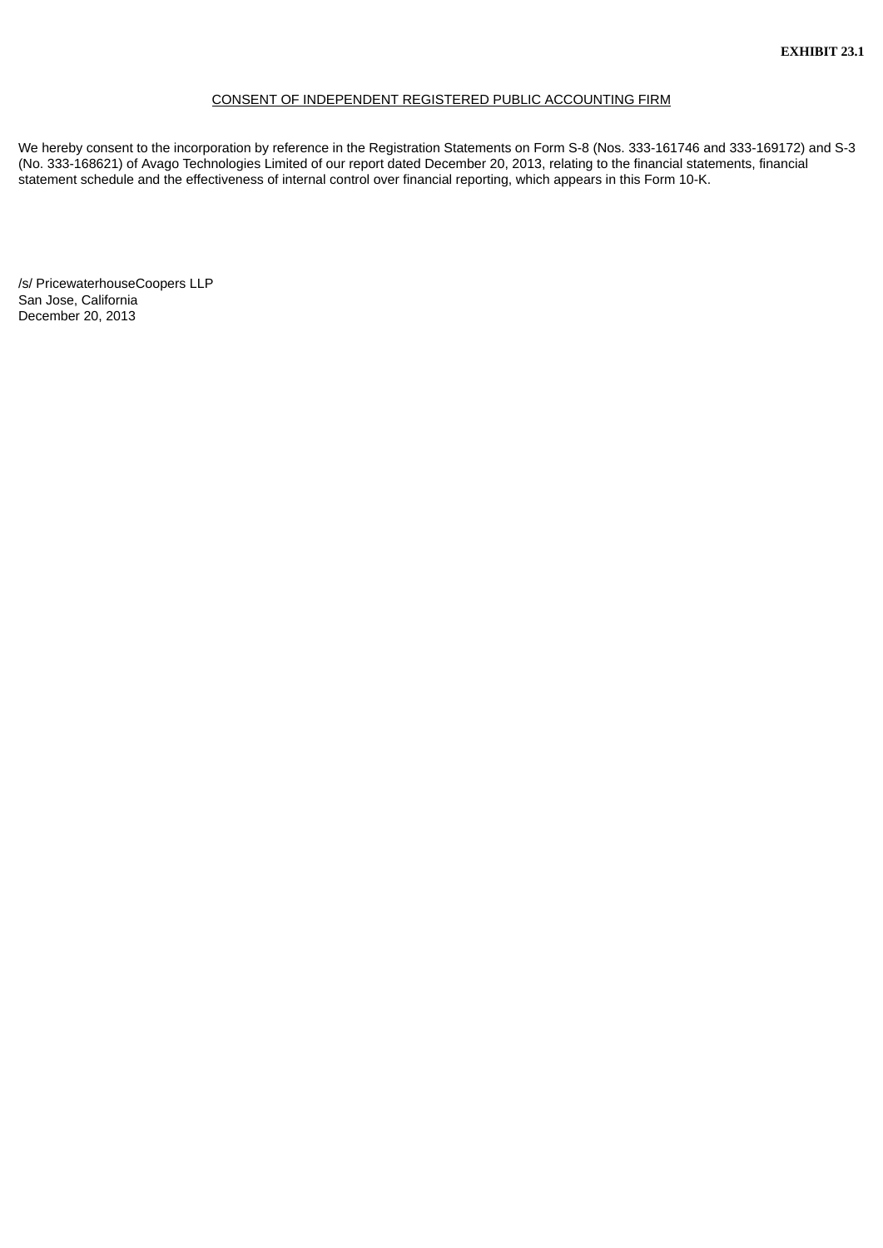## CONSENT OF INDEPENDENT REGISTERED PUBLIC ACCOUNTING FIRM

We hereby consent to the incorporation by reference in the Registration Statements on Form S-8 (Nos. 333-161746 and 333-169172) and S‑3 (No. 333-168621) of Avago Technologies Limited of our report dated December 20, 2013, relating to the financial statements, financial statement schedule and the effectiveness of internal control over financial reporting, which appears in this Form 10-K.

/s/ PricewaterhouseCoopers LLP San Jose, California December 20, 2013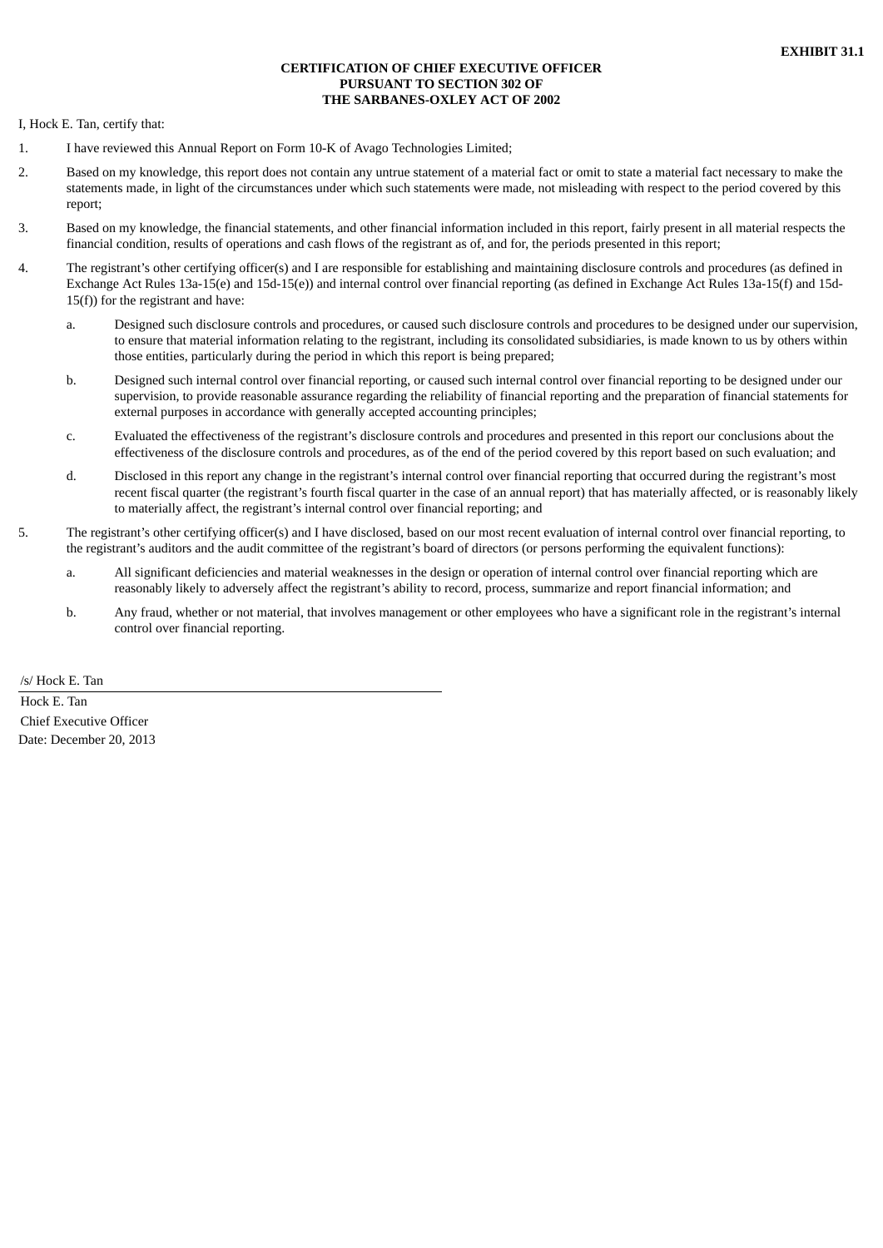### **CERTIFICATION OF CHIEF EXECUTIVE OFFICER PURSUANT TO SECTION 302 OF THE SARBANES-OXLEY ACT OF 2002**

I, Hock E. Tan, certify that:

- 1. I have reviewed this Annual Report on Form 10-K of Avago Technologies Limited;
- 2. Based on my knowledge, this report does not contain any untrue statement of a material fact or omit to state a material fact necessary to make the statements made, in light of the circumstances under which such statements were made, not misleading with respect to the period covered by this report;
- 3. Based on my knowledge, the financial statements, and other financial information included in this report, fairly present in all material respects the financial condition, results of operations and cash flows of the registrant as of, and for, the periods presented in this report;
- 4. The registrant's other certifying officer(s) and I are responsible for establishing and maintaining disclosure controls and procedures (as defined in Exchange Act Rules 13a-15(e) and 15d-15(e)) and internal control over financial reporting (as defined in Exchange Act Rules 13a-15(f) and 15d-15(f)) for the registrant and have:
	- a. Designed such disclosure controls and procedures, or caused such disclosure controls and procedures to be designed under our supervision, to ensure that material information relating to the registrant, including its consolidated subsidiaries, is made known to us by others within those entities, particularly during the period in which this report is being prepared;
	- b. Designed such internal control over financial reporting, or caused such internal control over financial reporting to be designed under our supervision, to provide reasonable assurance regarding the reliability of financial reporting and the preparation of financial statements for external purposes in accordance with generally accepted accounting principles;
	- c. Evaluated the effectiveness of the registrant's disclosure controls and procedures and presented in this report our conclusions about the effectiveness of the disclosure controls and procedures, as of the end of the period covered by this report based on such evaluation; and
	- d. Disclosed in this report any change in the registrant's internal control over financial reporting that occurred during the registrant's most recent fiscal quarter (the registrant's fourth fiscal quarter in the case of an annual report) that has materially affected, or is reasonably likely to materially affect, the registrant's internal control over financial reporting; and
- 5. The registrant's other certifying officer(s) and I have disclosed, based on our most recent evaluation of internal control over financial reporting, to the registrant's auditors and the audit committee of the registrant's board of directors (or persons performing the equivalent functions):
	- a. All significant deficiencies and material weaknesses in the design or operation of internal control over financial reporting which are reasonably likely to adversely affect the registrant's ability to record, process, summarize and report financial information; and
	- b. Any fraud, whether or not material, that involves management or other employees who have a significant role in the registrant's internal control over financial reporting.

/s/ Hock E. Tan

Hock E. Tan Chief Executive Officer Date: December 20, 2013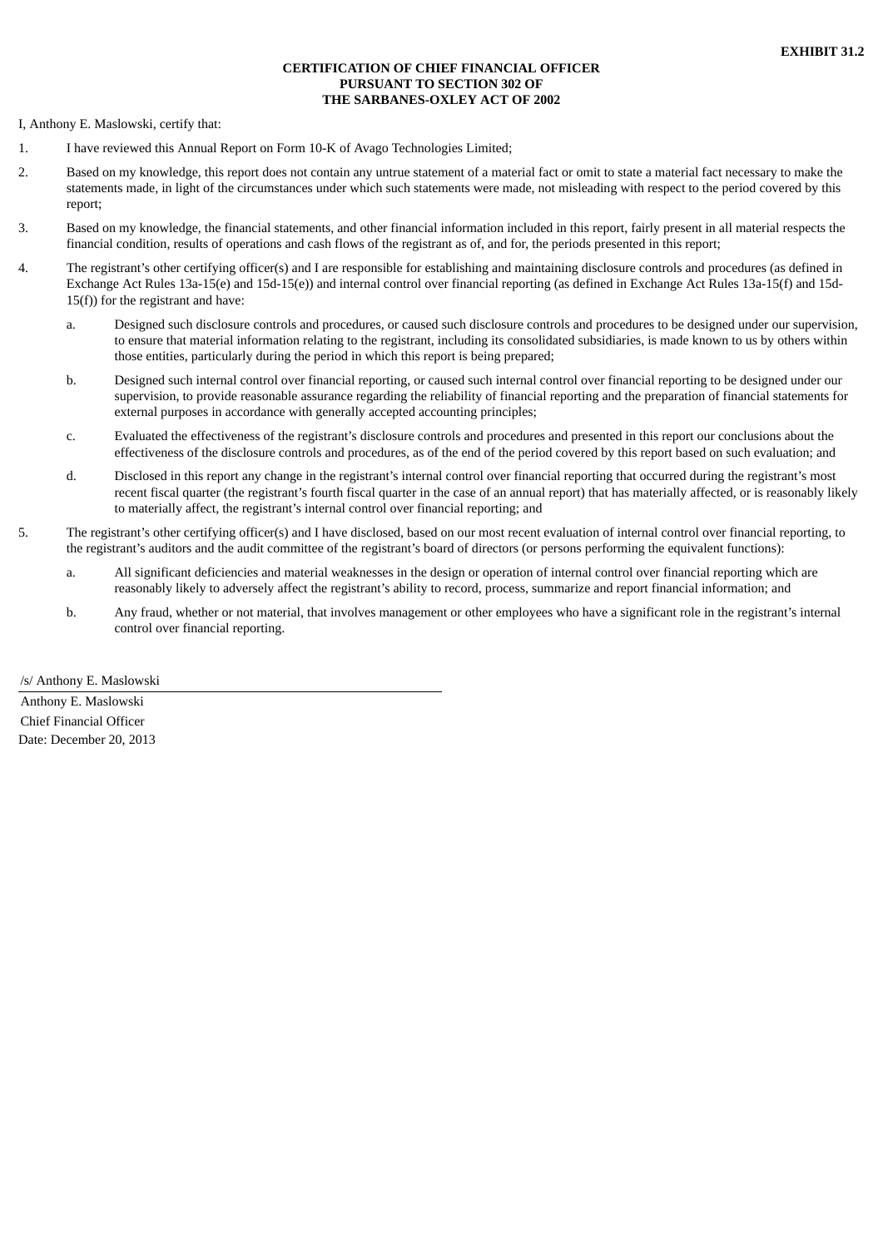### **CERTIFICATION OF CHIEF FINANCIAL OFFICER PURSUANT TO SECTION 302 OF THE SARBANES-OXLEY ACT OF 2002**

I, Anthony E. Maslowski, certify that:

- 1. I have reviewed this Annual Report on Form 10-K of Avago Technologies Limited;
- 2. Based on my knowledge, this report does not contain any untrue statement of a material fact or omit to state a material fact necessary to make the statements made, in light of the circumstances under which such statements were made, not misleading with respect to the period covered by this report;
- 3. Based on my knowledge, the financial statements, and other financial information included in this report, fairly present in all material respects the financial condition, results of operations and cash flows of the registrant as of, and for, the periods presented in this report;
- 4. The registrant's other certifying officer(s) and I are responsible for establishing and maintaining disclosure controls and procedures (as defined in Exchange Act Rules 13a-15(e) and 15d-15(e)) and internal control over financial reporting (as defined in Exchange Act Rules 13a-15(f) and 15d-15(f)) for the registrant and have:
	- a. Designed such disclosure controls and procedures, or caused such disclosure controls and procedures to be designed under our supervision, to ensure that material information relating to the registrant, including its consolidated subsidiaries, is made known to us by others within those entities, particularly during the period in which this report is being prepared;
	- b. Designed such internal control over financial reporting, or caused such internal control over financial reporting to be designed under our supervision, to provide reasonable assurance regarding the reliability of financial reporting and the preparation of financial statements for external purposes in accordance with generally accepted accounting principles;
	- c. Evaluated the effectiveness of the registrant's disclosure controls and procedures and presented in this report our conclusions about the effectiveness of the disclosure controls and procedures, as of the end of the period covered by this report based on such evaluation; and
	- d. Disclosed in this report any change in the registrant's internal control over financial reporting that occurred during the registrant's most recent fiscal quarter (the registrant's fourth fiscal quarter in the case of an annual report) that has materially affected, or is reasonably likely to materially affect, the registrant's internal control over financial reporting; and
- 5. The registrant's other certifying officer(s) and I have disclosed, based on our most recent evaluation of internal control over financial reporting, to the registrant's auditors and the audit committee of the registrant's board of directors (or persons performing the equivalent functions):
	- a. All significant deficiencies and material weaknesses in the design or operation of internal control over financial reporting which are reasonably likely to adversely affect the registrant's ability to record, process, summarize and report financial information; and
	- b. Any fraud, whether or not material, that involves management or other employees who have a significant role in the registrant's internal control over financial reporting.

/s/ Anthony E. Maslowski

Anthony E. Maslowski Chief Financial Officer Date: December 20, 2013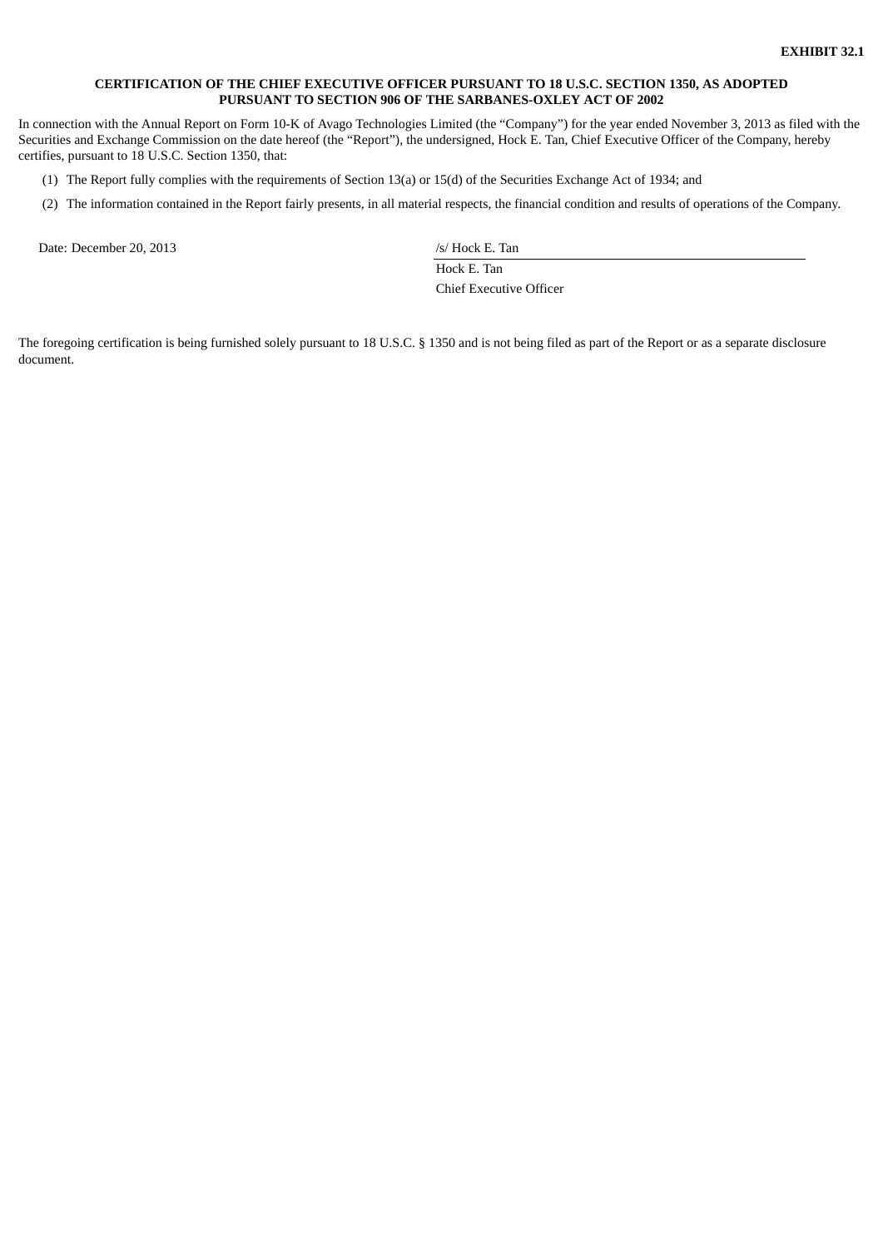#### **CERTIFICATION OF THE CHIEF EXECUTIVE OFFICER PURSUANT TO 18 U.S.C. SECTION 1350, AS ADOPTED PURSUANT TO SECTION 906 OF THE SARBANES-OXLEY ACT OF 2002**

In connection with the Annual Report on Form 10-K of Avago Technologies Limited (the "Company") for the year ended November 3, 2013 as filed with the Securities and Exchange Commission on the date hereof (the "Report"), the undersigned, Hock E. Tan, Chief Executive Officer of the Company, hereby certifies, pursuant to 18 U.S.C. Section 1350, that:

- (1) The Report fully complies with the requirements of Section 13(a) or 15(d) of the Securities Exchange Act of 1934; and
- (2) The information contained in the Report fairly presents, in all material respects, the financial condition and results of operations of the Company.

Date: December 20, 2013 /s/ Hock E. Tan

Hock E. Tan Chief Executive Officer

The foregoing certification is being furnished solely pursuant to 18 U.S.C. § 1350 and is not being filed as part of the Report or as a separate disclosure document.